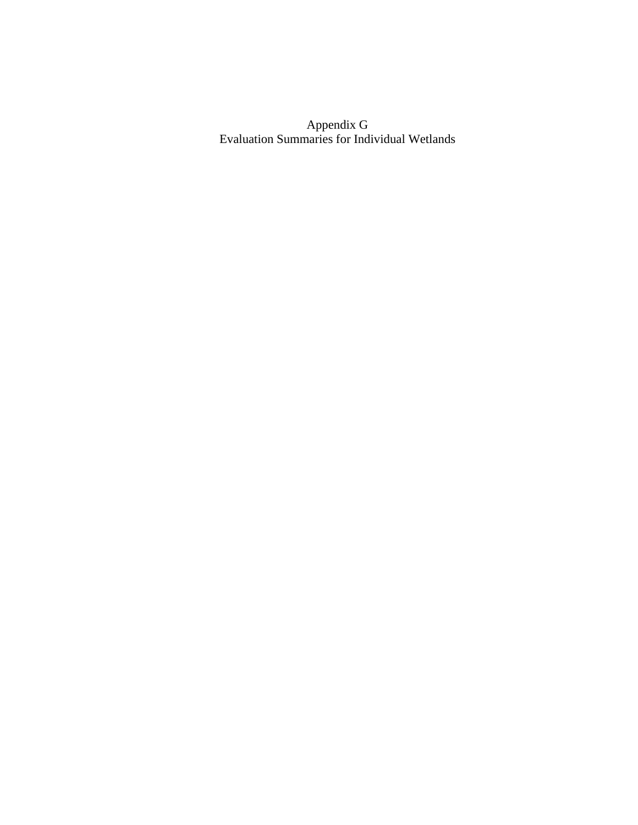Appendix G Evaluation Summaries for Individual Wetlands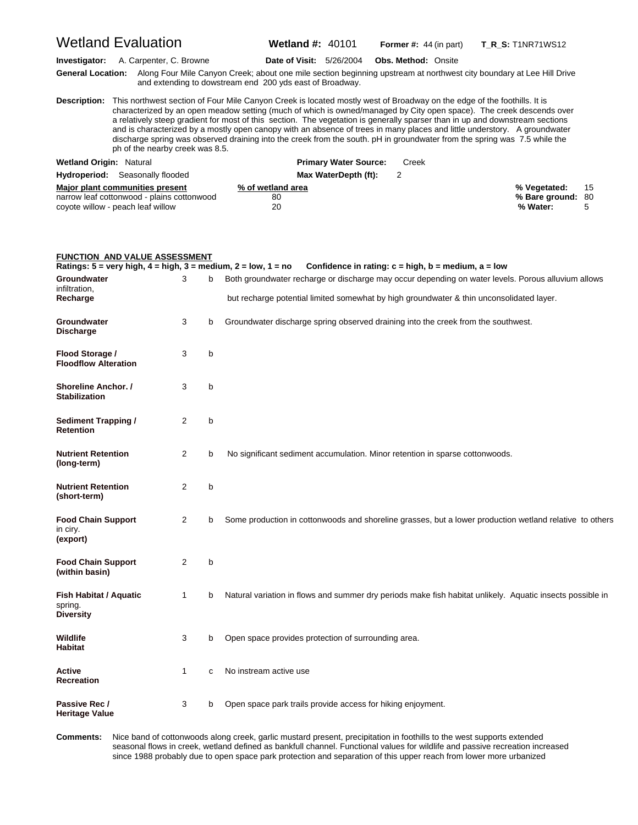Wetland Evaluation **Wetland #:** 40101 **Former #:** <sup>44</sup> (in part) **T\_R\_S:** T1NR71WS12

**Investigator:** A. Carpenter, C. Browne **Date of Visit:** 5/26/2004 **Obs. Method:** Onsite

**G eneral Location:** Along Four Mile Canyon Creek; about one mile section beginning upstream at northwest city boundary at Lee Hill Drive and extending to dowstream end 200 yds east of Broadway.

**D escription:** This northwest section of Four Mile Canyon Creek is located mostly west of Broadway on the edge of the foothills. It is characterized by an open meadow setting (much of which is owned/managed by City open space). The creek descends over a relatively steep gradient for most of this section. The vegetation is generally sparser than in up and downstream sections and is characterized by a mostly open canopy with an absence of trees in many places and little understory. A groundwater discharge spring was observed draining into the creek from the south. pH in groundwater from the spring was 7.5 while the ph of the nearby creek was 8.5.

| <b>Wetland Origin: Natural</b>             | <b>Primary Water Source:</b> | Creek |                   |   |
|--------------------------------------------|------------------------------|-------|-------------------|---|
| <b>Hydroperiod:</b> Seasonally flooded     | Max WaterDepth (ft):         |       |                   |   |
| Major plant communities present            | % of wetland area            |       | % Vegetated: 15   |   |
| narrow leaf cottonwood - plains cottonwood | 80                           |       | % Bare ground: 80 |   |
| coyote willow - peach leaf willow          | 20                           |       | % Water:          | 5 |

#### **FUNCTION AND VALUE ASSESSMENT Ratings: 5 = very high, 4 = high, 3 = medium, 2 = low, 1 = no Confidence in rating: c = high, b = medium, a = low Groundwater** 3 b Both groundwater recharge or discharge may occur depending on water levels. Porous alluvium allows infiltration,<br>Recharge but recharge potential limited somewhat by high groundwater & thin unconsolidated layer. **Groundwater** 3 b Groundwater discharge spring observed draining into the creek from the southwest. **Discharge Flood Storage /** 3 b **Floodflow Alteration Shoreline Anchor.** / 3 b **Stabilization Sediment Trapping /** 2 b **Retention Nutrient Retention** 2 b No significant sediment accumulation. Minor retention in sparse cottonwoods. **(long-term) Nutrient Retention** 2 b **(short-term) Food Chain Support** 2 b Some production in cottonwoods and shoreline grasses, but a lower production wetland relative to others in ciry. **(export) Food Chain Support** 2 b **(within basin) Fish Habitat / Aquatic** 1 b Natural variation in flows and summer dry periods make fish habitat unlikely. Aquatic insects possible in spring. **Diversity Wildlife** 3 b Open space provides protection of surrounding area. **Habitat Active** 1 c No instream active use **Recreation Passive Rec / 3 b** Open space park trails provide access for hiking enjoyment. **Heritage Value**

Comments: seasonal flows in creek, wetland defined as bankfull channel. Functional values for wildlife and passive recreation increased **omments:** Nice band of cottonwoods along creek, garlic mustard present, precipitation in foothills to the west supports extended since 1988 probably due to open space park protection and separation of this upper reach from lower more urbanized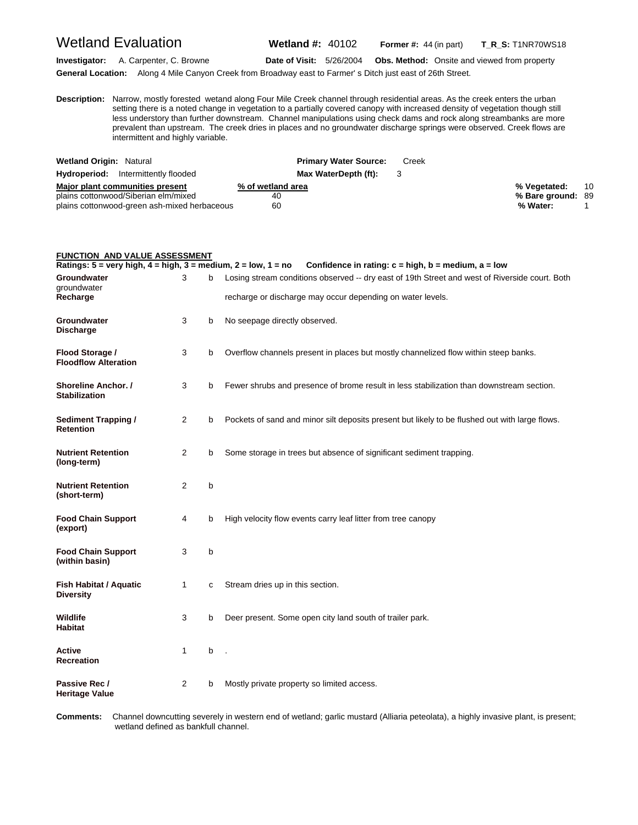Wetland Evaluation **Wetland #:** 40102 **Former #:** <sup>44</sup> (in part) **T\_R\_S:** T1NR70WS18

**Investigator:** A. Carpenter, C. Browne **Date of Visit:** 5/26/2004 **Obs. Method:** Onsite and viewed from property

**General Location:** Along 4 Mile Canyon Creek from Broadway east to Farmer' s Ditch just east of 26th Street.

**D escription:** Narrow, mostly forested wetand along Four Mile Creek channel through residential areas. As the creek enters the urban setting there is a noted change in vegetation to a partially covered canopy with increased density of vegetation though still less understory than further downstream. Channel manipulations using check dams and rock along streambanks are more prevalent than upstream. The creek dries in places and no groundwater discharge springs were observed. Creek flows are intermittent and highly variable.

| <b>Wetland Origin: Natural</b>               | <b>Primary Water Source:</b> | Creek |                   |    |
|----------------------------------------------|------------------------------|-------|-------------------|----|
| <b>Hydroperiod:</b> Intermittently flooded   | Max WaterDepth (ft):         |       |                   |    |
| Major plant communities present              | % of wetland area            |       | % Vegetated:      | 10 |
| plains cottonwood/Siberian elm/mixed         | 40                           |       | % Bare ground: 89 |    |
| plains cottonwood-green ash-mixed herbaceous | 60                           |       | % Water:          |    |

| <b>FUNCTION AND VALUE ASSESSMENT</b>                                                               |   |   |                                                                                                |
|----------------------------------------------------------------------------------------------------|---|---|------------------------------------------------------------------------------------------------|
| Ratings: $5 = \text{very high}, 4 = \text{high}, 3 = \text{medium}, 2 = \text{low}, 1 = \text{no}$ |   |   | Confidence in rating: $c = high$ , $b = medium$ , $a = low$                                    |
| Groundwater<br>groundwater                                                                         | 3 | b | Losing stream conditions observed -- dry east of 19th Street and west of Riverside court. Both |
| Recharge                                                                                           |   |   | recharge or discharge may occur depending on water levels.                                     |
| Groundwater<br><b>Discharge</b>                                                                    | 3 | b | No seepage directly observed.                                                                  |
| Flood Storage /<br><b>Floodflow Alteration</b>                                                     | 3 | b | Overflow channels present in places but mostly channelized flow within steep banks.            |
| Shoreline Anchor. /<br><b>Stabilization</b>                                                        | 3 | b | Fewer shrubs and presence of brome result in less stabilization than downstream section.       |
| <b>Sediment Trapping /</b><br><b>Retention</b>                                                     | 2 | b | Pockets of sand and minor silt deposits present but likely to be flushed out with large flows. |
| <b>Nutrient Retention</b><br>(long-term)                                                           | 2 | b | Some storage in trees but absence of significant sediment trapping.                            |
| <b>Nutrient Retention</b><br>(short-term)                                                          | 2 | b |                                                                                                |
| <b>Food Chain Support</b><br>(export)                                                              | 4 | b | High velocity flow events carry leaf litter from tree canopy                                   |
| <b>Food Chain Support</b><br>(within basin)                                                        | 3 | b |                                                                                                |
| <b>Fish Habitat / Aquatic</b><br><b>Diversity</b>                                                  | 1 | C | Stream dries up in this section.                                                               |
| Wildlife<br><b>Habitat</b>                                                                         | 3 | b | Deer present. Some open city land south of trailer park.                                       |
| Active<br><b>Recreation</b>                                                                        | 1 | b |                                                                                                |
| Passive Rec /<br><b>Heritage Value</b>                                                             | 2 | b | Mostly private property so limited access.                                                     |

Comments: wetland defined as bankfull channel. **omments:** Channel downcutting severely in western end of wetland; garlic mustard (Alliaria peteolata), a highly invasive plant, is present;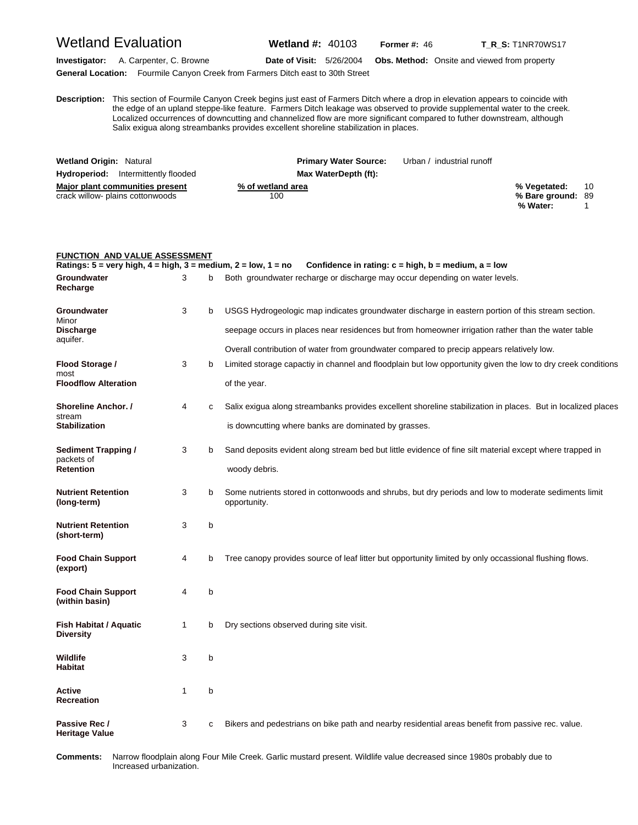### Wetland Evaluation **Wetland #:** 40103 **Former #:** <sup>46</sup> **T\_R\_S:** T1NR70WS17

**Investigator:** A. Carpenter, C. Browne **Date of Visit:** 5/26/2004 **Obs. Method:** Onsite and viewed from property **General Location:** Fourmile Canyon Creek from Farmers Ditch east to 30th Street

**D** the edge of an upland steppe-like feature. Farmers Ditch leakage was observed to provide supplemental water to the creek. **escription:** This section of Fourmile Canyon Creek begins just east of Farmers Ditch where a drop in elevation appears to coincide with Localized occurrences of downcutting and channelized flow are more significant compared to futher downstream, although Salix exigua along streambanks provides excellent shoreline stabilization in places.

| <b>Wetland Origin: Natural</b>                                      | <b>Primary Water Source:</b> | Urban / industrial runoff |                                               |    |
|---------------------------------------------------------------------|------------------------------|---------------------------|-----------------------------------------------|----|
| <b>Hydroperiod:</b> Intermittently flooded                          | Max WaterDepth (ft):         |                           |                                               |    |
| Major plant communities present<br>crack willow- plains cottonwoods | % of wetland area<br>100     |                           | % Vegetated:<br>% Bare ground: 89<br>% Water: | 10 |

| FUNCTION AND VALUE ASSESSMENT<br>Ratings: 5 = very high, 4 = high, 3 = medium, 2 = low, 1 = no |              |             | Confidence in rating: $c = high$ , $b = medium$ , $a = low$                                                                                                                                                               |
|------------------------------------------------------------------------------------------------|--------------|-------------|---------------------------------------------------------------------------------------------------------------------------------------------------------------------------------------------------------------------------|
| Groundwater<br>Recharge                                                                        | 3            | b           | Both groundwater recharge or discharge may occur depending on water levels.                                                                                                                                               |
| Groundwater<br>Minor<br><b>Discharge</b><br>aquifer.                                           | 3            | b           | USGS Hydrogeologic map indicates groundwater discharge in eastern portion of this stream section.<br>seepage occurs in places near residences but from homeowner irrigation rather than the water table                   |
| Flood Storage /<br>most<br><b>Floodflow Alteration</b>                                         | 3            | b           | Overall contribution of water from groundwater compared to precip appears relatively low.<br>Limited storage capactiy in channel and floodplain but low opportunity given the low to dry creek conditions<br>of the year. |
| Shoreline Anchor. /<br>stream<br><b>Stabilization</b>                                          | 4            | c           | Salix exigua along streambanks provides excellent shoreline stabilization in places. But in localized places<br>is downcutting where banks are dominated by grasses.                                                      |
| Sediment Trapping /<br>packets of<br>Retention                                                 | 3            | b           | Sand deposits evident along stream bed but little evidence of fine silt material except where trapped in<br>woody debris.                                                                                                 |
| <b>Nutrient Retention</b><br>(long-term)                                                       | 3            | b           | Some nutrients stored in cottonwoods and shrubs, but dry periods and low to moderate sediments limit<br>opportunity.                                                                                                      |
| <b>Nutrient Retention</b><br>(short-term)                                                      | 3            | b           |                                                                                                                                                                                                                           |
| <b>Food Chain Support</b><br>(export)                                                          | 4            | b           | Tree canopy provides source of leaf litter but opportunity limited by only occassional flushing flows.                                                                                                                    |
| <b>Food Chain Support</b><br>(within basin)                                                    | 4            | b           |                                                                                                                                                                                                                           |
| Fish Habitat / Aquatic<br>Diversity                                                            | $\mathbf{1}$ | b           | Dry sections observed during site visit.                                                                                                                                                                                  |
| Wildlife<br>Habitat                                                                            | 3            | b           |                                                                                                                                                                                                                           |
| Active<br>Recreation                                                                           | 1            | b           |                                                                                                                                                                                                                           |
| Passive Rec /<br><b>Heritage Value</b>                                                         | 3            | $\mathbf c$ | Bikers and pedestrians on bike path and nearby residential areas benefit from passive rec. value.                                                                                                                         |

Comments: Increased urbanization. **omments:** Narrow floodplain along Four Mile Creek. Garlic mustard present. Wildlife value decreased since 1980s probably due to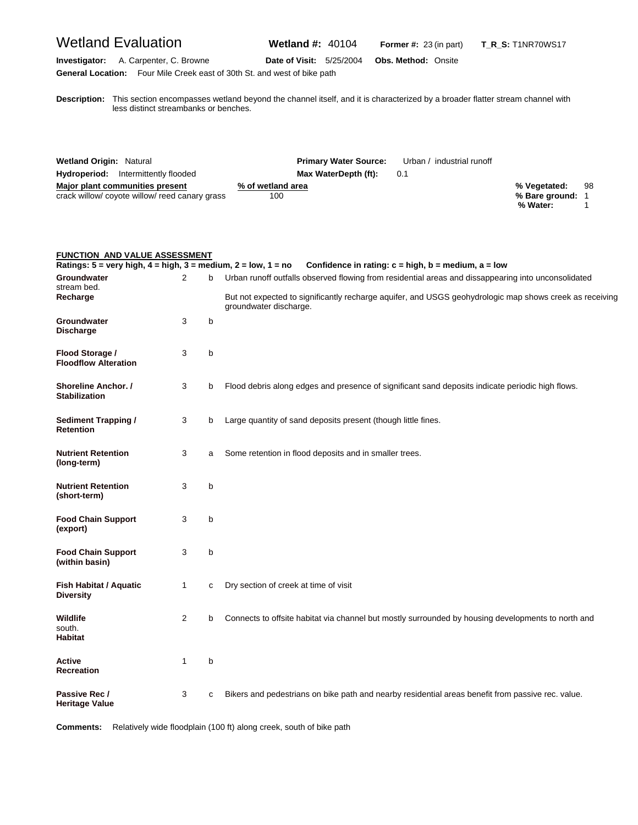## Wetland Evaluation **Wetland #:** 40104 **Former #:** <sup>23</sup> (in part) **T\_R\_S:** T1NR70WS17

**Investigator:** A. Carpenter, C. Browne **Date of Visit:** 5/25/2004 **Obs. Method:** Onsite **General Location:** Four Mile Creek east of 30th St. and west of bike path

**D escription:** This section encompasses wetland beyond the channel itself, and it is characterized by a broader flatter stream channel with less distinct streambanks or benches.

| <b>Wetland Origin: Natural</b>                                                  | <b>Primary Water Source:</b> | Urban / industrial runoff |                                |    |
|---------------------------------------------------------------------------------|------------------------------|---------------------------|--------------------------------|----|
| <b>Hydroperiod:</b> Intermittently flooded                                      | Max WaterDepth (ft):         | 0.1                       |                                |    |
| Major plant communities present<br>crack willow/coyote willow/reed canary grass | % of wetland area<br>100     |                           | % Vegetated:<br>% Bare ground: | 98 |
|                                                                                 |                              |                           | % Water:                       |    |

| <b>FUNCTION AND VALUE ASSESSMENT</b>                                                               |              |   |                                                                                                                                                                                                                                          |
|----------------------------------------------------------------------------------------------------|--------------|---|------------------------------------------------------------------------------------------------------------------------------------------------------------------------------------------------------------------------------------------|
| Ratings: $5 = \text{very high}, 4 = \text{high}, 3 = \text{medium}, 2 = \text{low}, 1 = \text{no}$ |              |   | Confidence in rating: $c = high$ , $b = medium$ , $a = low$                                                                                                                                                                              |
| Groundwater<br>stream bed.<br>Recharge                                                             | 2            | b | Urban runoff outfalls observed flowing from residential areas and dissappearing into unconsolidated<br>But not expected to significantly recharge aquifer, and USGS geohydrologic map shows creek as receiving<br>groundwater discharge. |
| Groundwater<br><b>Discharge</b>                                                                    | 3            | b |                                                                                                                                                                                                                                          |
| Flood Storage /<br><b>Floodflow Alteration</b>                                                     | 3            | b |                                                                                                                                                                                                                                          |
| <b>Shoreline Anchor. /</b><br><b>Stabilization</b>                                                 | 3            | b | Flood debris along edges and presence of significant sand deposits indicate periodic high flows.                                                                                                                                         |
| <b>Sediment Trapping /</b><br><b>Retention</b>                                                     | 3            | b | Large quantity of sand deposits present (though little fines.                                                                                                                                                                            |
| <b>Nutrient Retention</b><br>(long-term)                                                           | 3            | a | Some retention in flood deposits and in smaller trees.                                                                                                                                                                                   |
| <b>Nutrient Retention</b><br>(short-term)                                                          | 3            | b |                                                                                                                                                                                                                                          |
| <b>Food Chain Support</b><br>(export)                                                              | 3            | b |                                                                                                                                                                                                                                          |
| <b>Food Chain Support</b><br>(within basin)                                                        | 3            | b |                                                                                                                                                                                                                                          |
| <b>Fish Habitat / Aquatic</b><br><b>Diversity</b>                                                  | $\mathbf{1}$ | C | Dry section of creek at time of visit                                                                                                                                                                                                    |
| Wildlife<br>south.<br><b>Habitat</b>                                                               | 2            | b | Connects to offsite habitat via channel but mostly surrounded by housing developments to north and                                                                                                                                       |
| Active<br><b>Recreation</b>                                                                        | 1            | b |                                                                                                                                                                                                                                          |
| Passive Rec /<br><b>Heritage Value</b>                                                             | 3            | C | Bikers and pedestrians on bike path and nearby residential areas benefit from passive rec. value.                                                                                                                                        |

**Comments:** Relatively wide floodplain (100 ft) along creek, south of bike path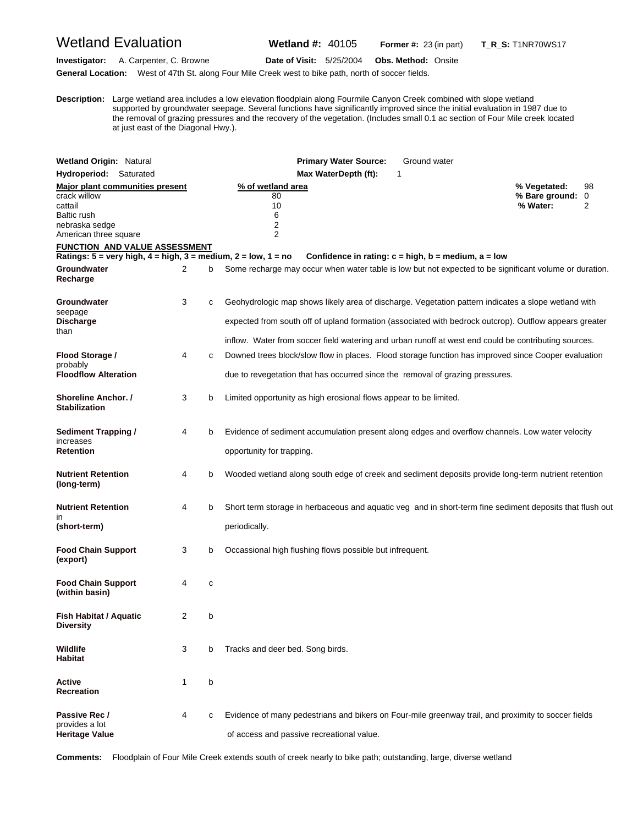## Wetland Evaluation **Wetland #:** 40105 **Former #:** <sup>23</sup> (in part) **T\_R\_S:** T1NR70WS17

**Investigator:** A. Carpenter, C. Browne **Date of Visit:** 5/25/2004 **Obs. Method:** Onsite

**General Location:** West of 47th St. along Four Mile Creek west to bike path, north of soccer fields.

**D** supported by groundwater seepage. Several functions have significantly improved since the initial evaluation in 1987 due to **escription:** Large wetland area includes a low elevation floodplain along Fourmile Canyon Creek combined with slope wetland the removal of grazing pressures and the recovery of the vegetation. (Includes small 0.1 ac section of Four Mile creek located at just east of the Diagonal Hwy.).

| <b>Wetland Origin: Natural</b>                                                                                                                                |   |   | Ground water<br><b>Primary Water Source:</b>                                                                                                                                                                                                                                                                          |                                            |              |
|---------------------------------------------------------------------------------------------------------------------------------------------------------------|---|---|-----------------------------------------------------------------------------------------------------------------------------------------------------------------------------------------------------------------------------------------------------------------------------------------------------------------------|--------------------------------------------|--------------|
| Hydroperiod: Saturated                                                                                                                                        |   |   | Max WaterDepth (ft):<br>1                                                                                                                                                                                                                                                                                             |                                            |              |
| Major plant communities present<br>crack willow<br>cattail<br><b>Baltic rush</b><br>nebraska sedge<br>American three square<br>FUNCTION  AND VALUE ASSESSMENT |   |   | % of wetland area<br>80<br>10<br>6<br>2<br>$\overline{2}$                                                                                                                                                                                                                                                             | % Vegetated:<br>% Bare ground:<br>% Water: | 98<br>0<br>2 |
|                                                                                                                                                               |   |   | Ratings: $5 = \text{very high}, 4 = \text{high}, 3 = \text{medium}, 2 = \text{low}, 1 = \text{no}$<br>Confidence in rating: $c = high$ , $b = medium$ , $a = low$                                                                                                                                                     |                                            |              |
| Groundwater<br>Recharge                                                                                                                                       | 2 | b | Some recharge may occur when water table is low but not expected to be significant volume or duration.                                                                                                                                                                                                                |                                            |              |
| Groundwater<br>seepage<br>Discharge<br>than                                                                                                                   | 3 | с | Geohydrologic map shows likely area of discharge. Vegetation pattern indicates a slope wetland with<br>expected from south off of upland formation (associated with bedrock outcrop). Outflow appears greater<br>inflow. Water from soccer field watering and urban runoff at west end could be contributing sources. |                                            |              |
| Flood Storage /<br>probably<br><b>Floodflow Alteration</b>                                                                                                    | 4 | C | Downed trees block/slow flow in places. Flood storage function has improved since Cooper evaluation<br>due to revegetation that has occurred since the removal of grazing pressures.                                                                                                                                  |                                            |              |
| Shoreline Anchor. /<br><b>Stabilization</b>                                                                                                                   | 3 | b | Limited opportunity as high erosional flows appear to be limited.                                                                                                                                                                                                                                                     |                                            |              |
| <b>Sediment Trapping /</b><br>increases<br><b>Retention</b>                                                                                                   | 4 | b | Evidence of sediment accumulation present along edges and overflow channels. Low water velocity<br>opportunity for trapping.                                                                                                                                                                                          |                                            |              |
| <b>Nutrient Retention</b><br>(long-term)                                                                                                                      | 4 | b | Wooded wetland along south edge of creek and sediment deposits provide long-term nutrient retention                                                                                                                                                                                                                   |                                            |              |
| <b>Nutrient Retention</b><br>ın<br>(short-term)                                                                                                               | 4 | b | Short term storage in herbaceous and aquatic veg and in short-term fine sediment deposits that flush out<br>periodically.                                                                                                                                                                                             |                                            |              |
| <b>Food Chain Support</b><br>(export)                                                                                                                         | 3 | b | Occassional high flushing flows possible but infrequent.                                                                                                                                                                                                                                                              |                                            |              |
| <b>Food Chain Support</b><br>(within basin)                                                                                                                   | 4 | с |                                                                                                                                                                                                                                                                                                                       |                                            |              |
| Fish Habitat / Aquatic<br>Diversity                                                                                                                           | 2 | b |                                                                                                                                                                                                                                                                                                                       |                                            |              |
| Wildlife<br><b>Habitat</b>                                                                                                                                    | 3 | b | Tracks and deer bed. Song birds.                                                                                                                                                                                                                                                                                      |                                            |              |
| Active<br><b>Recreation</b>                                                                                                                                   | 1 | b |                                                                                                                                                                                                                                                                                                                       |                                            |              |
| Passive Rec /<br>provides a lot<br><b>Heritage Value</b>                                                                                                      | 4 | с | Evidence of many pedestrians and bikers on Four-mile greenway trail, and proximity to soccer fields<br>of access and passive recreational value.                                                                                                                                                                      |                                            |              |

**Comments:** Floodplain of Four Mile Creek extends south of creek nearly to bike path; outstanding, large, diverse wetland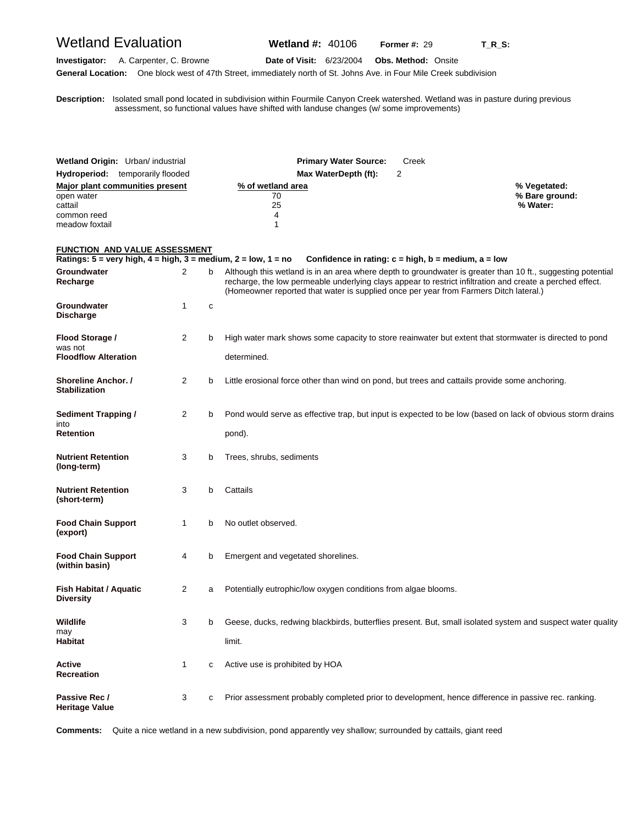### Wetland Evaluation **Wetland #:** 40106 **Former #:** <sup>29</sup> **T\_R\_S:**

**Investigator:** A. Carpenter, C. Browne **Date of Visit:** 6/23/2004 **Obs. Method:** Onsite

**General Location:** One block west of 47th Street, immediately north of St. Johns Ave. in Four Mile Creek subdivision

**D escription:** Isolated small pond located in subdivision within Fourmile Canyon Creek watershed. Wetland was in pasture during previous assessment, so functional values have shifted with landuse changes (w/ some improvements)

| Wetland Origin: Urban/ industrial<br><b>Hydroperiod:</b> temporarily flooded                                                               |                |   | <b>Primary Water Source:</b><br>Creek<br>$\overline{2}$<br>Max WaterDepth (ft):                                                                                                                                                                                                                                   |                                            |
|--------------------------------------------------------------------------------------------------------------------------------------------|----------------|---|-------------------------------------------------------------------------------------------------------------------------------------------------------------------------------------------------------------------------------------------------------------------------------------------------------------------|--------------------------------------------|
|                                                                                                                                            |                |   |                                                                                                                                                                                                                                                                                                                   |                                            |
| <b>Major plant communities present</b><br>open water<br>cattail                                                                            |                |   | % of wetland area<br>70<br>25                                                                                                                                                                                                                                                                                     | % Vegetated:<br>% Bare ground:<br>% Water: |
| common reed                                                                                                                                |                |   | 4                                                                                                                                                                                                                                                                                                                 |                                            |
| meadow foxtail                                                                                                                             |                |   | 1                                                                                                                                                                                                                                                                                                                 |                                            |
|                                                                                                                                            |                |   |                                                                                                                                                                                                                                                                                                                   |                                            |
| <b>FUNCTION AND VALUE ASSESSMENT</b><br>Ratings: $5 = \text{very high}, 4 = \text{high}, 3 = \text{medium}, 2 = \text{low}, 1 = \text{no}$ |                |   | Confidence in rating: $c = high$ , $b = medium$ , $a = low$                                                                                                                                                                                                                                                       |                                            |
| Groundwater<br>Recharge                                                                                                                    | 2              | b | Although this wetland is in an area where depth to groundwater is greater than 10 ft., suggesting potential<br>recharge, the low permeable underlying clays appear to restrict infiltration and create a perched effect.<br>(Homeowner reported that water is supplied once per year from Farmers Ditch lateral.) |                                            |
| Groundwater<br><b>Discharge</b>                                                                                                            | 1              | C |                                                                                                                                                                                                                                                                                                                   |                                            |
| Flood Storage /<br>was not                                                                                                                 | 2              | b | High water mark shows some capacity to store reainwater but extent that stormwater is directed to pond                                                                                                                                                                                                            |                                            |
| <b>Floodflow Alteration</b>                                                                                                                |                |   | determined.                                                                                                                                                                                                                                                                                                       |                                            |
|                                                                                                                                            |                |   |                                                                                                                                                                                                                                                                                                                   |                                            |
| Shoreline Anchor. /<br><b>Stabilization</b>                                                                                                | 2              | b | Little erosional force other than wind on pond, but trees and cattails provide some anchoring.                                                                                                                                                                                                                    |                                            |
| <b>Sediment Trapping /</b>                                                                                                                 | $\overline{2}$ | b | Pond would serve as effective trap, but input is expected to be low (based on lack of obvious storm drains                                                                                                                                                                                                        |                                            |
| into<br><b>Retention</b>                                                                                                                   |                |   | pond).                                                                                                                                                                                                                                                                                                            |                                            |
| <b>Nutrient Retention</b><br>(long-term)                                                                                                   | 3              | b | Trees, shrubs, sediments                                                                                                                                                                                                                                                                                          |                                            |
| <b>Nutrient Retention</b><br>(short-term)                                                                                                  | 3              | b | Cattails                                                                                                                                                                                                                                                                                                          |                                            |
| <b>Food Chain Support</b><br>(export)                                                                                                      | 1              | b | No outlet observed.                                                                                                                                                                                                                                                                                               |                                            |
| <b>Food Chain Support</b><br>(within basin)                                                                                                | 4              | b | Emergent and vegetated shorelines.                                                                                                                                                                                                                                                                                |                                            |
| <b>Fish Habitat / Aquatic</b><br><b>Diversity</b>                                                                                          | $\overline{2}$ | а | Potentially eutrophic/low oxygen conditions from algae blooms.                                                                                                                                                                                                                                                    |                                            |
| Wildlife                                                                                                                                   | 3              | b | Geese, ducks, redwing blackbirds, butterflies present. But, small isolated system and suspect water quality                                                                                                                                                                                                       |                                            |
| may<br>Habitat                                                                                                                             |                |   | limit.                                                                                                                                                                                                                                                                                                            |                                            |
| Active<br><b>Recreation</b>                                                                                                                | 1              | с | Active use is prohibited by HOA                                                                                                                                                                                                                                                                                   |                                            |
| Passive Rec /<br><b>Heritage Value</b>                                                                                                     | 3              | с | Prior assessment probably completed prior to development, hence difference in passive rec. ranking.                                                                                                                                                                                                               |                                            |

**Comments:** Quite a nice wetland in a new subdivision, pond apparently vey shallow; surrounded by cattails, giant reed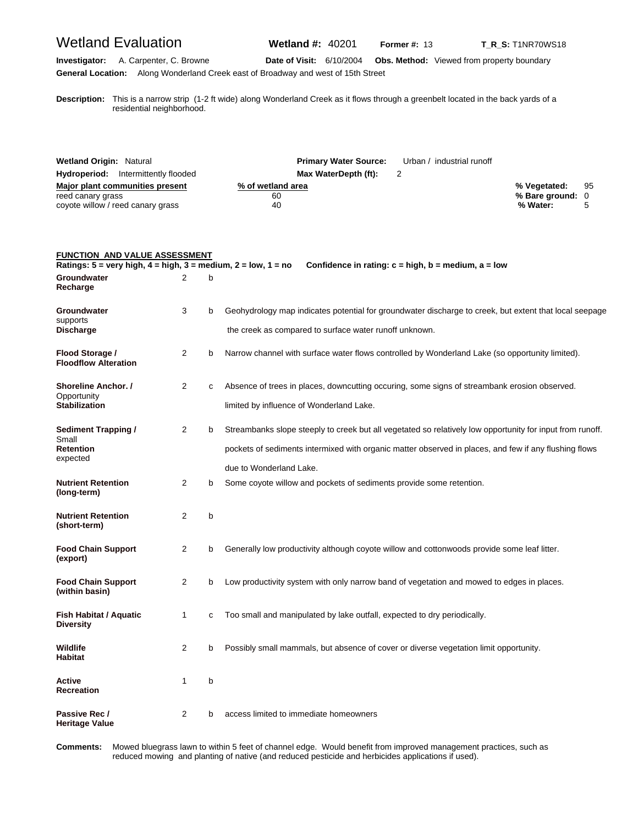## Wetland Evaluation **Wetland #:** 40201 **Former #: 13** T\_R\_S: T1NR70WS18

**Investigator:** A. Carpenter, C. Browne **Date of Visit:** 6/10/2004 **Obs. Method:** Viewed from property boundary **General Location:** Along Wonderland Creek east of Broadway and west of 15th Street

**D escription:** This is a narrow strip (1-2 ft wide) along Wonderland Creek as it flows through a greenbelt located in the back yards of a residential neighborhood.

| <b>Wetland Origin: Natural</b>                                                            | <b>Primary Water Source:</b>  | Urban / industrial runoff |                                                 |  |
|-------------------------------------------------------------------------------------------|-------------------------------|---------------------------|-------------------------------------------------|--|
| <b>Hydroperiod:</b> Intermittently flooded                                                | Max WaterDepth (ft):          |                           |                                                 |  |
| Major plant communities present<br>reed canary grass<br>coyote willow / reed canary grass | % of wetland area<br>60<br>40 |                           | % Vegetated: 95<br>% Bare ground: 0<br>% Water: |  |

| <b>FUNCTION AND VALUE ASSESSMENT</b>                                                                              |                |   |                                                                                                           |
|-------------------------------------------------------------------------------------------------------------------|----------------|---|-----------------------------------------------------------------------------------------------------------|
| Ratings: $5 = \text{very high}, 4 = \text{high}, 3 = \text{medium}, 2 = \text{low}, 1 = \text{no}$<br>Groundwater | 2              | b | Confidence in rating: $c = high$ , $b = medium$ , $a = low$                                               |
| Recharge                                                                                                          |                |   |                                                                                                           |
| Groundwater                                                                                                       | 3              | b | Geohydrology map indicates potential for groundwater discharge to creek, but extent that local seepage    |
| supports<br><b>Discharge</b>                                                                                      |                |   | the creek as compared to surface water runoff unknown.                                                    |
| Flood Storage /<br><b>Floodflow Alteration</b>                                                                    | 2              | b | Narrow channel with surface water flows controlled by Wonderland Lake (so opportunity limited).           |
| <b>Shoreline Anchor.</b> /<br>Opportunity                                                                         | $\overline{2}$ | C | Absence of trees in places, downcutting occuring, some signs of streambank erosion observed.              |
| <b>Stabilization</b>                                                                                              |                |   | limited by influence of Wonderland Lake.                                                                  |
| Sediment Trapping /                                                                                               | 2              | b | Streambanks slope steeply to creek but all vegetated so relatively low opportunity for input from runoff. |
| Small<br><b>Retention</b>                                                                                         |                |   | pockets of sediments intermixed with organic matter observed in places, and few if any flushing flows     |
| expected                                                                                                          |                |   | due to Wonderland Lake.                                                                                   |
| <b>Nutrient Retention</b><br>(long-term)                                                                          | 2              | b | Some coyote willow and pockets of sediments provide some retention.                                       |
| <b>Nutrient Retention</b><br>(short-term)                                                                         | 2              | b |                                                                                                           |
| <b>Food Chain Support</b><br>(export)                                                                             | 2              | b | Generally low productivity although coyote willow and cottonwoods provide some leaf litter.               |
| <b>Food Chain Support</b><br>(within basin)                                                                       | $\overline{2}$ | b | Low productivity system with only narrow band of vegetation and mowed to edges in places.                 |
| Fish Habitat / Aquatic<br><b>Diversity</b>                                                                        | 1              | C | Too small and manipulated by lake outfall, expected to dry periodically.                                  |
| <b>Wildlife</b><br><b>Habitat</b>                                                                                 | 2              | b | Possibly small mammals, but absence of cover or diverse vegetation limit opportunity.                     |
| Active<br><b>Recreation</b>                                                                                       | 1              | b |                                                                                                           |
| Passive Rec /<br><b>Heritage Value</b>                                                                            | 2              | b | access limited to immediate homeowners                                                                    |

Comments: reduced mowing and planting of native (and reduced pesticide and herbicides applications if used). **omments:** Mowed bluegrass lawn to within 5 feet of channel edge. Would benefit from improved management practices, such as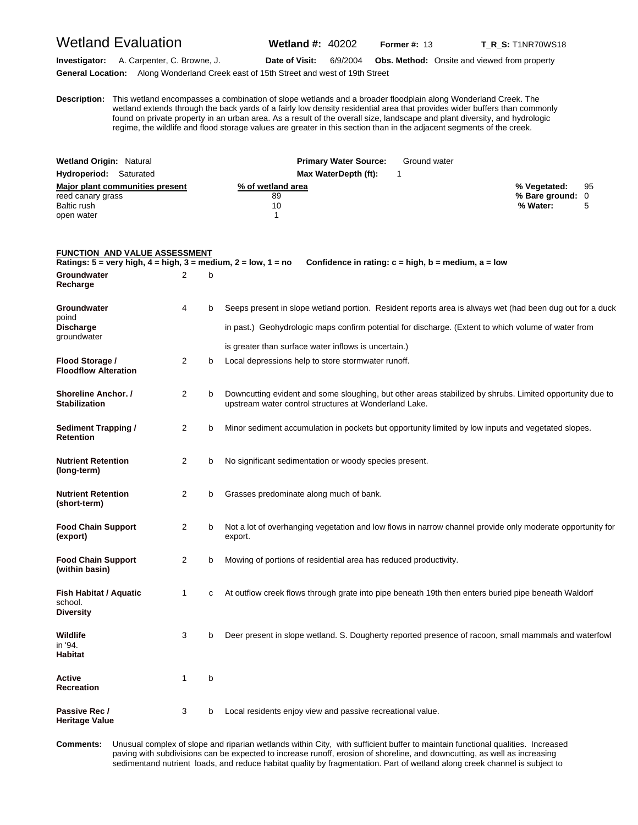#### Wetland Evaluation **Wetland #:** 40202 **Former #: 13** T\_R\_S: T1NR70WS18

**Investigator:** A. Carpenter, C. Browne, J. **Date of Visit:** 6/9/2004 **Obs. Method:** Onsite and viewed from property **General Location:** Along Wonderland Creek east of 15th Street and west of 19th Street

**D escription:** This wetland encompasses a combination of slope wetlands and a broader floodplain along Wonderland Creek. The wetland extends through the back yards of a fairly low density residential area that provides wider buffers than commonly found on private property in an urban area. As a result of the overall size, landscape and plant diversity, and hydrologic regime, the wildlife and flood storage values are greater in this section than in the adjacent segments of the creek.

| <b>Wetland Origin: Natural</b>  | <b>Primary Water Source:</b> | Ground water       |
|---------------------------------|------------------------------|--------------------|
| <b>Hydroperiod:</b> Saturated   | Max WaterDepth (ft):         |                    |
| Major plant communities present | % of wetland area            | 95<br>% Vegetated: |
| reed canary grass               | 89                           | % Bare ground: 0   |
| Baltic rush                     | 10                           | % Water:           |
| open water                      |                              |                    |

#### **FUNCTION AND VALUE ASSESSMENT Ratings: 5 = very high, 4 = high, 3 = medium, 2 = low, 1 = no Confidence in rating: c = high, b = medium, a = low Groundwater** 2 b **Recharge Groundwater** 4 b Seeps present in slope wetland portion. Resident reports area is always wet (had been dug out for a duck poind **Discharge in past.)** Geohydrologic maps confirm potential for discharge. (Extent to which volume of water from groundwater is greater than surface water inflows is uncertain.) **Flood Storage /** 2 b Local depressions help to store stormwater runoff. **Floodflow Alteration Shoreline Anchor. /** a 2 b Downcutting evident and some sloughing, but other areas stabilized by shrubs. Limited opportunity due to **Stabilization** upstream water control structures at Wonderland Lake. **Sediment Trapping /**  2 b Minor sediment accumulation in pockets but opportunity limited by low inputs and vegetated slopes. **Retention Nutrient Retention** 2 b No significant sedimentation or woody species present. **(long-term) Nutrient Retention** 2 b Grasses predominate along much of bank. **(short-term) Food Chain Support** 2 b Not a lot of overhanging vegetation and low flows in narrow channel provide only moderate opportunity for **(export)** export. **Food Chain Support** 2 b Mowing of portions of residential area has reduced productivity. **(within basin) Fish Habitat / Aquatic** 1 c At outflow creek flows through grate into pipe beneath 19th then enters buried pipe beneath Waldorf school. **Diversity Wildlife** 3 b Deer present in slope wetland. S. Dougherty reported presence of racoon, small mammals and waterfowl in '94. **Habitat Active** 1 b **Recreation**

**Passive Rec /** 3 b Local residents enjoy view and passive recreational value. **Heritage Value** 

**C omments:** Unusual complex of slope and riparian wetlands within City, with sufficient buffer to maintain functional qualities. Increased paving with subdivisions can be expected to increase runoff, erosion of shoreline, and downcutting, as well as increasing sedimentand nutrient loads, and reduce habitat quality by fragmentation. Part of wetland along creek channel is subject to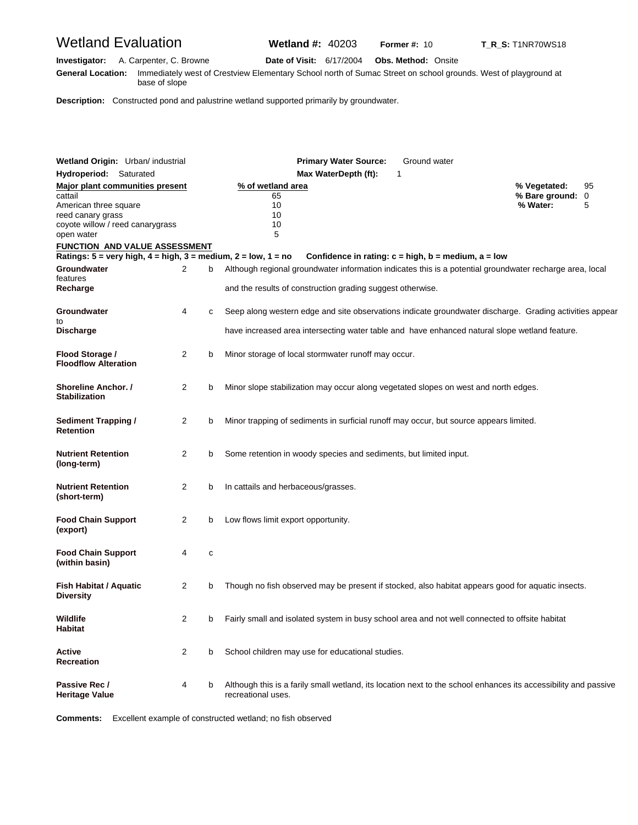## Wetland Evaluation **Wetland #:** 40203 **Former #: 10** T\_R\_S: T1NR70WS18

**Investigator:** A. Carpenter, C. Browne **Date of Visit:** 6/17/2004 **Obs. Method:** Onsite **G eneral Location:** Immediately west of Crestview Elementary School north of Sumac Street on school grounds. West of playground at base of slope

**Description:** Constructed pond and palustrine wetland supported primarily by groundwater.

| Wetland Origin: Urban/ industrial                                                                       |                |   | <b>Primary Water Source:</b><br>Ground water                                                                                                                           |                                   |
|---------------------------------------------------------------------------------------------------------|----------------|---|------------------------------------------------------------------------------------------------------------------------------------------------------------------------|-----------------------------------|
| <b>Hydroperiod:</b> Saturated                                                                           |                |   | Max WaterDepth (ft):<br>1                                                                                                                                              |                                   |
| <b>Major plant communities present</b>                                                                  |                |   | % of wetland area                                                                                                                                                      | % Vegetated:<br>95                |
| cattail<br>American three square<br>reed canary grass<br>coyote willow / reed canarygrass<br>open water |                |   | 65<br>10<br>10<br>10<br>5                                                                                                                                              | % Bare ground: 0<br>% Water:<br>5 |
| <b>FUNCTION AND VALUE ASSESSMENT</b>                                                                    |                |   |                                                                                                                                                                        |                                   |
| Ratings: $5 = \text{very high}, 4 = \text{high}, 3 = \text{medium}, 2 = \text{low}, 1 = \text{no}$      |                |   | Confidence in rating: $c = high$ , $b = medium$ , $a = low$                                                                                                            |                                   |
| Groundwater<br>features<br>Recharge                                                                     | 2              | b | Although regional groundwater information indicates this is a potential groundwater recharge area, local<br>and the results of construction grading suggest otherwise. |                                   |
| Groundwater<br>to                                                                                       | 4              | c | Seep along western edge and site observations indicate groundwater discharge. Grading activities appear                                                                |                                   |
| <b>Discharge</b>                                                                                        |                |   | have increased area intersecting water table and have enhanced natural slope wetland feature.                                                                          |                                   |
| Flood Storage /<br><b>Floodflow Alteration</b>                                                          | 2              | b | Minor storage of local stormwater runoff may occur.                                                                                                                    |                                   |
| Shoreline Anchor. /<br><b>Stabilization</b>                                                             | 2              | b | Minor slope stabilization may occur along vegetated slopes on west and north edges.                                                                                    |                                   |
| <b>Sediment Trapping /</b><br><b>Retention</b>                                                          | 2              | b | Minor trapping of sediments in surficial runoff may occur, but source appears limited.                                                                                 |                                   |
| <b>Nutrient Retention</b><br>(long-term)                                                                | $\overline{2}$ | b | Some retention in woody species and sediments, but limited input.                                                                                                      |                                   |
| <b>Nutrient Retention</b><br>(short-term)                                                               | $\overline{2}$ | b | In cattails and herbaceous/grasses.                                                                                                                                    |                                   |
| <b>Food Chain Support</b><br>(export)                                                                   | 2              | b | Low flows limit export opportunity.                                                                                                                                    |                                   |
| <b>Food Chain Support</b><br>(within basin)                                                             | 4              | c |                                                                                                                                                                        |                                   |
| <b>Fish Habitat / Aquatic</b><br><b>Diversity</b>                                                       | $\overline{2}$ | b | Though no fish observed may be present if stocked, also habitat appears good for aquatic insects.                                                                      |                                   |
| Wildlife<br>Habitat                                                                                     |                |   | Fairly small and isolated system in busy school area and not well connected to offsite habitat                                                                         |                                   |
| Active<br>Recreation                                                                                    | 2              | b | School children may use for educational studies.                                                                                                                       |                                   |
| Passive Rec /<br><b>Heritage Value</b>                                                                  | 4              | b | Although this is a farily small wetland, its location next to the school enhances its accessibility and passive<br>recreational uses.                                  |                                   |

**Comments:** Excellent example of constructed wetland; no fish observed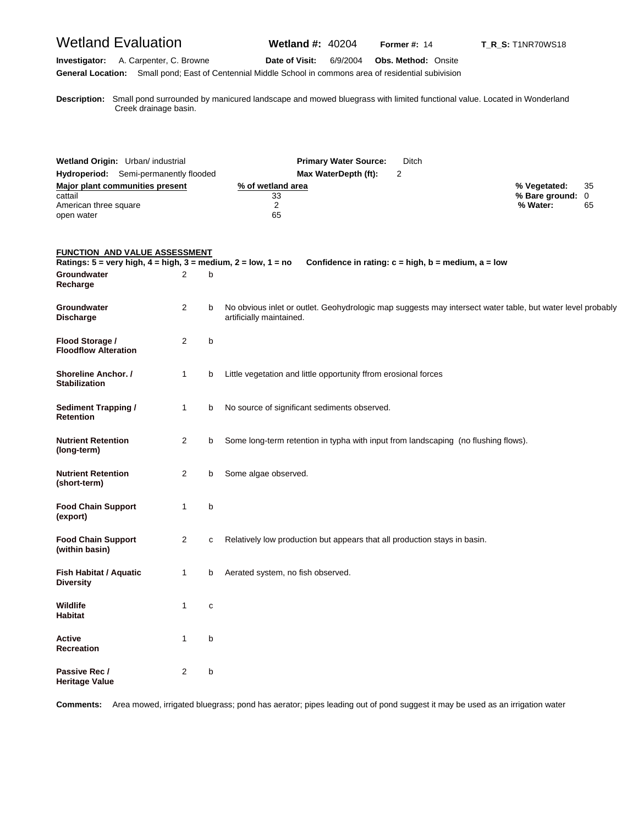| <b>Wetland Evaluation</b>                                                                                                                  |                         |   | <b>Wetland #: 40204</b>                                                                                                                | <b>Former #: 14</b>        | <b>T_R_S:</b> T1NR70WS18                                    |
|--------------------------------------------------------------------------------------------------------------------------------------------|-------------------------|---|----------------------------------------------------------------------------------------------------------------------------------------|----------------------------|-------------------------------------------------------------|
| Investigator:                                                                                                                              | A. Carpenter, C. Browne |   | Date of Visit:<br>6/9/2004<br>General Location: Small pond; East of Centennial Middle School in commons area of residential subivision | <b>Obs. Method: Onsite</b> |                                                             |
| Creek drainage basin.                                                                                                                      |                         |   | Description: Small pond surrounded by manicured landscape and mowed bluegrass with limited functional value. Located in Wonderland     |                            |                                                             |
| Wetland Origin: Urban/ industrial<br>Hydroperiod: Semi-permanently flooded                                                                 |                         |   | <b>Primary Water Source:</b><br>Max WaterDepth (ft):                                                                                   | Ditch<br>2                 |                                                             |
| <b>Major plant communities present</b><br>cattail<br>American three square<br>open water                                                   |                         |   | % of wetland area<br>33<br>2<br>65                                                                                                     |                            | % Vegetated:<br>35<br>% Bare ground:<br>0<br>% Water:<br>65 |
| <b>FUNCTION AND VALUE ASSESSMENT</b><br>Ratings: $5 = \text{very high}, 4 = \text{high}, 3 = \text{medium}, 2 = \text{low}, 1 = \text{no}$ |                         |   | Confidence in rating: $c = high$ , $b = medium$ , $a = low$                                                                            |                            |                                                             |
| Groundwater<br>Recharge                                                                                                                    | 2                       | b |                                                                                                                                        |                            |                                                             |
| Groundwater<br><b>Discharge</b>                                                                                                            | $\overline{2}$          | b | No obvious inlet or outlet. Geohydrologic map suggests may intersect water table, but water level probably<br>artificially maintained. |                            |                                                             |
| Flood Storage /<br><b>Floodflow Alteration</b>                                                                                             | 2                       | b |                                                                                                                                        |                            |                                                             |
| Shoreline Anchor. /<br><b>Stabilization</b>                                                                                                | $\mathbf{1}$            | b | Little vegetation and little opportunity ffrom erosional forces                                                                        |                            |                                                             |
| <b>Sediment Trapping /</b><br><b>Retention</b>                                                                                             | $\mathbf{1}$            | b | No source of significant sediments observed.                                                                                           |                            |                                                             |
| <b>Nutrient Retention</b><br>(long-term)                                                                                                   | 2                       | b | Some long-term retention in typha with input from landscaping (no flushing flows).                                                     |                            |                                                             |
| <b>Nutrient Retention</b><br>(short-term)                                                                                                  | 2                       | b | Some algae observed.                                                                                                                   |                            |                                                             |
| <b>Food Chain Support</b><br>(export)                                                                                                      | 1                       | b |                                                                                                                                        |                            |                                                             |
| <b>Food Chain Support</b><br>(within basin)                                                                                                | 2                       | c | Relatively low production but appears that all production stays in basin.                                                              |                            |                                                             |
| Fish Habitat / Aquatic<br><b>Diversity</b>                                                                                                 | $\mathbf{1}$            | b | Aerated system, no fish observed.                                                                                                      |                            |                                                             |
| <b>Wildlife</b><br><b>Habitat</b>                                                                                                          | $\mathbf{1}$            | с |                                                                                                                                        |                            |                                                             |
| Active<br><b>Recreation</b>                                                                                                                | 1                       | b |                                                                                                                                        |                            |                                                             |
| Passive Rec /<br><b>Heritage Value</b>                                                                                                     | 2                       | b |                                                                                                                                        |                            |                                                             |

**Comments:** Area mowed, irrigated bluegrass; pond has aerator; pipes leading out of pond suggest it may be used as an irrigation water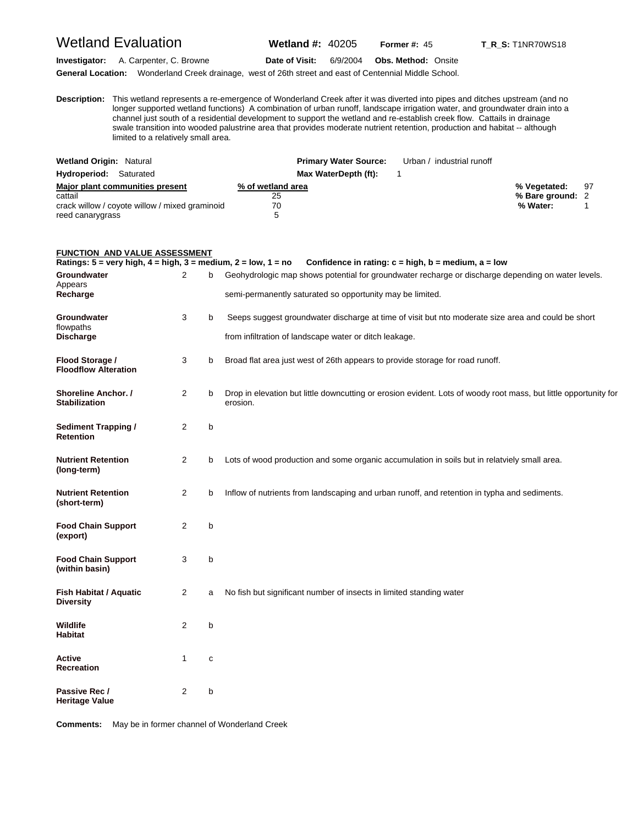## Wetland Evaluation **Wetland #:** 40205 **Former #:** <sup>45</sup> **T\_R\_S:** T1NR70WS18

**Investigator:** A. Carpenter, C. Browne **Date of Visit:** 6/9/2004 **Obs. Method:** Onsite

**General Location:** Wonderland Creek drainage, west of 26th street and east of Centennial Middle School.

**D escription:** This wetland represents a re-emergence of Wonderland Creek after it was diverted into pipes and ditches upstream (and no longer supported wetland functions) A combination of urban runoff, landscape irrigation water, and groundwater drain into a channel just south of a residential development to support the wetland and re-establish creek flow. Cattails in drainage swale transition into wooded palustrine area that provides moderate nutrient retention, production and habitat -- although limited to a relatively small area.

| <b>Wetland Origin: Natural</b>                 | <b>Primary Water Source:</b> | Urban / industrial runoff |                  |    |
|------------------------------------------------|------------------------------|---------------------------|------------------|----|
| Hydroperiod: Saturated                         | Max WaterDepth (ft):         |                           |                  |    |
| Major plant communities present                | % of wetland area            |                           | % Vegetated:     | 97 |
| cattail                                        | 25                           |                           | % Bare ground: 2 |    |
| crack willow / coyote willow / mixed graminoid | 70                           |                           | % Water:         |    |
| reed canarygrass                               | ∽                            |                           |                  |    |

#### **FUNCTION AND VALUE ASSESSMENT**

| Ratings: $5 = \text{very high}, 4 = \text{high}, 3 = \text{medium}, 2 = \text{low}, 1 = \text{no}$ |   |   | Confidence in rating: c = high, b = medium, a = low                                                                          |
|----------------------------------------------------------------------------------------------------|---|---|------------------------------------------------------------------------------------------------------------------------------|
| Groundwater<br>Appears                                                                             | 2 | b | Geohydrologic map shows potential for groundwater recharge or discharge depending on water levels.                           |
| Recharge                                                                                           |   |   | semi-permanently saturated so opportunity may be limited.                                                                    |
| Groundwater<br>flowpaths                                                                           | 3 | b | Seeps suggest groundwater discharge at time of visit but nto moderate size area and could be short                           |
| <b>Discharge</b>                                                                                   |   |   | from infiltration of landscape water or ditch leakage.                                                                       |
| Flood Storage /<br><b>Floodflow Alteration</b>                                                     | 3 | b | Broad flat area just west of 26th appears to provide storage for road runoff.                                                |
| Shoreline Anchor. /<br><b>Stabilization</b>                                                        | 2 | b | Drop in elevation but little downcutting or erosion evident. Lots of woody root mass, but little opportunity for<br>erosion. |
| <b>Sediment Trapping /</b><br><b>Retention</b>                                                     | 2 | b |                                                                                                                              |
| <b>Nutrient Retention</b><br>(long-term)                                                           | 2 | b | Lots of wood production and some organic accumulation in soils but in relatviely small area.                                 |
| <b>Nutrient Retention</b><br>(short-term)                                                          | 2 | b | Inflow of nutrients from landscaping and urban runoff, and retention in typha and sediments.                                 |
| <b>Food Chain Support</b><br>(export)                                                              | 2 | b |                                                                                                                              |
| <b>Food Chain Support</b><br>(within basin)                                                        | 3 | b |                                                                                                                              |
| Fish Habitat / Aquatic<br><b>Diversity</b>                                                         | 2 | a | No fish but significant number of insects in limited standing water                                                          |
| Wildlife<br><b>Habitat</b>                                                                         | 2 | b |                                                                                                                              |
| Active<br><b>Recreation</b>                                                                        | 1 | C |                                                                                                                              |
| Passive Rec /<br>Heritage Value                                                                    | 2 | b |                                                                                                                              |

**Comments:** May be in former channel of Wonderland Creek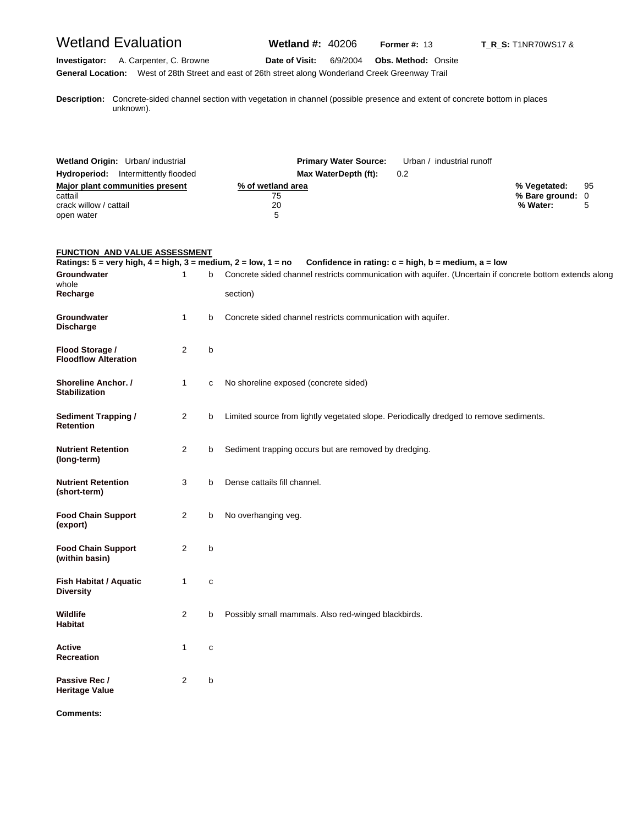## Wetland Evaluation **Wetland #:** 40206 **Former #:** <sup>13</sup> **T\_R\_S:** T1NR70WS17 &

#### **Investigator:** A. Carpenter, C. Browne **Date of Visit:** 6/9/2004 **Obs. Method:** Onsite **General Location:** West of 28th Street and east of 26th street along Wonderland Creek Greenway Trail

**D escription:** Concrete-sided channel section with vegetation in channel (possible presence and extent of concrete bottom in places unknown).

| Wetland Origin: Urban/ industrial          | <b>Primary Water Source:</b> | Urban / industrial runoff |                  |    |
|--------------------------------------------|------------------------------|---------------------------|------------------|----|
| <b>Hydroperiod:</b> Intermittently flooded | Max WaterDepth (ft):         | 0.2                       |                  |    |
| Major plant communities present            | % of wetland area            |                           | % Vegetated:     | 95 |
| cattail                                    | 75                           |                           | % Bare ground: 0 |    |
| crack willow / cattail                     | 20                           |                           | % Water:         |    |
| open water                                 | 5                            |                           |                  |    |

#### **FUNCTION AND VALUE ASSESSMENT**

| Ratings: $5 =$ very high, $4 =$ high, $3 =$ medium, $2 =$ low, $1 =$ no |                |             | Confidence in rating: $c = high$ , $b = medium$ , $a = low$                                              |
|-------------------------------------------------------------------------|----------------|-------------|----------------------------------------------------------------------------------------------------------|
| Groundwater<br>whole                                                    | $\mathbf{1}$   | b           | Concrete sided channel restricts communication with aquifer. (Uncertain if concrete bottom extends along |
| Recharge                                                                |                |             | section)                                                                                                 |
| <b>Groundwater</b><br><b>Discharge</b>                                  | $\mathbf{1}$   | b           | Concrete sided channel restricts communication with aquifer.                                             |
| Flood Storage /<br><b>Floodflow Alteration</b>                          | 2              | b           |                                                                                                          |
| <b>Shoreline Anchor.</b> /<br><b>Stabilization</b>                      | $\mathbf{1}$   | C           | No shoreline exposed (concrete sided)                                                                    |
| <b>Sediment Trapping /</b><br><b>Retention</b>                          | 2              | b           | Limited source from lightly vegetated slope. Periodically dredged to remove sediments.                   |
| <b>Nutrient Retention</b><br>(long-term)                                | 2              | b           | Sediment trapping occurs but are removed by dredging.                                                    |
| <b>Nutrient Retention</b><br>(short-term)                               | 3              | b           | Dense cattails fill channel.                                                                             |
| <b>Food Chain Support</b><br>(export)                                   | $\overline{2}$ | b           | No overhanging veg.                                                                                      |
| <b>Food Chain Support</b><br>(within basin)                             | $\overline{2}$ | b           |                                                                                                          |
| Fish Habitat / Aquatic<br><b>Diversity</b>                              | $\mathbf{1}$   | $\mathbf c$ |                                                                                                          |
| Wildlife<br><b>Habitat</b>                                              | $\overline{2}$ | b           | Possibly small mammals. Also red-winged blackbirds.                                                      |
| Active<br><b>Recreation</b>                                             | $\mathbf{1}$   | $\mathbf c$ |                                                                                                          |
| Passive Rec /<br><b>Heritage Value</b>                                  | $\overline{2}$ | b           |                                                                                                          |

**Comments:**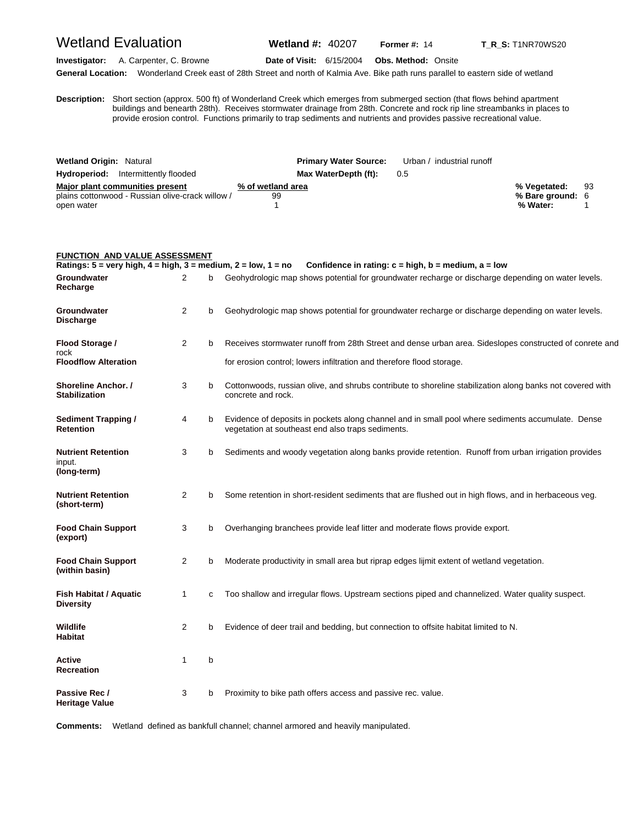### Wetland Evaluation **Wetland #:** 40207 **Former #:** <sup>14</sup> **T\_R\_S:** T1NR70WS20

**Investigator:** A. Carpenter, C. Browne **Date of Visit:** 6/15/2004 **Obs. Method:** Onsite **General Location:** Wonderland Creek east of 28th Street and north of Kalmia Ave. Bike path runs parallel to eastern side of wetland

**D** buildings and benearth 28th). Receives stormwater drainage from 28th. Concrete and rock rip line streambanks in places to **escription:** Short section (approx. 500 ft) of Wonderland Creek which emerges from submerged section (that flows behind apartment provide erosion control. Functions primarily to trap sediments and nutrients and provides passive recreational value.

| <b>Wetland Origin: Natural</b>                         | <b>Primary Water Source:</b> | Urban / industrial runoff |                  |    |
|--------------------------------------------------------|------------------------------|---------------------------|------------------|----|
| <b>Hydroperiod:</b> Intermittently flooded             | Max WaterDepth (ft):         | 0.5                       |                  |    |
| Major plant communities present<br>% of wetland area   |                              |                           | % Vegetated:     | 93 |
| plains cottonwood - Russian olive-crack willow /<br>99 |                              |                           | % Bare ground: 6 |    |
| open water                                             |                              |                           | % Water:         |    |

|                                                                                                    | FUNCTION AND VALUE ASSESSMENT |   |                                                                                                                                                        |  |  |  |
|----------------------------------------------------------------------------------------------------|-------------------------------|---|--------------------------------------------------------------------------------------------------------------------------------------------------------|--|--|--|
| Ratings: $5 = \text{very high}, 4 = \text{high}, 3 = \text{medium}, 2 = \text{low}, 1 = \text{no}$ |                               |   | Confidence in rating: $c = high$ , $b = medium$ , $a = low$                                                                                            |  |  |  |
| Groundwater<br>Recharge                                                                            | 2                             | b | Geohydrologic map shows potential for groundwater recharge or discharge depending on water levels.                                                     |  |  |  |
| Groundwater<br>Discharge                                                                           | 2                             | b | Geohydrologic map shows potential for groundwater recharge or discharge depending on water levels.                                                     |  |  |  |
| Flood Storage /<br>rock                                                                            | 2                             | b | Receives stormwater runoff from 28th Street and dense urban area. Sideslopes constructed of conrete and                                                |  |  |  |
| <b>Floodflow Alteration</b>                                                                        |                               |   | for erosion control; lowers infiltration and therefore flood storage.                                                                                  |  |  |  |
| <b>Shoreline Anchor. /</b><br><b>Stabilization</b>                                                 | 3                             | b | Cottonwoods, russian olive, and shrubs contribute to shoreline stabilization along banks not covered with<br>concrete and rock.                        |  |  |  |
| <b>Sediment Trapping /</b><br>Retention                                                            | 4                             | b | Evidence of deposits in pockets along channel and in small pool where sediments accumulate. Dense<br>vegetation at southeast end also traps sediments. |  |  |  |
| <b>Nutrient Retention</b><br>input.<br>(long-term)                                                 | 3                             | b | Sediments and woody vegetation along banks provide retention. Runoff from urban irrigation provides                                                    |  |  |  |
| <b>Nutrient Retention</b><br>(short-term)                                                          | 2                             | b | Some retention in short-resident sediments that are flushed out in high flows, and in herbaceous veg.                                                  |  |  |  |
| <b>Food Chain Support</b><br>(export)                                                              | 3                             | b | Overhanging branchees provide leaf litter and moderate flows provide export.                                                                           |  |  |  |
| <b>Food Chain Support</b><br>(within basin)                                                        | 2                             | b | Moderate productivity in small area but riprap edges lijmit extent of wetland vegetation.                                                              |  |  |  |
| <b>Fish Habitat / Aquatic</b><br><b>Diversity</b>                                                  | $\mathbf{1}$                  | c | Too shallow and irregular flows. Upstream sections piped and channelized. Water quality suspect.                                                       |  |  |  |
| Wildlife<br>Habitat                                                                                | 2                             | b | Evidence of deer trail and bedding, but connection to offsite habitat limited to N.                                                                    |  |  |  |
| Active<br>Recreation                                                                               | $\mathbf{1}$                  | b |                                                                                                                                                        |  |  |  |
| Passive Rec /<br><b>Heritage Value</b>                                                             | 3                             | b | Proximity to bike path offers access and passive rec. value.                                                                                           |  |  |  |

**Comments:** Wetland defined as bankfull channel; channel armored and heavily manipulated.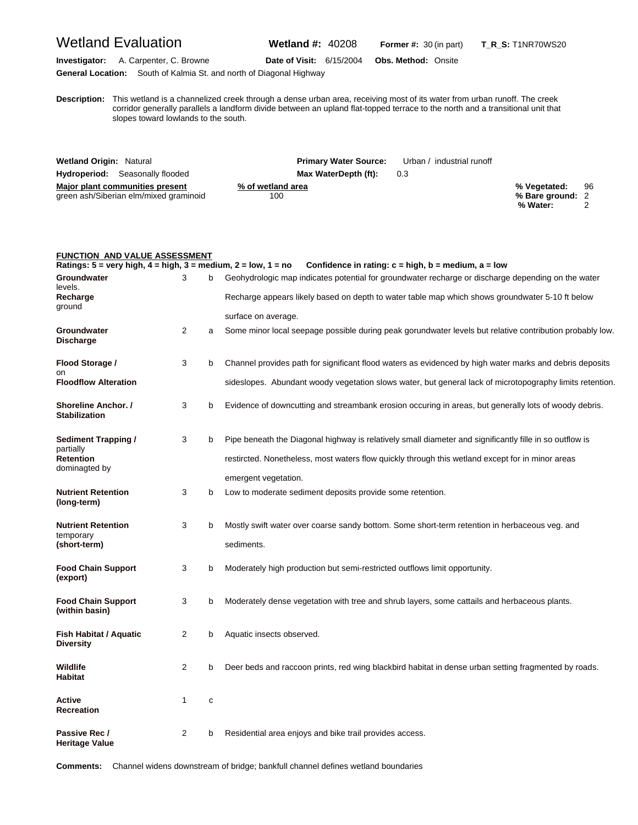## Wetland Evaluation **Wetland #:** 40208 **Former #:** <sup>30</sup> (in part) **T\_R\_S:** T1NR70WS20

**Investigator:** A. Carpenter, C. Browne **Date of Visit:** 6/15/2004 **Obs. Method:** Onsite **General Location:** South of Kalmia St. and north of Diagonal Highway

**D escription:** This wetland is a channelized creek through a dense urban area, receiving most of its water from urban runoff. The creek corridor generally parallels a landform divide between an upland flat-topped terrace to the north and a transitional unit that slopes toward lowlands to the south.

| <b>Wetland Origin: Natural</b>         | <b>Primary Water Source:</b> | Urban / industrial runoff |                  |    |
|----------------------------------------|------------------------------|---------------------------|------------------|----|
| <b>Hydroperiod:</b> Seasonally flooded | Max WaterDepth (ft):         | 0.3                       |                  |    |
| Major plant communities present        | % of wetland area            |                           | % Vegetated:     | 96 |
| green ash/Siberian elm/mixed graminoid | 100                          |                           | % Bare ground: 2 |    |
|                                        |                              |                           | % Water:         |    |

| <b>FUNCTION AND VALUE ASSESSMENT</b>                                                               |                |   |                                                                                                          |
|----------------------------------------------------------------------------------------------------|----------------|---|----------------------------------------------------------------------------------------------------------|
| Ratings: $5 = \text{very high}, 4 = \text{high}, 3 = \text{medium}, 2 = \text{low}, 1 = \text{no}$ |                |   | Confidence in rating: $c = high$ , $b = medium$ , $a = low$                                              |
| Groundwater<br>levels.                                                                             | 3              | b | Geohydrologic map indicates potential for groundwater recharge or discharge depending on the water       |
| Recharge<br>ground                                                                                 |                |   | Recharge appears likely based on depth to water table map which shows groundwater 5-10 ft below          |
|                                                                                                    |                |   | surface on average.                                                                                      |
| Groundwater<br><b>Discharge</b>                                                                    | $\overline{2}$ | a | Some minor local seepage possible during peak gorundwater levels but relative contribution probably low. |
| Flood Storage /                                                                                    | 3              | b | Channel provides path for significant flood waters as evidenced by high water marks and debris deposits  |
| on<br><b>Floodflow Alteration</b>                                                                  |                |   | sideslopes. Abundant woody vegetation slows water, but general lack of microtopography limits retention. |
| Shoreline Anchor. /<br><b>Stabilization</b>                                                        | 3              | b | Evidence of downcutting and streambank erosion occuring in areas, but generally lots of woody debris.    |
| Sediment Trapping /                                                                                | 3              | b | Pipe beneath the Diagonal highway is relatively small diameter and significantly fille in so outflow is  |
| partially<br><b>Retention</b><br>dominagted by                                                     |                |   | restircted. Nonetheless, most waters flow quickly through this wetland except for in minor areas         |
|                                                                                                    |                |   | emergent vegetation.                                                                                     |
| <b>Nutrient Retention</b><br>(long-term)                                                           | 3              | b | Low to moderate sediment deposits provide some retention.                                                |
| <b>Nutrient Retention</b>                                                                          | 3              | b | Mostly swift water over coarse sandy bottom. Some short-term retention in herbaceous veg. and            |
| temporary<br>(short-term)                                                                          |                |   | sediments.                                                                                               |
| <b>Food Chain Support</b><br>(export)                                                              | 3              | b | Moderately high production but semi-restricted outflows limit opportunity.                               |
| <b>Food Chain Support</b><br>(within basin)                                                        | 3              | b | Moderately dense vegetation with tree and shrub layers, some cattails and herbaceous plants.             |
| Fish Habitat / Aquatic<br><b>Diversity</b>                                                         | 2              | b | Aquatic insects observed.                                                                                |
| <b>Wildlife</b><br><b>Habitat</b>                                                                  | $\overline{2}$ | b | Deer beds and raccoon prints, red wing blackbird habitat in dense urban setting fragmented by roads.     |
| Active<br><b>Recreation</b>                                                                        | 1              | c |                                                                                                          |
| Passive Rec /<br><b>Heritage Value</b>                                                             | $\overline{2}$ | b | Residential area enjoys and bike trail provides access.                                                  |

**Comments:** Channel widens downstream of bridge; bankfull channel defines wetland boundaries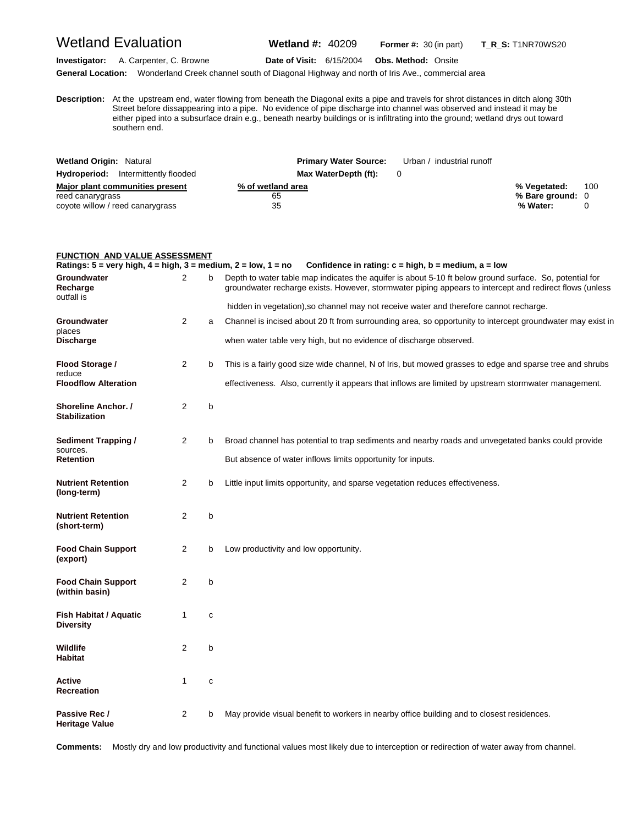## Wetland Evaluation **Wetland #:** 40209 **Former #:** <sup>30</sup> (in part) **T\_R\_S:** T1NR70WS20

**Investigator:** A. Carpenter, C. Browne **Date of Visit:** 6/15/2004 **Obs. Method:** Onsite

**General Location:** Wonderland Creek channel south of Diagonal Highway and north of Iris Ave., commercial area

**D** Street before dissappearing into a pipe. No evidence of pipe discharge into channel was observed and instead it may be **escription:** At the upstream end, water flowing from beneath the Diagonal exits a pipe and travels for shrot distances in ditch along 30th either piped into a subsurface drain e.g., beneath nearby buildings or is infiltrating into the ground; wetland drys out toward southern end.

| <b>Wetland Origin: Natural</b>                                                          | <b>Primary Water Source:</b>  | Urban / industrial runoff |                                              |     |
|-----------------------------------------------------------------------------------------|-------------------------------|---------------------------|----------------------------------------------|-----|
| <b>Hydroperiod:</b> Intermittently flooded                                              | Max WaterDepth (ft):          |                           |                                              |     |
| Major plant communities present<br>reed canarygrass<br>coyote willow / reed canarygrass | % of wetland area<br>65<br>35 |                           | % Vegetated:<br>% Bare ground: 0<br>% Water: | 100 |

| <b>FUNCTION AND VALUE ASSESSMENT</b>                                                               |                |   |                                                                                                                                                                                                                    |
|----------------------------------------------------------------------------------------------------|----------------|---|--------------------------------------------------------------------------------------------------------------------------------------------------------------------------------------------------------------------|
| Ratings: $5 = \text{very high}, 4 = \text{high}, 3 = \text{medium}, 2 = \text{low}, 1 = \text{no}$ |                |   | Confidence in rating: $c = high$ , $b = medium$ , $a = low$                                                                                                                                                        |
| Groundwater<br>Recharge<br>outfall is                                                              | $\overline{2}$ | b | Depth to water table map indicates the aquifer is about 5-10 ft below ground surface. So, potential for<br>groundwater recharge exists. However, stormwater piping appears to intercept and redirect flows (unless |
|                                                                                                    |                |   | hidden in vegetation), so channel may not receive water and therefore cannot recharge.                                                                                                                             |
| Groundwater                                                                                        | 2              | a | Channel is incised about 20 ft from surrounding area, so opportunity to intercept groundwater may exist in                                                                                                         |
| places<br><b>Discharge</b>                                                                         |                |   | when water table very high, but no evidence of discharge observed.                                                                                                                                                 |
| Flood Storage /<br>reduce                                                                          | 2              | b | This is a fairly good size wide channel, N of Iris, but mowed grasses to edge and sparse tree and shrubs                                                                                                           |
| <b>Floodflow Alteration</b>                                                                        |                |   | effectiveness. Also, currently it appears that inflows are limited by upstream stormwater management.                                                                                                              |
| Shoreline Anchor. /<br><b>Stabilization</b>                                                        | 2              | b |                                                                                                                                                                                                                    |
| Sediment Trapping /<br>sources.                                                                    | 2              | b | Broad channel has potential to trap sediments and nearby roads and unvegetated banks could provide                                                                                                                 |
| Retention                                                                                          |                |   | But absence of water inflows limits opportunity for inputs.                                                                                                                                                        |
| <b>Nutrient Retention</b><br>(long-term)                                                           | 2              | b | Little input limits opportunity, and sparse vegetation reduces effectiveness.                                                                                                                                      |
| <b>Nutrient Retention</b><br>(short-term)                                                          | 2              | b |                                                                                                                                                                                                                    |
| <b>Food Chain Support</b><br>(export)                                                              | $\overline{2}$ | b | Low productivity and low opportunity.                                                                                                                                                                              |
| <b>Food Chain Support</b><br>(within basin)                                                        | 2              | b |                                                                                                                                                                                                                    |
| Fish Habitat / Aquatic<br><b>Diversity</b>                                                         | $\mathbf{1}$   | c |                                                                                                                                                                                                                    |
| Wildlife<br><b>Habitat</b>                                                                         | 2              | b |                                                                                                                                                                                                                    |
| Active<br>Recreation                                                                               | 1              | c |                                                                                                                                                                                                                    |
| Passive Rec /<br>Heritage Value                                                                    | 2              | b | May provide visual benefit to workers in nearby office building and to closest residences.                                                                                                                         |

**Comments:** Mostly dry and low productivity and functional values most likely due to interception or redirection of water away from channel.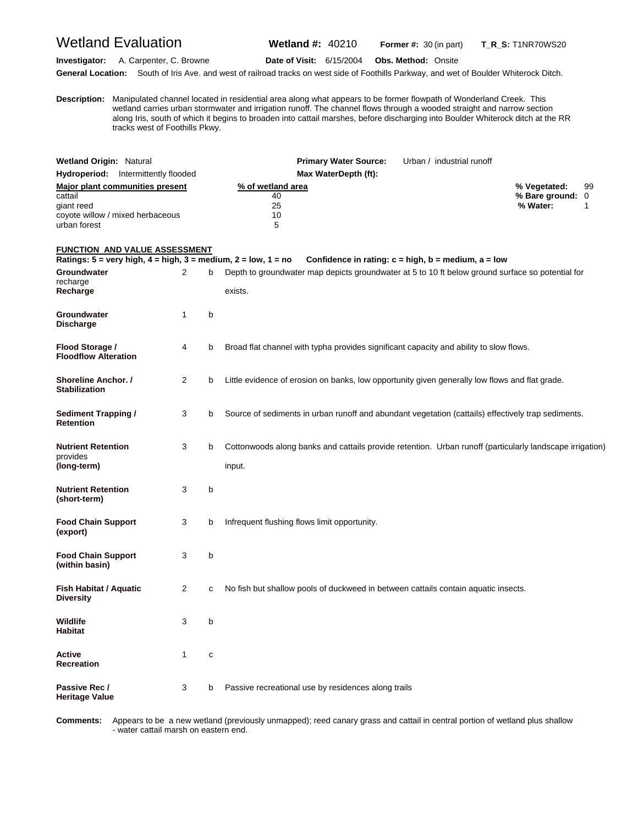Wetland Evaluation **Wetland #:** 40210 **Former #:** <sup>30</sup> (in part) **T\_R\_S:** T1NR70WS20

**Investigator:** A. Carpenter, C. Browne **Date of Visit:** 6/15/2004 **Obs. Method:** Onsite **General Location:** South of Iris Ave. and west of railroad tracks on west side of Foothills Parkway, and wet of Boulder Whiterock Ditch.

**D** wetland carries urban stormwater and irrigation runoff. The channel flows through a wooded straight and narrow section **escription:** Manipulated channel located in residential area along what appears to be former flowpath of Wonderland Creek. This along Iris, south of which it begins to broaden into cattail marshes, before discharging into Boulder Whiterock ditch at the RR tracks west of Foothills Pkwy.

| <b>Wetland Origin: Natural</b>                                                                                                                   |   |   | <b>Primary Water Source:</b><br>Urban / industrial runoff                                                                                                                  |                                                         |
|--------------------------------------------------------------------------------------------------------------------------------------------------|---|---|----------------------------------------------------------------------------------------------------------------------------------------------------------------------------|---------------------------------------------------------|
| Hydroperiod: Intermittently flooded                                                                                                              |   |   | Max WaterDepth (ft):                                                                                                                                                       |                                                         |
| <b>Major plant communities present</b><br>cattail<br>giant reed<br>coyote willow / mixed herbaceous<br>urban forest                              |   |   | % of wetland area<br>40<br>25<br>10<br>5                                                                                                                                   | 99<br>% Vegetated:<br>% Bare ground: 0<br>% Water:<br>1 |
| <b>FUNCTION AND VALUE ASSESSMENT</b>                                                                                                             |   |   |                                                                                                                                                                            |                                                         |
| Ratings: $5 = \text{very high}, 4 = \text{high}, 3 = \text{medium}, 2 = \text{low}, 1 = \text{no}$<br><b>Groundwater</b><br>recharge<br>Recharge | 2 | b | Confidence in rating: $c = high$ , $b = medium$ , $a = low$<br>Depth to groundwater map depicts groundwater at 5 to 10 ft below ground surface so potential for<br>exists. |                                                         |
| Groundwater<br><b>Discharge</b>                                                                                                                  | 1 | b |                                                                                                                                                                            |                                                         |
| Flood Storage /<br><b>Floodflow Alteration</b>                                                                                                   | 4 | b | Broad flat channel with typha provides significant capacity and ability to slow flows.                                                                                     |                                                         |
| Shoreline Anchor. /<br><b>Stabilization</b>                                                                                                      | 2 | b | Little evidence of erosion on banks, low opportunity given generally low flows and flat grade.                                                                             |                                                         |
| <b>Sediment Trapping /</b><br><b>Retention</b>                                                                                                   | 3 | b | Source of sediments in urban runoff and abundant vegetation (cattails) effectively trap sediments.                                                                         |                                                         |
| <b>Nutrient Retention</b><br>provides<br>(long-term)                                                                                             | 3 | b | Cottonwoods along banks and cattails provide retention. Urban runoff (particularly landscape irrigation)<br>input.                                                         |                                                         |
| <b>Nutrient Retention</b><br>(short-term)                                                                                                        | 3 | b |                                                                                                                                                                            |                                                         |
| <b>Food Chain Support</b><br>(export)                                                                                                            | 3 | b | Infrequent flushing flows limit opportunity.                                                                                                                               |                                                         |
| <b>Food Chain Support</b><br>(within basin)                                                                                                      | 3 | b |                                                                                                                                                                            |                                                         |
| <b>Fish Habitat / Aquatic</b><br><b>Diversity</b>                                                                                                | 2 | с | No fish but shallow pools of duckweed in between cattails contain aquatic insects.                                                                                         |                                                         |
| Wildlife<br><b>Habitat</b>                                                                                                                       | 3 | b |                                                                                                                                                                            |                                                         |
| Active<br><b>Recreation</b>                                                                                                                      | 1 | с |                                                                                                                                                                            |                                                         |
| Passive Rec /<br><b>Heritage Value</b>                                                                                                           | 3 | b | Passive recreational use by residences along trails                                                                                                                        |                                                         |

**C omments:** Appears to be a new wetland (previously unmapped); reed canary grass and cattail in central portion of wetland plus shallow - water cattail marsh on eastern end.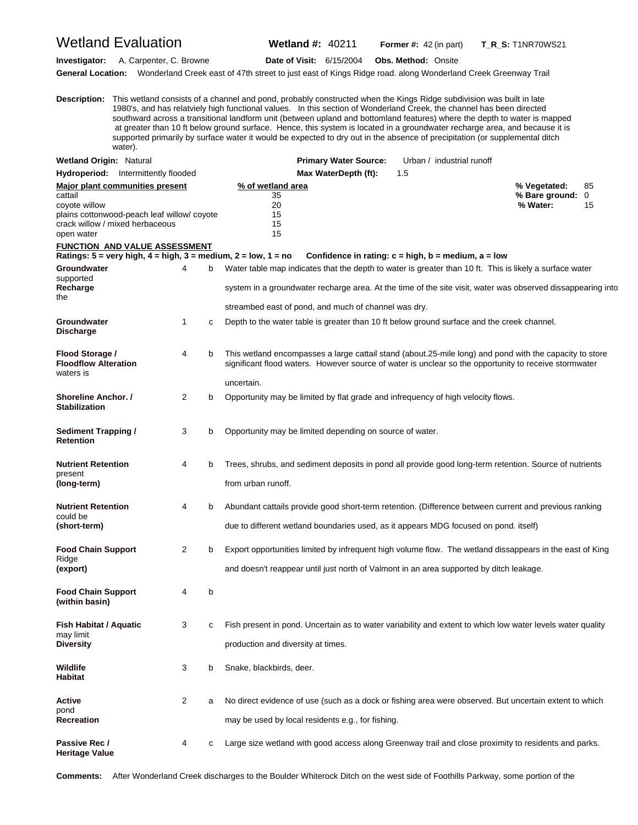#### Wetland Evaluation **Wetland #:** 40211 **Former #:** <sup>42</sup> (in part) **T\_R\_S:** T1NR70WS21

**Investigator:** A. Carpenter, C. Browne **Date of Visit:** 6/15/2004 **Obs. Method:** Onsite

**General Location:** Wonderland Creek east of 47th street to just east of Kings Ridge road. along Wonderland Creek Greenway Trail

**D escription:** This wetland consists of a channel and pond, probably constructed when the Kings Ridge subdivision was built in late 1980's, and has relatviely high functional values. In this section of Wonderland Creek, the channel has been directed southward across a transitional landform unit (between upland and bottomland features) where the depth to water is mapped at greater than 10 ft below ground surface. Hence, this system is located in a groundwater recharge area, and because it is supported primarily by surface water it would be expected to dry out in the absence of precipitation (or supplemental ditch water).

| <b>Wetland Origin: Natural</b>                                                                                                                                    |   |   | <b>Primary Water Source:</b>                                                                                                                                                                                                   | Urban / industrial runoff                                   |                                            |               |
|-------------------------------------------------------------------------------------------------------------------------------------------------------------------|---|---|--------------------------------------------------------------------------------------------------------------------------------------------------------------------------------------------------------------------------------|-------------------------------------------------------------|--------------------------------------------|---------------|
| <b>Hydroperiod:</b> Intermittently flooded                                                                                                                        |   |   | Max WaterDepth (ft):                                                                                                                                                                                                           | 1.5                                                         |                                            |               |
| <b>Major plant communities present</b><br>cattail<br>coyote willow<br>plains cottonwood-peach leaf willow/coyote<br>crack willow / mixed herbaceous<br>open water |   |   | % of wetland area<br>35<br>20<br>15<br>15<br>15                                                                                                                                                                                |                                                             | % Vegetated:<br>% Bare ground:<br>% Water: | 85<br>0<br>15 |
| <b>FUNCTION AND VALUE ASSESSMENT</b>                                                                                                                              |   |   | Ratings: $5 = \text{very high}, 4 = \text{high}, 3 = \text{medium}, 2 = \text{low}, 1 = \text{no}$                                                                                                                             | Confidence in rating: $c = high$ , $b = medium$ , $a = low$ |                                            |               |
| Groundwater<br>supported                                                                                                                                          | 4 | b | Water table map indicates that the depth to water is greater than 10 ft. This is likely a surface water                                                                                                                        |                                                             |                                            |               |
| Recharge<br>the                                                                                                                                                   |   |   | system in a groundwater recharge area. At the time of the site visit, water was observed dissappearing into                                                                                                                    |                                                             |                                            |               |
|                                                                                                                                                                   |   |   | streambed east of pond, and much of channel was dry.                                                                                                                                                                           |                                                             |                                            |               |
| Groundwater<br><b>Discharge</b>                                                                                                                                   | 1 | c | Depth to the water table is greater than 10 ft below ground surface and the creek channel.                                                                                                                                     |                                                             |                                            |               |
| Flood Storage /<br><b>Floodflow Alteration</b><br>waters is                                                                                                       | 4 | b | This wetland encompasses a large cattail stand (about.25-mile long) and pond with the capacity to store<br>significant flood waters. However source of water is unclear so the opportunity to receive stormwater<br>uncertain. |                                                             |                                            |               |
| <b>Shoreline Anchor.</b> /<br><b>Stabilization</b>                                                                                                                | 2 | b | Opportunity may be limited by flat grade and infrequency of high velocity flows.                                                                                                                                               |                                                             |                                            |               |
| <b>Sediment Trapping /</b><br><b>Retention</b>                                                                                                                    | 3 | b | Opportunity may be limited depending on source of water.                                                                                                                                                                       |                                                             |                                            |               |
| <b>Nutrient Retention</b><br>present<br>(long-term)                                                                                                               | 4 | b | Trees, shrubs, and sediment deposits in pond all provide good long-term retention. Source of nutrients<br>from urban runoff.                                                                                                   |                                                             |                                            |               |
| <b>Nutrient Retention</b><br>could be<br>(short-term)                                                                                                             | 4 | b | Abundant cattails provide good short-term retention. (Difference between current and previous ranking<br>due to different wetland boundaries used, as it appears MDG focused on pond. itself)                                  |                                                             |                                            |               |
| <b>Food Chain Support</b><br>Ridge<br>(export)                                                                                                                    | 2 | b | Export opportunities limited by infrequent high volume flow. The wetland dissappears in the east of King<br>and doesn't reappear until just north of Valmont in an area supported by ditch leakage.                            |                                                             |                                            |               |
| <b>Food Chain Support</b><br>(within basin)                                                                                                                       | 4 | b |                                                                                                                                                                                                                                |                                                             |                                            |               |
| <b>Fish Habitat / Aquatic</b><br>may limit<br><b>Diversity</b>                                                                                                    | 3 | с | Fish present in pond. Uncertain as to water variability and extent to which low water levels water quality<br>production and diversity at times.                                                                               |                                                             |                                            |               |
| Wildlife<br>Habitat                                                                                                                                               | 3 | b | Snake, blackbirds, deer.                                                                                                                                                                                                       |                                                             |                                            |               |
| <b>Active</b><br>pond<br><b>Recreation</b>                                                                                                                        | 2 | a | No direct evidence of use (such as a dock or fishing area were observed. But uncertain extent to which<br>may be used by local residents e.g., for fishing.                                                                    |                                                             |                                            |               |
| Passive Rec /<br><b>Heritage Value</b>                                                                                                                            | 4 | c | Large size wetland with good access along Greenway trail and close proximity to residents and parks.                                                                                                                           |                                                             |                                            |               |

**Comments:** After Wonderland Creek discharges to the Boulder Whiterock Ditch on the west side of Foothills Parkway, some portion of the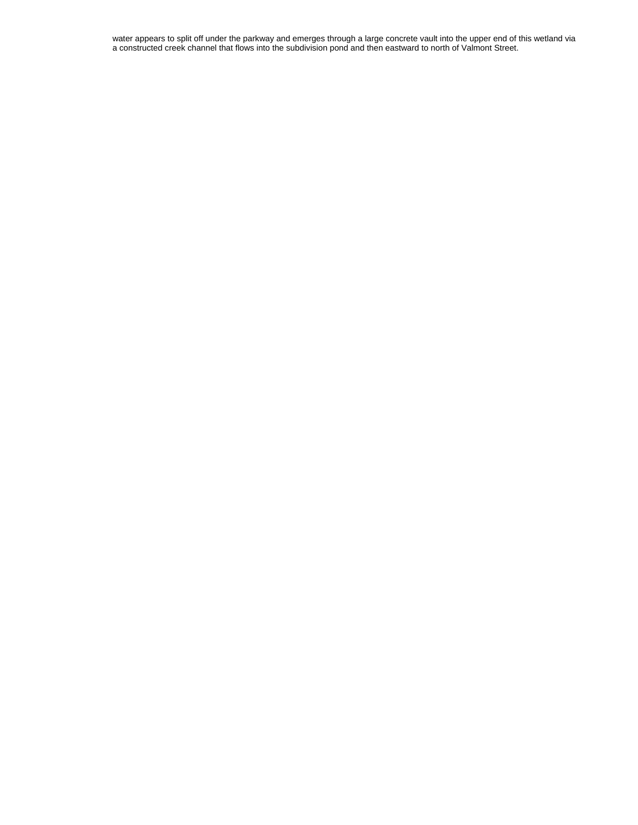water appears to split off under the parkway and emerges through a large concrete vault into the upper end of this wetland via a constructed creek channel that flows into the subdivision pond and then eastward to north of Valmont Street.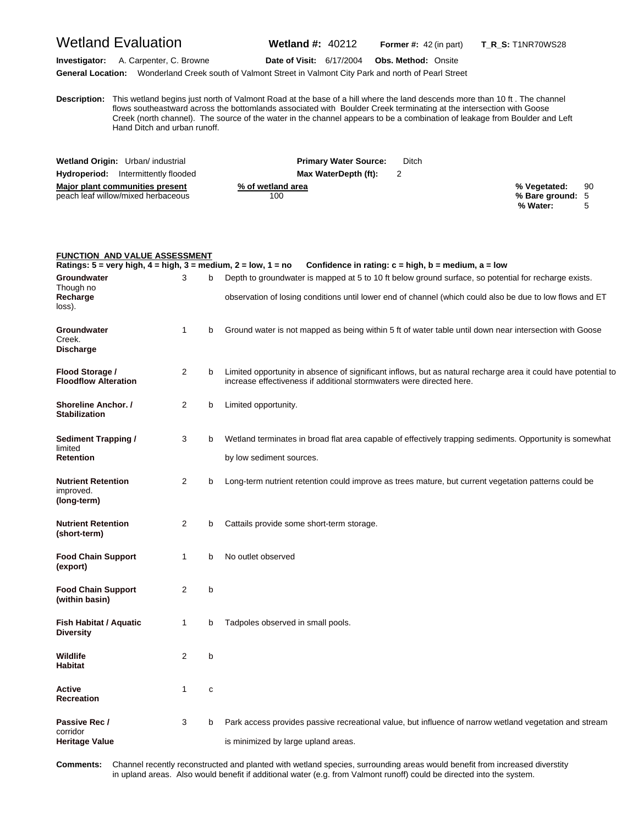## Wetland Evaluation **Wetland #:** 40212 **Former #:** <sup>42</sup> (in part) **T\_R\_S:** T1NR70WS28

**Investigator:** A. Carpenter, C. Browne **Date of Visit:** 6/17/2004 **Obs. Method:** Onsite

**General Location:** Wonderland Creek south of Valmont Street in Valmont City Park and north of Pearl Street

**D escription:** This wetland begins just north of Valmont Road at the base of a hill where the land descends more than 10 ft . The channel flows southeastward across the bottomlands associated with Boulder Creek terminating at the intersection with Goose Creek (north channel). The source of the water in the channel appears to be a combination of leakage from Boulder and Left Hand Ditch and urban runoff.

| Wetland Origin: Urban/ industrial          | <b>Primary Water Source:</b> | Ditch |                  |    |
|--------------------------------------------|------------------------------|-------|------------------|----|
| <b>Hydroperiod:</b> Intermittently flooded | Max WaterDepth (ft):         |       |                  |    |
| Major plant communities present            | % of wetland area            |       | % Vegetated:     | 90 |
| peach leaf willow/mixed herbaceous         | 100                          |       | % Bare ground: 5 |    |
|                                            |                              |       | % Water:         |    |

| <b>FUNCTION AND VALUE ASSESSMENT</b>                                                               |                |   |                                                                                                                                                                                                                  |
|----------------------------------------------------------------------------------------------------|----------------|---|------------------------------------------------------------------------------------------------------------------------------------------------------------------------------------------------------------------|
| Ratings: $5 = \text{very high}, 4 = \text{high}, 3 = \text{medium}, 2 = \text{low}, 1 = \text{no}$ |                |   | Confidence in rating: $c = high$ , $b = medium$ , $a = low$                                                                                                                                                      |
| Groundwater<br>Though no<br>Recharge<br>loss).                                                     | 3              | b | Depth to groundwater is mapped at 5 to 10 ft below ground surface, so potential for recharge exists.<br>observation of losing conditions until lower end of channel (which could also be due to low flows and ET |
| Groundwater<br>Creek.<br><b>Discharge</b>                                                          | 1              | b | Ground water is not mapped as being within 5 ft of water table until down near intersection with Goose                                                                                                           |
| Flood Storage /<br><b>Floodflow Alteration</b>                                                     | 2              | b | Limited opportunity in absence of significant inflows, but as natural recharge area it could have potential to<br>increase effectiveness if additional stormwaters were directed here.                           |
| Shoreline Anchor. /<br><b>Stabilization</b>                                                        | 2              | b | Limited opportunity.                                                                                                                                                                                             |
| Sediment Trapping /<br>limited<br><b>Retention</b>                                                 | 3              | b | Wetland terminates in broad flat area capable of effectively trapping sediments. Opportunity is somewhat<br>by low sediment sources.                                                                             |
| <b>Nutrient Retention</b><br>improved.<br>(long-term)                                              | 2              | b | Long-term nutrient retention could improve as trees mature, but current vegetation patterns could be                                                                                                             |
| <b>Nutrient Retention</b><br>(short-term)                                                          | $\overline{2}$ | b | Cattails provide some short-term storage.                                                                                                                                                                        |
| <b>Food Chain Support</b><br>(export)                                                              | 1              | b | No outlet observed                                                                                                                                                                                               |
| <b>Food Chain Support</b><br>(within basin)                                                        | 2              | b |                                                                                                                                                                                                                  |
| <b>Fish Habitat / Aquatic</b><br><b>Diversity</b>                                                  | 1              | b | Tadpoles observed in small pools.                                                                                                                                                                                |
| Wildlife<br><b>Habitat</b>                                                                         | 2              | b |                                                                                                                                                                                                                  |
| Active<br><b>Recreation</b>                                                                        | 1              | с |                                                                                                                                                                                                                  |
| Passive Rec /<br>corridor<br><b>Heritage Value</b>                                                 | 3              | b | Park access provides passive recreational value, but influence of narrow wetland vegetation and stream<br>is minimized by large upland areas.                                                                    |

Comments: in upland areas. Also would benefit if additional water (e.g. from Valmont runoff) could be directed into the system. Channel recently reconstructed and planted with wetland species, surrounding areas would benefit from increased diverstity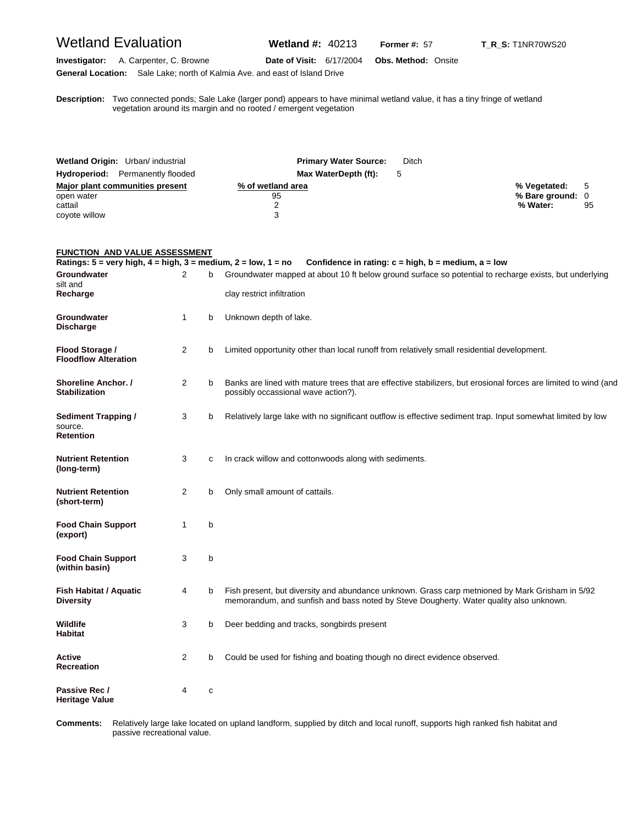### Wetland Evaluation **Wetland #:** 40213 **Former #: 57 T\_R\_S:** T1NR70WS20

**Investigator:** A. Carpenter, C. Browne **Date of Visit:** 6/17/2004 **Obs. Method:** Onsite **General Location:** Sale Lake; north of Kalmia Ave. and east of Island Drive

**D** vegetation around its margin and no rooted / emergent vegetation **escription:** Two connected ponds; Sale Lake (larger pond) appears to have minimal wetland value, it has a tiny fringe of wetland

| Wetland Origin: Urban/ industrial       | <b>Primary Water Source:</b> | <b>Ditch</b> |                  |    |
|-----------------------------------------|------------------------------|--------------|------------------|----|
| <b>Hydroperiod:</b> Permanently flooded | Max WaterDepth (ft):         |              |                  |    |
| Major plant communities present         | % of wetland area            |              | % Vegetated:     |    |
| open water                              | 95                           |              | % Bare ground: 0 |    |
| cattail                                 |                              |              | % Water:         | 95 |
| coyote willow                           |                              |              |                  |    |

#### **FUNCTION AND VALUE ASSESSMENT**

|                                                    |                |             | Ratings: 5 = very high, 4 = high, 3 = medium, 2 = low, 1 = no Confidence in rating: c = high, b = medium, a = low                                                                         |
|----------------------------------------------------|----------------|-------------|-------------------------------------------------------------------------------------------------------------------------------------------------------------------------------------------|
| Groundwater<br>silt and                            | 2              |             | Groundwater mapped at about 10 ft below ground surface so potential to recharge exists, but underlying                                                                                    |
| Recharge                                           |                |             | clay restrict infiltration                                                                                                                                                                |
| Groundwater<br><b>Discharge</b>                    | $\mathbf{1}$   | b           | Unknown depth of lake.                                                                                                                                                                    |
| Flood Storage /<br><b>Floodflow Alteration</b>     | 2              | b           | Limited opportunity other than local runoff from relatively small residential development.                                                                                                |
| Shoreline Anchor. /<br><b>Stabilization</b>        | 2              | b           | Banks are lined with mature trees that are effective stabilizers, but erosional forces are limited to wind (and<br>possibly occassional wave action?).                                    |
| <b>Sediment Trapping /</b><br>source.<br>Retention | 3              | b           | Relatively large lake with no significant outflow is effective sediment trap. Input somewhat limited by low                                                                               |
| <b>Nutrient Retention</b><br>(long-term)           | 3              | C           | In crack willow and cottonwoods along with sediments.                                                                                                                                     |
| <b>Nutrient Retention</b><br>(short-term)          | 2              | b           | Only small amount of cattails.                                                                                                                                                            |
| <b>Food Chain Support</b><br>(export)              | $\mathbf{1}$   | b           |                                                                                                                                                                                           |
| <b>Food Chain Support</b><br>(within basin)        | 3              | b           |                                                                                                                                                                                           |
| <b>Fish Habitat / Aquatic</b><br><b>Diversity</b>  | 4              | b           | Fish present, but diversity and abundance unknown. Grass carp metnioned by Mark Grisham in 5/92<br>memorandum, and sunfish and bass noted by Steve Dougherty. Water quality also unknown. |
| Wildlife<br><b>Habitat</b>                         | 3              | b           | Deer bedding and tracks, songbirds present                                                                                                                                                |
| Active<br>Recreation                               | $\overline{2}$ | b           | Could be used for fishing and boating though no direct evidence observed.                                                                                                                 |
| Passive Rec /<br>Heritage Value                    | 4              | $\mathbf c$ |                                                                                                                                                                                           |

Comments: passive recreational value. **omments:** Relatively large lake located on upland landform, supplied by ditch and local runoff, supports high ranked fish habitat and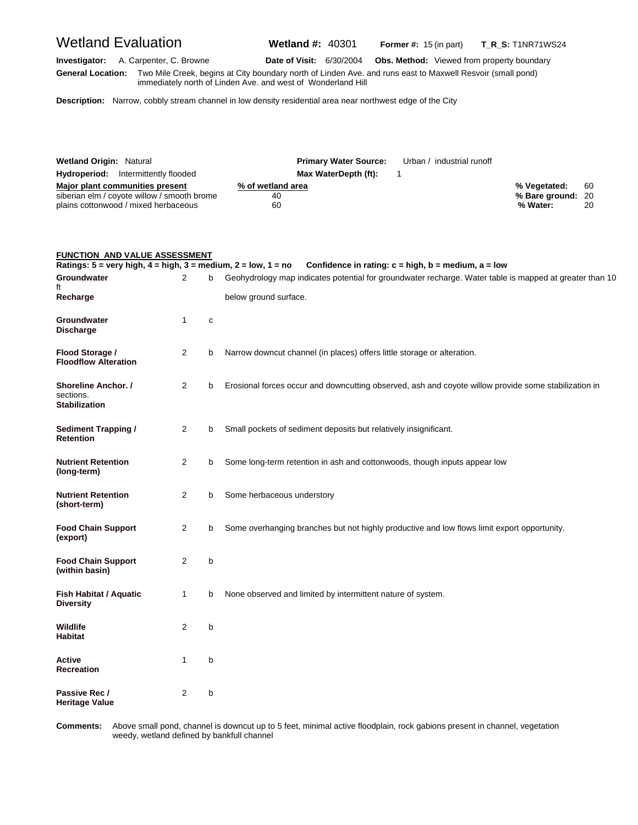Wetland Evaluation **Wetland #:** 40301 **Former #:** <sup>15</sup> (in part) **T\_R\_S:** T1NR71WS24

**Investigator:** A. Carpenter, C. Browne **Date of Visit:** 6/30/2004 **Obs. Method:** Viewed from property boundary **G eneral Location:** Two Mile Creek, begins at City boundary north of Linden Ave. and runs east to Maxwell Resvoir (small pond) immediately north of Linden Ave. and west of Wonderland Hill

**Description:** Narrow, cobbly stream channel in low density residential area near northwest edge of the City

| <b>Wetland Origin: Natural</b>                                                                                         | <b>Primary Water Source:</b>  | Urban / industrial runoff |                                               |          |
|------------------------------------------------------------------------------------------------------------------------|-------------------------------|---------------------------|-----------------------------------------------|----------|
| <b>Hydroperiod:</b> Intermittently flooded                                                                             | Max WaterDepth (ft):          |                           |                                               |          |
| Major plant communities present<br>siberian elm / coyote willow / smooth brome<br>plains cottonwood / mixed herbaceous | % of wetland area<br>40<br>60 |                           | % Vegetated:<br>% Bare ground: 20<br>% Water: | 60<br>20 |

| <b>FUNCTION AND VALUE ASSESSMENT</b>                                                                              |             |   |                                                                                                                                                                        |
|-------------------------------------------------------------------------------------------------------------------|-------------|---|------------------------------------------------------------------------------------------------------------------------------------------------------------------------|
| Ratings: $5 = \text{very high}, 4 = \text{high}, 3 = \text{medium}, 2 = \text{low}, 1 = \text{no}$<br>Groundwater | 2           | b | Confidence in rating: $c = high$ , $b = medium$ , $a = low$<br>Geohydrology map indicates potential for groundwater recharge. Water table is mapped at greater than 10 |
| ft                                                                                                                |             |   |                                                                                                                                                                        |
| Recharge                                                                                                          |             |   | below ground surface.                                                                                                                                                  |
| Groundwater<br><b>Discharge</b>                                                                                   | 1           | C |                                                                                                                                                                        |
| Flood Storage /<br><b>Floodflow Alteration</b>                                                                    | 2           | b | Narrow downcut channel (in places) offers little storage or alteration.                                                                                                |
| Shoreline Anchor. /<br>sections.<br>Stabilization                                                                 | 2           | b | Erosional forces occur and downcutting observed, ash and coyote willow provide some stabilization in                                                                   |
| Sediment Trapping /<br>Retention                                                                                  | 2           | b | Small pockets of sediment deposits but relatively insignificant.                                                                                                       |
| <b>Nutrient Retention</b><br>(long-term)                                                                          | 2           | b | Some long-term retention in ash and cottonwoods, though inputs appear low                                                                                              |
| <b>Nutrient Retention</b><br>(short-term)                                                                         | 2           | b | Some herbaceous understory                                                                                                                                             |
| <b>Food Chain Support</b><br>(export)                                                                             | 2           | b | Some overhanging branches but not highly productive and low flows limit export opportunity.                                                                            |
| <b>Food Chain Support</b><br>(within basin)                                                                       | 2           | b |                                                                                                                                                                        |
| Fish Habitat / Aquatic<br>Diversity                                                                               | 1           | b | None observed and limited by intermittent nature of system.                                                                                                            |
| Wildlife<br>Habitat                                                                                               | 2           | b |                                                                                                                                                                        |
| Active<br>Recreation                                                                                              | $\mathbf 1$ | b |                                                                                                                                                                        |
| Passive Rec /<br>Heritage Value                                                                                   | 2           | b |                                                                                                                                                                        |

Comments: weedy, wetland defined by bankfull channel Above small pond, channel is downcut up to 5 feet, minimal active floodplain, rock gabions present in channel, vegetation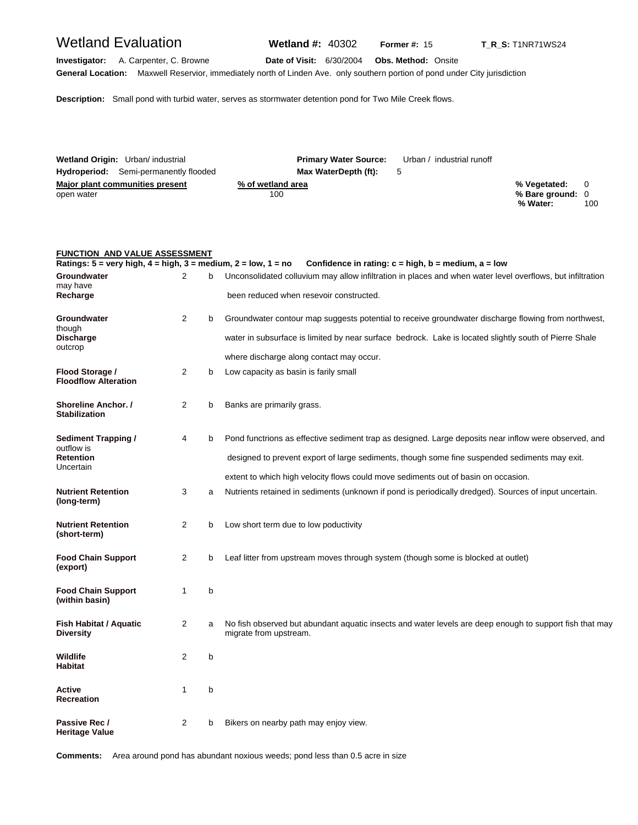### Wetland Evaluation **Wetland #:** 40302 **Former #: 15** T\_R\_S: T1NR71WS24

**Investigator:** A. Carpenter, C. Browne **Date of Visit:** 6/30/2004 **Obs. Method:** Onsite **General Location:** Maxwell Reservior, immediately north of Linden Ave. only southern portion of pond under City jurisdiction

**Description:** Small pond with turbid water, serves as stormwater detention pond for Two Mile Creek flows.

|            | Wetland Origin: Urban/ industrial            | <b>Primary Water Source:</b> | Urban / industrial runoff |                  |     |
|------------|----------------------------------------------|------------------------------|---------------------------|------------------|-----|
|            | <b>Hydroperiod:</b> Semi-permanently flooded | Max WaterDepth (ft):         | 5                         |                  |     |
|            | Major plant communities present              | % of wetland area            |                           | % Vegetated: 0   |     |
| open water |                                              | 100                          |                           | % Bare ground: 0 |     |
|            |                                              |                              |                           | % Water:         | 100 |

#### **FUNCTION AND VALUE ASSESSMENT**

| Ratings: $5 = \text{very high}, 4 = \text{high}, 3 = \text{medium}, 2 = \text{low}, 1 = \text{no}$ |                |   | Confidence in rating: $c = high$ , $b = medium$ , $a = low$                                                                       |
|----------------------------------------------------------------------------------------------------|----------------|---|-----------------------------------------------------------------------------------------------------------------------------------|
| Groundwater<br>may have                                                                            | 2              |   | Unconsolidated colluvium may allow infiltration in places and when water level overflows, but infiltration                        |
| Recharge                                                                                           |                |   | been reduced when resevoir constructed.                                                                                           |
| Groundwater<br>though                                                                              | $\overline{2}$ | b | Groundwater contour map suggests potential to receive groundwater discharge flowing from northwest,                               |
| <b>Discharge</b><br>outcrop                                                                        |                |   | water in subsurface is limited by near surface bedrock. Lake is located slightly south of Pierre Shale                            |
|                                                                                                    |                |   | where discharge along contact may occur.                                                                                          |
| Flood Storage /<br><b>Floodflow Alteration</b>                                                     | $\overline{c}$ | b | Low capacity as basin is farily small                                                                                             |
| Shoreline Anchor. /<br><b>Stabilization</b>                                                        | $\overline{2}$ | b | Banks are primarily grass.                                                                                                        |
| <b>Sediment Trapping /</b><br>outflow is                                                           | 4              | b | Pond functrions as effective sediment trap as designed. Large deposits near inflow were observed, and                             |
| <b>Retention</b><br>Uncertain                                                                      |                |   | designed to prevent export of large sediments, though some fine suspended sediments may exit.                                     |
|                                                                                                    |                |   | extent to which high velocity flows could move sediments out of basin on occasion.                                                |
| <b>Nutrient Retention</b><br>(long-term)                                                           | 3              | a | Nutrients retained in sediments (unknown if pond is periodically dredged). Sources of input uncertain.                            |
| <b>Nutrient Retention</b><br>(short-term)                                                          | 2              | b | Low short term due to low poductivity                                                                                             |
| <b>Food Chain Support</b><br>(export)                                                              | $\overline{2}$ | b | Leaf litter from upstream moves through system (though some is blocked at outlet)                                                 |
| <b>Food Chain Support</b><br>(within basin)                                                        | $\mathbf{1}$   | b |                                                                                                                                   |
| Fish Habitat / Aquatic<br><b>Diversity</b>                                                         | $\overline{2}$ | a | No fish observed but abundant aquatic insects and water levels are deep enough to support fish that may<br>migrate from upstream. |
| Wildlife<br><b>Habitat</b>                                                                         | $\overline{2}$ | b |                                                                                                                                   |
| Active<br><b>Recreation</b>                                                                        | 1              | b |                                                                                                                                   |
| Passive Rec /<br>Heritage Value                                                                    | $\overline{2}$ | b | Bikers on nearby path may enjoy view.                                                                                             |

**Comments:** Area around pond has abundant noxious weeds; pond less than 0.5 acre in size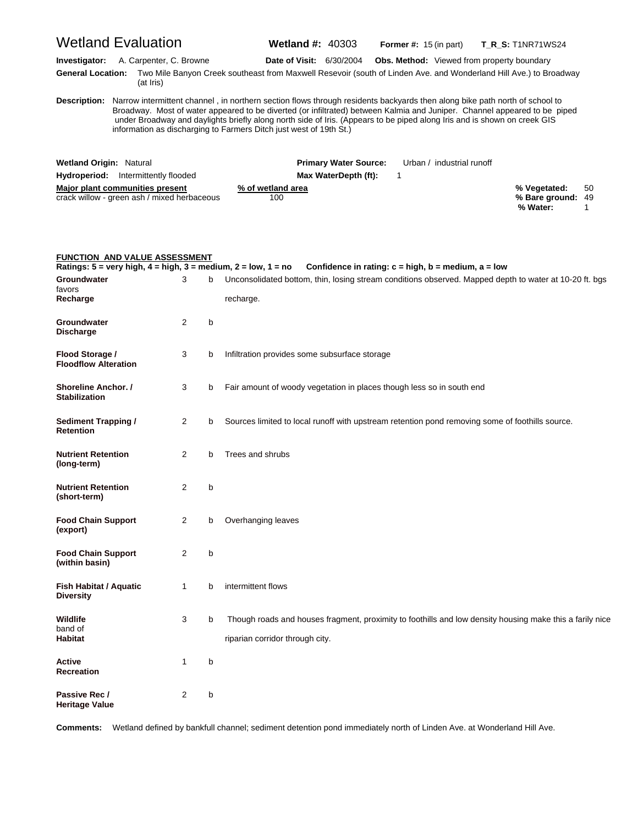|                                                    | <b>Wetland Evaluation</b>                                                      |                |   | <b>Wetland #: 40303</b>                                                                                                                                                                                                                                                                                                                                                                                                                                                |                                                             | <b>Former #:</b> $15$ (in part) |                                                   | <b>T_R_S:</b> T1NR71WS24                      |         |
|----------------------------------------------------|--------------------------------------------------------------------------------|----------------|---|------------------------------------------------------------------------------------------------------------------------------------------------------------------------------------------------------------------------------------------------------------------------------------------------------------------------------------------------------------------------------------------------------------------------------------------------------------------------|-------------------------------------------------------------|---------------------------------|---------------------------------------------------|-----------------------------------------------|---------|
| Investigator:<br><b>General Location:</b>          | A. Carpenter, C. Browne<br>(at Iris)                                           |                |   | <b>Date of Visit: 6/30/2004</b><br>Two Mile Banyon Creek southeast from Maxwell Resevoir (south of Linden Ave. and Wonderland Hill Ave.) to Broadway                                                                                                                                                                                                                                                                                                                   |                                                             |                                 | <b>Obs. Method:</b> Viewed from property boundary |                                               |         |
|                                                    |                                                                                |                |   | Description: Narrow intermittent channel, in northern section flows through residents backyards then along bike path north of school to<br>Broadway. Most of water appeared to be diverted (or infiltrated) between Kalmia and Juniper. Channel appeared to be piped<br>under Broadway and daylights briefly along north side of Iris. (Appears to be piped along Iris and is shown on creek GIS<br>information as discharging to Farmers Ditch just west of 19th St.) |                                                             |                                 |                                                   |                                               |         |
| <b>Wetland Origin: Natural</b>                     |                                                                                |                |   |                                                                                                                                                                                                                                                                                                                                                                                                                                                                        | <b>Primary Water Source:</b>                                |                                 | Urban / industrial runoff                         |                                               |         |
|                                                    | <b>Hydroperiod:</b> Intermittently flooded                                     |                |   |                                                                                                                                                                                                                                                                                                                                                                                                                                                                        | Max WaterDepth (ft):                                        | 1                               |                                                   |                                               |         |
|                                                    | Major plant communities present<br>crack willow - green ash / mixed herbaceous |                |   | % of wetland area<br>100                                                                                                                                                                                                                                                                                                                                                                                                                                               |                                                             |                                 |                                                   | % Vegetated:<br>% Bare ground: 49<br>% Water: | 50<br>1 |
|                                                    | <b>FUNCTION AND VALUE ASSESSMENT</b>                                           |                |   | Ratings: $5 = \text{very high}, 4 = \text{high}, 3 = \text{medium}, 2 = \text{low}, 1 = \text{no}$                                                                                                                                                                                                                                                                                                                                                                     | Confidence in rating: $c = high$ , $b = medium$ , $a = low$ |                                 |                                                   |                                               |         |
| Groundwater                                        |                                                                                | 3              | b | Unconsolidated bottom, thin, losing stream conditions observed. Mapped depth to water at 10-20 ft. bgs                                                                                                                                                                                                                                                                                                                                                                 |                                                             |                                 |                                                   |                                               |         |
| favors                                             |                                                                                |                |   |                                                                                                                                                                                                                                                                                                                                                                                                                                                                        |                                                             |                                 |                                                   |                                               |         |
| Recharge                                           |                                                                                |                |   | recharge.                                                                                                                                                                                                                                                                                                                                                                                                                                                              |                                                             |                                 |                                                   |                                               |         |
| Groundwater<br>Discharge                           |                                                                                | $\overline{2}$ | b |                                                                                                                                                                                                                                                                                                                                                                                                                                                                        |                                                             |                                 |                                                   |                                               |         |
| Flood Storage /<br><b>Floodflow Alteration</b>     |                                                                                | 3              | b | Infiltration provides some subsurface storage                                                                                                                                                                                                                                                                                                                                                                                                                          |                                                             |                                 |                                                   |                                               |         |
| <b>Shoreline Anchor. /</b><br><b>Stabilization</b> |                                                                                | 3              | b | Fair amount of woody vegetation in places though less so in south end                                                                                                                                                                                                                                                                                                                                                                                                  |                                                             |                                 |                                                   |                                               |         |
| <b>Sediment Trapping /</b><br>Retention            |                                                                                | $\overline{2}$ | b | Sources limited to local runoff with upstream retention pond removing some of foothills source.                                                                                                                                                                                                                                                                                                                                                                        |                                                             |                                 |                                                   |                                               |         |
| <b>Nutrient Retention</b><br>(long-term)           |                                                                                | $\overline{2}$ | b | Trees and shrubs                                                                                                                                                                                                                                                                                                                                                                                                                                                       |                                                             |                                 |                                                   |                                               |         |
| Nutrient Retention<br>(short-term)                 |                                                                                | 2              | b |                                                                                                                                                                                                                                                                                                                                                                                                                                                                        |                                                             |                                 |                                                   |                                               |         |
| <b>Food Chain Support</b><br>(export)              |                                                                                | 2              | b | Overhanging leaves                                                                                                                                                                                                                                                                                                                                                                                                                                                     |                                                             |                                 |                                                   |                                               |         |
| <b>Food Chain Support</b><br>(within basin)        |                                                                                | 2              | b |                                                                                                                                                                                                                                                                                                                                                                                                                                                                        |                                                             |                                 |                                                   |                                               |         |
| <b>Fish Habitat / Aquatic</b><br>Diversity         |                                                                                | 1              | b | intermittent flows                                                                                                                                                                                                                                                                                                                                                                                                                                                     |                                                             |                                 |                                                   |                                               |         |
| Wildlife<br>band of<br>Habitat                     |                                                                                | 3              | b | Though roads and houses fragment, proximity to foothills and low density housing make this a farily nice<br>riparian corridor through city.                                                                                                                                                                                                                                                                                                                            |                                                             |                                 |                                                   |                                               |         |
| Active<br>Recreation                               |                                                                                | 1              | b |                                                                                                                                                                                                                                                                                                                                                                                                                                                                        |                                                             |                                 |                                                   |                                               |         |
| Passive Rec /<br>Heritage Value                    |                                                                                | 2              | b |                                                                                                                                                                                                                                                                                                                                                                                                                                                                        |                                                             |                                 |                                                   |                                               |         |

**Comments:** Wetland defined by bankfull channel; sediment detention pond immediately north of Linden Ave. at Wonderland Hill Ave.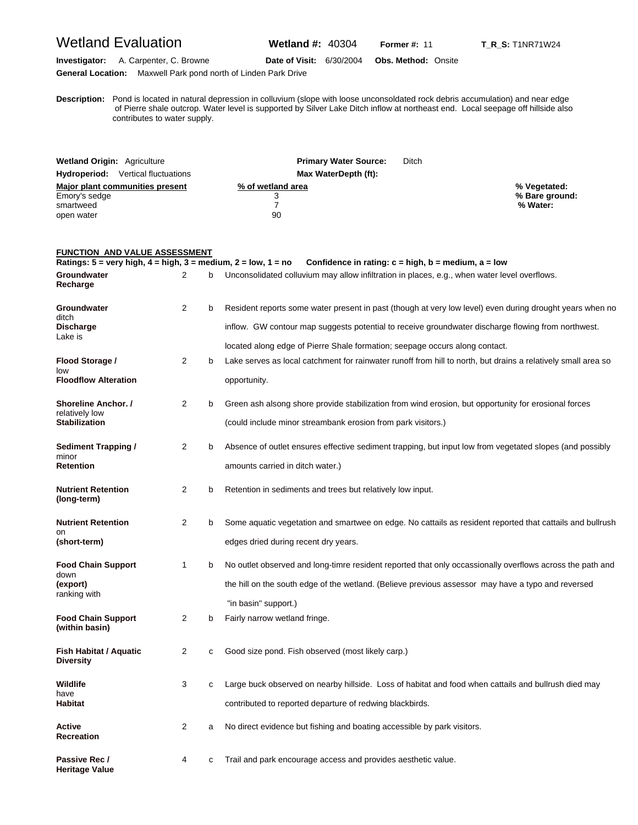### Wetland Evaluation **Wetland #:** 40304 **Former #:** <sup>11</sup> **T\_R\_S:** T1NR71W24

**Investigator:** A. Carpenter, C. Browne **Date of Visit:** 6/30/2004 **Obs. Method:** Onsite **General Location:** Maxwell Park pond north of Linden Park Drive

**D escription:** Pond is located in natural depression in colluvium (slope with loose unconsoldated rock debris accumulation) and near edge of Pierre shale outcrop. Water level is supported by Silver Lake Ditch inflow at northeast end. Local seepage off hillside also contributes to water supply.

| <b>Wetland Origin: Agriculture</b>        | <b>Primary Water Source:</b> | Ditch          |
|-------------------------------------------|------------------------------|----------------|
| <b>Hydroperiod:</b> Vertical fluctuations | Max WaterDepth (ft):         |                |
| Major plant communities present           | % of wetland area            | % Vegetated:   |
| Emory's sedge                             |                              | % Bare ground: |
| smartweed                                 |                              | % Water:       |
| open water                                | 90                           |                |

#### **FUNCTION AND VALUE ASSESSMENT**

|                                              | Confidence in rating: $c = high$ , $b = medium$ , $a = low$<br>Ratings: 5 = very high, 4 = high, 3 = medium, 2 = low, 1 = no |   |                                                                                                               |  |  |
|----------------------------------------------|------------------------------------------------------------------------------------------------------------------------------|---|---------------------------------------------------------------------------------------------------------------|--|--|
| Groundwater<br>Recharge                      | 2                                                                                                                            | b | Unconsolidated colluvium may allow infiltration in places, e.g., when water level overflows.                  |  |  |
| Groundwater<br>ditch                         | 2                                                                                                                            | b | Resident reports some water present in past (though at very low level) even during drought years when no      |  |  |
| <b>Discharge</b><br>Lake is                  |                                                                                                                              |   | inflow. GW contour map suggests potential to receive groundwater discharge flowing from northwest.            |  |  |
|                                              |                                                                                                                              |   | located along edge of Pierre Shale formation; seepage occurs along contact.                                   |  |  |
| Flood Storage /<br>low                       | $\overline{2}$                                                                                                               | b | Lake serves as local catchment for rainwater runoff from hill to north, but drains a relatively small area so |  |  |
| <b>Floodflow Alteration</b>                  |                                                                                                                              |   | opportunity.                                                                                                  |  |  |
| <b>Shoreline Anchor. /</b><br>relatively low | 2                                                                                                                            | b | Green ash alsong shore provide stabilization from wind erosion, but opportunity for erosional forces          |  |  |
| <b>Stabilization</b>                         |                                                                                                                              |   | (could include minor streambank erosion from park visitors.)                                                  |  |  |
| Sediment Trapping /<br>minor                 | 2                                                                                                                            | b | Absence of outlet ensures effective sediment trapping, but input low from vegetated slopes (and possibly      |  |  |
| Retention                                    |                                                                                                                              |   | amounts carried in ditch water.)                                                                              |  |  |
| <b>Nutrient Retention</b><br>(long-term)     | 2                                                                                                                            | b | Retention in sediments and trees but relatively low input.                                                    |  |  |
| <b>Nutrient Retention</b><br>on              | 2                                                                                                                            | b | Some aquatic vegetation and smartwee on edge. No cattails as resident reported that cattails and bullrush     |  |  |
| (short-term)                                 |                                                                                                                              |   | edges dried during recent dry years.                                                                          |  |  |
| <b>Food Chain Support</b><br>down            | 1                                                                                                                            | b | No outlet observed and long-timre resident reported that only occassionally overflows across the path and     |  |  |
| (export)<br>ranking with                     |                                                                                                                              |   | the hill on the south edge of the wetland. (Believe previous assessor may have a typo and reversed            |  |  |
|                                              |                                                                                                                              |   | "in basin" support.)                                                                                          |  |  |
| <b>Food Chain Support</b><br>(within basin)  | 2                                                                                                                            | b | Fairly narrow wetland fringe.                                                                                 |  |  |
| Fish Habitat / Aquatic<br><b>Diversity</b>   | 2                                                                                                                            | с | Good size pond. Fish observed (most likely carp.)                                                             |  |  |
| Wildlife<br>have                             | 3                                                                                                                            | С | Large buck observed on nearby hillside. Loss of habitat and food when cattails and bullrush died may          |  |  |
| Habitat                                      |                                                                                                                              |   | contributed to reported departure of redwing blackbirds.                                                      |  |  |
| Active<br>Recreation                         | 2                                                                                                                            | a | No direct evidence but fishing and boating accessible by park visitors.                                       |  |  |
| Passive Rec /<br><b>Heritage Value</b>       | 4                                                                                                                            | С | Trail and park encourage access and provides aesthetic value.                                                 |  |  |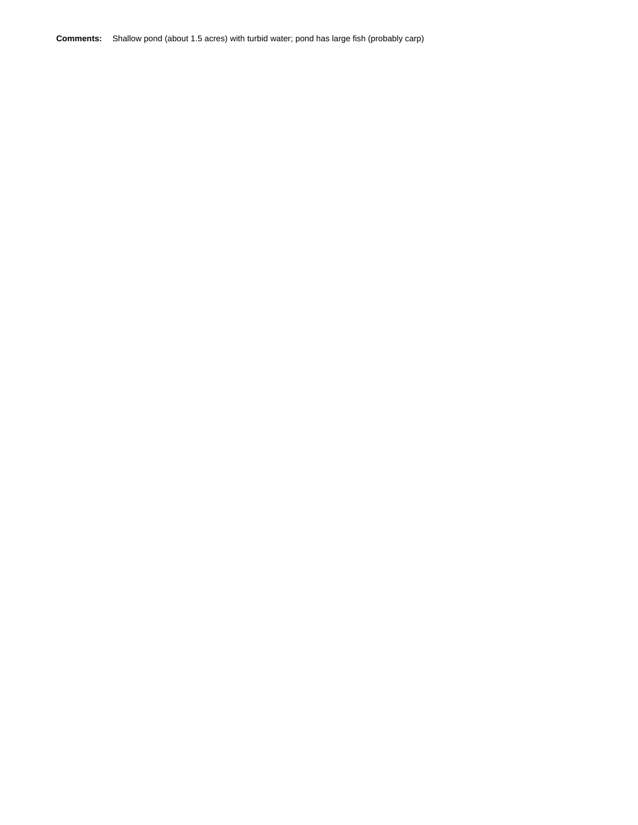**Comments:** Shallow pond (about 1.5 acres) with turbid water; pond has large fish (probably carp)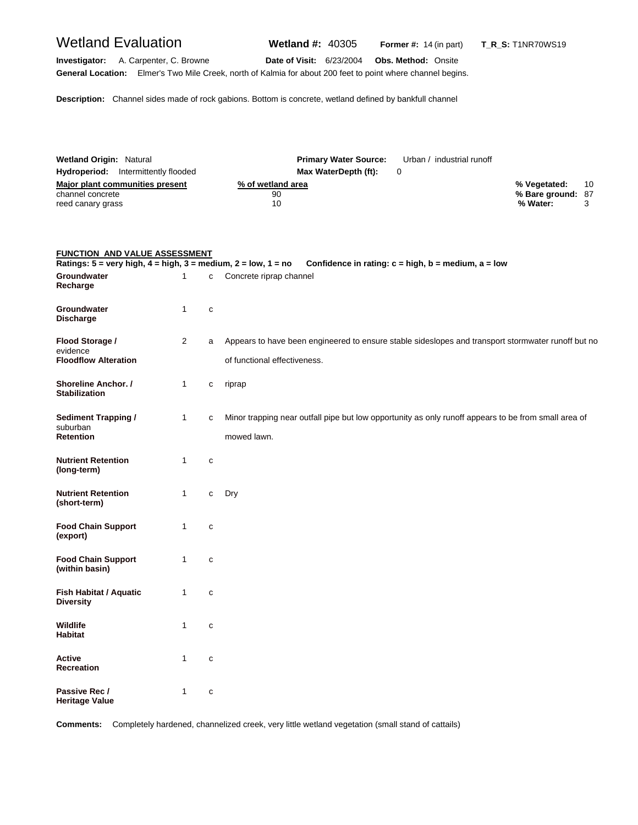## Wetland Evaluation **Wetland #:** 40305 **Former #:** <sup>14</sup> (in part) **T\_R\_S:** T1NR70WS19

**Investigator:** A. Carpenter, C. Browne **Date of Visit:** 6/23/2004 **Obs. Method:** Onsite **General Location:** Elmer's Two Mile Creek, north of Kalmia for about 200 feet to point where channel begins.

**Description:** Channel sides made of rock gabions. Bottom is concrete, wetland defined by bankfull channel

| <b>Wetland Origin: Natural</b>             | <b>Primary Water Source:</b> | Urban / industrial runoff |                   |    |
|--------------------------------------------|------------------------------|---------------------------|-------------------|----|
| <b>Hydroperiod:</b> Intermittently flooded | Max WaterDepth (ft):         |                           |                   |    |
| Major plant communities present            | % of wetland area            |                           | % Vegetated:      | 10 |
| channel concrete                           | 90                           |                           | % Bare ground: 87 |    |
| reed canary grass                          | 10                           |                           | % Water:          |    |

| <b>FUNCTION AND VALUE ASSESSMENT</b>                                                               |                |              |                                                                                                                                    |
|----------------------------------------------------------------------------------------------------|----------------|--------------|------------------------------------------------------------------------------------------------------------------------------------|
| Ratings: $5 = \text{very high}, 4 = \text{high}, 3 = \text{medium}, 2 = \text{low}, 1 = \text{no}$ |                |              | Confidence in rating: $c = high$ , $b = medium$ , $a = low$                                                                        |
| Groundwater<br>Recharge                                                                            | 1              | C            | Concrete riprap channel                                                                                                            |
| Groundwater<br><b>Discharge</b>                                                                    | $\mathbf{1}$   | $\mathbf{C}$ |                                                                                                                                    |
| Flood Storage /<br>evidence<br><b>Floodflow Alteration</b>                                         | $\overline{2}$ | a            | Appears to have been engineered to ensure stable sideslopes and transport stormwater runoff but no<br>of functional effectiveness. |
| <b>Shoreline Anchor.</b> /<br><b>Stabilization</b>                                                 | $\mathbf{1}$   | C            | riprap                                                                                                                             |
| <b>Sediment Trapping /</b><br>suburban<br><b>Retention</b>                                         | $\mathbf{1}$   | C            | Minor trapping near outfall pipe but low opportunity as only runoff appears to be from small area of<br>mowed lawn.                |
| <b>Nutrient Retention</b><br>(long-term)                                                           | $\mathbf{1}$   | $\mathbf{C}$ |                                                                                                                                    |
| <b>Nutrient Retention</b><br>(short-term)                                                          | 1              | c            | Dry                                                                                                                                |
| <b>Food Chain Support</b><br>(export)                                                              | 1              | $\mathbf{C}$ |                                                                                                                                    |
| <b>Food Chain Support</b><br>(within basin)                                                        | $\mathbf{1}$   | C            |                                                                                                                                    |
| Fish Habitat / Aquatic<br><b>Diversity</b>                                                         | 1              | $\mathbf{C}$ |                                                                                                                                    |
| Wildlife<br><b>Habitat</b>                                                                         | 1              | C            |                                                                                                                                    |
| <b>Active</b><br><b>Recreation</b>                                                                 | $\mathbf{1}$   | $\mathbf{C}$ |                                                                                                                                    |
| Passive Rec /<br><b>Heritage Value</b>                                                             | $\mathbf{1}$   | $\mathbf{C}$ |                                                                                                                                    |

**Comments:** Completely hardened, channelized creek, very little wetland vegetation (small stand of cattails)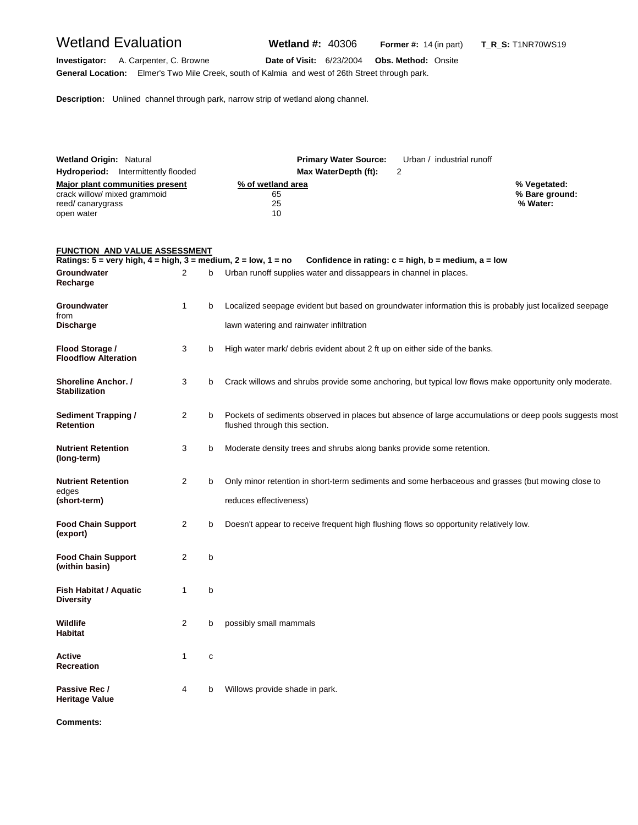## Wetland Evaluation **Wetland #:** 40306 **Former #:** <sup>14</sup> (in part) **T\_R\_S:** T1NR70WS19

**Investigator:** A. Carpenter, C. Browne **Date of Visit:** 6/23/2004 **Obs. Method:** Onsite **General Location:** Elmer's Two Mile Creek, south of Kalmia and west of 26th Street through park.

**Description:** Unlined channel through park, narrow strip of wetland along channel.

| <b>Wetland Origin: Natural</b>             |                      | <b>Primary Water Source:</b> Urban / industrial runoff |                |
|--------------------------------------------|----------------------|--------------------------------------------------------|----------------|
| <b>Hydroperiod:</b> Intermittently flooded | Max WaterDepth (ft): |                                                        |                |
| Major plant communities present            | % of wetland area    |                                                        | % Vegetated:   |
| crack willow/ mixed grammoid               | 65                   |                                                        | % Bare ground: |
| reed/canarygrass                           | 25                   |                                                        | % Water:       |
| open water                                 | 10                   |                                                        |                |

#### **FUNCTION AND VALUE ASSESSMENT**

| Ratings: $5 = \text{very high}, 4 = \text{high}, 3 = \text{medium}, 2 = \text{low}, 1 = \text{no}$ |                |   | Confidence in rating: $c = high$ , $b = medium$ , $a = low$                                                                             |
|----------------------------------------------------------------------------------------------------|----------------|---|-----------------------------------------------------------------------------------------------------------------------------------------|
| Groundwater<br>Recharge                                                                            | $\overline{2}$ | b | Urban runoff supplies water and dissappears in channel in places.                                                                       |
| Groundwater<br>from                                                                                | $\mathbf{1}$   | b | Localized seepage evident but based on groundwater information this is probably just localized seepage                                  |
| <b>Discharge</b>                                                                                   |                |   | lawn watering and rainwater infiltration                                                                                                |
| Flood Storage /<br><b>Floodflow Alteration</b>                                                     | 3              | b | High water mark/ debris evident about 2 ft up on either side of the banks.                                                              |
| Shoreline Anchor. /<br><b>Stabilization</b>                                                        | 3              | b | Crack willows and shrubs provide some anchoring, but typical low flows make opportunity only moderate.                                  |
| <b>Sediment Trapping /</b><br><b>Retention</b>                                                     | $\overline{2}$ | b | Pockets of sediments observed in places but absence of large accumulations or deep pools suggests most<br>flushed through this section. |
| <b>Nutrient Retention</b><br>(long-term)                                                           | 3              | b | Moderate density trees and shrubs along banks provide some retention.                                                                   |
| <b>Nutrient Retention</b>                                                                          | $\overline{2}$ | b | Only minor retention in short-term sediments and some herbaceous and grasses (but mowing close to                                       |
| edges<br>(short-term)                                                                              |                |   | reduces effectiveness)                                                                                                                  |
| <b>Food Chain Support</b><br>(export)                                                              | $\overline{2}$ | b | Doesn't appear to receive frequent high flushing flows so opportunity relatively low.                                                   |
| <b>Food Chain Support</b><br>(within basin)                                                        | 2              | b |                                                                                                                                         |
| <b>Fish Habitat / Aquatic</b><br><b>Diversity</b>                                                  | 1              | b |                                                                                                                                         |
| Wildlife<br>Habitat                                                                                | $\overline{2}$ | b | possibly small mammals                                                                                                                  |
| <b>Active</b><br><b>Recreation</b>                                                                 | 1              | C |                                                                                                                                         |
| Passive Rec /<br><b>Heritage Value</b>                                                             | 4              | b | Willows provide shade in park.                                                                                                          |

**Comments:**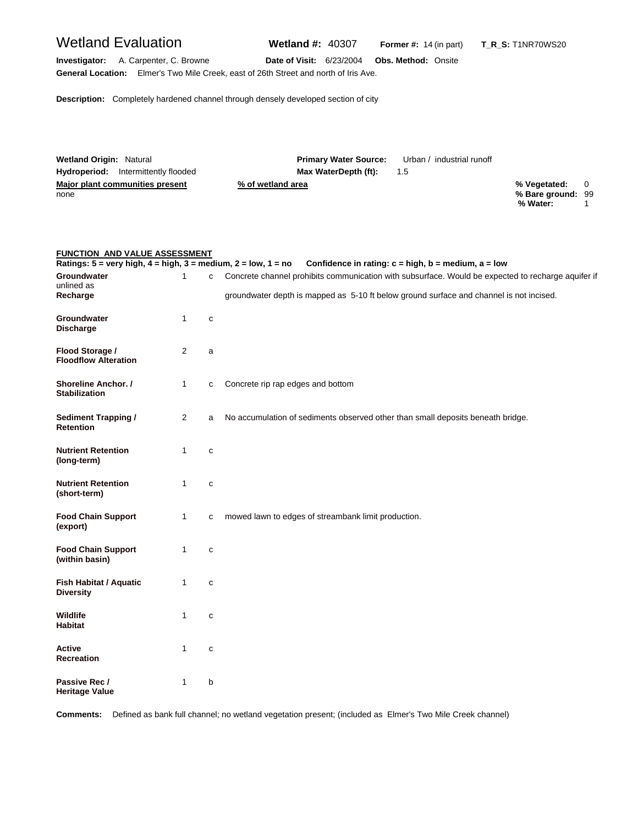# Wetland Evaluation **Wetland #:** 40307 **Former #:** <sup>14</sup> (in part) **T\_R\_S:** T1NR70WS20 **Investigator:** A. Carpenter, C. Browne **Date of Visit:** 6/23/2004 **Obs. Method:** Onsite **General Location:** Elmer's Two Mile Creek, east of 26th Street and north of Iris Ave. **Description:** Completely hardened channel through densely developed section of city

| <b>Wetland Origin: Natural</b>             | <b>Primary Water Source:</b> | Urban / industrial runoff |                   |  |
|--------------------------------------------|------------------------------|---------------------------|-------------------|--|
| <b>Hydroperiod:</b> Intermittently flooded | Max WaterDepth (ft):         | $1.5^{\circ}$             |                   |  |
| Major plant communities present            | % of wetland area            |                           | % Vegetated: 0    |  |
| none                                       |                              |                           | % Bare ground: 99 |  |
|                                            |                              |                           | % Water:          |  |

#### **FUNCTION AND VALUE ASSESSMENT**

|                                                |              |              | Ratings: 5 = very high, 4 = high, 3 = medium, 2 = low, 1 = no Confidence in rating: c = high, b = medium, a = low |
|------------------------------------------------|--------------|--------------|-------------------------------------------------------------------------------------------------------------------|
| Groundwater<br>unlined as                      | $\mathbf{1}$ | C            | Concrete channel prohibits communication with subsurface. Would be expected to recharge aquifer if                |
| Recharge                                       |              |              | groundwater depth is mapped as 5-10 ft below ground surface and channel is not incised.                           |
| Groundwater<br><b>Discharge</b>                | $\mathbf{1}$ | C            |                                                                                                                   |
| Flood Storage /<br><b>Floodflow Alteration</b> | 2            | a            |                                                                                                                   |
| Shoreline Anchor. /<br><b>Stabilization</b>    | $\mathbf{1}$ | c            | Concrete rip rap edges and bottom                                                                                 |
| <b>Sediment Trapping /</b><br><b>Retention</b> | 2            | a            | No accumulation of sediments observed other than small deposits beneath bridge.                                   |
| <b>Nutrient Retention</b><br>(long-term)       | $\mathbf{1}$ | $\mathbf{C}$ |                                                                                                                   |
| <b>Nutrient Retention</b><br>(short-term)      | $\mathbf{1}$ | $\mathbf{C}$ |                                                                                                                   |
| <b>Food Chain Support</b><br>(export)          | $\mathbf{1}$ | C            | mowed lawn to edges of streambank limit production.                                                               |
| <b>Food Chain Support</b><br>(within basin)    | 1            | C            |                                                                                                                   |
| Fish Habitat / Aquatic<br><b>Diversity</b>     | $\mathbf{1}$ | c            |                                                                                                                   |
| Wildlife<br><b>Habitat</b>                     | 1            | C            |                                                                                                                   |
| Active<br>Recreation                           | $\mathbf{1}$ | $\mathbf{C}$ |                                                                                                                   |
| Passive Rec /<br><b>Heritage Value</b>         | 1            | b            |                                                                                                                   |

**Comments:** Defined as bank full channel; no wetland vegetation present; (included as Elmer's Two Mile Creek channel)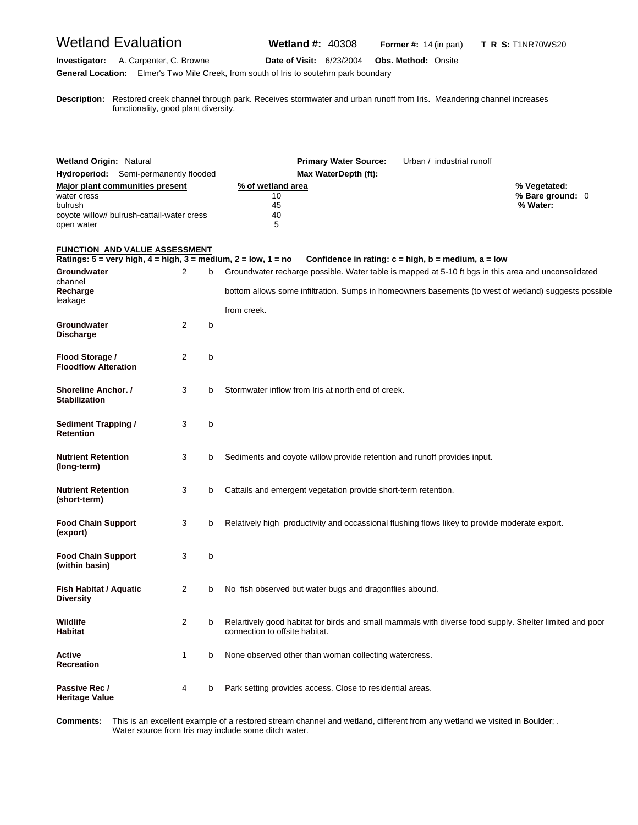## Wetland Evaluation **Wetland #:** 40308 **Former #:** <sup>14</sup> (in part) **T\_R\_S:** T1NR70WS20

#### **Investigator:** A. Carpenter, C. Browne **Date of Visit:** 6/23/2004 **Obs. Method:** Onsite **General Location:** Elmer's Two Mile Creek, from south of Iris to soutehrn park boundary

**D escription:** Restored creek channel through park. Receives stormwater and urban runoff from Iris. Meandering channel increases functionality, good plant diversity.

| <b>Wetland Origin: Natural</b><br>Hydroperiod: Semi-permanently flooded<br>Major plant communities present<br>water cress<br>bulrush<br>coyote willow/ bulrush-cattail-water cress<br>open water |   |   | <b>Primary Water Source:</b><br>Urban / industrial runoff<br>Max WaterDepth (ft):<br>% of wetland area<br>10<br>45<br>40<br>5                                                                                               | % Vegetated:<br>% Bare ground: 0<br>% Water: |
|--------------------------------------------------------------------------------------------------------------------------------------------------------------------------------------------------|---|---|-----------------------------------------------------------------------------------------------------------------------------------------------------------------------------------------------------------------------------|----------------------------------------------|
| <b>FUNCTION AND VALUE ASSESSMENT</b><br>Ratings: $5 = \text{very high}, 4 = \text{high}, 3 = \text{medium}, 2 = \text{low}, 1 = \text{no}$                                                       |   |   | Confidence in rating: $c = high$ , $b = medium$ , $a = low$                                                                                                                                                                 |                                              |
| Groundwater<br>channel<br>Recharge<br>leakage                                                                                                                                                    | 2 | b | Groundwater recharge possible. Water table is mapped at 5-10 ft bgs in this area and unconsolidated<br>bottom allows some infiltration. Sumps in homeowners basements (to west of wetland) suggests possible<br>from creek. |                                              |
| Groundwater<br><b>Discharge</b>                                                                                                                                                                  | 2 | b |                                                                                                                                                                                                                             |                                              |
| Flood Storage /<br><b>Floodflow Alteration</b>                                                                                                                                                   | 2 | b |                                                                                                                                                                                                                             |                                              |
| <b>Shoreline Anchor. /</b><br><b>Stabilization</b>                                                                                                                                               | 3 | b | Stormwater inflow from Iris at north end of creek.                                                                                                                                                                          |                                              |
| <b>Sediment Trapping /</b><br><b>Retention</b>                                                                                                                                                   | 3 | b |                                                                                                                                                                                                                             |                                              |
| <b>Nutrient Retention</b><br>(long-term)                                                                                                                                                         | 3 | b | Sediments and coyote willow provide retention and runoff provides input.                                                                                                                                                    |                                              |
| <b>Nutrient Retention</b><br>(short-term)                                                                                                                                                        | 3 | b | Cattails and emergent vegetation provide short-term retention.                                                                                                                                                              |                                              |
| <b>Food Chain Support</b><br>(export)                                                                                                                                                            | 3 | b | Relatively high productivity and occassional flushing flows likey to provide moderate export.                                                                                                                               |                                              |
| <b>Food Chain Support</b><br>(within basin)                                                                                                                                                      | 3 | b |                                                                                                                                                                                                                             |                                              |
| <b>Fish Habitat / Aquatic</b><br><b>Diversity</b>                                                                                                                                                | 2 | b | No fish observed but water bugs and dragonflies abound.                                                                                                                                                                     |                                              |
| Wildlife<br><b>Habitat</b>                                                                                                                                                                       | 2 | b | Relartively good habitat for birds and small mammals with diverse food supply. Shelter limited and poor<br>connection to offsite habitat.                                                                                   |                                              |
| Active<br><b>Recreation</b>                                                                                                                                                                      | 1 | b | None observed other than woman collecting watercress.                                                                                                                                                                       |                                              |
| Passive Rec /<br>Heritage Value                                                                                                                                                                  | 4 | b | Park setting provides access. Close to residential areas.                                                                                                                                                                   |                                              |

Comments: Water source from Iris may include some ditch water. This is an excellent example of a restored stream channel and wetland, different from any wetland we visited in Boulder; .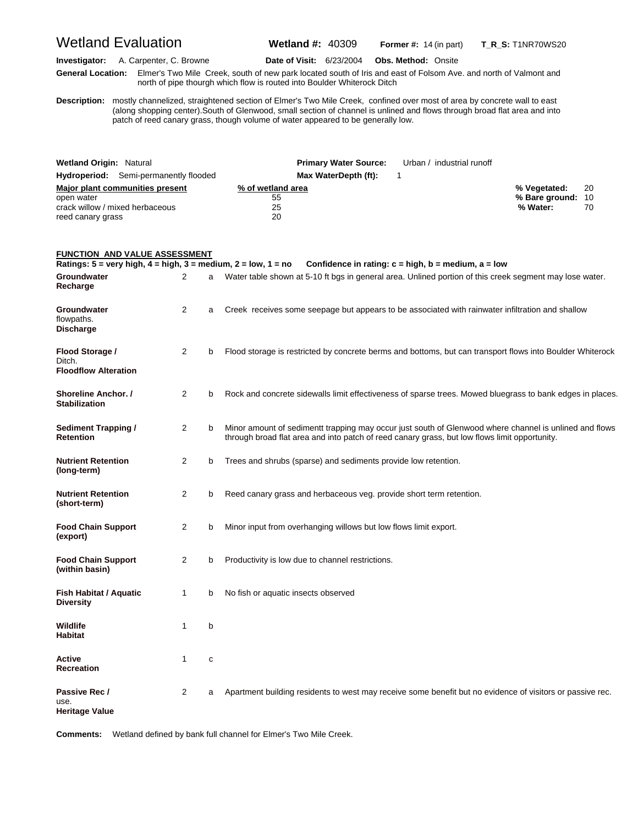Wetland Evaluation **Wetland #:** 40309 **Former #:** <sup>14</sup> (in part) **T\_R\_S:** T1NR70WS20

**Investigator:** A. Carpenter, C. Browne **Date of Visit:** 6/23/2004 **Obs. Method:** Onsite **G eneral Location:** Elmer's Two Mile Creek, south of new park located south of Iris and east of Folsom Ave. and north of Valmont and north of pipe thourgh which flow is routed into Boulder Whiterock Ditch

**D escription:** mostly channelized, straightened section of Elmer's Two Mile Creek, confined over most of area by concrete wall to east (along shopping center).South of Glenwood, small section of channel is unlined and flows through broad flat area and into patch of reed canary grass, though volume of water appeared to be generally low.

| <b>Wetland Origin: Natural</b>               |                      | <b>Primary Water Source:</b> Urban / industrial runoff |                   |    |
|----------------------------------------------|----------------------|--------------------------------------------------------|-------------------|----|
| <b>Hydroperiod:</b> Semi-permanently flooded | Max WaterDepth (ft): |                                                        |                   |    |
| Major plant communities present              | % of wetland area    |                                                        | % Vegetated:      | 20 |
| open water                                   | 55                   |                                                        | % Bare ground: 10 |    |
| crack willow / mixed herbaceous              | 25                   |                                                        | % Water:          | 70 |
| reed canary grass                            | 20                   |                                                        |                   |    |

#### **FUNCTION AND VALUE ASSESSMENT**

| Ratings: $5 = \text{very high}, 4 = \text{high}, 3 = \text{medium}, 2 = \text{low}, 1 = \text{no}$ |                |             | Confidence in rating: $c = high$ , $b = medium$ , $a = low$                                                                                                                                             |
|----------------------------------------------------------------------------------------------------|----------------|-------------|---------------------------------------------------------------------------------------------------------------------------------------------------------------------------------------------------------|
| Groundwater<br>Recharge                                                                            | 2              |             | Water table shown at 5-10 ft bgs in general area. Unlined portion of this creek segment may lose water.                                                                                                 |
| Groundwater<br>flowpaths.<br><b>Discharge</b>                                                      | 2              | a           | Creek receives some seepage but appears to be associated with rainwater infiltration and shallow                                                                                                        |
| Flood Storage /<br>Ditch.<br><b>Floodflow Alteration</b>                                           | 2              | b           | Flood storage is restricted by concrete berms and bottoms, but can transport flows into Boulder Whiterock                                                                                               |
| <b>Shoreline Anchor. /</b><br><b>Stabilization</b>                                                 | $\overline{2}$ | b           | Rock and concrete sidewalls limit effectiveness of sparse trees. Mowed bluegrass to bank edges in places.                                                                                               |
| <b>Sediment Trapping /</b><br><b>Retention</b>                                                     | 2              | b           | Minor amount of sedimentt trapping may occur just south of Glenwood where channel is unlined and flows<br>through broad flat area and into patch of reed canary grass, but low flows limit opportunity. |
| <b>Nutrient Retention</b><br>(long-term)                                                           | $\overline{2}$ | b           | Trees and shrubs (sparse) and sediments provide low retention.                                                                                                                                          |
| <b>Nutrient Retention</b><br>(short-term)                                                          | 2              | b           | Reed canary grass and herbaceous veg. provide short term retention.                                                                                                                                     |
| <b>Food Chain Support</b><br>(export)                                                              | $\overline{2}$ | b           | Minor input from overhanging willows but low flows limit export.                                                                                                                                        |
| <b>Food Chain Support</b><br>(within basin)                                                        | 2              | b           | Productivity is low due to channel restrictions.                                                                                                                                                        |
| <b>Fish Habitat / Aquatic</b><br><b>Diversity</b>                                                  | 1              | b           | No fish or aquatic insects observed                                                                                                                                                                     |
| Wildlife<br><b>Habitat</b>                                                                         | 1              | b           |                                                                                                                                                                                                         |
| Active<br>Recreation                                                                               | 1              | $\mathbf c$ |                                                                                                                                                                                                         |
| Passive Rec /<br>use.<br>Heritage Value                                                            | $\overline{2}$ | a           | Apartment building residents to west may receive some benefit but no evidence of visitors or passive rec.                                                                                               |

**Comments:** Wetland defined by bank full channel for Elmer's Two Mile Creek.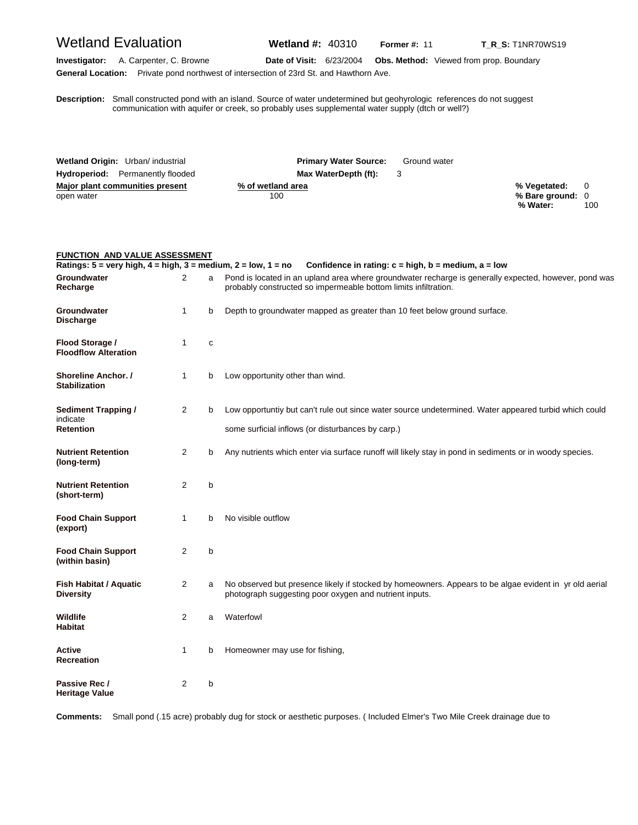## Wetland Evaluation **Wetland #:** 40310 **Former #: 11 T\_R\_S:** T1NR70WS19

**Investigator:** A. Carpenter, C. Browne **Date of Visit:** 6/23/2004 **Obs. Method:** Viewed from prop. Boundary **General Location:** Private pond northwest of intersection of 23rd St. and Hawthorn Ave.

**D escription:** Small constructed pond with an island. Source of water undetermined but geohyrologic references do not suggest communication with aquifer or creek, so probably uses supplemental water supply (dtch or well?)

| Wetland Origin: Urban/ industrial       | <b>Primary Water Source:</b> | Ground water |                  |     |
|-----------------------------------------|------------------------------|--------------|------------------|-----|
| <b>Hydroperiod:</b> Permanently flooded | Max WaterDepth (ft):         |              |                  |     |
| Major plant communities present         | % of wetland area            |              | % Vegetated: 0   |     |
| open water                              | 100                          |              | % Bare ground: 0 |     |
|                                         |                              |              | % Water:         | 100 |

#### **FUNCTION AND VALUE ASSESSMENT**

| Ratings: 5 = very high, 4 = high, 3 = medium, 2 = low, 1 = no |                |   | Confidence in rating: $c = high$ , $b = medium$ , $a = low$                                                                                                              |
|---------------------------------------------------------------|----------------|---|--------------------------------------------------------------------------------------------------------------------------------------------------------------------------|
| Groundwater<br>Recharge                                       | 2              | a | Pond is located in an upland area where groundwater recharge is generally expected, however, pond was<br>probably constructed so impermeable bottom limits infiltration. |
| Groundwater<br><b>Discharge</b>                               | 1              | b | Depth to groundwater mapped as greater than 10 feet below ground surface.                                                                                                |
| Flood Storage /<br><b>Floodflow Alteration</b>                | 1              | с |                                                                                                                                                                          |
| Shoreline Anchor. /<br><b>Stabilization</b>                   | $\mathbf{1}$   | b | Low opportunity other than wind.                                                                                                                                         |
| <b>Sediment Trapping /</b>                                    | $\overline{2}$ | b | Low opportuntiy but can't rule out since water source undetermined. Water appeared turbid which could                                                                    |
| indicate<br>Retention                                         |                |   | some surficial inflows (or disturbances by carp.)                                                                                                                        |
| <b>Nutrient Retention</b><br>(long-term)                      | $\overline{2}$ | b | Any nutrients which enter via surface runoff will likely stay in pond in sediments or in woody species.                                                                  |
| <b>Nutrient Retention</b><br>(short-term)                     | 2              | b |                                                                                                                                                                          |
| <b>Food Chain Support</b><br>(export)                         | 1              | b | No visible outflow                                                                                                                                                       |
| <b>Food Chain Support</b><br>(within basin)                   | $\overline{2}$ | b |                                                                                                                                                                          |
| <b>Fish Habitat / Aquatic</b><br><b>Diversity</b>             | $\overline{2}$ | a | No observed but presence likely if stocked by homeowners. Appears to be algae evident in yr old aerial<br>photograph suggesting poor oxygen and nutrient inputs.         |
| Wildlife<br>Habitat                                           | 2              | a | Waterfowl                                                                                                                                                                |
| Active<br><b>Recreation</b>                                   | 1              | b | Homeowner may use for fishing,                                                                                                                                           |
| Passive Rec /<br><b>Heritage Value</b>                        | 2              | b |                                                                                                                                                                          |

**Comments:** Small pond (.15 acre) probably dug for stock or aesthetic purposes. ( Included Elmer's Two Mile Creek drainage due to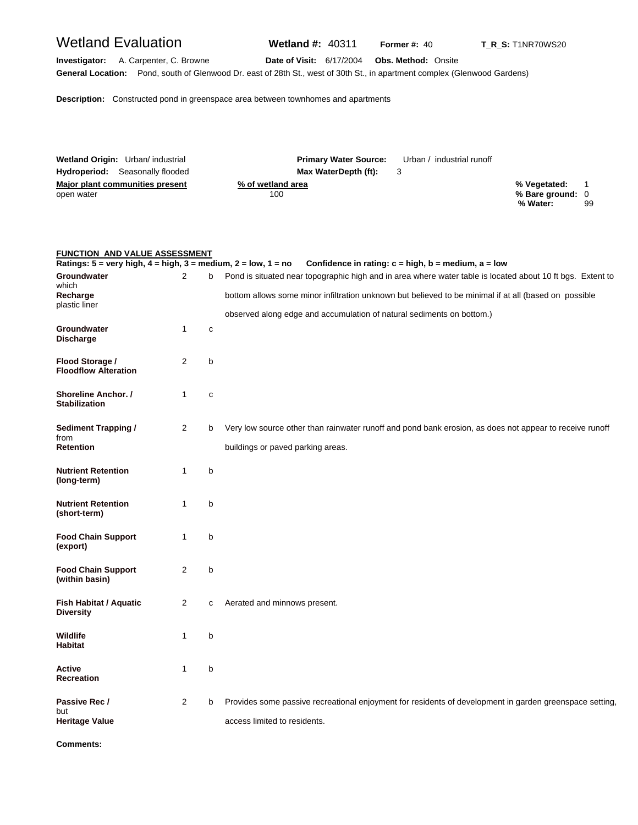## Wetland Evaluation **Wetland #:** 40311 **Former #: 40 T\_R\_S:** T1NR70WS20

**Investigator:** A. Carpenter, C. Browne **Date of Visit:** 6/17/2004 **Obs. Method:** Onsite **General Location:** Pond, south of Glenwood Dr. east of 28th St., west of 30th St., in apartment complex (Glenwood Gardens)

**Description:** Constructed pond in greenspace area between townhomes and apartments

| Wetland Origin: Urban/ industrial      | <b>Primary Water Source:</b> | Urban / industrial runoff |                              |    |
|----------------------------------------|------------------------------|---------------------------|------------------------------|----|
| <b>Hydroperiod:</b> Seasonally flooded | Max WaterDepth (ft):         |                           |                              |    |
| Major plant communities present        | % of wetland area            |                           | % Vegetated:                 |    |
| open water                             | 100                          |                           | % Bare ground: 0<br>% Water: | 99 |
|                                        |                              |                           |                              |    |

#### **FUNCTION AND VALUE ASSESSMENT**

| Ratings: $5 = \text{very high}, 4 = \text{high}, 3 = \text{medium}, 2 = \text{low}, 1 = \text{no}$ |                |              | Confidence in rating: $c = high$ , $b = medium$ , $a = low$                                                |
|----------------------------------------------------------------------------------------------------|----------------|--------------|------------------------------------------------------------------------------------------------------------|
| Groundwater<br>which                                                                               | $\mathcal{P}$  | b            | Pond is situated near topographic high and in area where water table is located about 10 ft bgs. Extent to |
| Recharge<br>plastic liner                                                                          |                |              | bottom allows some minor infiltration unknown but believed to be minimal if at all (based on possible      |
|                                                                                                    |                |              | observed along edge and accumulation of natural sediments on bottom.)                                      |
| Groundwater<br><b>Discharge</b>                                                                    | 1              | $\mathbf{C}$ |                                                                                                            |
| Flood Storage /<br><b>Floodflow Alteration</b>                                                     | 2              | b            |                                                                                                            |
| Shoreline Anchor. /<br><b>Stabilization</b>                                                        | 1              | $\mathbf{C}$ |                                                                                                            |
| <b>Sediment Trapping /</b><br>from                                                                 | $\overline{2}$ | b            | Very low source other than rainwater runoff and pond bank erosion, as does not appear to receive runoff    |
| <b>Retention</b>                                                                                   |                |              | buildings or paved parking areas.                                                                          |
| <b>Nutrient Retention</b><br>(long-term)                                                           | 1              | b            |                                                                                                            |
| <b>Nutrient Retention</b><br>(short-term)                                                          | $\mathbf{1}$   | b            |                                                                                                            |
| <b>Food Chain Support</b><br>(export)                                                              | 1              | b            |                                                                                                            |
| <b>Food Chain Support</b><br>(within basin)                                                        | $\overline{2}$ | b            |                                                                                                            |
| Fish Habitat / Aquatic<br><b>Diversity</b>                                                         | 2              | C            | Aerated and minnows present.                                                                               |
| Wildlife<br><b>Habitat</b>                                                                         | 1              | b            |                                                                                                            |
| Active<br><b>Recreation</b>                                                                        | 1              | b            |                                                                                                            |
| Passive Rec /<br>but                                                                               | $\overline{2}$ | b            | Provides some passive recreational enjoyment for residents of development in garden greenspace setting,    |
| <b>Heritage Value</b>                                                                              |                |              | access limited to residents.                                                                               |

**Comments:**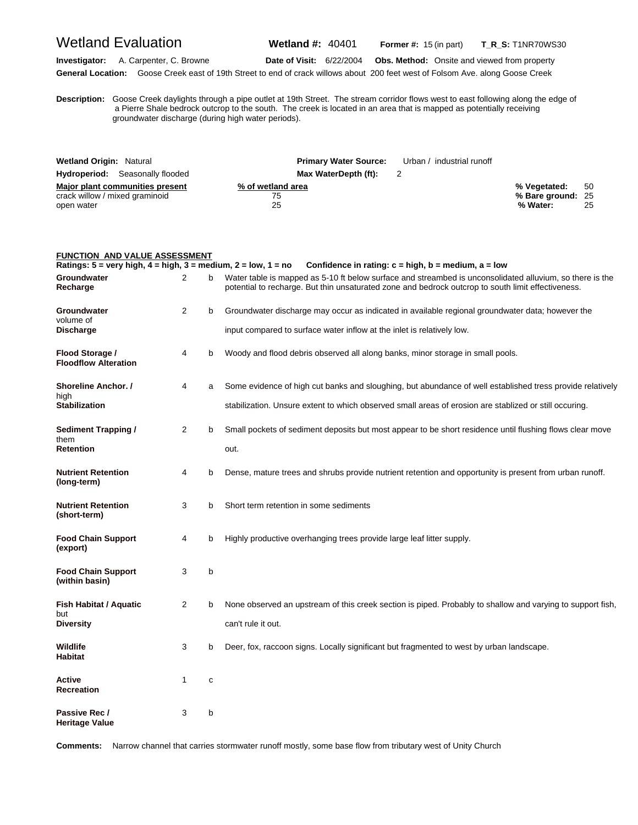Wetland Evaluation **Wetland #:** 40401 **Former #:** <sup>15</sup> (in part) **T\_R\_S:** T1NR70WS30

**Investigator:** A. Carpenter, C. Browne **Date of Visit:** 6/22/2004 **Obs. Method:** Onsite and viewed from property **General Location:** Goose Creek east of 19th Street to end of crack willows about 200 feet west of Folsom Ave. along Goose Creek

**D escription:** Goose Creek daylights through a pipe outlet at 19th Street. The stream corridor flows west to east following along the edge of a Pierre Shale bedrock outcrop to the south. The creek is located in an area that is mapped as potentially receiving groundwater discharge (during high water periods).

| <b>Wetland Origin: Natural</b>                                                  |                               | <b>Primary Water Source:</b> Urban / industrial runoff |                                               |           |
|---------------------------------------------------------------------------------|-------------------------------|--------------------------------------------------------|-----------------------------------------------|-----------|
| <b>Hydroperiod:</b> Seasonally flooded                                          | Max WaterDepth (ft):          |                                                        |                                               |           |
| Major plant communities present<br>crack willow / mixed graminoid<br>open water | % of wetland area<br>75<br>25 |                                                        | % Vegetated:<br>% Bare ground: 25<br>% Water: | -50<br>25 |

| <b>FUNCTION AND VALUE ASSESSMENT</b>                                                               |                |   |                                                                                                                                                                                                                |
|----------------------------------------------------------------------------------------------------|----------------|---|----------------------------------------------------------------------------------------------------------------------------------------------------------------------------------------------------------------|
| Ratings: $5 = \text{very high}, 4 = \text{high}, 3 = \text{medium}, 2 = \text{low}, 1 = \text{no}$ |                |   | Confidence in rating: $c = high$ , $b = medium$ , $a = low$                                                                                                                                                    |
| Groundwater<br>Recharge                                                                            | $\overline{2}$ | b | Water table is mapped as 5-10 ft below surface and streambed is unconsolidated alluvium, so there is the<br>potential to recharge. But thin unsaturated zone and bedrock outcrop to south limit effectiveness. |
| Groundwater<br>volume of                                                                           | 2              | b | Groundwater discharge may occur as indicated in available regional groundwater data; however the                                                                                                               |
| <b>Discharge</b>                                                                                   |                |   | input compared to surface water inflow at the inlet is relatively low.                                                                                                                                         |
| Flood Storage /<br><b>Floodflow Alteration</b>                                                     | 4              | b | Woody and flood debris observed all along banks, minor storage in small pools.                                                                                                                                 |
| <b>Shoreline Anchor.</b> /<br>high                                                                 | 4              | a | Some evidence of high cut banks and sloughing, but abundance of well established tress provide relatively                                                                                                      |
| <b>Stabilization</b>                                                                               |                |   | stabilization. Unsure extent to which observed small areas of erosion are stablized or still occuring.                                                                                                         |
| Sediment Trapping /<br>them                                                                        | 2              | b | Small pockets of sediment deposits but most appear to be short residence until flushing flows clear move                                                                                                       |
| <b>Retention</b>                                                                                   |                |   | out.                                                                                                                                                                                                           |
| <b>Nutrient Retention</b><br>(long-term)                                                           | 4              | b | Dense, mature trees and shrubs provide nutrient retention and opportunity is present from urban runoff.                                                                                                        |
| <b>Nutrient Retention</b><br>(short-term)                                                          | 3              | b | Short term retention in some sediments                                                                                                                                                                         |
| <b>Food Chain Support</b><br>(export)                                                              | 4              | b | Highly productive overhanging trees provide large leaf litter supply.                                                                                                                                          |
| <b>Food Chain Support</b><br>(within basin)                                                        | 3              | b |                                                                                                                                                                                                                |
| Fish Habitat / Aquatic<br>but                                                                      | 2              | b | None observed an upstream of this creek section is piped. Probably to shallow and varying to support fish,                                                                                                     |
| <b>Diversity</b>                                                                                   |                |   | can't rule it out.                                                                                                                                                                                             |
| Wildlife<br><b>Habitat</b>                                                                         | 3              | b | Deer, fox, raccoon signs. Locally significant but fragmented to west by urban landscape.                                                                                                                       |
| Active<br><b>Recreation</b>                                                                        | 1              | c |                                                                                                                                                                                                                |
| Passive Rec /<br><b>Heritage Value</b>                                                             | 3              | b |                                                                                                                                                                                                                |

**Comments:** Narrow channel that carries stormwater runoff mostly, some base flow from tributary west of Unity Church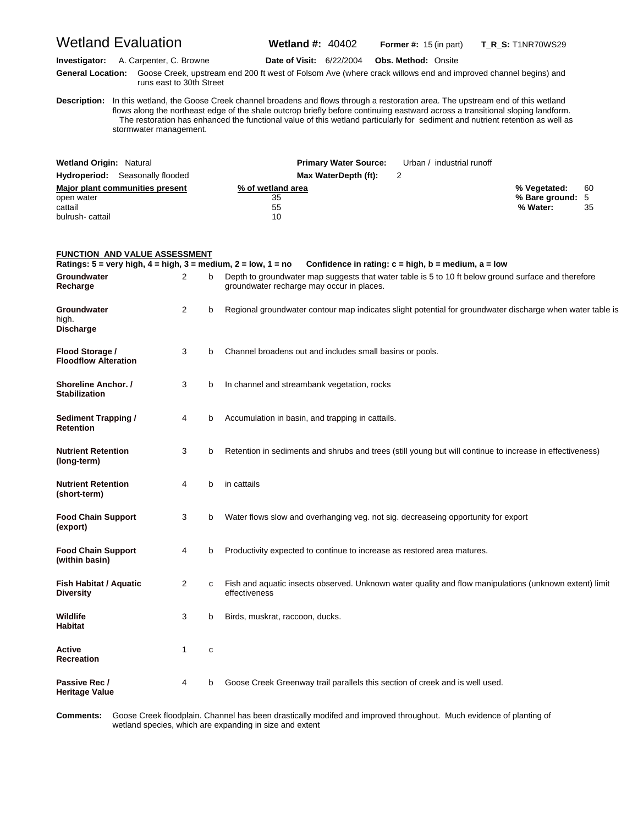Wetland Evaluation **Wetland #:** 40402 **Former #:** <sup>15</sup> (in part) **T\_R\_S:** T1NR70WS29

**Investigator:** A. Carpenter, C. Browne **Date of Visit:** 6/22/2004 **Obs. Method:** Onsite

**G eneral Location:** Goose Creek, upstream end 200 ft west of Folsom Ave (where crack willows end and improved channel begins) and runs east to 30th Street

**D escription:** In this wetland, the Goose Creek channel broadens and flows through a restoration area. The upstream end of this wetland flows along the northeast edge of the shale outcrop briefly before continuing eastward across a transitional sloping landform. The restoration has enhanced the functional value of this wetland particularly for sediment and nutrient retention as well as stormwater management.

| <b>Wetland Origin: Natural</b>         | <b>Primary Water Source:</b> | Urban / industrial runoff |                  |     |
|----------------------------------------|------------------------------|---------------------------|------------------|-----|
| <b>Hydroperiod:</b> Seasonally flooded | Max WaterDepth (ft):         |                           |                  |     |
| Major plant communities present        | % of wetland area            |                           | % Vegetated:     | -60 |
| open water                             | 35                           |                           | % Bare ground: 5 |     |
| cattail                                | 55                           |                           | % Water:         | 35  |
| bulrush-cattail                        | 10                           |                           |                  |     |

#### **FUNCTION AND VALUE ASSESSMENT Ratings: 5 = very high, 4 = high, 3 = medium, 2 = low, 1 = no Confidence in rating: c = high, b = medium, a = low** Groundwater 2 b Depth to groundwater map suggests that water table is 5 to 10 ft below ground surface and therefore<br>Recharge<br>Recharge may occur in places. groundwater recharge may occur in places. **Groundwater** 2 b Regional groundwater contour map indicates slight potential for groundwater discharge when water table is high. **Discharge Flood Storage /** 3 b Channel broadens out and includes small basins or pools. **Floodflow Alteration Shoreline Anchor. / 3 b** In channel and streambank vegetation, rocks **Stabilization Sediment Trapping / 4 b** Accumulation in basin, and trapping in cattails. **Retention Nutrient Retention** 3 b Retention in sediments and shrubs and trees (still young but will continue to increase in effectiveness) **(long-term) Nutrient Retention 4** b in cattails **(short-term) Food Chain Support** 3 b Water flows slow and overhanging veg. not sig. decreaseing opportunity for export **(export) Food Chain Support** 4 b Productivity expected to continue to increase as restored area matures. **(within basin) Fish Habitat / Aquatic** 2 c Fish and aquatic insects observed. Unknown water quality and flow manipulations (unknown extent) limit **Diversity Diversity effectiveness Wildlife** 3 b Birds, muskrat, raccoon, ducks. **Habitat Active** 1 c **Recreation Passive Rec / 4 b** Goose Creek Greenway trail parallels this section of creek and is well used. **Heritage Value**

Comments: wetland species, which are expanding in size and extent Goose Creek floodplain. Channel has been drastically modifed and improved throughout. Much evidence of planting of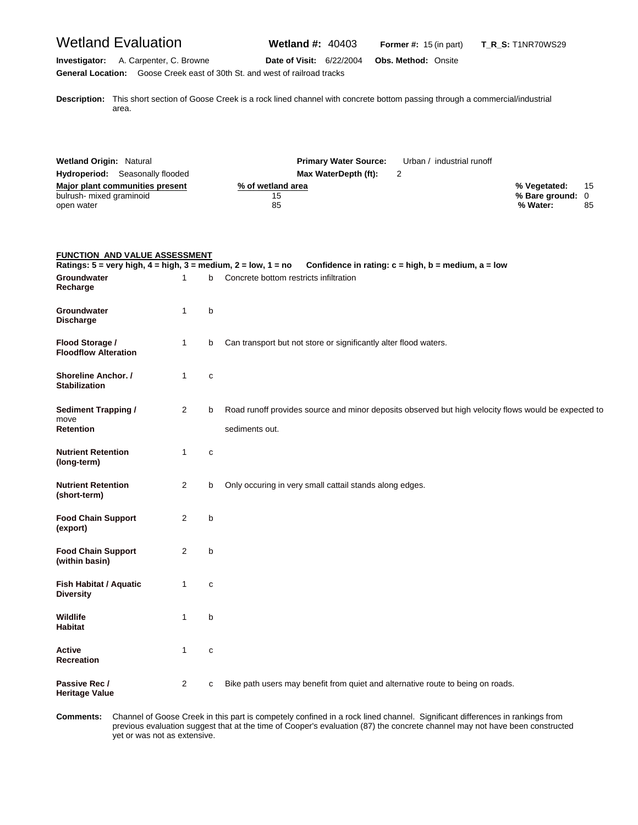## Wetland Evaluation **Wetland #:** 40403 **Former #:** <sup>15</sup> (in part) **T\_R\_S:** T1NR70WS29

**Investigator:** A. Carpenter, C. Browne **Date of Visit:** 6/22/2004 **Obs. Method:** Onsite **General Location:** Goose Creek east of 30th St. and west of railroad tracks

**D escription:** This short section of Goose Creek is a rock lined channel with concrete bottom passing through a commercial/industrial area.

| <b>Wetland Origin: Natural</b>         | <b>Primary Water Source:</b> | Urban / industrial runoff |                  |    |
|----------------------------------------|------------------------------|---------------------------|------------------|----|
| <b>Hydroperiod:</b> Seasonally flooded | Max WaterDepth (ft):         |                           |                  |    |
| Major plant communities present        | % of wetland area            |                           | % Vegetated:     | 15 |
| bulrush- mixed graminoid               | 15                           |                           | % Bare ground: 0 |    |
| open water                             | 85                           |                           | % Water:         | 85 |

| <b>FUNCTION AND VALUE ASSESSMENT</b>                                                               |              |   |                                                                                                                        |  |
|----------------------------------------------------------------------------------------------------|--------------|---|------------------------------------------------------------------------------------------------------------------------|--|
| Ratings: $5 = \text{very high}, 4 = \text{high}, 3 = \text{medium}, 2 = \text{low}, 1 = \text{no}$ |              |   | Confidence in rating: $c = high$ , $b = medium$ , $a = low$                                                            |  |
| Groundwater<br>Recharge                                                                            | 1            | b | Concrete bottom restricts infiltration                                                                                 |  |
| Groundwater<br><b>Discharge</b>                                                                    | $\mathbf{1}$ | b |                                                                                                                        |  |
| Flood Storage /<br><b>Floodflow Alteration</b>                                                     | $\mathbf{1}$ | b | Can transport but not store or significantly alter flood waters.                                                       |  |
| Shoreline Anchor. /<br><b>Stabilization</b>                                                        | $\mathbf{1}$ | C |                                                                                                                        |  |
| <b>Sediment Trapping /</b><br>move<br><b>Retention</b>                                             | 2            | b | Road runoff provides source and minor deposits observed but high velocity flows would be expected to<br>sediments out. |  |
| <b>Nutrient Retention</b><br>(long-term)                                                           | $\mathbf{1}$ | С |                                                                                                                        |  |
| <b>Nutrient Retention</b><br>(short-term)                                                          | 2            | b | Only occuring in very small cattail stands along edges.                                                                |  |
| <b>Food Chain Support</b><br>(export)                                                              | 2            | b |                                                                                                                        |  |
| <b>Food Chain Support</b><br>(within basin)                                                        | 2            | b |                                                                                                                        |  |
| Fish Habitat / Aquatic<br><b>Diversity</b>                                                         | $\mathbf{1}$ | C |                                                                                                                        |  |
| Wildlife<br><b>Habitat</b>                                                                         | $\mathbf{1}$ | b |                                                                                                                        |  |
| <b>Active</b><br><b>Recreation</b>                                                                 | $\mathbf{1}$ | c |                                                                                                                        |  |
| Passive Rec /<br><b>Heritage Value</b>                                                             | 2            | c | Bike path users may benefit from quiet and alternative route to being on roads.                                        |  |

**C omments:** Channel of Goose Creek in this part is competely confined in a rock lined channel. Significant differences in rankings from previous evaluation suggest that at the time of Cooper's evaluation (87) the concrete channel may not have been constructed yet or was not as extensive.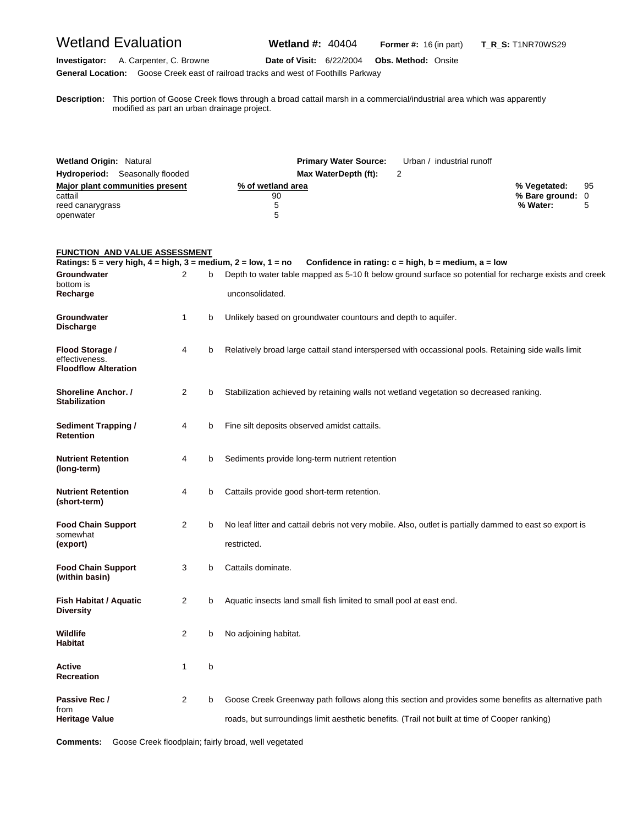# Wetland Evaluation **Wetland #:** 40404 **Former #:** <sup>16</sup> (in part) **T\_R\_S:** T1NR70WS29

**Investigator:** A. Carpenter, C. Browne **Date of Visit:** 6/22/2004 **Obs. Method:** Onsite **General Location:** Goose Creek east of railroad tracks and west of Foothills Parkway

**D escription:** This portion of Goose Creek flows through a broad cattail marsh in a commercial/industrial area which was apparently modified as part an urban drainage project.

| <b>Wetland Origin: Natural</b>         | <b>Primary Water Source:</b> | Urban / industrial runoff |                  |    |
|----------------------------------------|------------------------------|---------------------------|------------------|----|
| <b>Hydroperiod:</b> Seasonally flooded | Max WaterDepth (ft):         |                           |                  |    |
| Major plant communities present        | % of wetland area            |                           | % Vegetated:     | 95 |
| cattail                                | 90                           |                           | % Bare ground: 0 |    |
| reed canarygrass                       |                              |                           | % Water:         |    |
| openwater                              | 5                            |                           |                  |    |

#### **FUNCTION AND VALUE ASSESSMENT**

| Ratings: $5 = \text{very high}, 4 = \text{high}, 3 = \text{medium}, 2 = \text{low}, 1 = \text{no}$ |   |   | Confidence in rating: $c = high$ , $b = medium$ , $a = low$                                                                                                                                          |
|----------------------------------------------------------------------------------------------------|---|---|------------------------------------------------------------------------------------------------------------------------------------------------------------------------------------------------------|
| Groundwater<br>bottom is<br>Recharge                                                               | 2 | b | Depth to water table mapped as 5-10 ft below ground surface so potential for recharge exists and creek<br>unconsolidated.                                                                            |
| Groundwater<br><b>Discharge</b>                                                                    | 1 | b | Unlikely based on groundwater countours and depth to aquifer.                                                                                                                                        |
| Flood Storage /<br>effectiveness.<br><b>Floodflow Alteration</b>                                   | 4 | b | Relatively broad large cattail stand interspersed with occassional pools. Retaining side walls limit                                                                                                 |
| <b>Shoreline Anchor. /</b><br><b>Stabilization</b>                                                 | 2 | b | Stabilization achieved by retaining walls not wetland vegetation so decreased ranking.                                                                                                               |
| <b>Sediment Trapping /</b><br><b>Retention</b>                                                     | 4 | b | Fine silt deposits observed amidst cattails.                                                                                                                                                         |
| <b>Nutrient Retention</b><br>(long-term)                                                           | 4 | b | Sediments provide long-term nutrient retention                                                                                                                                                       |
| <b>Nutrient Retention</b><br>(short-term)                                                          | 4 | b | Cattails provide good short-term retention.                                                                                                                                                          |
| <b>Food Chain Support</b><br>somewhat<br>(export)                                                  | 2 | b | No leaf litter and cattail debris not very mobile. Also, outlet is partially dammed to east so export is<br>restricted.                                                                              |
| <b>Food Chain Support</b><br>(within basin)                                                        | 3 | b | Cattails dominate.                                                                                                                                                                                   |
| Fish Habitat / Aquatic<br><b>Diversity</b>                                                         | 2 | b | Aquatic insects land small fish limited to small pool at east end.                                                                                                                                   |
| Wildlife<br><b>Habitat</b>                                                                         | 2 | b | No adjoining habitat.                                                                                                                                                                                |
| Active<br><b>Recreation</b>                                                                        | 1 | b |                                                                                                                                                                                                      |
| Passive Rec /<br>from<br><b>Heritage Value</b>                                                     | 2 | b | Goose Creek Greenway path follows along this section and provides some benefits as alternative path<br>roads, but surroundings limit aesthetic benefits. (Trail not built at time of Cooper ranking) |

**Comments:** Goose Creek floodplain; fairly broad, well vegetated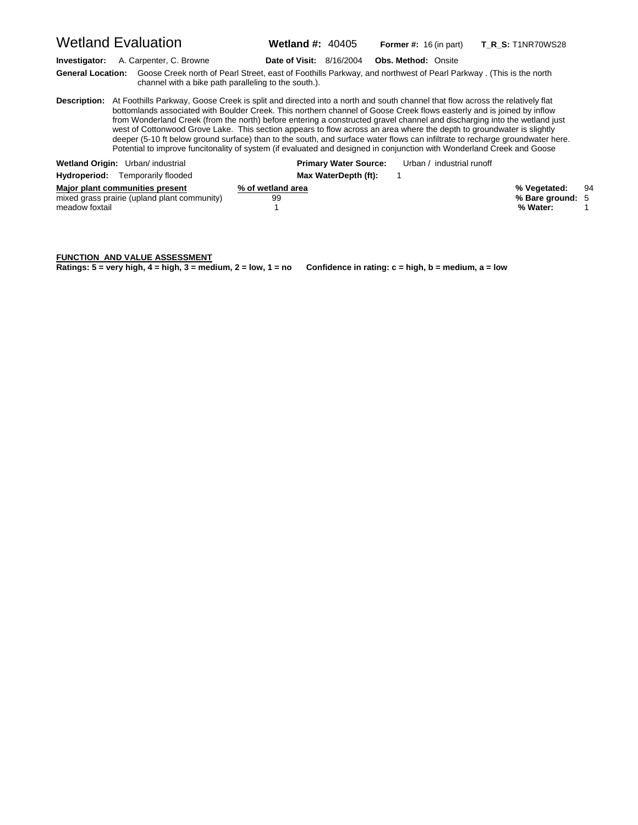Wetland Evaluation **Wetland #:** 40405 **Former #:** <sup>16</sup> (in part) **T\_R\_S:** T1NR70WS28

**Investigator:** A. Carpenter, C. Browne **Date of Visit:** 8/16/2004 **Obs. Method:** Onsite

**G eneral Location:** Goose Creek north of Pearl Street, east of Foothills Parkway, and northwest of Pearl Parkway . (This is the north channel with a bike path paralleling to the south.).

**D escription:** At Foothills Parkway, Goose Creek is split and directed into a north and south channel that flow across the relatively flat bottomlands associated with Boulder Creek. This northern channel of Goose Creek flows easterly and is joined by inflow from Wonderland Creek (from the north) before entering a constructed gravel channel and discharging into the wetland just west of Cottonwood Grove Lake. This section appears to flow across an area where the depth to groundwater is slightly deeper (5-10 ft below ground surface) than to the south, and surface water flows can infiltrate to recharge groundwater here. Potential to improve funcitonality of system (if evaluated and designed in conjunction with Wonderland Creek and Goose

| Wetland Origin: Urban/ industrial                                                                 | <b>Primary Water Source:</b> | Urban / industrial runoff |                                              |    |
|---------------------------------------------------------------------------------------------------|------------------------------|---------------------------|----------------------------------------------|----|
| Hydroperiod:<br>Temporarily flooded                                                               | Max WaterDepth (ft):         |                           |                                              |    |
| Major plant communities present<br>mixed grass prairie (upland plant community)<br>meadow foxtail | % of wetland area<br>99      |                           | % Vegetated:<br>% Bare ground: 5<br>% Water: | 94 |

#### **FUNCTION AND VALUE ASSESSMENT**

**Ratings: 5 = very high, 4 = high, 3 = medium, 2 = low, 1 = no Confidence in rating: c = high, b = medium, a = low**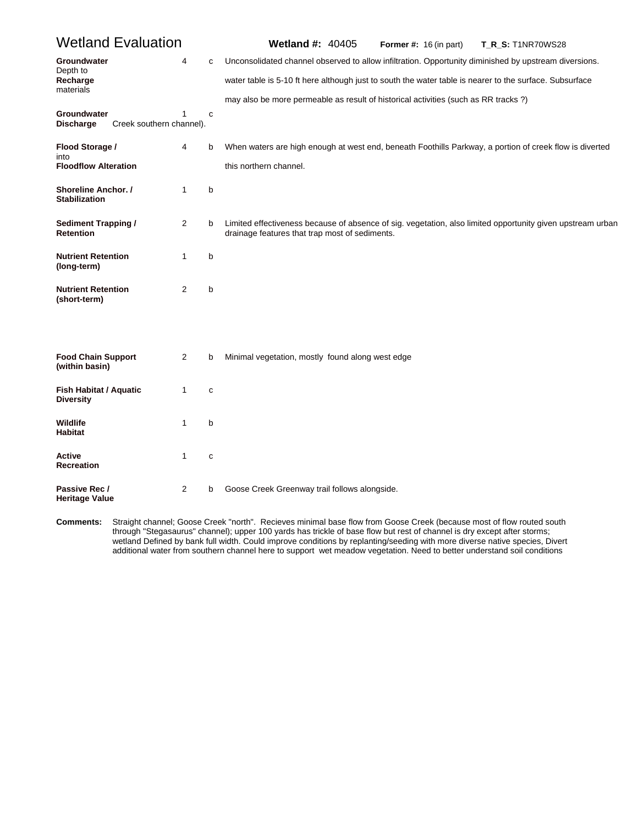| <b>Wetland Evaluation</b>                          |                               |             | <b>Wetland #: 40405</b><br>Former #: $16$ (in part)<br><b>T_R_S: T1NR70WS28</b>                                                                              |
|----------------------------------------------------|-------------------------------|-------------|--------------------------------------------------------------------------------------------------------------------------------------------------------------|
| Groundwater<br>Depth to                            | 4                             | c           | Unconsolidated channel observed to allow infiltration. Opportunity diminished by upstream diversions.                                                        |
| Recharge<br>materials                              |                               |             | water table is 5-10 ft here although just to south the water table is nearer to the surface. Subsurface                                                      |
|                                                    |                               |             | may also be more permeable as result of historical activities (such as RR tracks?)                                                                           |
| Groundwater<br><b>Discharge</b>                    | 1<br>Creek southern channel). | $\mathbf c$ |                                                                                                                                                              |
| Flood Storage /<br>into                            | 4                             | b           | When waters are high enough at west end, beneath Foothills Parkway, a portion of creek flow is diverted                                                      |
| <b>Floodflow Alteration</b>                        |                               |             | this northern channel.                                                                                                                                       |
| <b>Shoreline Anchor.</b> /<br><b>Stabilization</b> | $\mathbf{1}$                  | b           |                                                                                                                                                              |
| <b>Sediment Trapping /</b><br><b>Retention</b>     | 2                             | b           | Limited effectiveness because of absence of sig. vegetation, also limited opportunity given upstream urban<br>drainage features that trap most of sediments. |
| <b>Nutrient Retention</b><br>(long-term)           | 1                             | b           |                                                                                                                                                              |
| <b>Nutrient Retention</b><br>(short-term)          | 2                             | b           |                                                                                                                                                              |
| <b>Food Chain Support</b><br>(within basin)        | 2                             | b           | Minimal vegetation, mostly found along west edge                                                                                                             |
| <b>Fish Habitat / Aquatic</b><br><b>Diversity</b>  | 1                             | $\mathbf c$ |                                                                                                                                                              |
| <b>Wildlife</b><br><b>Habitat</b>                  | 1                             | b           |                                                                                                                                                              |
| Active<br><b>Recreation</b>                        | $\mathbf{1}$                  | $\mathbf c$ |                                                                                                                                                              |
| Passive Rec /<br><b>Heritage Value</b>             | $\overline{2}$                | b           | Goose Creek Greenway trail follows alongside.                                                                                                                |

Comments: through "Stegasaurus" channel); upper 100 yards has trickle of base flow but rest of channel is dry except after storms; **omments:** Straight channel; Goose Creek "north". Recieves minimal base flow from Goose Creek (because most of flow routed south wetland Defined by bank full width. Could improve conditions by replanting/seeding with more diverse native species, Divert additional water from southern channel here to support wet meadow vegetation. Need to better understand soil conditions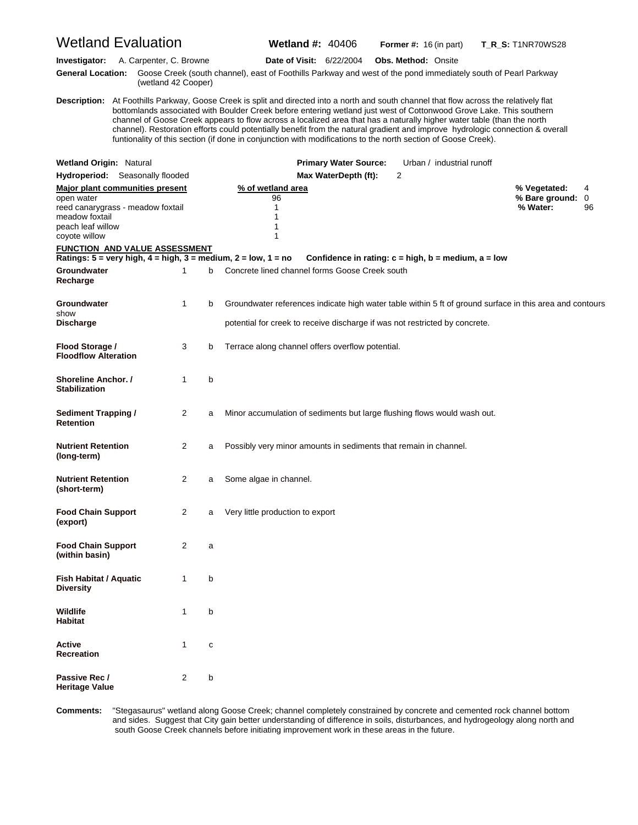|                                                                    | <b>Wetland Evaluation</b>                                            |                |   | <b>Wetland #: 40406</b>                                                                                                                                                                                                                                                                                                                                                                                                                                                                                                                                                                                                                     |                              | <b>Former #:</b> $16$ (in part)                             |                           | <b>T_R_S:</b> T1NR70WS28                                                                                 |              |
|--------------------------------------------------------------------|----------------------------------------------------------------------|----------------|---|---------------------------------------------------------------------------------------------------------------------------------------------------------------------------------------------------------------------------------------------------------------------------------------------------------------------------------------------------------------------------------------------------------------------------------------------------------------------------------------------------------------------------------------------------------------------------------------------------------------------------------------------|------------------------------|-------------------------------------------------------------|---------------------------|----------------------------------------------------------------------------------------------------------|--------------|
| Investigator:                                                      | A. Carpenter, C. Browne                                              |                |   | Date of Visit: 6/22/2004                                                                                                                                                                                                                                                                                                                                                                                                                                                                                                                                                                                                                    |                              | <b>Obs. Method: Onsite</b>                                  |                           |                                                                                                          |              |
|                                                                    | (wetland 42 Cooper)                                                  |                |   | General Location: Goose Creek (south channel), east of Foothills Parkway and west of the pond immediately south of Pearl Parkway                                                                                                                                                                                                                                                                                                                                                                                                                                                                                                            |                              |                                                             |                           |                                                                                                          |              |
|                                                                    |                                                                      |                |   | Description: At Foothills Parkway, Goose Creek is split and directed into a north and south channel that flow across the relatively flat<br>bottomlands associated with Boulder Creek before entering wetland just west of Cottonwood Grove Lake. This southern<br>channel of Goose Creek appears to flow across a localized area that has a naturally higher water table (than the north<br>channel). Restoration efforts could potentially benefit from the natural gradient and improve hydrologic connection & overall<br>funtionality of this section (if done in conjunction with modifications to the north section of Goose Creek). |                              |                                                             |                           |                                                                                                          |              |
| <b>Wetland Origin: Natural</b>                                     |                                                                      |                |   |                                                                                                                                                                                                                                                                                                                                                                                                                                                                                                                                                                                                                                             | <b>Primary Water Source:</b> |                                                             | Urban / industrial runoff |                                                                                                          |              |
|                                                                    | <b>Hydroperiod:</b> Seasonally flooded                               |                |   |                                                                                                                                                                                                                                                                                                                                                                                                                                                                                                                                                                                                                                             | Max WaterDepth (ft):         | 2                                                           |                           |                                                                                                          |              |
| open water<br>meadow foxtail<br>peach leaf willow<br>coyote willow | Major plant communities present<br>reed canarygrass - meadow foxtail |                |   | % of wetland area<br>96<br>1<br>1<br>1<br>1                                                                                                                                                                                                                                                                                                                                                                                                                                                                                                                                                                                                 |                              |                                                             |                           | % Vegetated:<br>% Bare ground:<br>% Water:                                                               | 4<br>0<br>96 |
|                                                                    | <b>FUNCTION AND VALUE ASSESSMENT</b>                                 |                |   | Ratings: $5 = \text{very high}, 4 = \text{high}, 3 = \text{medium}, 2 = \text{low}, 1 = \text{no}$                                                                                                                                                                                                                                                                                                                                                                                                                                                                                                                                          |                              | Confidence in rating: $c = high$ , $b = medium$ , $a = low$ |                           |                                                                                                          |              |
| Groundwater<br>Recharge                                            |                                                                      | 1              | b | Concrete lined channel forms Goose Creek south                                                                                                                                                                                                                                                                                                                                                                                                                                                                                                                                                                                              |                              |                                                             |                           |                                                                                                          |              |
| Groundwater<br>show                                                |                                                                      | $\mathbf{1}$   | b |                                                                                                                                                                                                                                                                                                                                                                                                                                                                                                                                                                                                                                             |                              |                                                             |                           | Groundwater references indicate high water table within 5 ft of ground surface in this area and contours |              |
| <b>Discharge</b>                                                   |                                                                      |                |   | potential for creek to receive discharge if was not restricted by concrete.                                                                                                                                                                                                                                                                                                                                                                                                                                                                                                                                                                 |                              |                                                             |                           |                                                                                                          |              |
| Flood Storage /<br><b>Floodflow Alteration</b>                     |                                                                      | 3              | b | Terrace along channel offers overflow potential.                                                                                                                                                                                                                                                                                                                                                                                                                                                                                                                                                                                            |                              |                                                             |                           |                                                                                                          |              |
| <b>Shoreline Anchor. /</b><br><b>Stabilization</b>                 |                                                                      | $\mathbf{1}$   | b |                                                                                                                                                                                                                                                                                                                                                                                                                                                                                                                                                                                                                                             |                              |                                                             |                           |                                                                                                          |              |
| <b>Sediment Trapping /</b><br><b>Retention</b>                     |                                                                      | 2              | a | Minor accumulation of sediments but large flushing flows would wash out.                                                                                                                                                                                                                                                                                                                                                                                                                                                                                                                                                                    |                              |                                                             |                           |                                                                                                          |              |
| <b>Nutrient Retention</b><br>(long-term)                           |                                                                      | 2              | a | Possibly very minor amounts in sediments that remain in channel.                                                                                                                                                                                                                                                                                                                                                                                                                                                                                                                                                                            |                              |                                                             |                           |                                                                                                          |              |
| <b>Nutrient Retention</b><br>(short-term)                          |                                                                      | 2              | а | Some algae in channel.                                                                                                                                                                                                                                                                                                                                                                                                                                                                                                                                                                                                                      |                              |                                                             |                           |                                                                                                          |              |
| <b>Food Chain Support</b><br>(export)                              |                                                                      | $\overline{2}$ | а | Very little production to export                                                                                                                                                                                                                                                                                                                                                                                                                                                                                                                                                                                                            |                              |                                                             |                           |                                                                                                          |              |
| <b>Food Chain Support</b><br>(within basin)                        |                                                                      | 2              | a |                                                                                                                                                                                                                                                                                                                                                                                                                                                                                                                                                                                                                                             |                              |                                                             |                           |                                                                                                          |              |
| Fish Habitat / Aquatic<br><b>Diversity</b>                         |                                                                      | 1              | b |                                                                                                                                                                                                                                                                                                                                                                                                                                                                                                                                                                                                                                             |                              |                                                             |                           |                                                                                                          |              |
| <b>Wildlife</b><br><b>Habitat</b>                                  |                                                                      | $\mathbf{1}$   | b |                                                                                                                                                                                                                                                                                                                                                                                                                                                                                                                                                                                                                                             |                              |                                                             |                           |                                                                                                          |              |
| Active<br><b>Recreation</b>                                        |                                                                      | 1              | С |                                                                                                                                                                                                                                                                                                                                                                                                                                                                                                                                                                                                                                             |                              |                                                             |                           |                                                                                                          |              |
| Passive Rec /<br><b>Heritage Value</b>                             |                                                                      | 2              | b |                                                                                                                                                                                                                                                                                                                                                                                                                                                                                                                                                                                                                                             |                              |                                                             |                           |                                                                                                          |              |

Comments: and sides. Suggest that City gain better understanding of difference in soils, disturbances, and hydrogeology along north and **omments:** "Stegasaurus" wetland along Goose Creek; channel completely constrained by concrete and cemented rock channel bottom south Goose Creek channels before initiating improvement work in these areas in the future.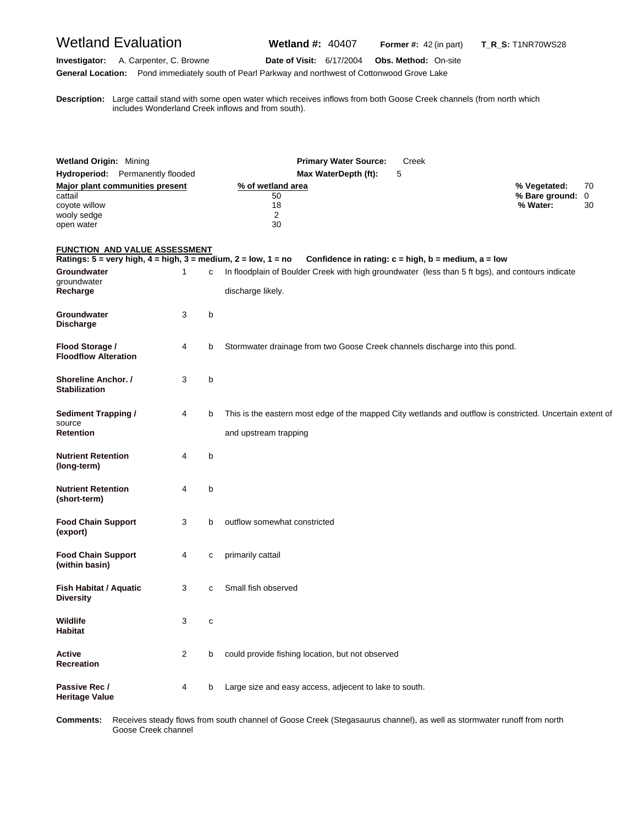# Wetland Evaluation **Wetland #:** 40407 **Former #:** <sup>42</sup> (in part) **T\_R\_S:** T1NR70WS28

**Investigator:** A. Carpenter, C. Browne **Date of Visit:** 6/17/2004 **Obs. Method:** On-site **General Location:** Pond immediately south of Pearl Parkway and northwest of Cottonwood Grove Lake

**D escription:** Large cattail stand with some open water which receives inflows from both Goose Creek channels (from north which includes Wonderland Creek inflows and from south).

| <b>Wetland Origin: Mining</b>                            |                                                                                                |   | <b>Primary Water Source:</b><br>Creek                                                                                              |                                            |               |
|----------------------------------------------------------|------------------------------------------------------------------------------------------------|---|------------------------------------------------------------------------------------------------------------------------------------|--------------------------------------------|---------------|
|                                                          | Hydroperiod: Permanently flooded                                                               |   | Max WaterDepth (ft):<br>5                                                                                                          |                                            |               |
| cattail<br>coyote willow<br>wooly sedge<br>open water    | Major plant communities present                                                                |   | % of wetland area<br>50<br>18<br>2<br>30                                                                                           | % Vegetated:<br>% Bare ground:<br>% Water: | 70<br>0<br>30 |
|                                                          | FUNCTION AND VALUE ASSESSMENT<br>Ratings: 5 = very high, 4 = high, 3 = medium, 2 = low, 1 = no |   | Confidence in rating: $c = high$ , $b = medium$ , $a = low$                                                                        |                                            |               |
| Groundwater<br>groundwater<br>Recharge                   | 1                                                                                              | с | In floodplain of Boulder Creek with high groundwater (less than 5 ft bgs), and contours indicate<br>discharge likely.              |                                            |               |
| Groundwater<br><b>Discharge</b>                          | 3                                                                                              | b |                                                                                                                                    |                                            |               |
| Flood Storage /<br><b>Floodflow Alteration</b>           | 4                                                                                              | b | Stormwater drainage from two Goose Creek channels discharge into this pond.                                                        |                                            |               |
| Shoreline Anchor. /<br><b>Stabilization</b>              | 3                                                                                              | b |                                                                                                                                    |                                            |               |
| <b>Sediment Trapping /</b><br>source<br><b>Retention</b> | 4                                                                                              | b | This is the eastern most edge of the mapped City wetlands and outflow is constricted. Uncertain extent of<br>and upstream trapping |                                            |               |
| <b>Nutrient Retention</b><br>(long-term)                 | 4                                                                                              | b |                                                                                                                                    |                                            |               |
| Nutrient Retention<br>(short-term)                       | 4                                                                                              | b |                                                                                                                                    |                                            |               |
| <b>Food Chain Support</b><br>(export)                    | 3                                                                                              | b | outflow somewhat constricted                                                                                                       |                                            |               |
| <b>Food Chain Support</b><br>(within basin)              | 4                                                                                              | с | primarily cattail                                                                                                                  |                                            |               |
| Fish Habitat / Aquatic<br><b>Diversity</b>               | 3                                                                                              | с | Small fish observed                                                                                                                |                                            |               |
| Wildlife<br>Habitat                                      | 3                                                                                              | C |                                                                                                                                    |                                            |               |
| Active<br>Recreation                                     | 2                                                                                              | b | could provide fishing location, but not observed                                                                                   |                                            |               |
| Passive Rec /<br><b>Heritage Value</b>                   | 4                                                                                              | b | Large size and easy access, adjecent to lake to south.                                                                             |                                            |               |

Comments: Goose Creek channel **omments:** Receives steady flows from south channel of Goose Creek (Stegasaurus channel), as well as stormwater runoff from north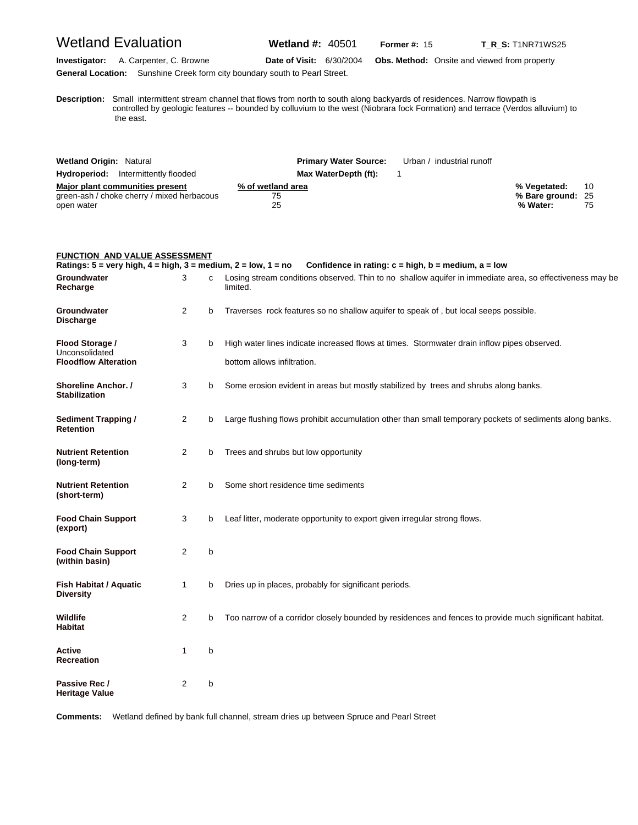# Wetland Evaluation **Wetland #:** 40501 **Former #: 15** T\_R\_S: T1NR71WS25

**Investigator:** A. Carpenter, C. Browne **Date of Visit:** 6/30/2004 **Obs. Method:** Onsite and viewed from property **General Location:** Sunshine Creek form city boundary south to Pearl Street.

**D escription:** Small intermittent stream channel that flows from north to south along backyards of residences. Narrow flowpath is controlled by geologic features -- bounded by colluvium to the west (Niobrara fock Formation) and terrace (Verdos alluvium) to the east.

| <b>Wetland Origin: Natural</b>             | <b>Primary Water Source:</b> | Urban / industrial runoff |                   |    |
|--------------------------------------------|------------------------------|---------------------------|-------------------|----|
| <b>Hydroperiod:</b> Intermittently flooded | Max WaterDepth (ft):         |                           |                   |    |
| Major plant communities present            | % of wetland area            |                           | % Vegetated:      | 10 |
| green-ash / choke cherry / mixed herbacous | 75                           |                           | % Bare ground: 25 |    |
| open water                                 | 25                           |                           | % Water:          | 75 |

| <b>FUNCTION AND VALUE ASSESSMENT</b>                                                                                          |                |   |                                                                                                                                                                                     |
|-------------------------------------------------------------------------------------------------------------------------------|----------------|---|-------------------------------------------------------------------------------------------------------------------------------------------------------------------------------------|
| Ratings: $5 = \text{very high}, 4 = \text{high}, 3 = \text{medium}, 2 = \text{low}, 1 = \text{no}$<br>Groundwater<br>Recharge | 3              | C | Confidence in rating: $c = high$ , $b = medium$ , $a = low$<br>Losing stream conditions observed. Thin to no shallow aquifer in immediate area, so effectiveness may be<br>limited. |
| Groundwater<br><b>Discharge</b>                                                                                               | $\overline{2}$ | b | Traverses rock features so no shallow aquifer to speak of, but local seeps possible.                                                                                                |
| Flood Storage /<br>Unconsolidated<br><b>Floodflow Alteration</b>                                                              | 3              | b | High water lines indicate increased flows at times. Stormwater drain inflow pipes observed.<br>bottom allows infiltration.                                                          |
| Shoreline Anchor. /<br><b>Stabilization</b>                                                                                   | 3              | b | Some erosion evident in areas but mostly stabilized by trees and shrubs along banks.                                                                                                |
| <b>Sediment Trapping /</b><br><b>Retention</b>                                                                                | 2              | b | Large flushing flows prohibit accumulation other than small temporary pockets of sediments along banks.                                                                             |
| <b>Nutrient Retention</b><br>(long-term)                                                                                      | $\overline{2}$ | b | Trees and shrubs but low opportunity                                                                                                                                                |
| <b>Nutrient Retention</b><br>(short-term)                                                                                     | $\overline{2}$ | b | Some short residence time sediments                                                                                                                                                 |
| <b>Food Chain Support</b><br>(export)                                                                                         | 3              | b | Leaf litter, moderate opportunity to export given irregular strong flows.                                                                                                           |
| <b>Food Chain Support</b><br>(within basin)                                                                                   | $\overline{2}$ | b |                                                                                                                                                                                     |
| Fish Habitat / Aquatic<br><b>Diversity</b>                                                                                    | $\mathbf{1}$   | b | Dries up in places, probably for significant periods.                                                                                                                               |
| Wildlife<br><b>Habitat</b>                                                                                                    | $\overline{2}$ | b | Too narrow of a corridor closely bounded by residences and fences to provide much significant habitat.                                                                              |
| <b>Active</b><br><b>Recreation</b>                                                                                            | 1              | b |                                                                                                                                                                                     |
| Passive Rec /<br>Heritage Value                                                                                               | 2              | b |                                                                                                                                                                                     |

**Comments:** Wetland defined by bank full channel, stream dries up between Spruce and Pearl Street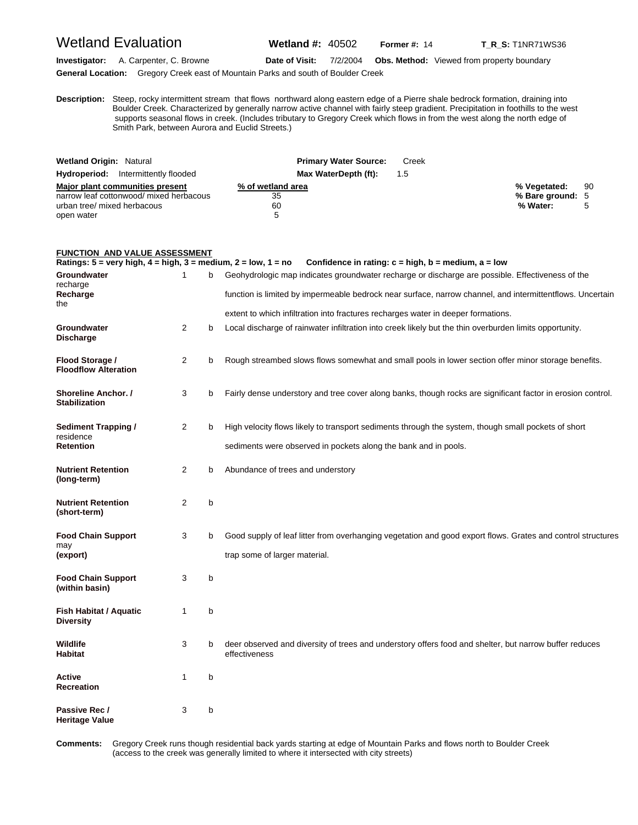### Wetland Evaluation **Wetland #:** 40502 **Former #:** <sup>14</sup> **T\_R\_S:** T1NR71WS36

**Investigator:** A. Carpenter, C. Browne **Date of Visit:** 7/2/2004 **Obs. Method:** Viewed from property boundary **General Location:** Gregory Creek east of Mountain Parks and south of Boulder Creek

**D escription:** Steep, rocky intermittent stream that flows northward along eastern edge of a Pierre shale bedrock formation, draining into Boulder Creek. Characterized by generally narrow active channel with fairly steep gradient. Precipitation in foothills to the west supports seasonal flows in creek. (Includes tributary to Gregory Creek which flows in from the west along the north edge of Smith Park, between Aurora and Euclid Streets.)

| <b>Wetland Origin: Natural</b>             | <b>Primary Water Source:</b> | Creek |                  |    |
|--------------------------------------------|------------------------------|-------|------------------|----|
| <b>Hydroperiod:</b> Intermittently flooded | Max WaterDepth (ft):         | 1.5   |                  |    |
| Major plant communities present            | % of wetland area            |       | % Vegetated:     | 90 |
| narrow leaf cottonwood/ mixed herbacous    | 35                           |       | % Bare ground: 5 |    |
| urban tree/ mixed herbacous                | 60                           |       | % Water:         |    |
| open water                                 | 5                            |       |                  |    |

#### **FUNCTION AND VALUE ASSESSMENT**

**Ratings: 5 = very high, 4 = high, 3 = medium, 2 = low, 1 = no Confidence in rating: c = high, b = medium, a = low Groundwater** 1 b Geohydrologic map indicates groundwater recharge or discharge are possible. Effectiveness of the recharge<br>Recharge function is limited by impermeable bedrock near surface, narrow channel, and intermittentflows. Uncertain the extent to which infiltration into fractures recharges water in deeper formations. **Groundwater** 2 b Local discharge of rainwater infiltration into creek likely but the thin overburden limits opportunity. **Discharge Flood Storage /** 2 b Rough streambed slows flows somewhat and small pools in lower section offer minor storage benefits. **Floodflow Alteration Shoreline Anchor. /** 3 b Fairly dense understory and tree cover along banks, though rocks are significant factor in erosion control. **Stabilization Sediment Trapping /** 2 b High velocity flows likely to transport sediments through the system, though small pockets of short residence<br>Retention sediments were observed in pockets along the bank and in pools. **Nutrient Retention** 2 b Abundance of trees and understory **(long-term) Nutrient Retention** 2 b **(short-term) Food Chain Support** 3 b Good supply of leaf litter from overhanging vegetation and good export flows. Grates and control structures may **(export) trap some of larger material. Food Chain Support** 3 b **(within basin) Fish Habitat / Aquatic 1 b Diversity Wildlife** 3 b deer observed and diversity of trees and understory offers food and shelter, but narrow buffer reduces **Habitat** effectiveness **Active** 1 b **Recreation** Passive Rec / 3 b **Heritage Value** 

**C omments:** Gregory Creek runs though residential back yards starting at edge of Mountain Parks and flows north to Boulder Creek (access to the creek was generally limited to where it intersected with city streets)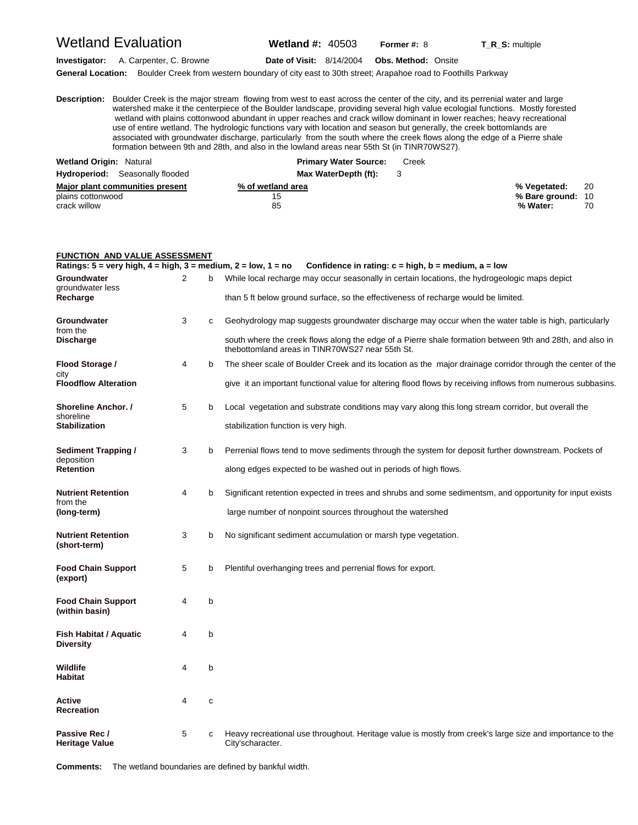### Wetland Evaluation **Wetland #:** 40503 **Former #:** <sup>8</sup> **T\_R\_S:** multiple

**Investigator:** A. Carpenter, C. Browne **Date of Visit:** 8/14/2004 **Obs. Method:** Onsite

**General Location:** Boulder Creek from western boundary of city east to 30th street; Arapahoe road to Foothills Parkway

**D escription:** Boulder Creek is the major stream flowing from west to east across the center of the city, and its perrenial water and large watershed make it the centerpiece of the Boulder landscape, providing several high value ecologial functions. Mostly forested wetland with plains cottonwood abundant in upper reaches and crack willow dominant in lower reaches; heavy recreational use of entire wetland. The hydrologic functions vary with location and season but generally, the creek bottomlands are associated with groundwater discharge, particularly from the south where the creek flows along the edge of a Pierre shale formation between 9th and 28th, and also in the lowland areas near 55th St (in TINR70WS27).

| <b>Wetland Origin: Natural</b>         | <b>Primary Water Source:</b> | Creek |                   |      |
|----------------------------------------|------------------------------|-------|-------------------|------|
| <b>Hydroperiod:</b> Seasonally flooded | Max WaterDepth (ft):         |       |                   |      |
| Major plant communities present        | % of wetland area            |       | % Veɑetated:      | - 20 |
| plains cottonwood                      | 15                           |       | % Bare ground: 10 |      |
| crack willow                           | 85                           |       | % Water:          | 70   |

| <b>FUNCTION AND VALUE ASSESSMENT</b>                                                               |   |   |                                                                                                                                                             |
|----------------------------------------------------------------------------------------------------|---|---|-------------------------------------------------------------------------------------------------------------------------------------------------------------|
| Ratings: $5 = \text{very high}, 4 = \text{high}, 3 = \text{medium}, 2 = \text{low}, 1 = \text{no}$ |   |   | Confidence in rating: $c = high$ , $b = medium$ , $a = low$                                                                                                 |
| Groundwater<br>groundwater less                                                                    | 2 | b | While local recharge may occur seasonally in certain locations, the hydrogeologic maps depict                                                               |
| Recharge                                                                                           |   |   | than 5 ft below ground surface, so the effectiveness of recharge would be limited.                                                                          |
| Groundwater<br>from the                                                                            | 3 | c | Geohydrology map suggests groundwater discharge may occur when the water table is high, particularly                                                        |
| <b>Discharge</b>                                                                                   |   |   | south where the creek flows along the edge of a Pierre shale formation between 9th and 28th, and also in<br>thebottomland areas in TINR70WS27 near 55th St. |
| Flood Storage /<br>city                                                                            | 4 | b | The sheer scale of Boulder Creek and its location as the major drainage corridor through the center of the                                                  |
| <b>Floodflow Alteration</b>                                                                        |   |   | give it an important functional value for altering flood flows by receiving inflows from numerous subbasins.                                                |
| <b>Shoreline Anchor.</b> /<br>shoreline                                                            | 5 | b | Local vegetation and substrate conditions may vary along this long stream corridor, but overall the                                                         |
| <b>Stabilization</b>                                                                               |   |   | stabilization function is very high.                                                                                                                        |
| <b>Sediment Trapping /</b><br>deposition                                                           | 3 | b | Perrenial flows tend to move sediments through the system for deposit further downstream. Pockets of                                                        |
| <b>Retention</b>                                                                                   |   |   | along edges expected to be washed out in periods of high flows.                                                                                             |
| <b>Nutrient Retention</b><br>from the                                                              | 4 | b | Significant retention expected in trees and shrubs and some sedimentsm, and opportunity for input exists                                                    |
| (long-term)                                                                                        |   |   | large number of nonpoint sources throughout the watershed                                                                                                   |
| <b>Nutrient Retention</b><br>(short-term)                                                          | 3 | b | No significant sediment accumulation or marsh type vegetation.                                                                                              |
| <b>Food Chain Support</b><br>(export)                                                              | 5 | b | Plentiful overhanging trees and perrenial flows for export.                                                                                                 |
| <b>Food Chain Support</b><br>(within basin)                                                        | 4 | b |                                                                                                                                                             |
| Fish Habitat / Aquatic<br><b>Diversity</b>                                                         | 4 | b |                                                                                                                                                             |
| Wildlife<br><b>Habitat</b>                                                                         | 4 | b |                                                                                                                                                             |
| Active<br>Recreation                                                                               | 4 | c |                                                                                                                                                             |
| Passive Rec /<br><b>Heritage Value</b>                                                             | 5 | c | Heavy recreational use throughout. Heritage value is mostly from creek's large size and importance to the<br>City'scharacter.                               |

**Comments:** The wetland boundaries are defined by bankful width.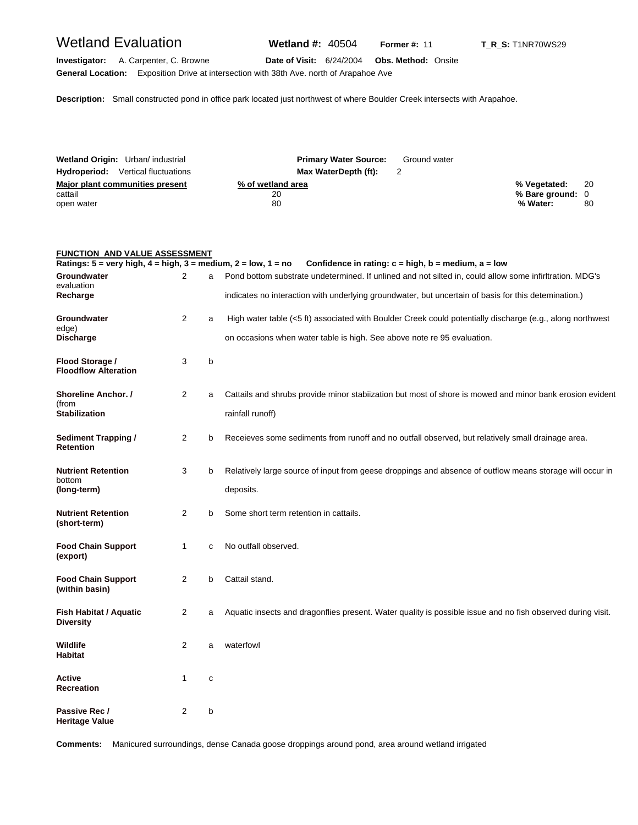## Wetland Evaluation **Wetland #:** 40504 **Former #: 11** T\_R\_S: T1NR70WS29

**General Location:** Exposition Drive at intersection with 38th Ave. north of Arapahoe Ave

**Investigator:** A. Carpenter, C. Browne **Date of Visit:** 6/24/2004 **Obs. Method:** Onsite

**Description:** Small constructed pond in office park located just northwest of where Boulder Creek intersects with Arapahoe.

| Wetland Origin: Urban/ industrial                        | <b>Primary Water Source:</b>  | Ground water |                                              |            |
|----------------------------------------------------------|-------------------------------|--------------|----------------------------------------------|------------|
| <b>Hydroperiod:</b> Vertical fluctuations                | Max WaterDepth (ft):          |              |                                              |            |
| Major plant communities present<br>cattail<br>open water | % of wetland area<br>20<br>80 |              | % Vegetated:<br>% Bare ground: 0<br>% Water: | - 20<br>80 |

### **FUNCTION AND VALUE ASSESSMENT**

| Ratings: $5 = \text{very high}, 4 = \text{high}, 3 = \text{medium}, 2 = \text{low}, 1 = \text{no}$ |                |   | Confidence in rating: $c = high$ , $b = medium$ , $a = low$                                                 |
|----------------------------------------------------------------------------------------------------|----------------|---|-------------------------------------------------------------------------------------------------------------|
| Groundwater                                                                                        | 2              | a | Pond bottom substrate undetermined. If unlined and not silted in, could allow some infirltration. MDG's     |
| evaluation<br>Recharge                                                                             |                |   | indicates no interaction with underlying groundwater, but uncertain of basis for this detemination.)        |
| Groundwater                                                                                        | 2              | a | High water table (<5 ft) associated with Boulder Creek could potentially discharge (e.g., along northwest   |
| edge)<br><b>Discharge</b>                                                                          |                |   | on occasions when water table is high. See above note re 95 evaluation.                                     |
| Flood Storage /<br><b>Floodflow Alteration</b>                                                     | 3              | b |                                                                                                             |
| <b>Shoreline Anchor.</b> /                                                                         | $\overline{2}$ | a | Cattails and shrubs provide minor stabiization but most of shore is mowed and minor bank erosion evident    |
| (from<br><b>Stabilization</b>                                                                      |                |   | rainfall runoff)                                                                                            |
| <b>Sediment Trapping /</b><br><b>Retention</b>                                                     | 2              | b | Receieves some sediments from runoff and no outfall observed, but relatively small drainage area.           |
| <b>Nutrient Retention</b>                                                                          | 3              | b | Relatively large source of input from geese droppings and absence of outflow means storage will occur in    |
| bottom<br>(long-term)                                                                              |                |   | deposits.                                                                                                   |
| <b>Nutrient Retention</b><br>(short-term)                                                          | 2              | b | Some short term retention in cattails.                                                                      |
| <b>Food Chain Support</b><br>(export)                                                              | $\mathbf{1}$   | c | No outfall observed.                                                                                        |
| <b>Food Chain Support</b><br>(within basin)                                                        | $\overline{2}$ | b | Cattail stand.                                                                                              |
| Fish Habitat / Aquatic<br><b>Diversity</b>                                                         | 2              | a | Aquatic insects and dragonflies present. Water quality is possible issue and no fish observed during visit. |
| <b>Wildlife</b><br>Habitat                                                                         | 2              | a | waterfowl                                                                                                   |
| Active<br><b>Recreation</b>                                                                        | 1              | c |                                                                                                             |
| Passive Rec /<br>Heritage Value                                                                    | 2              | b |                                                                                                             |

**Comments:** Manicured surroundings, dense Canada goose droppings around pond, area around wetland irrigated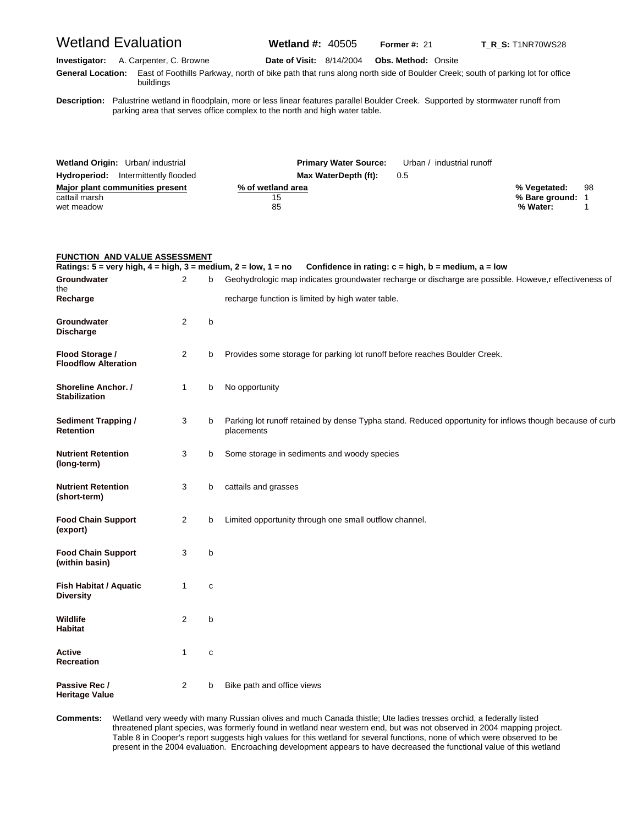# Wetland Evaluation **Wetland #:** 40505 **Former #:** <sup>21</sup> **T\_R\_S:** T1NR70WS28 **Investigator:** A. Carpenter, C. Browne **Date of Visit:** 8/14/2004 **Obs. Method:** Onsite **G eneral Location:** East of Foothills Parkway, north of bike path that runs along north side of Boulder Creek; south of parking lot for office buildings **D escription:** Palustrine wetland in floodplain, more or less linear features parallel Boulder Creek. Supported by stormwater runoff from parking area that serves office complex to the north and high water table. **Wetland Origin:** Urban/ industrial **Primary Water Source:** Urban / industrial runoff **Hydroperiod:** Intermittently flooded **Max WaterDepth (ft):** 0.5 **Major plant communities present the communities of wetland area <b>communities of the communities of the communities of the communities of the communities**  $\frac{98}{200}$ cattail marsh **15** and the control of the control of the control of the control of the control of the control of the control of the control of the control of the control of the control of the control of the control of the wet meadow 85 **% Water:** 1

| <b>FUNCTION AND VALUE ASSESSMENT</b>                                                               |                |             |                                                                                                                        |
|----------------------------------------------------------------------------------------------------|----------------|-------------|------------------------------------------------------------------------------------------------------------------------|
| Ratings: $5 = \text{very high}, 4 = \text{high}, 3 = \text{medium}, 2 = \text{low}, 1 = \text{no}$ |                |             | Confidence in rating: $c = high$ , $b = medium$ , $a = low$                                                            |
| Groundwater<br>the                                                                                 | 2              | b           | Geohydrologic map indicates groundwater recharge or discharge are possible. Howeve, r effectiveness of                 |
| Recharge                                                                                           |                |             | recharge function is limited by high water table.                                                                      |
| Groundwater<br><b>Discharge</b>                                                                    | 2              | b           |                                                                                                                        |
| Flood Storage /<br><b>Floodflow Alteration</b>                                                     | $\overline{2}$ | b           | Provides some storage for parking lot runoff before reaches Boulder Creek.                                             |
| <b>Shoreline Anchor.</b> /<br><b>Stabilization</b>                                                 | $\mathbf{1}$   | b           | No opportunity                                                                                                         |
| <b>Sediment Trapping /</b><br><b>Retention</b>                                                     | 3              | b           | Parking lot runoff retained by dense Typha stand. Reduced opportunity for inflows though because of curb<br>placements |
| <b>Nutrient Retention</b><br>(long-term)                                                           | 3              | b           | Some storage in sediments and woody species                                                                            |
| <b>Nutrient Retention</b><br>(short-term)                                                          | 3              | b           | cattails and grasses                                                                                                   |
| <b>Food Chain Support</b><br>(export)                                                              | $\overline{2}$ | b           | Limited opportunity through one small outflow channel.                                                                 |
| <b>Food Chain Support</b><br>(within basin)                                                        | 3              | b           |                                                                                                                        |
| <b>Fish Habitat / Aquatic</b><br><b>Diversity</b>                                                  | 1              | $\mathbf c$ |                                                                                                                        |
| Wildlife<br><b>Habitat</b>                                                                         | $\overline{2}$ | b           |                                                                                                                        |
| <b>Active</b><br><b>Recreation</b>                                                                 | 1              | с           |                                                                                                                        |
| Passive Rec /<br><b>Heritage Value</b>                                                             | 2              | b           | Bike path and office views                                                                                             |

Comments: threatened plant species, was formerly found in wetland near western end, but was not observed in 2004 mapping project. Wetland very weedy with many Russian olives and much Canada thistle; Ute ladies tresses orchid, a federally listed Table 8 in Cooper's report suggests high values for this wetland for several functions, none of which were observed to be present in the 2004 evaluation. Encroaching development appears to have decreased the functional value of this wetland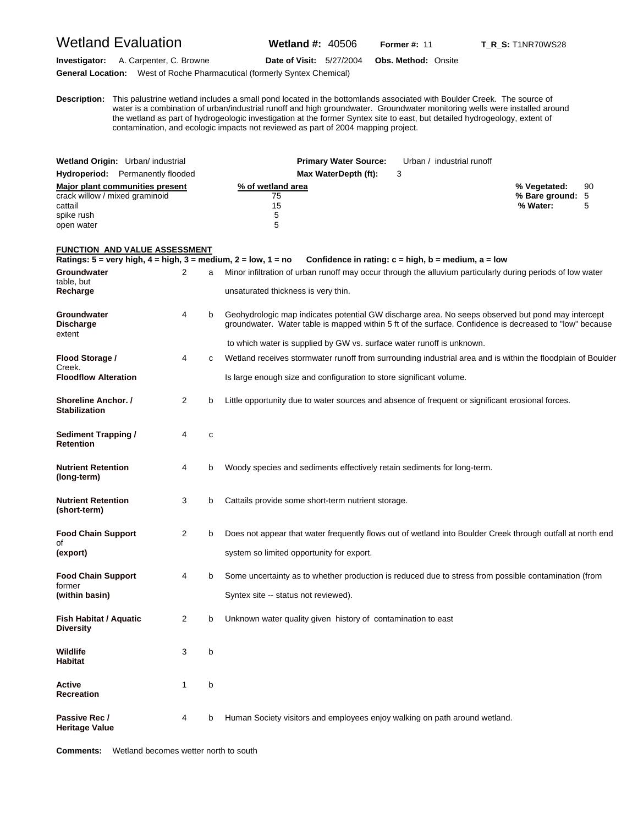### Wetland Evaluation **Wetland #:** 40506 **Former #:** <sup>11</sup> **T\_R\_S:** T1NR70WS28

**Investigator:** A. Carpenter, C. Browne **Date of Visit:** 5/27/2004 **Obs. Method:** Onsite **General Location:** West of Roche Pharmacutical (formerly Syntex Chemical)

**D escription:** This palustrine wetland includes a small pond located in the bottomlands associated with Boulder Creek. The source of water is a combination of urban/industrial runoff and high groundwater. Groundwater monitoring wells were installed around the wetland as part of hydrogeologic investigation at the former Syntex site to east, but detailed hydrogeology, extent of contamination, and ecologic impacts not reviewed as part of 2004 mapping project.

| Wetland Origin: Urban/ industrial<br><b>Hydroperiod:</b> Permanently flooded                             | <b>Primary Water Source:</b><br>Max WaterDepth (ft): | Urban / industrial runoff |                                              |     |
|----------------------------------------------------------------------------------------------------------|------------------------------------------------------|---------------------------|----------------------------------------------|-----|
| Major plant communities present<br>crack willow / mixed graminoid<br>cattail<br>spike rush<br>open water | % of wetland area<br>75<br>15<br>5<br>5              |                           | % Vegetated:<br>% Bare ground: 5<br>% Water: | -90 |

#### **FUNCTION AND VALUE ASSESSMENT**

**Ratings: 5 = very high, 4 = high, 3 = medium, 2 = low, 1 = no Confidence in rating: c = high, b = medium, a = low Groundwater** 2 a Minor infiltration of urban runoff may occur through the alluvium particularly during periods of low water table, but<br>Recharge **Recharge** unsaturated thickness is very thin. Groundwater **1988** b Geohydrologic map indicates potential GW discharge area. No seeps observed but pond may intercept **Discharge groundwater.** Water table is mapped within 5 ft of the surface. Confidence is decreased to "low" because extent to which water is supplied by GW vs. surface water runoff is unknown. **Flood Storage /** 4 c Wetland receives stormwater runoff from surrounding industrial area and is within the floodplain of Boulder Creek.<br>Floodflow Alteration Is large enough size and configuration to store significant volume. **Shoreline Anchor. /**  2 b Little opportunity due to water sources and absence of frequent or significant erosional forces. **Stabilization**  Sediment Trapping / 4 c **Retention Nutrient Retention** 4 b Woody species and sediments effectively retain sediments for long-term. **(long-term) Nutrient Retention** 3 b Cattails provide some short-term nutrient storage. **(short-term) Food Chain Support** 2 b Does not appear that water frequently flows out of wetland into Boulder Creek through outfall at north end of **(export)** system so limited opportunity for export. **Food Chain Support** 4 b Some uncertainty as to whether production is reduced due to stress from possible contamination (from former **(within basin) Syntex site -- status not reviewed). Fish Habitat / Aquatic** 2 b Unknown water quality given history of contamination to east **Diversity Wildlife** 3 b **Habitat Active** 1 b **Recreation Passive Rec /** 4 b Human Society visitors and employees enjoy walking on path around wetland. **Heritage Value**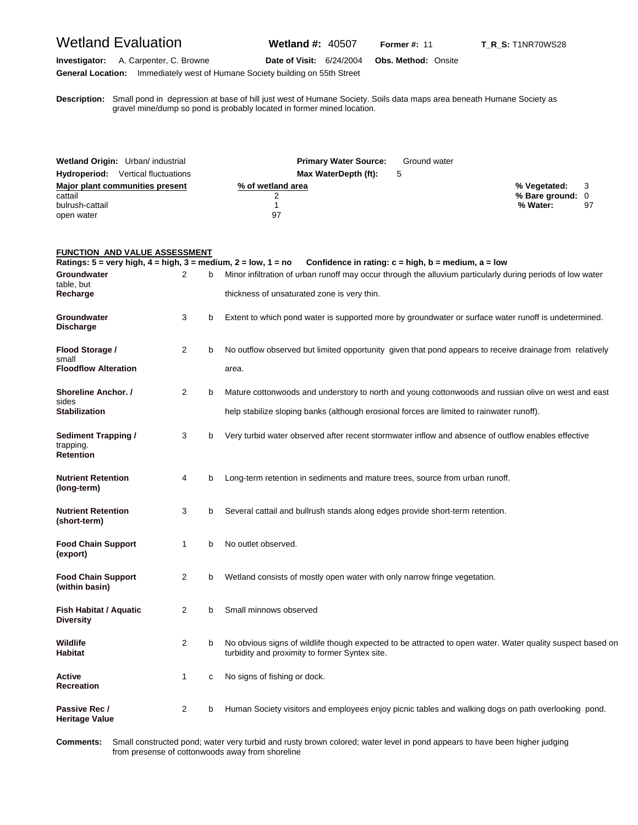## Wetland Evaluation **Wetland #:** 40507 **Former #: 11** T\_R\_S: T1NR70WS28

**Investigator:** A. Carpenter, C. Browne **Date of Visit:** 6/24/2004 **Obs. Method:** Onsite

**General Location:** Immediately west of Humane Society building on 55th Street

**D escription:** Small pond in depression at base of hill just west of Humane Society. Soils data maps area beneath Humane Society as gravel mine/dump so pond is probably located in former mined location.

| Wetland Origin: Urban/ industrial         | <b>Primary Water Source:</b> | Ground water |                  |    |
|-------------------------------------------|------------------------------|--------------|------------------|----|
| <b>Hydroperiod:</b> Vertical fluctuations | Max WaterDepth (ft):         | 5            |                  |    |
| Major plant communities present           | % of wetland area            |              | % Vegetated: 3   |    |
| cattail                                   |                              |              | % Bare ground: 0 |    |
| bulrush-cattail                           |                              |              | % Water:         | 97 |
| open water                                | 97                           |              |                  |    |

### **FUNCTION AND VALUE ASSESSMENT**

| Ratings: $5 = \text{very high}, 4 = \text{high}, 3 = \text{medium}, 2 = \text{low}, 1 = \text{no}$ |              |   | Confidence in rating: $c = high$ , $b = medium$ , $a = low$                                                                                                  |
|----------------------------------------------------------------------------------------------------|--------------|---|--------------------------------------------------------------------------------------------------------------------------------------------------------------|
| Groundwater<br>table, but                                                                          | 2            | h | Minor infiltration of urban runoff may occur through the alluvium particularly during periods of low water                                                   |
| Recharge                                                                                           |              |   | thickness of unsaturated zone is very thin.                                                                                                                  |
| Groundwater<br><b>Discharge</b>                                                                    | 3            | b | Extent to which pond water is supported more by groundwater or surface water runoff is undetermined.                                                         |
| Flood Storage /<br>small                                                                           | 2            | b | No outflow observed but limited opportunity given that pond appears to receive drainage from relatively                                                      |
| <b>Floodflow Alteration</b>                                                                        |              |   | area.                                                                                                                                                        |
| Shoreline Anchor. /<br>sides                                                                       | 2            | b | Mature cottonwoods and understory to north and young cottonwoods and russian olive on west and east                                                          |
| <b>Stabilization</b>                                                                               |              |   | help stabilize sloping banks (although erosional forces are limited to rainwater runoff).                                                                    |
| Sediment Trapping /<br>trapping.<br><b>Retention</b>                                               | 3            | b | Very turbid water observed after recent stormwater inflow and absence of outflow enables effective                                                           |
| <b>Nutrient Retention</b><br>(long-term)                                                           | 4            | b | Long-term retention in sediments and mature trees, source from urban runoff.                                                                                 |
| <b>Nutrient Retention</b><br>(short-term)                                                          | 3            | b | Several cattail and bullrush stands along edges provide short-term retention.                                                                                |
| <b>Food Chain Support</b><br>(export)                                                              | $\mathbf{1}$ | b | No outlet observed.                                                                                                                                          |
| <b>Food Chain Support</b><br>(within basin)                                                        | 2            | b | Wetland consists of mostly open water with only narrow fringe vegetation.                                                                                    |
| <b>Fish Habitat / Aquatic</b><br><b>Diversity</b>                                                  | 2            | b | Small minnows observed                                                                                                                                       |
| Wildlife<br><b>Habitat</b>                                                                         | 2            | b | No obvious signs of wildlife though expected to be attracted to open water. Water quality suspect based on<br>turbidity and proximity to former Syntex site. |
| Active<br>Recreation                                                                               | 1            | c | No signs of fishing or dock.                                                                                                                                 |
| Passive Rec /<br><b>Heritage Value</b>                                                             | 2            | b | Human Society visitors and employees enjoy picnic tables and walking dogs on path overlooking pond.                                                          |

Comments: from presense of cottonwoods away from shoreline Small constructed pond; water very turbid and rusty brown colored; water level in pond appears to have been higher judging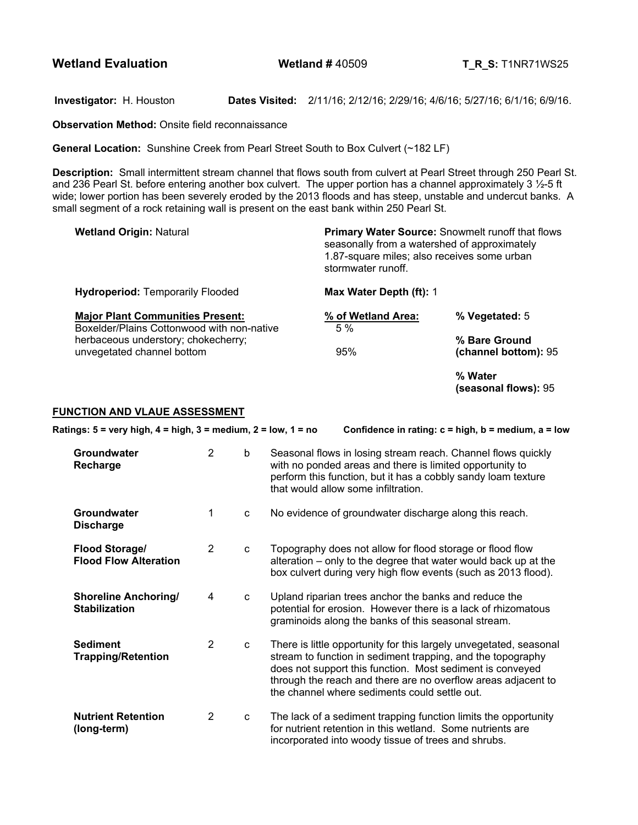**Wetland Evaluation Wetland # 40509 T R S:** T1NR71WS25

**Investigator:** H. Houston **Dates Visited:** 2/11/16; 2/12/16; 2/29/16; 4/6/16; 5/27/16; 6/1/16; 6/9/16.

**Observation Method: Onsite field reconnaissance** 

**General Location:** Sunshine Creek from Pearl Street South to Box Culvert (~182 LF)

**Description:** Small intermittent stream channel that flows south from culvert at Pearl Street through 250 Pearl St. and 236 Pearl St. before entering another box culvert. The upper portion has a channel approximately 3 ½-5 ft wide; lower portion has been severely eroded by the 2013 floods and has steep, unstable and undercut banks. A small segment of a rock retaining wall is present on the east bank within 250 Pearl St.

| <b>Wetland Origin: Natural</b>                                                        | <b>Primary Water Source:</b> Snowmelt runoff that flows<br>seasonally from a watershed of approximately<br>1.87-square miles; also receives some urban<br>stormwater runoff. |                                       |  |  |
|---------------------------------------------------------------------------------------|------------------------------------------------------------------------------------------------------------------------------------------------------------------------------|---------------------------------------|--|--|
| <b>Hydroperiod: Temporarily Flooded</b>                                               | Max Water Depth (ft): 1                                                                                                                                                      |                                       |  |  |
| <b>Major Plant Communities Present:</b><br>Boxelder/Plains Cottonwood with non-native | % of Wetland Area:<br>5%                                                                                                                                                     | % Vegetated: 5                        |  |  |
| herbaceous understory; chokecherry;<br>unvegetated channel bottom                     | 95%                                                                                                                                                                          | % Bare Ground<br>(channel bottom): 95 |  |  |
|                                                                                       |                                                                                                                                                                              | % Water                               |  |  |

**(seasonal flows):** 95

### **FUNCTION AND VLAUE ASSESSMENT**

| Ratings: $5 = \text{very high}, 4 = \text{high}, 3 = \text{medium}, 2 = \text{low}, 1 = \text{no}$ | Confidence in rating: $c = high$ , $b = medium$ , $a = low$ |              |                                                                                                                                                                                                                                                                                                                  |
|----------------------------------------------------------------------------------------------------|-------------------------------------------------------------|--------------|------------------------------------------------------------------------------------------------------------------------------------------------------------------------------------------------------------------------------------------------------------------------------------------------------------------|
| Groundwater<br>Recharge                                                                            | $\overline{2}$                                              | b            | Seasonal flows in losing stream reach. Channel flows quickly<br>with no ponded areas and there is limited opportunity to<br>perform this function, but it has a cobbly sandy loam texture<br>that would allow some infiltration.                                                                                 |
| <b>Groundwater</b><br><b>Discharge</b>                                                             | 1                                                           | C            | No evidence of groundwater discharge along this reach.                                                                                                                                                                                                                                                           |
| <b>Flood Storage/</b><br><b>Flood Flow Alteration</b>                                              | 2                                                           | $\mathbf{C}$ | Topography does not allow for flood storage or flood flow<br>alteration – only to the degree that water would back up at the<br>box culvert during very high flow events (such as 2013 flood).                                                                                                                   |
| <b>Shoreline Anchoring/</b><br><b>Stabilization</b>                                                | 4                                                           | C            | Upland riparian trees anchor the banks and reduce the<br>potential for erosion. However there is a lack of rhizomatous<br>graminoids along the banks of this seasonal stream.                                                                                                                                    |
| <b>Sediment</b><br><b>Trapping/Retention</b>                                                       | 2                                                           | C            | There is little opportunity for this largely unvegetated, seasonal<br>stream to function in sediment trapping, and the topography<br>does not support this function. Most sediment is conveyed<br>through the reach and there are no overflow areas adjacent to<br>the channel where sediments could settle out. |
| <b>Nutrient Retention</b><br>(long-term)                                                           | $\overline{2}$                                              | C            | The lack of a sediment trapping function limits the opportunity<br>for nutrient retention in this wetland. Some nutrients are<br>incorporated into woody tissue of trees and shrubs.                                                                                                                             |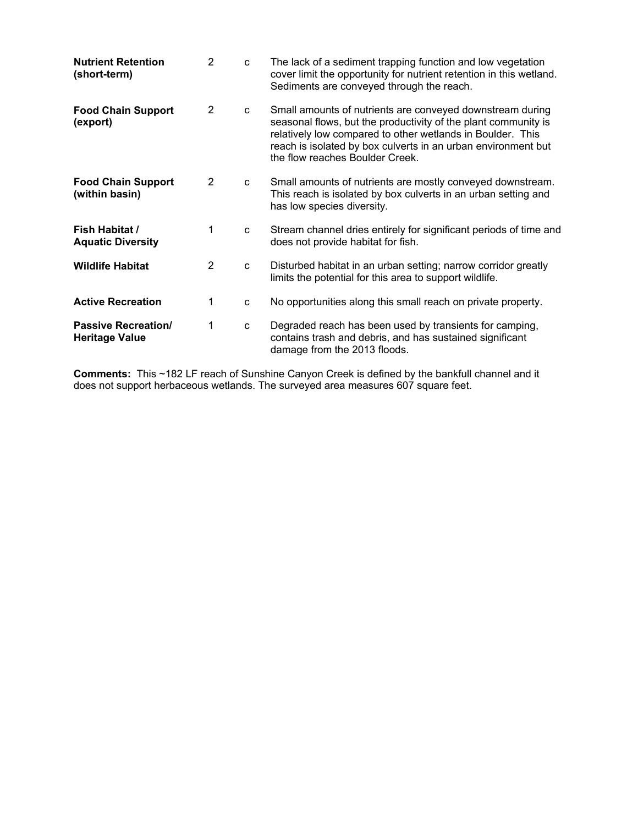| <b>Nutrient Retention</b><br>(short-term)           | 2              | C | The lack of a sediment trapping function and low vegetation<br>cover limit the opportunity for nutrient retention in this wetland.<br>Sediments are conveyed through the reach.                                                                                                               |
|-----------------------------------------------------|----------------|---|-----------------------------------------------------------------------------------------------------------------------------------------------------------------------------------------------------------------------------------------------------------------------------------------------|
| <b>Food Chain Support</b><br>(export)               | $\overline{2}$ | C | Small amounts of nutrients are conveyed downstream during<br>seasonal flows, but the productivity of the plant community is<br>relatively low compared to other wetlands in Boulder. This<br>reach is isolated by box culverts in an urban environment but<br>the flow reaches Boulder Creek. |
| <b>Food Chain Support</b><br>(within basin)         | $\overline{2}$ | C | Small amounts of nutrients are mostly conveyed downstream.<br>This reach is isolated by box culverts in an urban setting and<br>has low species diversity.                                                                                                                                    |
| Fish Habitat /<br><b>Aquatic Diversity</b>          | 1              | C | Stream channel dries entirely for significant periods of time and<br>does not provide habitat for fish.                                                                                                                                                                                       |
| <b>Wildlife Habitat</b>                             | $\overline{2}$ | C | Disturbed habitat in an urban setting; narrow corridor greatly<br>limits the potential for this area to support wildlife.                                                                                                                                                                     |
| <b>Active Recreation</b>                            | 1              | C | No opportunities along this small reach on private property.                                                                                                                                                                                                                                  |
| <b>Passive Recreation/</b><br><b>Heritage Value</b> | 1              | C | Degraded reach has been used by transients for camping,<br>contains trash and debris, and has sustained significant<br>damage from the 2013 floods.                                                                                                                                           |

**Comments:** This ~182 LF reach of Sunshine Canyon Creek is defined by the bankfull channel and it does not support herbaceous wetlands. The surveyed area measures 607 square feet.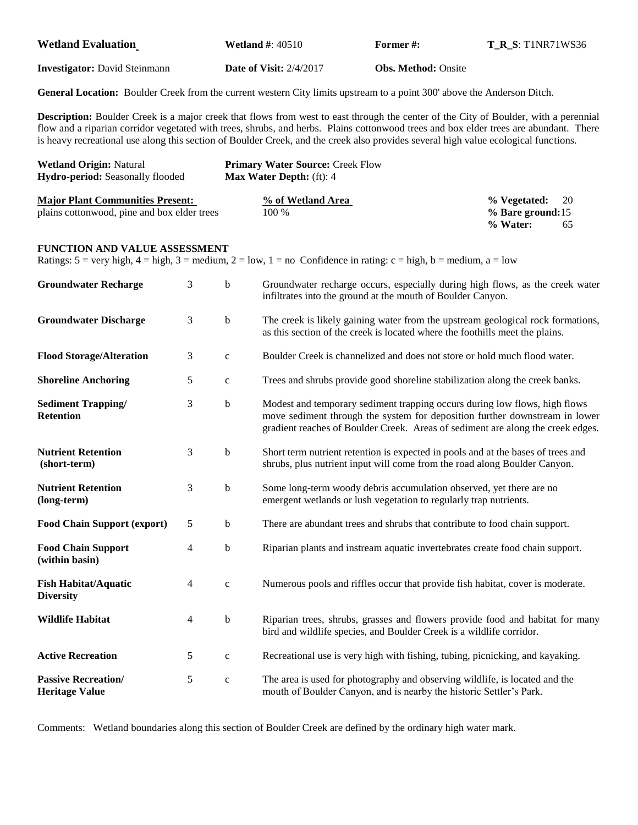| <b>Wetland Evaluation</b>                                                                                                                                                                                                                                                                                                                                                                                                   |   |                                                              | <b>Wetland #: 40510</b>                                                                                                                                       | Former#:                                                                                                                                                                                                                                     | <b>T_R_S: T1NR71WS36</b>                                 |  |
|-----------------------------------------------------------------------------------------------------------------------------------------------------------------------------------------------------------------------------------------------------------------------------------------------------------------------------------------------------------------------------------------------------------------------------|---|--------------------------------------------------------------|---------------------------------------------------------------------------------------------------------------------------------------------------------------|----------------------------------------------------------------------------------------------------------------------------------------------------------------------------------------------------------------------------------------------|----------------------------------------------------------|--|
| <b>Investigator:</b> David Steinmann                                                                                                                                                                                                                                                                                                                                                                                        |   | <b>Date of Visit: 2/4/2017</b><br><b>Obs. Method: Onsite</b> |                                                                                                                                                               |                                                                                                                                                                                                                                              |                                                          |  |
| General Location: Boulder Creek from the current western City limits upstream to a point 300' above the Anderson Ditch.                                                                                                                                                                                                                                                                                                     |   |                                                              |                                                                                                                                                               |                                                                                                                                                                                                                                              |                                                          |  |
| <b>Description:</b> Boulder Creek is a major creek that flows from west to east through the center of the City of Boulder, with a perennial<br>flow and a riparian corridor vegetated with trees, shrubs, and herbs. Plains cottonwood trees and box elder trees are abundant. There<br>is heavy recreational use along this section of Boulder Creek, and the creek also provides several high value ecological functions. |   |                                                              |                                                                                                                                                               |                                                                                                                                                                                                                                              |                                                          |  |
| <b>Wetland Origin: Natural</b><br>Hydro-period: Seasonally flooded                                                                                                                                                                                                                                                                                                                                                          |   |                                                              | <b>Primary Water Source: Creek Flow</b><br>Max Water Depth: (ft): 4                                                                                           |                                                                                                                                                                                                                                              |                                                          |  |
| <b>Major Plant Communities Present:</b><br>plains cottonwood, pine and box elder trees                                                                                                                                                                                                                                                                                                                                      |   |                                                              | % of Wetland Area<br>100 %                                                                                                                                    |                                                                                                                                                                                                                                              | % Vegetated:<br>20<br>% Bare ground:15<br>% Water:<br>65 |  |
| FUNCTION AND VALUE ASSESSMENT<br>Ratings: $5 = \text{very high}, 4 = \text{high}, 3 = \text{medium}, 2 = \text{low}, 1 = \text{no}$ Confidence in rating: $c = \text{high}, b = \text{medium}, a = \text{low}$                                                                                                                                                                                                              |   |                                                              |                                                                                                                                                               |                                                                                                                                                                                                                                              |                                                          |  |
| <b>Groundwater Recharge</b>                                                                                                                                                                                                                                                                                                                                                                                                 | 3 | $\mathbf b$                                                  |                                                                                                                                                               | Groundwater recharge occurs, especially during high flows, as the creek water<br>infiltrates into the ground at the mouth of Boulder Canyon.                                                                                                 |                                                          |  |
| <b>Groundwater Discharge</b>                                                                                                                                                                                                                                                                                                                                                                                                | 3 | $\mathbf b$                                                  |                                                                                                                                                               | The creek is likely gaining water from the upstream geological rock formations,<br>as this section of the creek is located where the foothills meet the plains.                                                                              |                                                          |  |
| <b>Flood Storage/Alteration</b>                                                                                                                                                                                                                                                                                                                                                                                             | 3 | $\mathbf c$                                                  | Boulder Creek is channelized and does not store or hold much flood water.                                                                                     |                                                                                                                                                                                                                                              |                                                          |  |
| <b>Shoreline Anchoring</b>                                                                                                                                                                                                                                                                                                                                                                                                  | 5 | $\mathbf c$                                                  | Trees and shrubs provide good shoreline stabilization along the creek banks.                                                                                  |                                                                                                                                                                                                                                              |                                                          |  |
| <b>Sediment Trapping/</b><br><b>Retention</b>                                                                                                                                                                                                                                                                                                                                                                               | 3 | $\mathbf b$                                                  |                                                                                                                                                               | Modest and temporary sediment trapping occurs during low flows, high flows<br>move sediment through the system for deposition further downstream in lower<br>gradient reaches of Boulder Creek. Areas of sediment are along the creek edges. |                                                          |  |
| <b>Nutrient Retention</b><br>(short-term)                                                                                                                                                                                                                                                                                                                                                                                   | 3 | $\mathbf b$                                                  | Short term nutrient retention is expected in pools and at the bases of trees and<br>shrubs, plus nutrient input will come from the road along Boulder Canyon. |                                                                                                                                                                                                                                              |                                                          |  |
| <b>Nutrient Retention</b><br>(long-term)                                                                                                                                                                                                                                                                                                                                                                                    | 3 | $\mathbf b$                                                  | Some long-term woody debris accumulation observed, yet there are no<br>emergent wetlands or lush vegetation to regularly trap nutrients.                      |                                                                                                                                                                                                                                              |                                                          |  |
| <b>Food Chain Support (export)</b>                                                                                                                                                                                                                                                                                                                                                                                          | 5 | b                                                            | There are abundant trees and shrubs that contribute to food chain support.                                                                                    |                                                                                                                                                                                                                                              |                                                          |  |
| <b>Food Chain Support</b><br>(within basin)                                                                                                                                                                                                                                                                                                                                                                                 | 4 | $\mathbf b$                                                  | Riparian plants and instream aquatic invertebrates create food chain support.                                                                                 |                                                                                                                                                                                                                                              |                                                          |  |
| <b>Fish Habitat/Aquatic</b><br><b>Diversity</b>                                                                                                                                                                                                                                                                                                                                                                             | 4 | $\mathbf c$                                                  | Numerous pools and riffles occur that provide fish habitat, cover is moderate.                                                                                |                                                                                                                                                                                                                                              |                                                          |  |
| <b>Wildlife Habitat</b>                                                                                                                                                                                                                                                                                                                                                                                                     | 4 | $\mathbf b$                                                  | Riparian trees, shrubs, grasses and flowers provide food and habitat for many<br>bird and wildlife species, and Boulder Creek is a wildlife corridor.         |                                                                                                                                                                                                                                              |                                                          |  |
| <b>Active Recreation</b>                                                                                                                                                                                                                                                                                                                                                                                                    | 5 | $\mathbf c$                                                  | Recreational use is very high with fishing, tubing, picnicking, and kayaking.                                                                                 |                                                                                                                                                                                                                                              |                                                          |  |
| <b>Passive Recreation/</b><br><b>Heritage Value</b>                                                                                                                                                                                                                                                                                                                                                                         | 5 | $\mathbf c$                                                  | The area is used for photography and observing wildlife, is located and the<br>mouth of Boulder Canyon, and is nearby the historic Settler's Park.            |                                                                                                                                                                                                                                              |                                                          |  |

Comments: Wetland boundaries along this section of Boulder Creek are defined by the ordinary high water mark.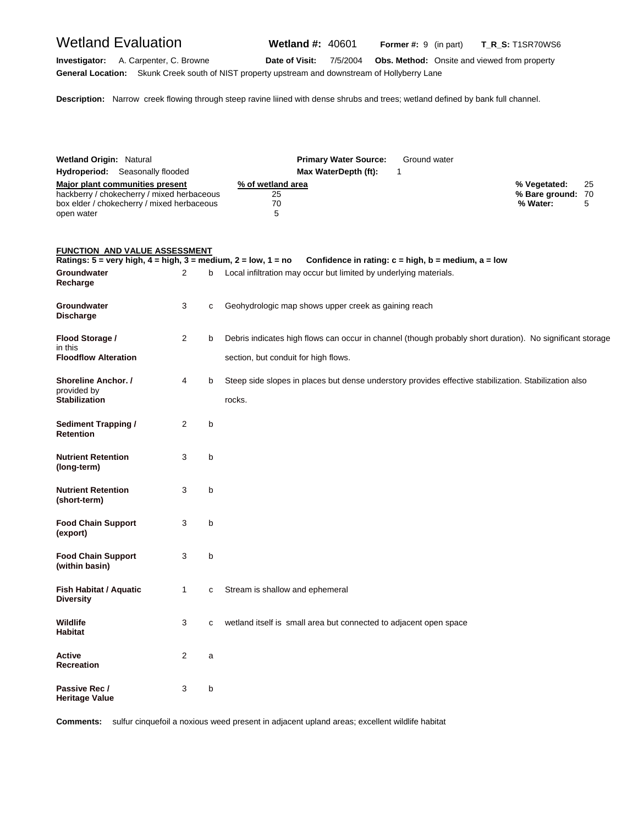**Investigator:** A. Carpenter, C. Browne **Date of Visit:** 7/5/2004 **Obs. Method:** Onsite and viewed from property

**General Location:** Skunk Creek south of NIST property upstream and downstream of Hollyberry Lane

**Description:** Narrow creek flowing through steep ravine liined with dense shrubs and trees; wetland defined by bank full channel.

| <b>Wetland Origin: Natural</b><br><b>Hydroperiod:</b> Seasonally flooded | <b>Primary Water Source:</b><br>Ground water<br>Max WaterDepth (ft): |                      |
|--------------------------------------------------------------------------|----------------------------------------------------------------------|----------------------|
| Major plant communities present                                          | % of wetland area                                                    | - 25<br>% Vegetated: |
| hackberry / chokecherry / mixed herbaceous                               | 25                                                                   | % Bare ground: 70    |
| box elder / chokecherry / mixed herbaceous                               | 70                                                                   | % Water:             |
| open water                                                               | ∽                                                                    |                      |

### **FUNCTION AND VALUE ASSESSMENT**

| Ratings: $5 =$ very high, $4 =$ high, $3 =$ medium, $2 =$ low, $1 =$ no |                |   | Confidence in rating: $c = high$ , $b = medium$ , $a = low$                                               |
|-------------------------------------------------------------------------|----------------|---|-----------------------------------------------------------------------------------------------------------|
| Groundwater<br>Recharge                                                 | $\overline{2}$ | b | Local infiltration may occur but limited by underlying materials.                                         |
| Groundwater<br><b>Discharge</b>                                         | 3              | с | Geohydrologic map shows upper creek as gaining reach                                                      |
| Flood Storage /<br>in this                                              | $\overline{2}$ | b | Debris indicates high flows can occur in channel (though probably short duration). No significant storage |
| <b>Floodflow Alteration</b>                                             |                |   | section, but conduit for high flows.                                                                      |
| Shoreline Anchor. /<br>provided by                                      | 4              | b | Steep side slopes in places but dense understory provides effective stabilization. Stabilization also     |
| <b>Stabilization</b>                                                    |                |   | rocks.                                                                                                    |
| <b>Sediment Trapping /</b><br><b>Retention</b>                          | 2              | b |                                                                                                           |
| <b>Nutrient Retention</b><br>(long-term)                                | 3              | b |                                                                                                           |
| <b>Nutrient Retention</b><br>(short-term)                               | 3              | b |                                                                                                           |
| <b>Food Chain Support</b><br>(export)                                   | 3              | b |                                                                                                           |
| <b>Food Chain Support</b><br>(within basin)                             | 3              | b |                                                                                                           |
| Fish Habitat / Aquatic<br><b>Diversity</b>                              | 1              | C | Stream is shallow and ephemeral                                                                           |
| <b>Wildlife</b><br><b>Habitat</b>                                       | 3              | с | wetland itself is small area but connected to adjacent open space                                         |
| Active<br><b>Recreation</b>                                             | 2              | a |                                                                                                           |
| Passive Rec /<br><b>Heritage Value</b>                                  | 3              | b |                                                                                                           |

**Comments:** sulfur cinquefoil a noxious weed present in adjacent upland areas; excellent wildlife habitat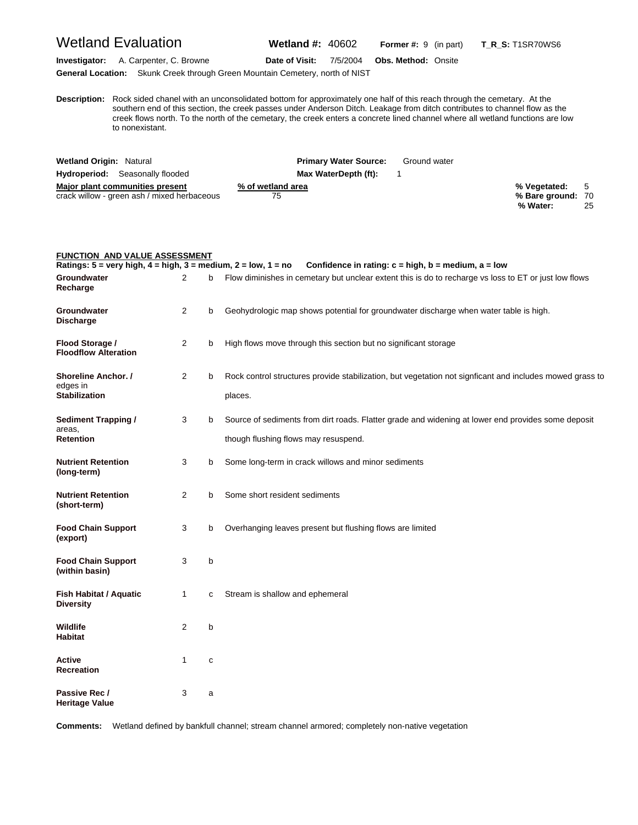# Wetland Evaluation **Wetland #:** 40602 **Former #:** <sup>9</sup> (in part) **T\_R\_S:** T1SR70WS6

**Investigator:** A. Carpenter, C. Browne **Date of Visit:** 7/5/2004 **Obs. Method:** Onsite **General Location:** Skunk Creek through Green Mountain Cemetery, north of NIST

**D escription:** Rock sided chanel with an unconsolidated bottom for approximately one half of this reach through the cemetary. At the southern end of this section, the creek passes under Anderson Ditch. Leakage from ditch contributes to channel flow as the creek flows north. To the north of the cemetary, the creek enters a concrete lined channel where all wetland functions are low to nonexistant.

| <b>Wetland Origin: Natural</b>              | <b>Primary Water Source:</b> | Ground water                        |
|---------------------------------------------|------------------------------|-------------------------------------|
| <b>Hydroperiod:</b> Seasonally flooded      | Max WaterDepth (ft):         |                                     |
| Major plant communities present             | % of wetland area            | % Vegetated: 5                      |
| crack willow - green ash / mixed herbaceous | 75                           | % Bare ground: 70<br>% Water:<br>25 |

| FUNCTION AND VALUE ASSESSMENT                                                                      |                |   |                                                                                                                                            |
|----------------------------------------------------------------------------------------------------|----------------|---|--------------------------------------------------------------------------------------------------------------------------------------------|
| Ratings: $5 = \text{very high}, 4 = \text{high}, 3 = \text{medium}, 2 = \text{low}, 1 = \text{no}$ |                |   | Confidence in rating: $c = high$ , $b = medium$ , $a = low$                                                                                |
| Groundwater<br>Recharge                                                                            | 2              | b | Flow diminishes in cemetary but unclear extent this is do to recharge vs loss to ET or just low flows                                      |
| Groundwater<br><b>Discharge</b>                                                                    | $\overline{2}$ | b | Geohydrologic map shows potential for groundwater discharge when water table is high.                                                      |
| Flood Storage /<br><b>Floodflow Alteration</b>                                                     | $\overline{2}$ | b | High flows move through this section but no significant storage                                                                            |
| Shoreline Anchor. /<br>edges in<br><b>Stabilization</b>                                            | $\overline{2}$ | b | Rock control structures provide stabilization, but vegetation not signficant and includes mowed grass to<br>places.                        |
| <b>Sediment Trapping /</b><br>areas,<br><b>Retention</b>                                           | 3              | b | Source of sediments from dirt roads. Flatter grade and widening at lower end provides some deposit<br>though flushing flows may resuspend. |
| <b>Nutrient Retention</b><br>(long-term)                                                           | 3              | b | Some long-term in crack willows and minor sediments                                                                                        |
| <b>Nutrient Retention</b><br>(short-term)                                                          | $\overline{2}$ | b | Some short resident sediments                                                                                                              |
| <b>Food Chain Support</b><br>(export)                                                              | 3              | b | Overhanging leaves present but flushing flows are limited                                                                                  |
| <b>Food Chain Support</b><br>(within basin)                                                        | 3              | b |                                                                                                                                            |
| <b>Fish Habitat / Aquatic</b><br><b>Diversity</b>                                                  | 1              | c | Stream is shallow and ephemeral                                                                                                            |
| <b>Wildlife</b><br>Habitat                                                                         | $\overline{2}$ | b |                                                                                                                                            |
| Active<br>Recreation                                                                               | 1              | С |                                                                                                                                            |
| Passive Rec /<br><b>Heritage Value</b>                                                             | 3              | a |                                                                                                                                            |

**Comments:** Wetland defined by bankfull channel; stream channel armored; completely non-native vegetation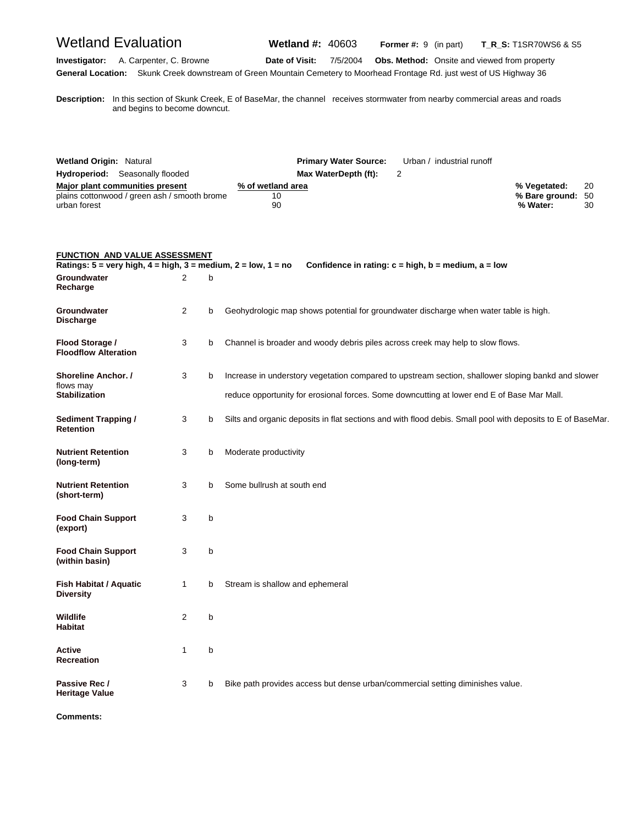| <b>Wetland Evaluation</b>                                                                                                                  |                |   | <b>Wetland #: 40603</b><br>Former #: 9 (in part)                                                                                                                                                             | <b>T_R_S:</b> T1SR70WS6 & S5                                 |
|--------------------------------------------------------------------------------------------------------------------------------------------|----------------|---|--------------------------------------------------------------------------------------------------------------------------------------------------------------------------------------------------------------|--------------------------------------------------------------|
| A. Carpenter, C. Browne<br>Investigator:                                                                                                   |                |   | Date of Visit:<br>7/5/2004<br><b>Obs. Method:</b> Onsite and viewed from property<br>General Location: Skunk Creek downstream of Green Mountain Cemetery to Moorhead Frontage Rd. just west of US Highway 36 |                                                              |
| and begins to become downcut.                                                                                                              |                |   | Description: In this section of Skunk Creek, E of BaseMar, the channel receives stormwater from nearby commercial areas and roads                                                                            |                                                              |
| <b>Wetland Origin: Natural</b><br>Hydroperiod: Seasonally flooded                                                                          |                |   | <b>Primary Water Source:</b><br>Urban / industrial runoff<br>Max WaterDepth (ft):<br>2                                                                                                                       |                                                              |
| Major plant communities present<br>plains cottonwood / green ash / smooth brome<br>urban forest                                            |                |   | % of wetland area<br>10<br>90                                                                                                                                                                                | % Vegetated:<br>20<br>% Bare ground:<br>50<br>% Water:<br>30 |
| <b>FUNCTION AND VALUE ASSESSMENT</b><br>Ratings: $5 = \text{very high}, 4 = \text{high}, 3 = \text{medium}, 2 = \text{low}, 1 = \text{no}$ |                |   | Confidence in rating: $c = high$ , $b = medium$ , $a = low$                                                                                                                                                  |                                                              |
| Groundwater<br>Recharge                                                                                                                    | 2              | b |                                                                                                                                                                                                              |                                                              |
| Groundwater<br><b>Discharge</b>                                                                                                            | $\overline{2}$ | b | Geohydrologic map shows potential for groundwater discharge when water table is high.                                                                                                                        |                                                              |
| Flood Storage /<br><b>Floodflow Alteration</b>                                                                                             | 3              | b | Channel is broader and woody debris piles across creek may help to slow flows.                                                                                                                               |                                                              |
| Shoreline Anchor. /<br>flows may<br><b>Stabilization</b>                                                                                   | 3              | b | Increase in understory vegetation compared to upstream section, shallower sloping bankd and slower<br>reduce opportunity for erosional forces. Some downcutting at lower end E of Base Mar Mall.             |                                                              |
| <b>Sediment Trapping /</b><br><b>Retention</b>                                                                                             | 3              | b | Silts and organic deposits in flat sections and with flood debis. Small pool with deposits to E of BaseMar.                                                                                                  |                                                              |
| <b>Nutrient Retention</b><br>(long-term)                                                                                                   | 3              | b | Moderate productivity                                                                                                                                                                                        |                                                              |
| <b>Nutrient Retention</b><br>(short-term)                                                                                                  | 3              | b | Some bullrush at south end                                                                                                                                                                                   |                                                              |
| <b>Food Chain Support</b><br>(export)                                                                                                      | 3              | b |                                                                                                                                                                                                              |                                                              |
| <b>Food Chain Support</b><br>(within basin)                                                                                                | 3              | b |                                                                                                                                                                                                              |                                                              |
| Fish Habitat / Aquatic<br><b>Diversity</b>                                                                                                 | $\mathbf{1}$   | b | Stream is shallow and ephemeral                                                                                                                                                                              |                                                              |
| Wildlife<br><b>Habitat</b>                                                                                                                 | 2              | b |                                                                                                                                                                                                              |                                                              |
| Active<br><b>Recreation</b>                                                                                                                | $\mathbf{1}$   | b |                                                                                                                                                                                                              |                                                              |

Passive Rec / 3 b Bike path provides access but dense urban/commercial setting diminishes value.

**Heritage Value** 

**Comments:**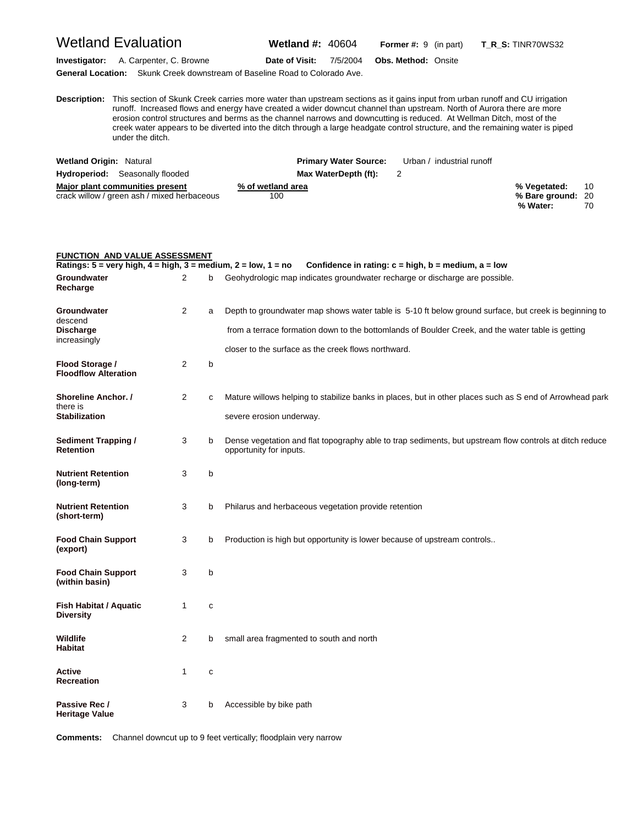## Wetland Evaluation **Wetland #:** 40604 **Former #:** <sup>9</sup> (in part) **T\_R\_S:** TINR70WS32

**Investigator:** A. Carpenter, C. Browne **Date of Visit:** 7/5/2004 **Obs. Method:** Onsite

**General Location:** Skunk Creek downstream of Baseline Road to Colorado Ave.

**FUNCTION AND VALUE ASSESSMENT**

**D escription:** This section of Skunk Creek carries more water than upstream sections as it gains input from urban runoff and CU irrigation runoff. Increased flows and energy have created a wider downcut channel than upstream. North of Aurora there are more erosion control structures and berms as the channel narrows and downcutting is reduced. At Wellman Ditch, most of the creek water appears to be diverted into the ditch through a large headgate control structure, and the remaining water is piped under the ditch.

| <b>Wetland Origin: Natural</b>                                                 | <b>Primary Water Source:</b> | Urban / industrial runoff |                                               |          |
|--------------------------------------------------------------------------------|------------------------------|---------------------------|-----------------------------------------------|----------|
| <b>Hydroperiod:</b> Seasonally flooded                                         | Max WaterDepth (ft):         |                           |                                               |          |
| Major plant communities present<br>crack willow / green ash / mixed herbaceous | % of wetland area<br>100     |                           | % Vegetated:<br>% Bare ground: 20<br>% Water: | 10<br>70 |

| <b>FUNCTION AND VALUE ASSESSMENT</b><br>Ratings: $5 = \text{very high}, 4 = \text{high}, 3 = \text{medium}, 2 = \text{low}, 1 = \text{no}$ |                |   | Confidence in rating: $c = high$ , $b = medium$ , $a = low$                                                                        |
|--------------------------------------------------------------------------------------------------------------------------------------------|----------------|---|------------------------------------------------------------------------------------------------------------------------------------|
| Groundwater<br>Recharge                                                                                                                    | 2              | b | Geohydrologic map indicates groundwater recharge or discharge are possible.                                                        |
| Groundwater                                                                                                                                | $\overline{2}$ | a | Depth to groundwater map shows water table is 5-10 ft below ground surface, but creek is beginning to                              |
| descend<br><b>Discharge</b><br>increasingly                                                                                                |                |   | from a terrace formation down to the bottomlands of Boulder Creek, and the water table is getting                                  |
|                                                                                                                                            |                |   | closer to the surface as the creek flows northward.                                                                                |
| Flood Storage /<br><b>Floodflow Alteration</b>                                                                                             | 2              | b |                                                                                                                                    |
| <b>Shoreline Anchor. /</b>                                                                                                                 | 2              | C | Mature willows helping to stabilize banks in places, but in other places such as S end of Arrowhead park                           |
| there is<br><b>Stabilization</b>                                                                                                           |                |   | severe erosion underway.                                                                                                           |
| <b>Sediment Trapping /</b><br><b>Retention</b>                                                                                             | 3              | b | Dense vegetation and flat topography able to trap sediments, but upstream flow controls at ditch reduce<br>opportunity for inputs. |
| <b>Nutrient Retention</b><br>(long-term)                                                                                                   | 3              | b |                                                                                                                                    |
| <b>Nutrient Retention</b><br>(short-term)                                                                                                  | 3              | b | Philarus and herbaceous vegetation provide retention                                                                               |
| <b>Food Chain Support</b><br>(export)                                                                                                      | 3              | b | Production is high but opportunity is lower because of upstream controls                                                           |
| <b>Food Chain Support</b><br>(within basin)                                                                                                | 3              | b |                                                                                                                                    |
| Fish Habitat / Aquatic<br><b>Diversity</b>                                                                                                 | 1              | C |                                                                                                                                    |
| Wildlife<br><b>Habitat</b>                                                                                                                 | $\overline{2}$ | b | small area fragmented to south and north                                                                                           |
| <b>Active</b><br><b>Recreation</b>                                                                                                         | $\mathbf{1}$   | c |                                                                                                                                    |
| Passive Rec /<br><b>Heritage Value</b>                                                                                                     | 3              | b | Accessible by bike path                                                                                                            |

**Comments:** Channel downcut up to 9 feet vertically; floodplain very narrow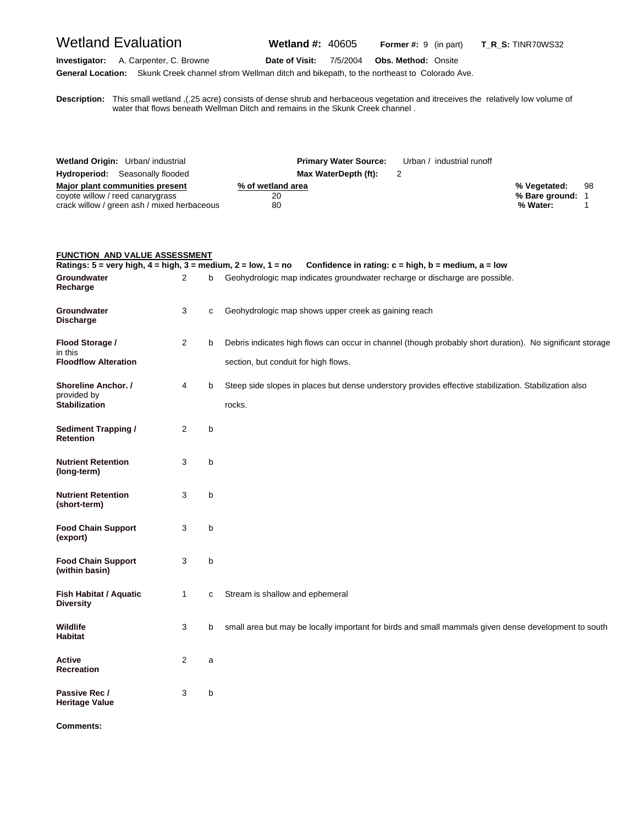Wetland Evaluation **Wetland #:** 40605 **Former #:** <sup>9</sup> (in part) **T\_R\_S:** TINR70WS32

**Investigator:** A. Carpenter, C. Browne **Date of Visit:** 7/5/2004 **Obs. Method:** Onsite

**General Location:** Skunk Creek channel sfrom Wellman ditch and bikepath, to the northeast to Colorado Ave.

**D escription:** This small wetland ,(.25 acre) consists of dense shrub and herbaceous vegetation and itreceives the relatively low volume of water that flows beneath Wellman Ditch and remains in the Skunk Creek channel.

| Wetland Origin: Urban/ industrial           |                      | <b>Primary Water Source:</b> Urban / industrial runoff |                |    |
|---------------------------------------------|----------------------|--------------------------------------------------------|----------------|----|
| <b>Hydroperiod:</b> Seasonally flooded      | Max WaterDepth (ft): |                                                        |                |    |
| Major plant communities present             | % of wetland area    |                                                        | % Vegetated:   | 98 |
| coyote willow / reed canarygrass            | 20                   |                                                        | % Bare ground: |    |
| crack willow / green ash / mixed herbaceous | 80                   |                                                        | % Water:       |    |

| <b>FUNCTION AND VALUE ASSESSMENT</b><br>Ratings: $5 = \text{very high}, 4 = \text{high}, 3 = \text{medium}, 2 = \text{low}, 1 = \text{no}$ |              |   | Confidence in rating: $c = high$ , $b = medium$ , $a = low$                                                                                       |
|--------------------------------------------------------------------------------------------------------------------------------------------|--------------|---|---------------------------------------------------------------------------------------------------------------------------------------------------|
| Groundwater<br>Recharge                                                                                                                    | 2            | b | Geohydrologic map indicates groundwater recharge or discharge are possible.                                                                       |
| Groundwater<br><b>Discharge</b>                                                                                                            | 3            | C | Geohydrologic map shows upper creek as gaining reach                                                                                              |
| Flood Storage /<br>in this<br><b>Floodflow Alteration</b>                                                                                  | 2            | b | Debris indicates high flows can occur in channel (though probably short duration). No significant storage<br>section, but conduit for high flows. |
| <b>Shoreline Anchor. /</b><br>provided by<br><b>Stabilization</b>                                                                          | 4            | b | Steep side slopes in places but dense understory provides effective stabilization. Stabilization also<br>rocks.                                   |
| <b>Sediment Trapping /</b><br><b>Retention</b>                                                                                             | 2            | b |                                                                                                                                                   |
| <b>Nutrient Retention</b><br>(long-term)                                                                                                   | 3            | b |                                                                                                                                                   |
| <b>Nutrient Retention</b><br>(short-term)                                                                                                  | 3            | b |                                                                                                                                                   |
| <b>Food Chain Support</b><br>(export)                                                                                                      | 3            | b |                                                                                                                                                   |
| <b>Food Chain Support</b><br>(within basin)                                                                                                | 3            | b |                                                                                                                                                   |
| Fish Habitat / Aquatic<br><b>Diversity</b>                                                                                                 | $\mathbf{1}$ | C | Stream is shallow and ephemeral                                                                                                                   |
| Wildlife<br><b>Habitat</b>                                                                                                                 | 3            | b | small area but may be locally important for birds and small mammals given dense development to south                                              |
| Active<br><b>Recreation</b>                                                                                                                | 2            | a |                                                                                                                                                   |
| Passive Rec /<br><b>Heritage Value</b>                                                                                                     | 3            | b |                                                                                                                                                   |

**Comments:**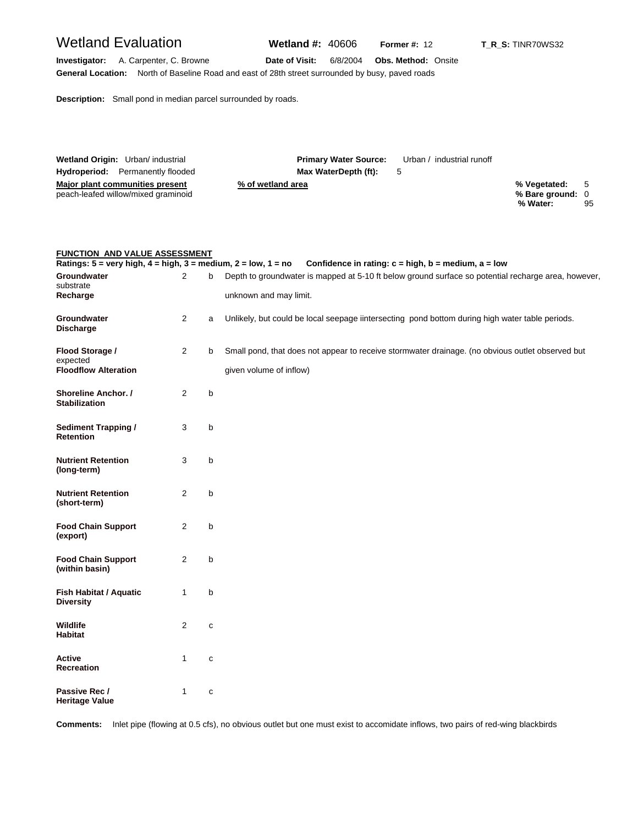# Wetland Evaluation **Wetland #:** 40606 **Former #:** <sup>12</sup> **T\_R\_S:** TINR70WS32

**Investigator:** A. Carpenter, C. Browne **Date of Visit:** 6/8/2004 **Obs. Method:** Onsite **General Location:** North of Baseline Road and east of 28th street surrounded by busy, paved roads

**Description:** Small pond in median parcel surrounded by roads.

| Wetland Origin: Urban/ industrial       | <b>Primary Water Source:</b> | Urban / industrial runoff |                  |    |
|-----------------------------------------|------------------------------|---------------------------|------------------|----|
| <b>Hydroperiod:</b> Permanently flooded | Max WaterDepth (ft):         | -5                        |                  |    |
| Major plant communities present         | % of wetland area            |                           | % Vegetated: 5   |    |
| peach-leafed willow/mixed graminoid     |                              |                           | % Bare ground: 0 |    |
|                                         |                              |                           | % Water:         | 95 |

|  | <b>FUNCTION AND VALUE ASSESSMENT</b> |
|--|--------------------------------------|
|  |                                      |

| Ratings: $5 = \text{very high}, 4 = \text{high}, 3 = \text{medium}, 2 = \text{low}, 1 = \text{no}$ |                |              | Confidence in rating: $c = high$ , $b = medium$ , $a = low$                                                                   |
|----------------------------------------------------------------------------------------------------|----------------|--------------|-------------------------------------------------------------------------------------------------------------------------------|
| Groundwater<br>substrate<br>Recharge                                                               | $\overline{2}$ | b            | Depth to groundwater is mapped at 5-10 ft below ground surface so potential recharge area, however,<br>unknown and may limit. |
|                                                                                                    |                |              |                                                                                                                               |
| Groundwater<br><b>Discharge</b>                                                                    | 2              | a            | Unlikely, but could be local seepage iintersecting pond bottom during high water table periods.                               |
| Flood Storage /<br>expected                                                                        | 2              | b            | Small pond, that does not appear to receive stormwater drainage. (no obvious outlet observed but                              |
| <b>Floodflow Alteration</b>                                                                        |                |              | given volume of inflow)                                                                                                       |
| <b>Shoreline Anchor. /</b><br><b>Stabilization</b>                                                 | 2              | b            |                                                                                                                               |
| <b>Sediment Trapping /</b><br>Retention                                                            | 3              | b            |                                                                                                                               |
| <b>Nutrient Retention</b><br>(long-term)                                                           | 3              | b            |                                                                                                                               |
| <b>Nutrient Retention</b><br>(short-term)                                                          | 2              | b            |                                                                                                                               |
| <b>Food Chain Support</b><br>(export)                                                              | 2              | b            |                                                                                                                               |
| <b>Food Chain Support</b><br>(within basin)                                                        | 2              | b            |                                                                                                                               |
| Fish Habitat / Aquatic<br><b>Diversity</b>                                                         | 1              | b            |                                                                                                                               |
| Wildlife<br><b>Habitat</b>                                                                         | 2              | $\mathbf{C}$ |                                                                                                                               |
| <b>Active</b><br>Recreation                                                                        | $\mathbf{1}$   | $\mathbf{C}$ |                                                                                                                               |
| Passive Rec /<br><b>Heritage Value</b>                                                             | $\mathbf{1}$   | c            |                                                                                                                               |

**Comments:** Inlet pipe (flowing at 0.5 cfs), no obvious outlet but one must exist to accomidate inflows, two pairs of red-wing blackbirds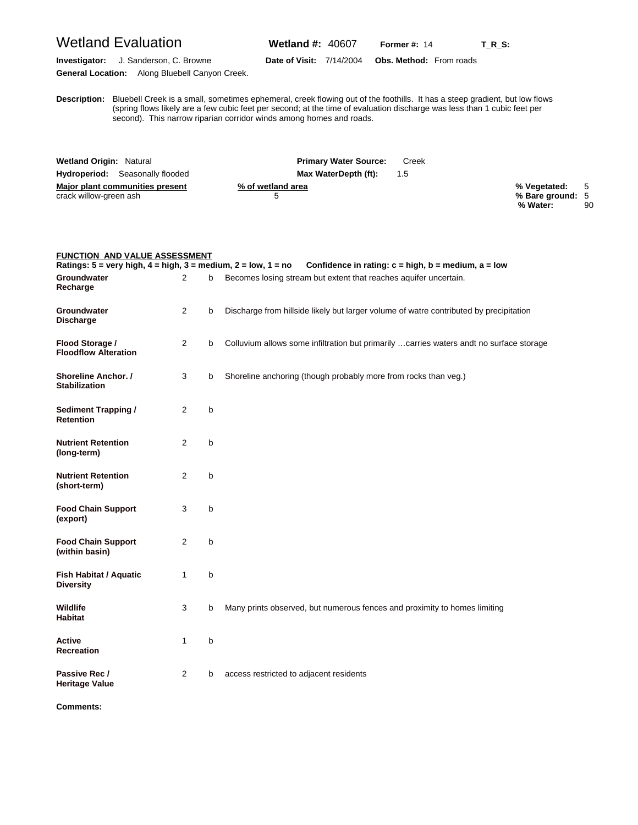**Investigator:** J. Sanderson, C. Browne **Date of Visit:** 7/14/2004 **Obs. Method:** From roads

**General Location:** Along Bluebell Canyon Creek.

**D** (spring flows likely are a few cubic feet per second; at the time of evaluation discharge was less than 1 cubic feet per **escription:** Bluebell Creek is a small, sometimes ephemeral, creek flowing out of the foothills. It has a steep gradient, but low flows second). This narrow riparian corridor winds among homes and roads.

| <b>Wetland Origin: Natural</b>         | <b>Primary Water Source:</b> | Creek |                  |    |
|----------------------------------------|------------------------------|-------|------------------|----|
| <b>Hydroperiod:</b> Seasonally flooded | Max WaterDepth (ft):         | 1.5   |                  |    |
| Major plant communities present        | % of wetland area            |       | % Vegetated: 5   |    |
| crack willow-green ash                 |                              |       | % Bare ground: 5 |    |
|                                        |                              |       | % Water:         | 90 |

| <b>FUNCTION AND VALUE ASSESSMENT</b>                                                               |                |   |                                                                                          |
|----------------------------------------------------------------------------------------------------|----------------|---|------------------------------------------------------------------------------------------|
| Ratings: $5 = \text{very high}, 4 = \text{high}, 3 = \text{medium}, 2 = \text{low}, 1 = \text{no}$ |                |   | Confidence in rating: $c = high$ , $b = medium$ , $a = low$                              |
| <b>Groundwater</b><br>Recharge                                                                     | $\overline{2}$ | b | Becomes losing stream but extent that reaches aquifer uncertain.                         |
| Groundwater<br><b>Discharge</b>                                                                    | 2              | b | Discharge from hillside likely but larger volume of watre contributed by precipitation   |
| Flood Storage /<br><b>Floodflow Alteration</b>                                                     | $\overline{2}$ | b | Colluvium allows some infiltration but primarily  carries waters andt no surface storage |
| Shoreline Anchor. /<br><b>Stabilization</b>                                                        | 3              | b | Shoreline anchoring (though probably more from rocks than veg.)                          |
| <b>Sediment Trapping /</b><br><b>Retention</b>                                                     | $\overline{2}$ | b |                                                                                          |
| <b>Nutrient Retention</b><br>(long-term)                                                           | $\overline{2}$ | b |                                                                                          |
| <b>Nutrient Retention</b><br>(short-term)                                                          | $\overline{2}$ | b |                                                                                          |
| <b>Food Chain Support</b><br>(export)                                                              | 3              | b |                                                                                          |
| <b>Food Chain Support</b><br>(within basin)                                                        | $\overline{2}$ | b |                                                                                          |
| Fish Habitat / Aquatic<br><b>Diversity</b>                                                         | $\mathbf{1}$   | b |                                                                                          |
| <b>Wildlife</b><br><b>Habitat</b>                                                                  | 3              | b | Many prints observed, but numerous fences and proximity to homes limiting                |
| <b>Active</b><br><b>Recreation</b>                                                                 | 1              | b |                                                                                          |
| Passive Rec /<br><b>Heritage Value</b>                                                             | 2              | b | access restricted to adjacent residents                                                  |

**Comments:**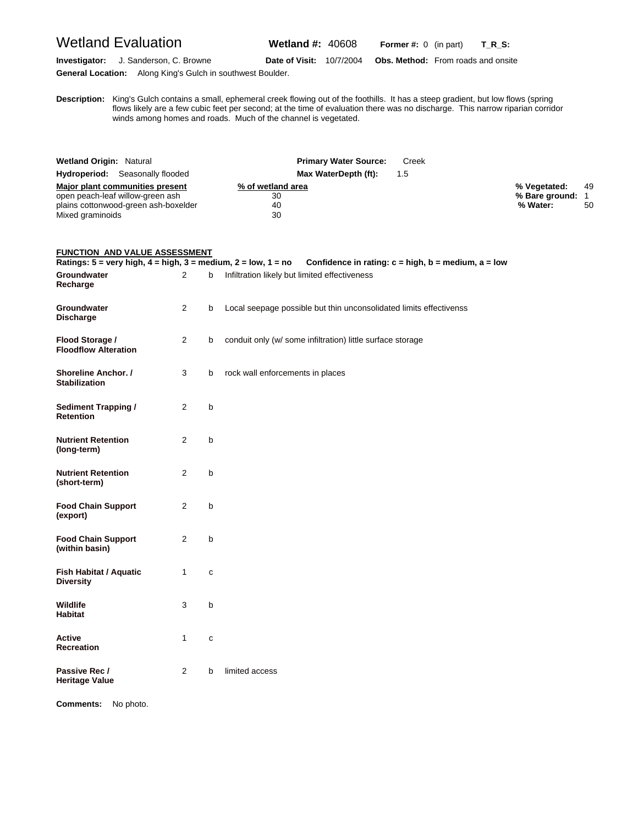Wetland Evaluation **Wetland #:** 40608 **Former #:** <sup>0</sup> (in part) **T\_R\_S:**

**Investigator:** J. Sanderson, C. Browne **Date of Visit:** 10/7/2004 **Obs. Method:** From roads and onsite **General Location:** Along King's Gulch in southwest Boulder.

**D** flows likely are a few cubic feet per second; at the time of evaluation there was no discharge. This narrow riparian corridor **escription:** King's Gulch contains a small, ephemeral creek flowing out of the foothills. It has a steep gradient, but low flows (spring winds among homes and roads. Much of the channel is vegetated.

| <b>Wetland Origin: Natural</b>         | <b>Primary Water Source:</b><br>Creek |                    |
|----------------------------------------|---------------------------------------|--------------------|
| <b>Hydroperiod:</b> Seasonally flooded | Max WaterDepth (ft):<br>$1.5^{\circ}$ |                    |
| Major plant communities present        | % of wetland area                     | 49<br>% Vegetated: |
| open peach-leaf willow-green ash       | 30                                    | % Bare ground:     |
| plains cottonwood-green ash-boxelder   | 40                                    | % Water:<br>50     |
| Mixed graminoids                       | 30                                    |                    |

#### **FUNCTION AND VALUE ASSESSMENT**

|                                                   |                |              | Ratings: $5 =$ very high, $4 =$ high, $3 =$ medium, $2 =$ low, $1 =$ no Confidence in rating: $c =$ high, $b =$ medium, $a =$ low |
|---------------------------------------------------|----------------|--------------|-----------------------------------------------------------------------------------------------------------------------------------|
| Groundwater<br>Recharge                           | $\overline{2}$ | b            | Infiltration likely but limited effectiveness                                                                                     |
| Groundwater<br><b>Discharge</b>                   | 2              | b            | Local seepage possible but thin unconsolidated limits effectivenss                                                                |
| Flood Storage /<br><b>Floodflow Alteration</b>    | 2              | b            | conduit only (w/ some infiltration) little surface storage                                                                        |
| Shoreline Anchor. /<br><b>Stabilization</b>       | 3              | b            | rock wall enforcements in places                                                                                                  |
| <b>Sediment Trapping /</b><br>Retention           | $\overline{2}$ | b            |                                                                                                                                   |
| <b>Nutrient Retention</b><br>(long-term)          | $\overline{2}$ | b            |                                                                                                                                   |
| <b>Nutrient Retention</b><br>(short-term)         | $\overline{2}$ | b            |                                                                                                                                   |
| <b>Food Chain Support</b><br>(export)             | 2              | b            |                                                                                                                                   |
| <b>Food Chain Support</b><br>(within basin)       | 2              | b            |                                                                                                                                   |
| <b>Fish Habitat / Aquatic</b><br><b>Diversity</b> | 1              | C            |                                                                                                                                   |
| Wildlife<br><b>Habitat</b>                        | 3              | $\mathsf{b}$ |                                                                                                                                   |
| Active<br>Recreation                              | 1              | C            |                                                                                                                                   |
| Passive Rec /<br><b>Heritage Value</b>            | 2              | b            | limited access                                                                                                                    |

**Comments:** No photo.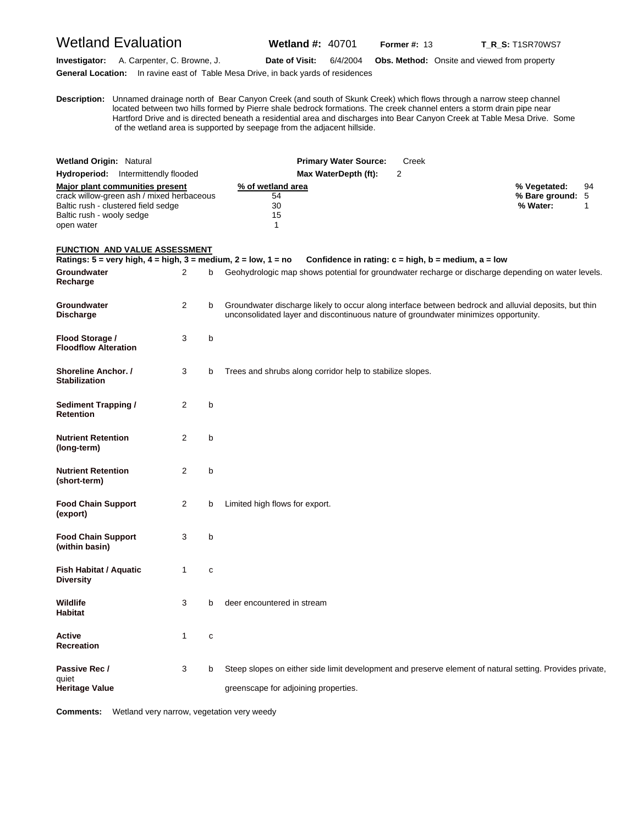# Wetland Evaluation **Wetland #:** 40701 **Former #: 13** T\_R\_S: T1SR70WS7

**Investigator:** A. Carpenter, C. Browne, J. **Date of Visit:** 6/4/2004 **Obs. Method:** Onsite and viewed from property **General Location:** In ravine east of Table Mesa Drive, in back yards of residences

**D escription:** Unnamed drainage north of Bear Canyon Creek (and south of Skunk Creek) which flows through a narrow steep channel located between two hills formed by Pierre shale bedrock formations. The creek channel enters a storm drain pipe near Hartford Drive and is directed beneath a residential area and discharges into Bear Canyon Creek at Table Mesa Drive. Some of the wetland area is supported by seepage from the adjacent hillside.

| <b>Wetland Origin: Natural</b>                                                                                                                                 | <b>Primary Water Source:</b>        | Creek |                                              |    |
|----------------------------------------------------------------------------------------------------------------------------------------------------------------|-------------------------------------|-------|----------------------------------------------|----|
| <b>Hydroperiod:</b> Intermittendly flooded                                                                                                                     | Max WaterDepth (ft):                |       |                                              |    |
| Major plant communities present<br>crack willow-green ash / mixed herbaceous<br>Baltic rush - clustered field sedge<br>Baltic rush - wooly sedge<br>open water | % of wetland area<br>54<br>30<br>15 |       | % Vegetated:<br>% Bare ground: 5<br>% Water: | 94 |
| <b>FUNCTION AND VALUE ASSESSMENT</b>                                                                                                                           |                                     |       |                                              |    |

| Ratings: $5 = \text{very high}, 4 = \text{high}, 3 = \text{medium}, 2 = \text{low}, 1 = \text{no}$ |                |   | Confidence in rating: $c = high$ , $b = medium$ , $a = low$                                                                                                                                  |
|----------------------------------------------------------------------------------------------------|----------------|---|----------------------------------------------------------------------------------------------------------------------------------------------------------------------------------------------|
| Groundwater<br>Recharge                                                                            | 2              | b | Geohydrologic map shows potential for groundwater recharge or discharge depending on water levels.                                                                                           |
| Groundwater<br><b>Discharge</b>                                                                    | 2              | b | Groundwater discharge likely to occur along interface between bedrock and alluvial deposits, but thin<br>unconsolidated layer and discontinuous nature of groundwater minimizes opportunity. |
| Flood Storage /<br><b>Floodflow Alteration</b>                                                     | 3              | b |                                                                                                                                                                                              |
| <b>Shoreline Anchor.</b> /<br><b>Stabilization</b>                                                 | 3              | b | Trees and shrubs along corridor help to stabilize slopes.                                                                                                                                    |
| <b>Sediment Trapping /</b><br><b>Retention</b>                                                     | 2              | b |                                                                                                                                                                                              |
| <b>Nutrient Retention</b><br>(long-term)                                                           | $\overline{2}$ | b |                                                                                                                                                                                              |
| <b>Nutrient Retention</b><br>(short-term)                                                          | $\overline{2}$ | b |                                                                                                                                                                                              |
| <b>Food Chain Support</b><br>(export)                                                              | 2              | b | Limited high flows for export.                                                                                                                                                               |
| <b>Food Chain Support</b><br>(within basin)                                                        | 3              | b |                                                                                                                                                                                              |
| <b>Fish Habitat / Aquatic</b><br><b>Diversity</b>                                                  | $\mathbf{1}$   | C |                                                                                                                                                                                              |
| Wildlife<br><b>Habitat</b>                                                                         | 3              | b | deer encountered in stream                                                                                                                                                                   |
| Active<br><b>Recreation</b>                                                                        | 1              | C |                                                                                                                                                                                              |
| Passive Rec /<br>quiet<br><b>Heritage Value</b>                                                    | 3              | b | Steep slopes on either side limit development and preserve element of natural setting. Provides private,<br>greenscape for adjoining properties.                                             |

**Comments:** Wetland very narrow, vegetation very weedy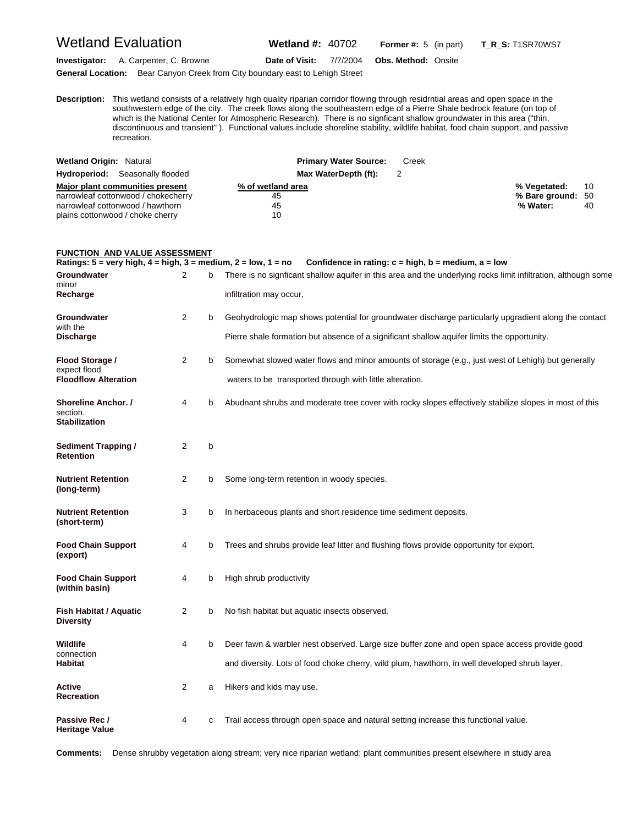### Wetland Evaluation **Wetland #:** 40702 **Former #:** <sup>5</sup> (in part) **T\_R\_S:** T1SR70WS7

**Investigator:** A. Carpenter, C. Browne **Date of Visit:** 7/7/2004 **Obs. Method:** Onsite **General Location:** Bear Canyon Creek from City boundary east to Lehigh Street

**D escription:** This wetland consists of a relatively high quality riparian corridor flowing through residrntial areas and open space in the southwestern edge of the city. The creek flows along the southeastern edge of a Pierre Shale bedrock feature (on top of which is the National Center for Atmospheric Research). There is no signficant shallow groundwater in this area ("thin, discontinuous and transient" ). Functional values include shoreline stability, wildlife habitat, food chain support, and passive recreation.

| <b>Wetland Origin: Natural</b>         | <b>Primary Water Source:</b> | Creek              |
|----------------------------------------|------------------------------|--------------------|
| <b>Hydroperiod:</b> Seasonally flooded | Max WaterDepth (ft):         |                    |
| Major plant communities present        | % of wetland area            | % Vegetated:<br>10 |
| narrowleaf cottonwood / chokecherry    | 45                           | % Bare ground: 50  |
| narrowleaf cottonwood / hawthorn       | 45                           | % Water:<br>40     |
| plains cottonwood / choke cherry       | 10                           |                    |

#### **FUNCTION AND VALUE ASSESSMENT**

**Ratings: 5 = very high, 4 = high, 3 = medium, 2 = low, 1 = no Confidence in rating: c = high, b = medium, a = low Groundwater** 2 b There is no signficant shallow aquifer in this area and the underlying rocks limit infiltration, although some minor<br>Recharge infiltration may occur, **Groundwater** 2 b Geohydrologic map shows potential for groundwater discharge particularly upgradient along the contact with the **Discharge Pierre shale formation but absence of a significant shallow aquifer limits the opportunity. Flood Storage /** 2 b Somewhat slowed water flows and minor amounts of storage (e.g., just west of Lehigh) but generally expect flood<br>Floodflow Alteration waters to be transported through with little alteration. **Shoreline Anchor. /** 4 b Abudnant shrubs and moderate tree cover with rocky slopes effectively stabilize slopes in most of this section. **Stabilization Sediment Trapping /**  2 b **Retention Nutrient Retention** 2 b Some long-term retention in woody species. **(long-term) Nutrient Retention** 3 b In herbaceous plants and short residence time sediment deposits. **(short-term) Food Chain Support** 4 b Trees and shrubs provide leaf litter and flushing flows provide opportunity for export. **(export) Food Chain Support** 4 b High shrub productivity **(within basin) Fish Habitat / Aquatic** 2 b No fish habitat but aquatic insects observed. **Diversity Wildlife** 4 b Deer fawn & warbler nest observed. Large size buffer zone and open space access provide good connection<br>Habitat **Habitat** and diversity. Lots of food choke cherry, wild plum, hawthorn, in well developed shrub layer. Active **Active 2** a Hikers and kids may use. **Recreation Passive Rec / 4 c** Trail access through open space and natural setting increase this functional value. **Heritage Value** 

**Comments:** Dense shrubby vegetation along stream; very nice riparian wetland; plant communities present elsewhere in study area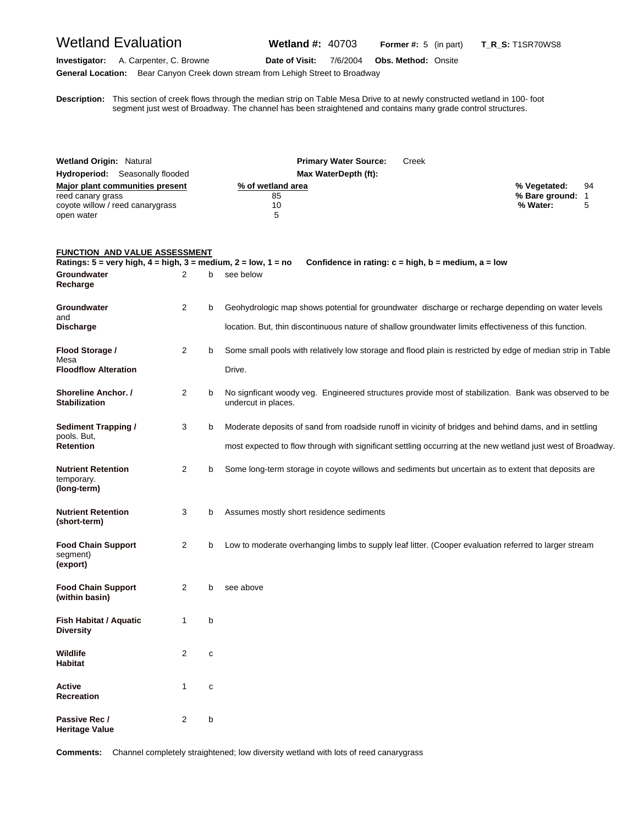Wetland Evaluation **Wetland #:** 40703 **Former #:** <sup>5</sup> (in part) **T\_R\_S:** T1SR70WS8

**Investigator:** A. Carpenter, C. Browne **Date of Visit:** 7/6/2004 **Obs. Method:** Onsite **General Location:** Bear Canyon Creek down stream from Lehigh Street to Broadway

**D** segment just west of Broadway. The channel has been straightened and contains many grade control structures. **escription:** This section of creek flows through the median strip on Table Mesa Drive to at newly constructed wetland in 100- foot

| <b>Wetland Origin: Natural</b><br><b>Hydroperiod:</b> Seasonally flooded<br><b>Major plant communities present</b><br>reed canary grass<br>coyote willow / reed canarygrass |                |   | <b>Primary Water Source:</b><br>Creek<br>Max WaterDepth (ft):<br>% of wetland area<br>85<br>10                                                                                                                        | % Vegetated:<br>% Bare ground:<br>% Water: | 94<br>1<br>5 |
|-----------------------------------------------------------------------------------------------------------------------------------------------------------------------------|----------------|---|-----------------------------------------------------------------------------------------------------------------------------------------------------------------------------------------------------------------------|--------------------------------------------|--------------|
| open water<br><b>FUNCTION AND VALUE ASSESSMENT</b>                                                                                                                          |                |   | 5                                                                                                                                                                                                                     |                                            |              |
| Ratings: $5 = \text{very high}, 4 = \text{high}, 3 = \text{medium}, 2 = \text{low}, 1 = \text{no}$                                                                          |                |   | Confidence in rating: $c = high$ , $b = medium$ , $a = low$                                                                                                                                                           |                                            |              |
| Groundwater<br>Recharge                                                                                                                                                     | 2              | b | see below                                                                                                                                                                                                             |                                            |              |
| Groundwater<br>and                                                                                                                                                          | 2              | b | Geohydrologic map shows potential for groundwater discharge or recharge depending on water levels                                                                                                                     |                                            |              |
| <b>Discharge</b>                                                                                                                                                            |                |   | location. But, thin discontinuous nature of shallow groundwater limits effectiveness of this function.                                                                                                                |                                            |              |
| Flood Storage /<br>Mesa<br><b>Floodflow Alteration</b>                                                                                                                      | $\overline{2}$ | b | Some small pools with relatively low storage and flood plain is restricted by edge of median strip in Table<br>Drive.                                                                                                 |                                            |              |
| Shoreline Anchor. /<br><b>Stabilization</b>                                                                                                                                 | 2              | b | No signficant woody veg. Engineered structures provide most of stabilization. Bank was observed to be<br>undercut in places.                                                                                          |                                            |              |
| <b>Sediment Trapping /</b><br>pools. But.<br>Retention                                                                                                                      | 3              | b | Moderate deposits of sand from roadside runoff in vicinity of bridges and behind dams, and in settling<br>most expected to flow through with significant settling occurring at the new wetland just west of Broadway. |                                            |              |
| <b>Nutrient Retention</b><br>temporary.<br>(long-term)                                                                                                                      | $\overline{2}$ | b | Some long-term storage in coyote willows and sediments but uncertain as to extent that deposits are                                                                                                                   |                                            |              |
| Nutrient Retention<br>(short-term)                                                                                                                                          | 3              | b | Assumes mostly short residence sediments                                                                                                                                                                              |                                            |              |
| <b>Food Chain Support</b><br>segment)<br>(export)                                                                                                                           | 2              | b | Low to moderate overhanging limbs to supply leaf litter. (Cooper evaluation referred to larger stream                                                                                                                 |                                            |              |
| <b>Food Chain Support</b><br>(within basin)                                                                                                                                 | 2              | b | see above                                                                                                                                                                                                             |                                            |              |
| <b>Fish Habitat / Aquatic</b><br><b>Diversity</b>                                                                                                                           | 1              | b |                                                                                                                                                                                                                       |                                            |              |
| Wildlife<br>Habitat                                                                                                                                                         | 2              | C |                                                                                                                                                                                                                       |                                            |              |
| Active<br>Recreation                                                                                                                                                        | $\mathbf{1}$   | C |                                                                                                                                                                                                                       |                                            |              |
| Passive Rec /<br><b>Heritage Value</b>                                                                                                                                      | 2              | b |                                                                                                                                                                                                                       |                                            |              |

**Comments:** Channel completely straightened; low diversity wetland with lots of reed canarygrass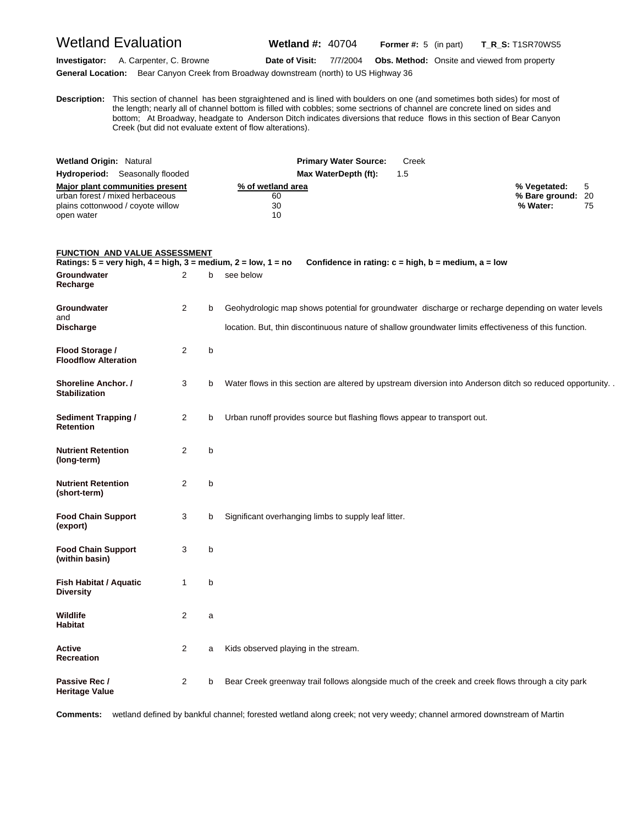**Heritage Value** 

Wetland Evaluation **Wetland #:** 40704 **Former #:** <sup>5</sup> (in part) **T\_R\_S:** T1SR70WS5

**Investigator:** A. Carpenter, C. Browne **Date of Visit:** 7/7/2004 **Obs. Method:** Onsite and viewed from property

**General Location:** Bear Canyon Creek from Broadway downstream (north) to US Highway 36

**D escription:** This section of channel has been stgraightened and is lined with boulders on one (and sometimes both sides) for most of the length; nearly all of channel bottom is filled with cobbles; some sectrions of channel are concrete lined on sides and bottom; At Broadway, headgate to Anderson Ditch indicates diversions that reduce flows in this section of Bear Canyon Creek (but did not evaluate extent of flow alterations).

| <b>Wetland Origin: Natural</b>         | <b>Primary Water Source:</b><br>Creek |                   |
|----------------------------------------|---------------------------------------|-------------------|
| <b>Hydroperiod:</b> Seasonally flooded | Max WaterDepth (ft):<br>1.5           |                   |
| Major plant communities present        | % of wetland area                     | % Vegetated: 5    |
| urban forest / mixed herbaceous        | 60                                    | % Bare ground: 20 |
| plains cottonwood / coyote willow      | 30                                    | % Water:<br>75    |
| open water                             | 10                                    |                   |

| <b>FUNCTION AND VALUE ASSESSMENT</b><br>Ratings: $5 = \text{very high}, 4 = \text{high}, 3 = \text{medium}, 2 = \text{low}, 1 = \text{no}$ |                |   | Confidence in rating: $c = high$ , $b = medium$ , $a = low$                                               |
|--------------------------------------------------------------------------------------------------------------------------------------------|----------------|---|-----------------------------------------------------------------------------------------------------------|
| Groundwater<br>Recharge                                                                                                                    | $\overline{2}$ | b | see below                                                                                                 |
| Groundwater<br>and                                                                                                                         | $\overline{2}$ | b | Geohydrologic map shows potential for groundwater discharge or recharge depending on water levels         |
| <b>Discharge</b>                                                                                                                           |                |   | location. But, thin discontinuous nature of shallow groundwater limits effectiveness of this function.    |
| Flood Storage /<br><b>Floodflow Alteration</b>                                                                                             | $\overline{2}$ | b |                                                                                                           |
| Shoreline Anchor. /<br><b>Stabilization</b>                                                                                                | 3              | b | Water flows in this section are altered by upstream diversion into Anderson ditch so reduced opportunity. |
| <b>Sediment Trapping /</b><br><b>Retention</b>                                                                                             | 2              | b | Urban runoff provides source but flashing flows appear to transport out.                                  |
| <b>Nutrient Retention</b><br>(long-term)                                                                                                   | $\overline{2}$ | b |                                                                                                           |
| <b>Nutrient Retention</b><br>(short-term)                                                                                                  | $\overline{2}$ | b |                                                                                                           |
| <b>Food Chain Support</b><br>(export)                                                                                                      | 3              | b | Significant overhanging limbs to supply leaf litter.                                                      |
| <b>Food Chain Support</b><br>(within basin)                                                                                                | 3              | b |                                                                                                           |
| <b>Fish Habitat / Aquatic</b><br><b>Diversity</b>                                                                                          | $\mathbf{1}$   | b |                                                                                                           |
| <b>Wildlife</b><br><b>Habitat</b>                                                                                                          | $\overline{2}$ | a |                                                                                                           |
| <b>Active</b><br><b>Recreation</b>                                                                                                         | $\overline{2}$ | a | Kids observed playing in the stream.                                                                      |
| Passive Rec /                                                                                                                              | 2              | b | Bear Creek greenway trail follows alongside much of the creek and creek flows through a city park         |

**Comments:** wetland defined by bankful channel; forested wetland along creek; not very weedy; channel armored downstream of Martin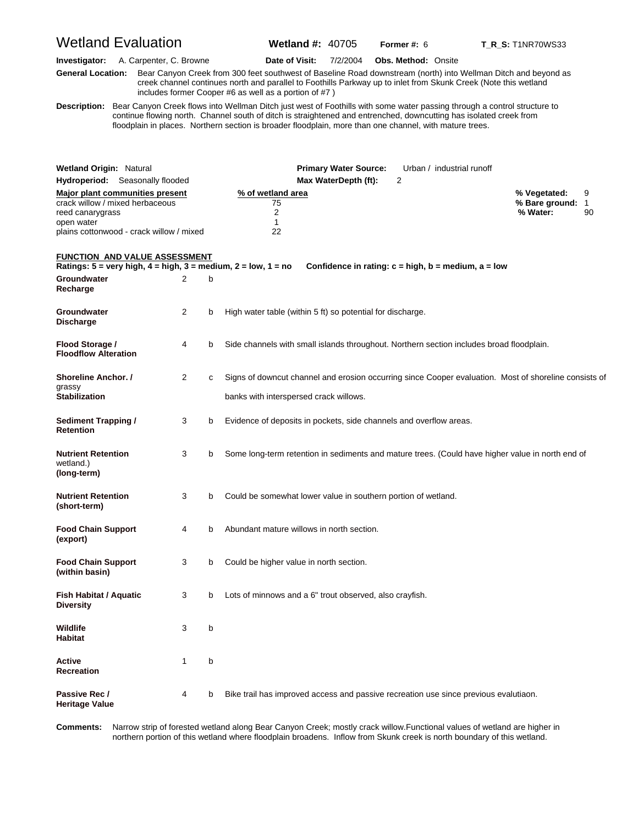# Wetland Evaluation **Wetland #:** 40705 **Former #: 6 T\_R\_S:** T1NR70WS33

**Investigator:** A. Carpenter, C. Browne **Date of Visit:** 7/2/2004 **Obs. Method:** Onsite

**G eneral Location:** Bear Canyon Creek from 300 feet southwest of Baseline Road downstream (north) into Wellman Ditch and beyond as creek channel continues north and parallel to Foothills Parkway up to inlet from Skunk Creek (Note this wetland includes former Cooper #6 as well as a portion of #7 )

**D escription:** Bear Canyon Creek flows into Wellman Ditch just west of Foothills with some water passing through a control structure to continue flowing north. Channel south of ditch is straightened and entrenched, downcutting has isolated creek from floodplain in places. Northern section is broader floodplain, more than one channel, with mature trees.

| <b>Wetland Origin: Natural</b>                                                                                                                          |   |   | <b>Primary Water Source:</b><br>Urban / industrial runoff                                                                                                         |                                              |         |
|---------------------------------------------------------------------------------------------------------------------------------------------------------|---|---|-------------------------------------------------------------------------------------------------------------------------------------------------------------------|----------------------------------------------|---------|
| <b>Hydroperiod:</b> Seasonally flooded                                                                                                                  |   |   | Max WaterDepth (ft):<br>2                                                                                                                                         |                                              |         |
| <b>Major plant communities present</b><br>crack willow / mixed herbaceous<br>reed canarygrass<br>open water<br>plains cottonwood - crack willow / mixed |   |   | % of wetland area<br>75<br>2<br>1<br>22                                                                                                                           | % Vegetated:<br>% Bare ground: 1<br>% Water: | 9<br>90 |
| <u>FUNCTION AND VALUE ASSESSMENT</u>                                                                                                                    |   |   | Ratings: $5 = \text{very high}, 4 = \text{high}, 3 = \text{medium}, 2 = \text{low}, 1 = \text{no}$<br>Confidence in rating: $c = high$ , $b = medium$ , $a = low$ |                                              |         |
| Groundwater<br>Recharge                                                                                                                                 | 2 | b |                                                                                                                                                                   |                                              |         |
| Groundwater<br><b>Discharge</b>                                                                                                                         | 2 | b | High water table (within 5 ft) so potential for discharge.                                                                                                        |                                              |         |
| Flood Storage /<br><b>Floodflow Alteration</b>                                                                                                          | 4 | b | Side channels with small islands throughout. Northern section includes broad floodplain.                                                                          |                                              |         |
| <b>Shoreline Anchor. /</b><br>grassy<br><b>Stabilization</b>                                                                                            | 2 | c | Signs of downcut channel and erosion occurring since Cooper evaluation. Most of shoreline consists of<br>banks with interspersed crack willows.                   |                                              |         |
| <b>Sediment Trapping /</b><br>Retention                                                                                                                 | 3 | b | Evidence of deposits in pockets, side channels and overflow areas.                                                                                                |                                              |         |
| <b>Nutrient Retention</b><br>wetland.)<br>(long-term)                                                                                                   | 3 | b | Some long-term retention in sediments and mature trees. (Could have higher value in north end of                                                                  |                                              |         |
| <b>Nutrient Retention</b><br>(short-term)                                                                                                               | 3 | b | Could be somewhat lower value in southern portion of wetland.                                                                                                     |                                              |         |
| <b>Food Chain Support</b><br>(export)                                                                                                                   | 4 | b | Abundant mature willows in north section.                                                                                                                         |                                              |         |
| <b>Food Chain Support</b><br>(within basin)                                                                                                             | 3 | b | Could be higher value in north section.                                                                                                                           |                                              |         |
| <b>Fish Habitat / Aquatic</b><br><b>Diversity</b>                                                                                                       | 3 | b | Lots of minnows and a 6" trout observed, also crayfish.                                                                                                           |                                              |         |
| Wildlife<br><b>Habitat</b>                                                                                                                              | 3 | b |                                                                                                                                                                   |                                              |         |
| <b>Active</b><br>Recreation                                                                                                                             | 1 | b |                                                                                                                                                                   |                                              |         |
| Passive Rec /<br><b>Heritage Value</b>                                                                                                                  | 4 | b | Bike trail has improved access and passive recreation use since previous evalutiaon.                                                                              |                                              |         |

Comments: northern portion of this wetland where floodplain broadens. Inflow from Skunk creek is north boundary of this wetland. **omments:** Narrow strip of forested wetland along Bear Canyon Creek; mostly crack willow.Functional values of wetland are higher in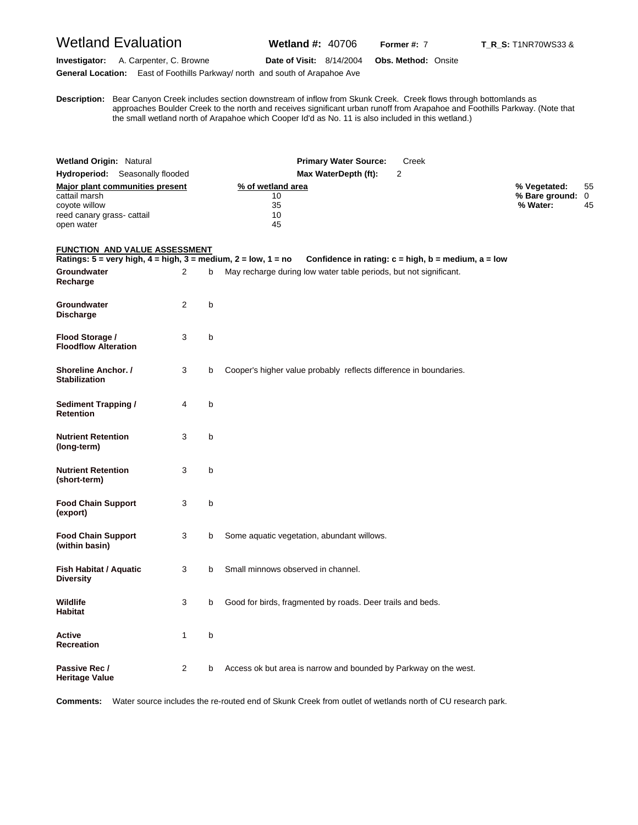## Wetland Evaluation **Wetland #:** 40706 **Former #: 7 T\_R\_S:** T1NR70WS33 &

**Investigator:** A. Carpenter, C. Browne **Date of Visit:** 8/14/2004 **Obs. Method:** Onsite **General Location:** East of Foothills Parkway/ north and south of Arapahoe Ave

**D escription:** Bear Canyon Creek includes section downstream of inflow from Skunk Creek. Creek flows through bottomlands as approaches Boulder Creek to the north and receives significant urban runoff from Arapahoe and Foothills Parkway. (Note that the small wetland north of Arapahoe which Cooper Id'd as No. 11 is also included in this wetland.)

| <b>Wetland Origin: Natural</b><br>Hydroperiod: Seasonally flooded<br>Major plant communities present<br>cattail marsh<br>coyote willow<br>reed canary grass- cattail<br>open water |   |   | <b>Primary Water Source:</b><br>Creek<br>Max WaterDepth (ft):<br>$\overline{2}$<br>% of wetland area<br>10<br>35<br>10<br>45     | % Vegetated:<br>% Bare ground: 0<br>% Water: | 55<br>45 |
|------------------------------------------------------------------------------------------------------------------------------------------------------------------------------------|---|---|----------------------------------------------------------------------------------------------------------------------------------|----------------------------------------------|----------|
| <b>FUNCTION AND VALUE ASSESSMENT</b>                                                                                                                                               |   |   |                                                                                                                                  |                                              |          |
| Ratings: $5 = \text{very high}, 4 = \text{high}, 3 = \text{medium}, 2 = \text{low}, 1 = \text{no}$<br>Groundwater<br>Recharge                                                      | 2 | b | Confidence in rating: $c = high$ , $b = medium$ , $a = low$<br>May recharge during low water table periods, but not significant. |                                              |          |
| Groundwater<br>Discharge                                                                                                                                                           | 2 | b |                                                                                                                                  |                                              |          |
| Flood Storage /<br><b>Floodflow Alteration</b>                                                                                                                                     | 3 | b |                                                                                                                                  |                                              |          |
| <b>Shoreline Anchor. /</b><br><b>Stabilization</b>                                                                                                                                 | 3 | b | Cooper's higher value probably reflects difference in boundaries.                                                                |                                              |          |
| <b>Sediment Trapping /</b><br><b>Retention</b>                                                                                                                                     | 4 | b |                                                                                                                                  |                                              |          |
| <b>Nutrient Retention</b><br>(long-term)                                                                                                                                           | 3 | b |                                                                                                                                  |                                              |          |
| <b>Nutrient Retention</b><br>(short-term)                                                                                                                                          | 3 | b |                                                                                                                                  |                                              |          |
| <b>Food Chain Support</b><br>(export)                                                                                                                                              | 3 | b |                                                                                                                                  |                                              |          |
| <b>Food Chain Support</b><br>(within basin)                                                                                                                                        | 3 | b | Some aquatic vegetation, abundant willows.                                                                                       |                                              |          |
| Fish Habitat / Aquatic<br><b>Diversity</b>                                                                                                                                         | 3 | b | Small minnows observed in channel.                                                                                               |                                              |          |
| Wildlife<br><b>Habitat</b>                                                                                                                                                         | 3 | b | Good for birds, fragmented by roads. Deer trails and beds.                                                                       |                                              |          |
| Active<br>Recreation                                                                                                                                                               | 1 | b |                                                                                                                                  |                                              |          |
| Passive Rec /<br><b>Heritage Value</b>                                                                                                                                             | 2 | b | Access ok but area is narrow and bounded by Parkway on the west.                                                                 |                                              |          |

**Comments:** Water source includes the re-routed end of Skunk Creek from outlet of wetlands north of CU research park.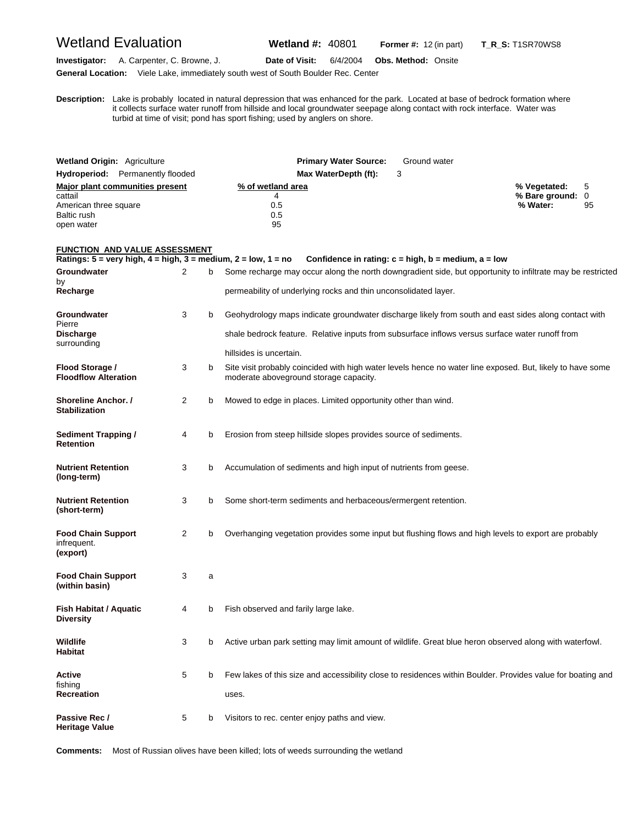# Wetland Evaluation **Wetland #:** 40801 **Former #:** <sup>12</sup> (in part) **T\_R\_S:** T1SR70WS8

**D**

**Investigator:** A. Carpenter, C. Browne, J. **Date of Visit:** 6/4/2004 **Obs. Method:** Onsite **General Location:** Viele Lake, immediately south west of South Boulder Rec. Center

**escription:** Lake is probably located in natural depression that was enhanced for the park. Located at base of bedrock formation where

it collects surface water runoff from hillside and local groundwater seepage along contact with rock interface. Water was turbid at time of visit; pond has sport fishing; used by anglers on shore.

| <b>Wetland Origin: Agriculture</b>                                                               |  |                     | <b>Primary Water Source:</b><br>Ground water                                                                                                                                                                                       |                                                         |  |  |  |
|--------------------------------------------------------------------------------------------------|--|---------------------|------------------------------------------------------------------------------------------------------------------------------------------------------------------------------------------------------------------------------------|---------------------------------------------------------|--|--|--|
| <b>Hydroperiod:</b> Permanently flooded                                                          |  |                     | 3<br>Max WaterDepth (ft):                                                                                                                                                                                                          |                                                         |  |  |  |
| Major plant communities present<br>cattail<br>American three square<br>Baltic rush<br>open water |  |                     | % of wetland area<br>4<br>0.5<br>0.5<br>95                                                                                                                                                                                         | % Vegetated:<br>5<br>% Bare ground: 0<br>% Water:<br>95 |  |  |  |
| <b>FUNCTION AND VALUE ASSESSMENT</b>                                                             |  |                     | Ratings: 5 = very high, 4 = high, 3 = medium, 2 = low, 1 = no<br>Confidence in rating: $c = high$ , $b = medium$ , $a = low$                                                                                                       |                                                         |  |  |  |
| Groundwater<br>by<br>Recharge                                                                    |  | 2<br>b              | Some recharge may occur along the north downgradient side, but opportunity to infiltrate may be restricted<br>permeability of underlying rocks and thin unconsolidated layer.                                                      |                                                         |  |  |  |
| Groundwater<br>Pierre<br>Discharge<br>surrounding                                                |  | 3<br>b              | Geohydrology maps indicate groundwater discharge likely from south and east sides along contact with<br>shale bedrock feature. Relative inputs from subsurface inflows versus surface water runoff from<br>hillsides is uncertain. |                                                         |  |  |  |
| Flood Storage /<br><b>Floodflow Alteration</b>                                                   |  | 3<br>b              | Site visit probably coincided with high water levels hence no water line exposed. But, likely to have some<br>moderate aboveground storage capacity.                                                                               |                                                         |  |  |  |
| Shoreline Anchor. /<br><b>Stabilization</b>                                                      |  | $\overline{2}$<br>b | Mowed to edge in places. Limited opportunity other than wind.                                                                                                                                                                      |                                                         |  |  |  |
| <b>Sediment Trapping /</b><br><b>Retention</b>                                                   |  | 4<br>b              | Erosion from steep hillside slopes provides source of sediments.                                                                                                                                                                   |                                                         |  |  |  |
| Nutrient Retention<br>(long-term)                                                                |  | 3<br>b              | Accumulation of sediments and high input of nutrients from geese.                                                                                                                                                                  |                                                         |  |  |  |
| Nutrient Retention<br>(short-term)                                                               |  | 3<br>b              | Some short-term sediments and herbaceous/ermergent retention.                                                                                                                                                                      |                                                         |  |  |  |
| Food Chain Support<br>infrequent.<br>(export)                                                    |  | 2<br>b              | Overhanging vegetation provides some input but flushing flows and high levels to export are probably                                                                                                                               |                                                         |  |  |  |
| <b>Food Chain Support</b><br>(within basin)                                                      |  | 3<br>a              |                                                                                                                                                                                                                                    |                                                         |  |  |  |
| Fish Habitat / Aquatic<br>Diversity                                                              |  | 4<br>b              | Fish observed and farily large lake.                                                                                                                                                                                               |                                                         |  |  |  |
| Wildlife<br>Habitat                                                                              |  | 3<br>b              | Active urban park setting may limit amount of wildlife. Great blue heron observed along with waterfowl.                                                                                                                            |                                                         |  |  |  |
| Active<br>fishing<br>Recreation                                                                  |  | 5<br>b              | Few lakes of this size and accessibility close to residences within Boulder. Provides value for boating and<br>uses.                                                                                                               |                                                         |  |  |  |
| Passive Rec /<br>Heritage Value                                                                  |  | 5<br>b              | Visitors to rec. center enjoy paths and view.                                                                                                                                                                                      |                                                         |  |  |  |

**Comments:** Most of Russian olives have been killed; lots of weeds surrounding the wetland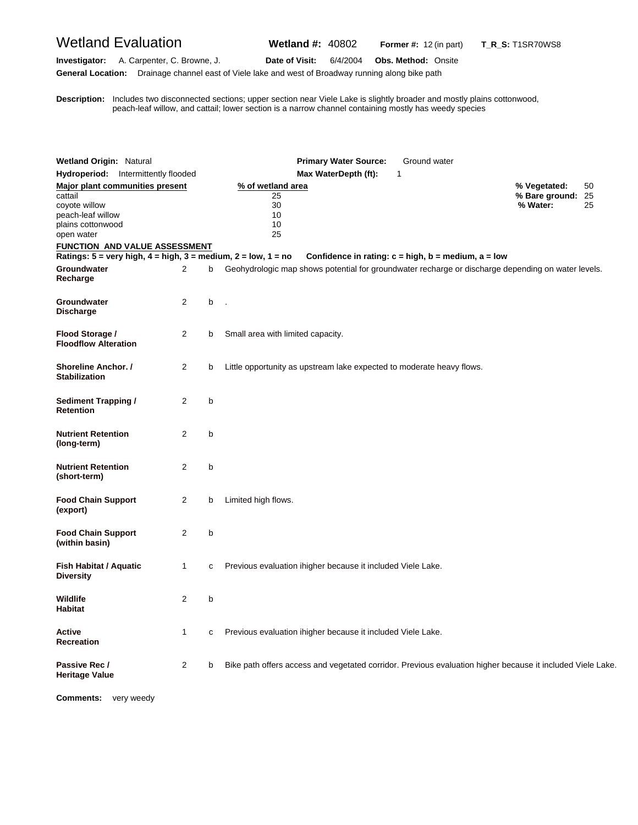# Wetland Evaluation **Wetland #:** 40802 **Former #:** <sup>12</sup> (in part) **T\_R\_S:** T1SR70WS8

**Investigator:** A. Carpenter, C. Browne, J. **Date of Visit:** 6/4/2004 **Obs. Method:** Onsite

**General Location:** Drainage channel east of Viele lake and west of Broadway running along bike path

**D** peach-leaf willow, and cattail; lower section is a narrow channel containing mostly has weedy species **escription:** Includes two disconnected sections; upper section near Viele Lake is slightly broader and mostly plains cottonwood,

| <b>Wetland Origin: Natural</b>                                                   |                                      |   | <b>Primary Water Source:</b><br>Ground water                                                                                                                      |                            |          |
|----------------------------------------------------------------------------------|--------------------------------------|---|-------------------------------------------------------------------------------------------------------------------------------------------------------------------|----------------------------|----------|
|                                                                                  | Hydroperiod: Intermittently flooded  |   | Max WaterDepth (ft):<br>1                                                                                                                                         |                            |          |
| Major plant communities present                                                  |                                      |   | % of wetland area                                                                                                                                                 | % Vegetated:               | 50       |
| cattail<br>coyote willow<br>peach-leaf willow<br>plains cottonwood<br>open water |                                      |   | 25<br>30<br>10<br>10<br>25                                                                                                                                        | % Bare ground:<br>% Water: | 25<br>25 |
|                                                                                  | <b>FUNCTION AND VALUE ASSESSMENT</b> |   |                                                                                                                                                                   |                            |          |
|                                                                                  |                                      |   | Ratings: $5 = \text{very high}, 4 = \text{high}, 3 = \text{medium}, 2 = \text{low}, 1 = \text{no}$<br>Confidence in rating: $c = high$ , $b = medium$ , $a = low$ |                            |          |
| <b>Groundwater</b><br>Recharge                                                   | $\overline{2}$                       | b | Geohydrologic map shows potential for groundwater recharge or discharge depending on water levels.                                                                |                            |          |
| Groundwater<br><b>Discharge</b>                                                  | 2                                    | b |                                                                                                                                                                   |                            |          |
| Flood Storage /<br><b>Floodflow Alteration</b>                                   | 2                                    | b | Small area with limited capacity.                                                                                                                                 |                            |          |
| Shoreline Anchor. /<br><b>Stabilization</b>                                      | 2                                    | b | Little opportunity as upstream lake expected to moderate heavy flows.                                                                                             |                            |          |
| <b>Sediment Trapping /</b><br>Retention                                          | $\overline{2}$                       | b |                                                                                                                                                                   |                            |          |
| <b>Nutrient Retention</b><br>(long-term)                                         | $\overline{2}$                       | b |                                                                                                                                                                   |                            |          |
| <b>Nutrient Retention</b><br>(short-term)                                        | $\overline{2}$                       | b |                                                                                                                                                                   |                            |          |
| <b>Food Chain Support</b><br>(export)                                            | 2                                    | b | Limited high flows.                                                                                                                                               |                            |          |
| <b>Food Chain Support</b><br>(within basin)                                      | 2                                    | b |                                                                                                                                                                   |                            |          |
| Fish Habitat / Aquatic<br><b>Diversity</b>                                       | 1                                    | с | Previous evaluation ihigher because it included Viele Lake.                                                                                                       |                            |          |
| Wildlife<br>Habitat                                                              | 2                                    | b |                                                                                                                                                                   |                            |          |
| Active<br>Recreation                                                             | 1                                    | с | Previous evaluation ihigher because it included Viele Lake.                                                                                                       |                            |          |
| Passive Rec /<br><b>Heritage Value</b>                                           | 2                                    | b | Bike path offers access and vegetated corridor. Previous evaluation higher because it included Viele Lake.                                                        |                            |          |

**Comments:** very weedy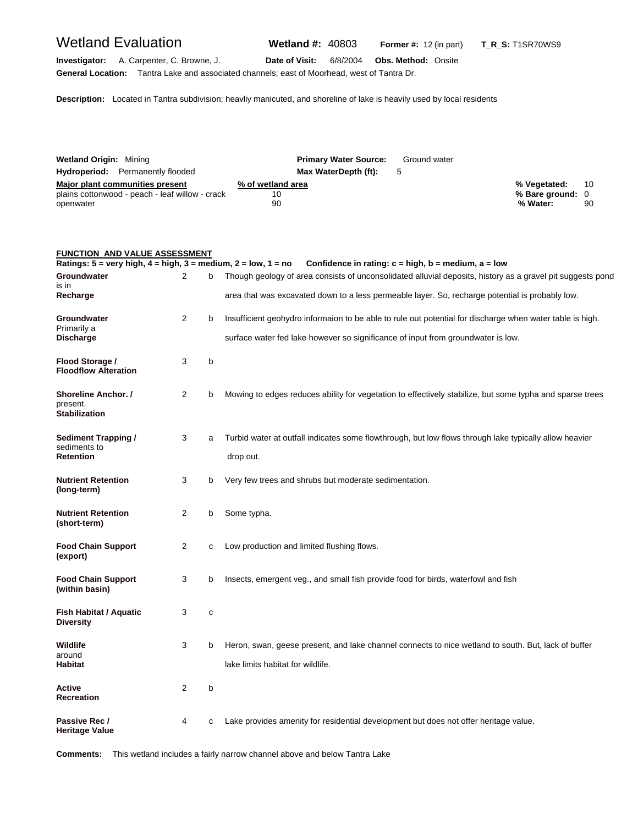**General Location:** Tantra Lake and associated channels; east of Moorhead, west of Tantra Dr.

**Investigator:** A. Carpenter, C. Browne, J. **Date of Visit:** 6/8/2004 **Obs. Method:** Onsite

**Description:** Located in Tantra subdivision; heavliy manicuted, and shoreline of lake is heavily used by local residents

| <b>Wetland Origin: Mining</b>                   | <b>Primary Water Source:</b> | Ground water |                  |    |
|-------------------------------------------------|------------------------------|--------------|------------------|----|
| <b>Hydroperiod:</b> Permanently flooded         | Max WaterDepth (ft):         |              |                  |    |
| Major plant communities present                 | % of wetland area            |              | % Vegetated:     | 10 |
| plains cottonwood - peach - leaf willow - crack | 10                           |              | % Bare ground: 0 |    |
| openwater                                       | 90                           |              | % Water:         | 90 |

### **FUNCTION AND VALUE ASSESSMENT**

|                                                                |                |   | Ratings: $5 =$ very high, $4 =$ high, $3 =$ medium, $2 =$ low, $1 =$ no Confidence in rating: $c =$ high, $b =$ medium, $a =$ low |
|----------------------------------------------------------------|----------------|---|-----------------------------------------------------------------------------------------------------------------------------------|
| Groundwater<br>is in                                           | 2              | b | Though geology of area consists of unconsolidated alluvial deposits, history as a gravel pit suggests pond                        |
| Recharge                                                       |                |   | area that was excavated down to a less permeable layer. So, recharge potential is probably low.                                   |
| Groundwater<br>Primarily a                                     | $\overline{2}$ | b | Insufficient geohydro informaion to be able to rule out potential for discharge when water table is high.                         |
| Discharge                                                      |                |   | surface water fed lake however so significance of input from groundwater is low.                                                  |
| Flood Storage /<br><b>Floodflow Alteration</b>                 | 3              | b |                                                                                                                                   |
| <b>Shoreline Anchor. /</b><br>present.<br><b>Stabilization</b> | 2              | b | Mowing to edges reduces ability for vegetation to effectively stabilize, but some typha and sparse trees                          |
| Sediment Trapping /<br>sediments to                            | 3              | a | Turbid water at outfall indicates some flowthrough, but low flows through lake typically allow heavier                            |
| Retention                                                      |                |   | drop out.                                                                                                                         |
| <b>Nutrient Retention</b><br>(long-term)                       | 3              | b | Very few trees and shrubs but moderate sedimentation.                                                                             |
| <b>Nutrient Retention</b><br>(short-term)                      | 2              | b | Some typha.                                                                                                                       |
| <b>Food Chain Support</b><br>(export)                          | $\overline{2}$ | с | Low production and limited flushing flows.                                                                                        |
| <b>Food Chain Support</b><br>(within basin)                    | 3              | b | Insects, emergent veg., and small fish provide food for birds, waterfowl and fish                                                 |
| Fish Habitat / Aquatic<br><b>Diversity</b>                     | 3              | c |                                                                                                                                   |
| Wildlife<br>around                                             | 3              | b | Heron, swan, geese present, and lake channel connects to nice wetland to south. But, lack of buffer                               |
| Habitat                                                        |                |   | lake limits habitat for wildlife.                                                                                                 |
| Active<br><b>Recreation</b>                                    | 2              | b |                                                                                                                                   |
| Passive Rec /<br><b>Heritage Value</b>                         | 4              | C | Lake provides amenity for residential development but does not offer heritage value.                                              |

**Comments:** This wetland includes a fairly narrow channel above and below Tantra Lake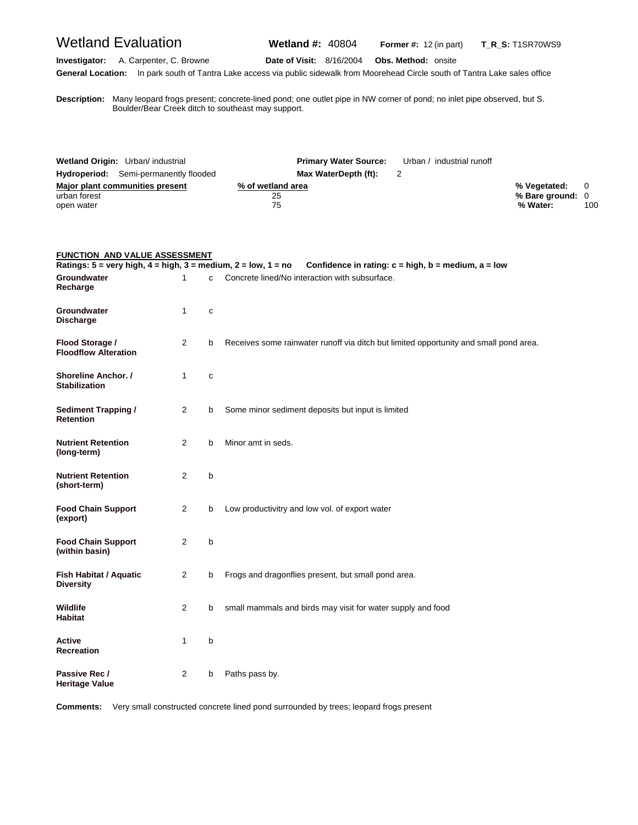# Wetland Evaluation **Wetland #:** 40804 **Former #:** <sup>12</sup> (in part) **T\_R\_S:** T1SR70WS9

**Investigator:** A. Carpenter, C. Browne **Date of Visit:** 8/16/2004 **Obs. Method:** onsite **General Location:** In park south of Tantra Lake access via public sidewalk from Moorehead Circle south of Tantra Lake sales office

**D escription:** Many leopard frogs present; concrete-lined pond; one outlet pipe in NW corner of pond; no inlet pipe observed, but S. Boulder/Bear Creek ditch to southeast may support.

| Wetland Origin: Urban/ industrial            | <b>Primary Water Source:</b> | Urban / industrial runoff |                  |     |
|----------------------------------------------|------------------------------|---------------------------|------------------|-----|
| <b>Hydroperiod:</b> Semi-permanently flooded | Max WaterDepth (ft):         |                           |                  |     |
| Major plant communities present              | % of wetland area            |                           | % Vegetated: 0   |     |
| urban forest                                 | 25                           |                           | % Bare ground: 0 |     |
| open water                                   | 75                           |                           | % Water:         | 100 |

| <b>FUNCTION AND VALUE ASSESSMENT</b>                                                               |                |              |                                                                                       |
|----------------------------------------------------------------------------------------------------|----------------|--------------|---------------------------------------------------------------------------------------|
| Ratings: $5 = \text{very high}, 4 = \text{high}, 3 = \text{medium}, 2 = \text{low}, 1 = \text{no}$ |                |              | Confidence in rating: $c = high$ , $b = medium$ , $a = low$                           |
| Groundwater<br>Recharge                                                                            | 1              | $\mathbf{c}$ | Concrete lined/No interaction with subsurface.                                        |
| Groundwater<br><b>Discharge</b>                                                                    | $\mathbf{1}$   | $\mathbf c$  |                                                                                       |
| Flood Storage /<br><b>Floodflow Alteration</b>                                                     | $\overline{2}$ | b            | Receives some rainwater runoff via ditch but limited opportunity and small pond area. |
| <b>Shoreline Anchor. /</b><br><b>Stabilization</b>                                                 | $\mathbf{1}$   | $\mathbf{C}$ |                                                                                       |
| <b>Sediment Trapping /</b><br><b>Retention</b>                                                     | $\overline{2}$ | b            | Some minor sediment deposits but input is limited                                     |
| <b>Nutrient Retention</b><br>(long-term)                                                           | 2              | b            | Minor amt in seds.                                                                    |
| <b>Nutrient Retention</b><br>(short-term)                                                          | $\overline{2}$ | b            |                                                                                       |
| <b>Food Chain Support</b><br>(export)                                                              | 2              | b            | Low productivitry and low vol. of export water                                        |
| <b>Food Chain Support</b><br>(within basin)                                                        | $\overline{2}$ | b            |                                                                                       |
| <b>Fish Habitat / Aquatic</b><br><b>Diversity</b>                                                  | $\overline{2}$ | b            | Frogs and dragonflies present, but small pond area.                                   |
| <b>Wildlife</b><br>Habitat                                                                         | $\overline{2}$ | b            | small mammals and birds may visit for water supply and food                           |
| Active<br><b>Recreation</b>                                                                        | 1              | b            |                                                                                       |
| Passive Rec /<br><b>Heritage Value</b>                                                             | 2              | b            | Paths pass by.                                                                        |

**Comments:** Very small constructed concrete lined pond surrounded by trees; leopard frogs present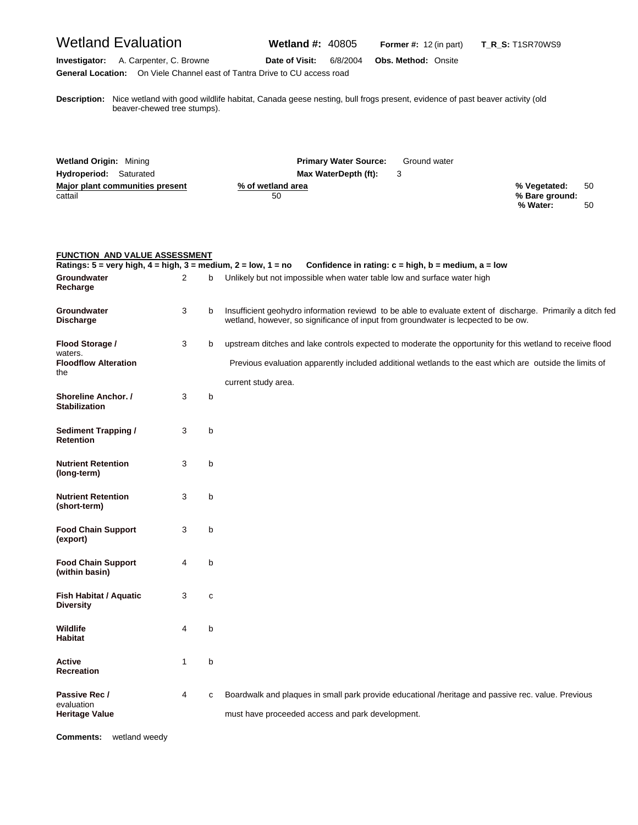# Wetland Evaluation **Wetland #:** 40805 **Former #:** <sup>12</sup> (in part) **T\_R\_S:** T1SR70WS9

**Investigator:** A. Carpenter, C. Browne **Date of Visit:** 6/8/2004 **Obs. Method:** Onsite **General Location:** On Viele Channel east of Tantra Drive to CU access road

**D** beaver-chewed tree stumps). **escription:** Nice wetland with good wildlife habitat, Canada geese nesting, bull frogs present, evidence of past beaver activity (old

| <b>Wetland Origin: Mining</b>   | <b>Primary Water Source:</b><br>Ground water |    |
|---------------------------------|----------------------------------------------|----|
| <b>Hydroperiod:</b> Saturated   | Max WaterDepth (ft):                         |    |
| Major plant communities present | % Vegetated:<br>% of wetland area            | 50 |
| cattail                         | % Bare ground:<br>50<br>% Water:             | 50 |

| <b>FUNCTION AND VALUE ASSESSMENT</b><br>Ratings: $5 = \text{very high}, 4 = \text{high}, 3 = \text{medium}, 2 = \text{low}, 1 = \text{no}$ |                |              | Confidence in rating: $c = high$ , $b = medium$ , $a = low$                                                                                                                                                                                 |
|--------------------------------------------------------------------------------------------------------------------------------------------|----------------|--------------|---------------------------------------------------------------------------------------------------------------------------------------------------------------------------------------------------------------------------------------------|
| Groundwater<br>Recharge                                                                                                                    | $\overline{2}$ | b            | Unlikely but not impossible when water table low and surface water high                                                                                                                                                                     |
| Groundwater<br><b>Discharge</b>                                                                                                            | 3              | b            | Insufficient geohydro information reviewd to be able to evaluate extent of discharge. Primarily a ditch fed<br>wetland, however, so significance of input from groundwater is lecpected to be ow.                                           |
| Flood Storage /<br>waters.<br><b>Floodflow Alteration</b><br>the                                                                           | 3              | b            | upstream ditches and lake controls expected to moderate the opportunity for this wetland to receive flood<br>Previous evaluation apparently included additional wetlands to the east which are outside the limits of<br>current study area. |
| Shoreline Anchor. /<br><b>Stabilization</b>                                                                                                | 3              | b            |                                                                                                                                                                                                                                             |
| <b>Sediment Trapping /</b><br><b>Retention</b>                                                                                             | 3              | b            |                                                                                                                                                                                                                                             |
| <b>Nutrient Retention</b><br>(long-term)                                                                                                   | 3              | b            |                                                                                                                                                                                                                                             |
| <b>Nutrient Retention</b><br>(short-term)                                                                                                  | 3              | b            |                                                                                                                                                                                                                                             |
| <b>Food Chain Support</b><br>(export)                                                                                                      | 3              | b            |                                                                                                                                                                                                                                             |
| <b>Food Chain Support</b><br>(within basin)                                                                                                | 4              | b            |                                                                                                                                                                                                                                             |
| <b>Fish Habitat / Aquatic</b><br><b>Diversity</b>                                                                                          | 3              | $\mathbf{C}$ |                                                                                                                                                                                                                                             |
| <b>Wildlife</b><br><b>Habitat</b>                                                                                                          | 4              | b            |                                                                                                                                                                                                                                             |
| <b>Active</b><br><b>Recreation</b>                                                                                                         | $\mathbf{1}$   | b            |                                                                                                                                                                                                                                             |
| Passive Rec /<br>evaluation<br><b>Heritage Value</b>                                                                                       | 4              | с            | Boardwalk and plaques in small park provide educational /heritage and passive rec. value. Previous<br>must have proceeded access and park development.                                                                                      |

**Comments:** wetland weedy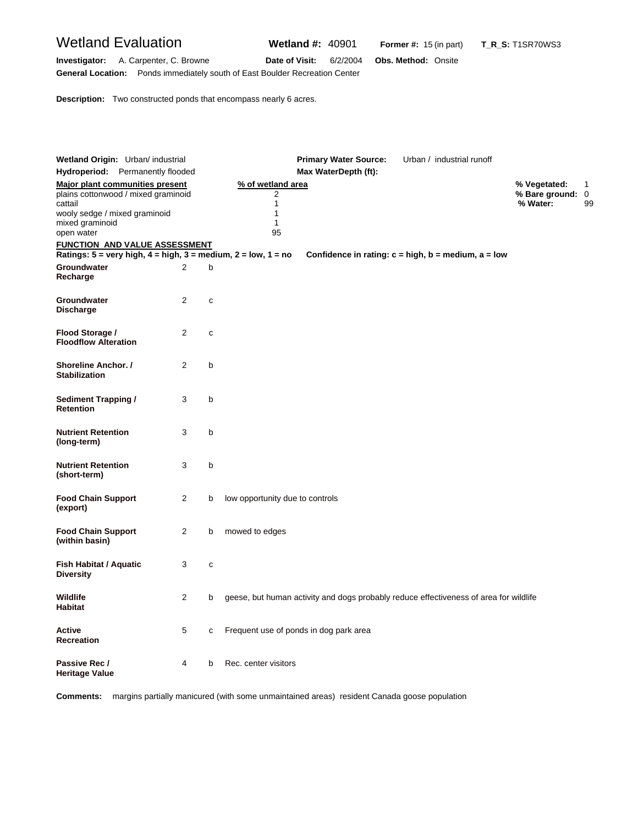# Wetland Evaluation **Wetland #:** 40901 **Former #:** <sup>15</sup> (in part) **T\_R\_S:** T1SR70WS3

**Investigator:** A. Carpenter, C. Browne **Date of Visit:** 6/2/2004 **Obs. Method:** Onsite **General Location:** Ponds immediately south of East Boulder Recreation Center

**Description:** Two constructed ponds that encompass nearly 6 acres.

| Wetland Origin: Urban/ industrial                                                                  |                |              | <b>Primary Water Source:</b>                                                          | Urban / industrial runoff |                                                   |    |
|----------------------------------------------------------------------------------------------------|----------------|--------------|---------------------------------------------------------------------------------------|---------------------------|---------------------------------------------------|----|
| Hydroperiod: Permanently flooded                                                                   |                |              | Max WaterDepth (ft):                                                                  |                           |                                                   |    |
| Major plant communities present<br>plains cottonwood / mixed graminoid<br>cattail                  |                |              | % of wetland area<br>2<br>$\mathbf{1}$                                                |                           | % Vegetated:<br>1<br>% Bare ground: 0<br>% Water: | 99 |
| wooly sedge / mixed graminoid<br>mixed graminoid<br>open water                                     |                |              | 1<br>1<br>95                                                                          |                           |                                                   |    |
| <b>FUNCTION AND VALUE ASSESSMENT</b>                                                               |                |              |                                                                                       |                           |                                                   |    |
| Ratings: $5 = \text{very high}, 4 = \text{high}, 3 = \text{medium}, 2 = \text{low}, 1 = \text{no}$ |                |              | Confidence in rating: $c = high$ , $b = medium$ , $a = low$                           |                           |                                                   |    |
| Groundwater<br>Recharge                                                                            | 2              | b            |                                                                                       |                           |                                                   |    |
| Groundwater<br><b>Discharge</b>                                                                    | $\overline{2}$ | c            |                                                                                       |                           |                                                   |    |
| Flood Storage /<br><b>Floodflow Alteration</b>                                                     | $\overline{2}$ | $\mathbf{C}$ |                                                                                       |                           |                                                   |    |
| <b>Shoreline Anchor. /</b><br><b>Stabilization</b>                                                 | 2              | b            |                                                                                       |                           |                                                   |    |
| <b>Sediment Trapping /</b><br><b>Retention</b>                                                     | 3              | b            |                                                                                       |                           |                                                   |    |
| <b>Nutrient Retention</b><br>(long-term)                                                           | 3              | b            |                                                                                       |                           |                                                   |    |
| <b>Nutrient Retention</b><br>(short-term)                                                          | 3              | b            |                                                                                       |                           |                                                   |    |
| <b>Food Chain Support</b><br>(export)                                                              | 2              | b            | low opportunity due to controls                                                       |                           |                                                   |    |
| <b>Food Chain Support</b><br>(within basin)                                                        | 2              | b            | mowed to edges                                                                        |                           |                                                   |    |
| Fish Habitat / Aquatic<br><b>Diversity</b>                                                         | 3              | $\mathbf C$  |                                                                                       |                           |                                                   |    |
| Wildlife<br><b>Habitat</b>                                                                         | 2              | b            | geese, but human activity and dogs probably reduce effectiveness of area for wildlife |                           |                                                   |    |
| Active<br>Recreation                                                                               | 5              | C            | Frequent use of ponds in dog park area                                                |                           |                                                   |    |
| Passive Rec /<br>Heritage Value                                                                    | 4              | b            | Rec. center visitors                                                                  |                           |                                                   |    |

**Comments:** margins partially manicured (with some unmaintained areas) resident Canada goose population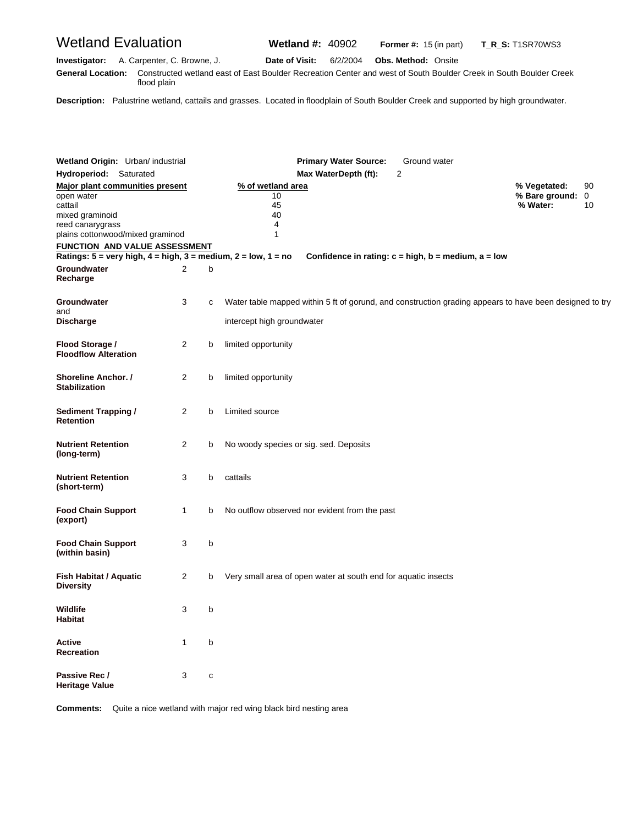Wetland Evaluation **Wetland #:** 40902 **Former #:** <sup>15</sup> (in part) **T\_R\_S:** T1SR70WS3

**Investigator:** A. Carpenter, C. Browne, J. **Date of Visit:** 6/2/2004 **Obs. Method:** Onsite **G eneral Location:** Constructed wetland east of East Boulder Recreation Center and west of South Boulder Creek in South Boulder Creek flood plain

**Description:** Palustrine wetland, cattails and grasses. Located in floodplain of South Boulder Creek and supported by high groundwater.

| <b>Wetland Origin:</b> Urban/ industrial<br><b>Hydroperiod:</b> Saturated                                                                  |                |   | <b>Primary Water Source:</b><br>Ground water<br>$\overline{2}$<br>Max WaterDepth (ft):                                       |                                              |          |
|--------------------------------------------------------------------------------------------------------------------------------------------|----------------|---|------------------------------------------------------------------------------------------------------------------------------|----------------------------------------------|----------|
| <b>Major plant communities present</b><br>open water<br>cattail<br>mixed graminoid<br>reed canarygrass<br>plains cottonwood/mixed graminod |                |   | % of wetland area<br>10<br>45<br>40<br>4<br>1                                                                                | % Vegetated:<br>% Bare ground: 0<br>% Water: | 90<br>10 |
| <u>FUNCTION AND VALUE ASSESSMENT</u>                                                                                                       |                |   |                                                                                                                              |                                              |          |
|                                                                                                                                            |                |   | Ratings: 5 = very high, 4 = high, 3 = medium, 2 = low, 1 = no<br>Confidence in rating: $c = high$ , $b = medium$ , $a = low$ |                                              |          |
| Groundwater<br>Recharge                                                                                                                    | 2              | b |                                                                                                                              |                                              |          |
| Groundwater<br>and                                                                                                                         | 3              | C | Water table mapped within 5 ft of gorund, and construction grading appears to have been designed to try                      |                                              |          |
| <b>Discharge</b>                                                                                                                           |                |   | intercept high groundwater                                                                                                   |                                              |          |
| Flood Storage /<br><b>Floodflow Alteration</b>                                                                                             | 2              | b | limited opportunity                                                                                                          |                                              |          |
| Shoreline Anchor. /<br><b>Stabilization</b>                                                                                                | 2              | b | limited opportunity                                                                                                          |                                              |          |
| <b>Sediment Trapping /</b><br>Retention                                                                                                    | 2              | b | Limited source                                                                                                               |                                              |          |
| <b>Nutrient Retention</b><br>(long-term)                                                                                                   | 2              | b | No woody species or sig. sed. Deposits                                                                                       |                                              |          |
| <b>Nutrient Retention</b><br>(short-term)                                                                                                  | 3              | b | cattails                                                                                                                     |                                              |          |
| <b>Food Chain Support</b><br>(export)                                                                                                      | $\mathbf{1}$   | b | No outflow observed nor evident from the past                                                                                |                                              |          |
| <b>Food Chain Support</b><br>(within basin)                                                                                                | 3              | b |                                                                                                                              |                                              |          |
| Fish Habitat / Aquatic<br><b>Diversity</b>                                                                                                 | $\overline{2}$ | b | Very small area of open water at south end for aquatic insects                                                               |                                              |          |
| Wildlife<br><b>Habitat</b>                                                                                                                 | 3              | b |                                                                                                                              |                                              |          |
| Active<br>Recreation                                                                                                                       | 1              | b |                                                                                                                              |                                              |          |
| Passive Rec /<br>Heritage Value                                                                                                            | 3              | c |                                                                                                                              |                                              |          |

**Comments:** Quite a nice wetland with major red wing black bird nesting area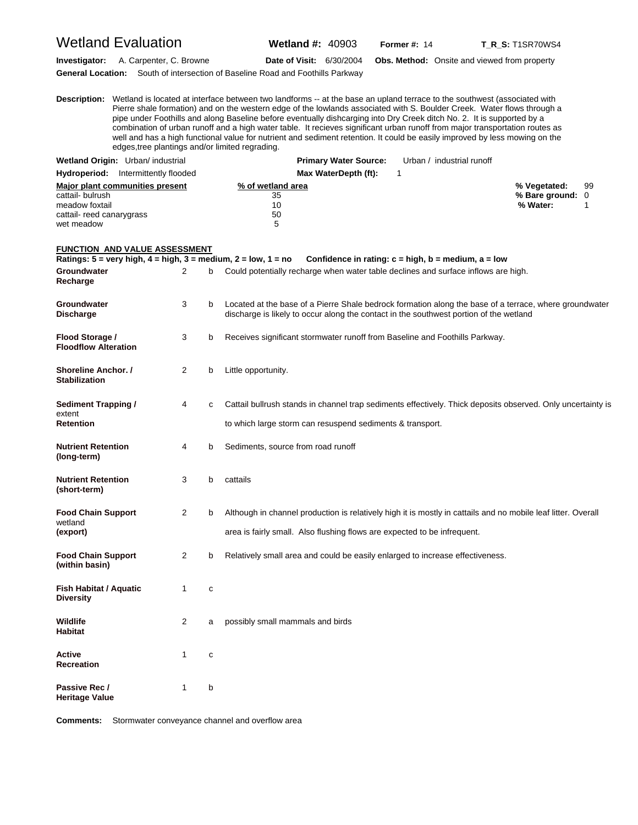#### Wetland Evaluation **Wetland #:** 40903 **Former #:** <sup>14</sup> **T\_R\_S:** T1SR70WS4 **Investigator:** A. Carpenter, C. Browne **Date of Visit:** 6/30/2004 **Obs. Method:** Onsite and viewed from property **General Location:** South of intersection of Baseline Road and Foothills Parkway

**D escription:** Wetland is located at interface between two landforms -- at the base an upland terrace to the southwest (associated with Pierre shale formation) and on the western edge of the lowlands associated with S. Boulder Creek. Water flows through a pipe under Foothills and along Baseline before eventually dishcarging into Dry Creek ditch No. 2. It is supported by a combination of urban runoff and a high water table. It recieves significant urban runoff from major transportation routes as well and has a high functional value for nutrient and sediment retention. It could be easily improved by less mowing on the edges,tree plantings and/or limited regrading. Wetland Origin: Urban/ industrial **Primary Water Source:** Urban / industrial runoff **Hydroperiod:** Intermittently flooded **Max WaterDepth (ft):** 1 **Major plant communities present <b>match of the set of wetland area match of the set of the set of the set of the set of the set of the set of the set of the set of the set of the set of the set of the set of the set of t** cattail- bulrush 35 **% Bare ground:** 0 meadow foxtail 10 **% Water:** 1

#### **FUNCTION AND VALUE ASSESSMENT**

cattail- reed canarygrass 60 wet meadow 5

**Ratings: 5 = very high, 4 = high, 3 = medium, 2 = low, 1 = no Confidence in rating: c = high, b = medium, a = low Groundwater** 2 b Could potentially recharge when water table declines and surface inflows are high. **Recharge**  Groundwater 3 b Located at the base of a Pierre Shale bedrock formation along the base of a terrace, where groundwater **Discharge** discharge is likely to occur along the contact in the southwest portion of the wetland **Flood Storage /** 3 b Receives significant stormwater runoff from Baseline and Foothills Parkway. **Floodflow Alteration Shoreline Anchor. /** 2 b Little opportunity. **Stabilization Sediment Trapping / 4 c** Cattail bullrush stands in channel trap sediments effectively. Thick deposits observed. Only uncertainty is extent<br>Retention to which large storm can resuspend sediments & transport. **Nutrient Retention** 4 b Sediments, source from road runoff **(long-term) Nutrient Retention** 3 b cattails **(short-term) Food Chain Support** 2 b Although in channel production is relatively high it is mostly in cattails and no mobile leaf litter. Overall wetland **(export)** area is fairly small. Also flushing flows are expected to be infrequent. **Food Chain Support** 2 b Relatively small area and could be easily enlarged to increase effectiveness. **(within basin) Fish Habitat / Aquatic 1 c Diversity Wildlife** 2 a possibly small mammals and birds **Habitat Active** 1 c **Recreation** Passive Rec / 1 b **Heritage Value** 

**Comments:** Stormwater conveyance channel and overflow area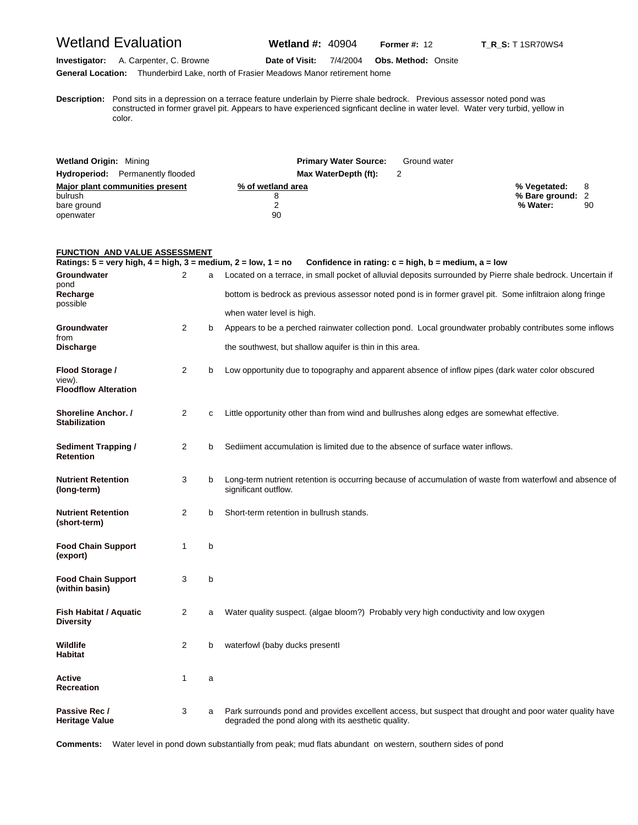## Wetland Evaluation **Wetland #:** 40904 **Former #:** <sup>12</sup> **T\_R\_S:** T 1SR70WS4

#### **Investigator:** A. Carpenter, C. Browne **Date of Visit:** 7/4/2004 **Obs. Method:** Onsite **General Location:** Thunderbird Lake, north of Frasier Meadows Manor retirement home

**D escription:** Pond sits in a depression on a terrace feature underlain by Pierre shale bedrock. Previous assessor noted pond was constructed in former gravel pit. Appears to have experienced signficant decline in water level. Water very turbid, yellow in color.

| <b>Wetland Origin: Mining</b>           | <b>Primary Water Source:</b> | Ground water |                  |    |
|-----------------------------------------|------------------------------|--------------|------------------|----|
| <b>Hydroperiod:</b> Permanently flooded | Max WaterDepth (ft):         |              |                  |    |
| Major plant communities present         | % of wetland area            |              | % Vegetated:     |    |
| bulrush                                 |                              |              | % Bare ground: 2 |    |
| bare ground                             |                              |              | % Water:         | 90 |
| openwater                               | 90                           |              |                  |    |

#### **FUNCTION AND VALUE ASSESSMENT**

| Ratings: $5 = \text{very high}, 4 = \text{high}, 3 = \text{medium}, 2 = \text{low}, 1 = \text{no}$ |                |   | Confidence in rating: $c = high$ , $b = medium$ , $a = low$                                                                                                    |
|----------------------------------------------------------------------------------------------------|----------------|---|----------------------------------------------------------------------------------------------------------------------------------------------------------------|
| Groundwater<br>pond                                                                                | 2              | a | Located on a terrace, in small pocket of alluvial deposits surrounded by Pierre shale bedrock. Uncertain if                                                    |
| Recharge<br>possible                                                                               |                |   | bottom is bedrock as previous assessor noted pond is in former gravel pit. Some infiltraion along fringe                                                       |
|                                                                                                    |                |   | when water level is high.                                                                                                                                      |
| Groundwater<br>from                                                                                | $\overline{2}$ | b | Appears to be a perched rainwater collection pond. Local groundwater probably contributes some inflows                                                         |
| <b>Discharge</b>                                                                                   |                |   | the southwest, but shallow aquifer is thin in this area.                                                                                                       |
| Flood Storage /<br>view).<br><b>Floodflow Alteration</b>                                           | 2              | b | Low opportunity due to topography and apparent absence of inflow pipes (dark water color obscured                                                              |
| <b>Shoreline Anchor. /</b><br><b>Stabilization</b>                                                 | $\overline{2}$ | C | Little opportunity other than from wind and bullrushes along edges are somewhat effective.                                                                     |
| <b>Sediment Trapping /</b><br><b>Retention</b>                                                     | 2              | b | Sediiment accumulation is limited due to the absence of surface water inflows.                                                                                 |
| <b>Nutrient Retention</b><br>(long-term)                                                           | 3              | b | Long-term nutrient retention is occurring because of accumulation of waste from waterfowl and absence of<br>significant outflow.                               |
| <b>Nutrient Retention</b><br>(short-term)                                                          | 2              | b | Short-term retention in bullrush stands.                                                                                                                       |
| <b>Food Chain Support</b><br>(export)                                                              | 1              | b |                                                                                                                                                                |
| <b>Food Chain Support</b><br>(within basin)                                                        | 3              | b |                                                                                                                                                                |
| <b>Fish Habitat / Aquatic</b><br><b>Diversity</b>                                                  | 2              | a | Water quality suspect. (algae bloom?) Probably very high conductivity and low oxygen                                                                           |
| Wildlife<br><b>Habitat</b>                                                                         | 2              | b | waterfowl (baby ducks presentl                                                                                                                                 |
| Active<br><b>Recreation</b>                                                                        | 1              | a |                                                                                                                                                                |
| Passive Rec /<br><b>Heritage Value</b>                                                             | 3              | a | Park surrounds pond and provides excellent access, but suspect that drought and poor water quality have<br>degraded the pond along with its aesthetic quality. |

**Comments:** Water level in pond down substantially from peak; mud flats abundant on western, southern sides of pond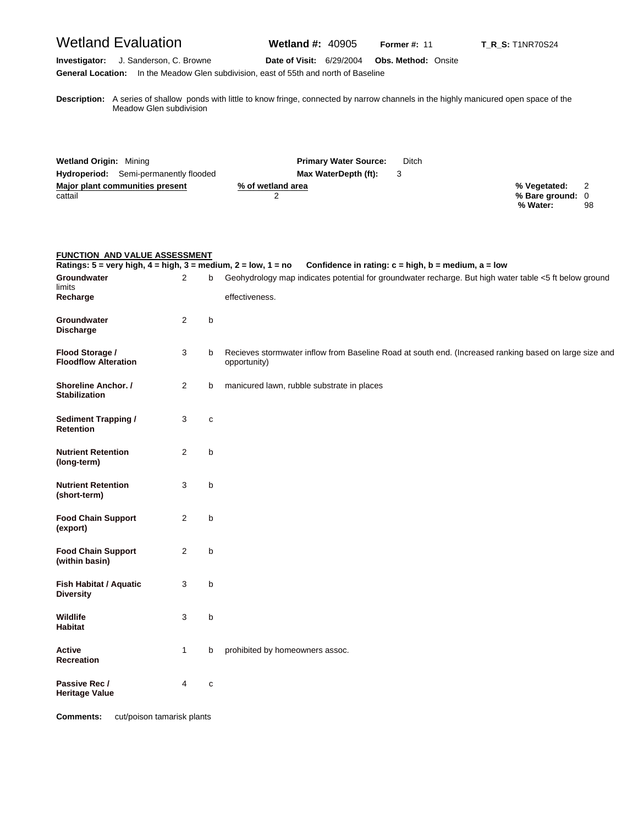# Wetland Evaluation **Wetland #:** 40905 **Former #:** <sup>11</sup> **T\_R\_S:** T1NR70S24

#### **Investigator:** J. Sanderson, C. Browne **Date of Visit:** 6/29/2004 **Obs. Method:** Onsite **General Location:** In the Meadow Glen subdivision, east of 55th and north of Baseline

**D escription:** A series of shallow ponds with little to know fringe, connected by narrow channels in the highly manicured open space of the Meadow Glen subdivision

| <b>Wetland Origin: Mining</b>                | <b>Primary Water Source:</b> | Ditch |                  |  |
|----------------------------------------------|------------------------------|-------|------------------|--|
| <b>Hydroperiod:</b> Semi-permanently flooded | Max WaterDepth (ft):         |       |                  |  |
| Major plant communities present              | % of wetland area            |       | % Vegetated:     |  |
| cattail                                      |                              |       | % Bare ground: 0 |  |
|                                              |                              |       | % Water:<br>98   |  |

|                                                | <b>FUNCTION AND VALUE ASSESSMENT</b><br>Ratings: $5 = \text{very high}, 4 = \text{high}, 3 = \text{medium}, 2 = \text{low}, 1 = \text{no}$<br>Confidence in rating: $c = high$ , $b = medium$ , $a = low$ |             |                                                                                                                          |  |
|------------------------------------------------|-----------------------------------------------------------------------------------------------------------------------------------------------------------------------------------------------------------|-------------|--------------------------------------------------------------------------------------------------------------------------|--|
| Groundwater<br>limits<br>Recharge              | $\overline{2}$                                                                                                                                                                                            | b           | Geohydrology map indicates potential for groundwater recharge. But high water table <5 ft below ground<br>effectiveness. |  |
| Groundwater<br><b>Discharge</b>                | 2                                                                                                                                                                                                         | b           |                                                                                                                          |  |
| Flood Storage /<br><b>Floodflow Alteration</b> | 3                                                                                                                                                                                                         | b           | Recieves stormwater inflow from Baseline Road at south end. (Increased ranking based on large size and<br>opportunity)   |  |
| Shoreline Anchor. /<br><b>Stabilization</b>    | $\overline{2}$                                                                                                                                                                                            | b           | manicured lawn, rubble substrate in places                                                                               |  |
| <b>Sediment Trapping /</b><br><b>Retention</b> | 3                                                                                                                                                                                                         | с           |                                                                                                                          |  |
| <b>Nutrient Retention</b><br>(long-term)       | 2                                                                                                                                                                                                         | b           |                                                                                                                          |  |
| <b>Nutrient Retention</b><br>(short-term)      | 3                                                                                                                                                                                                         | b           |                                                                                                                          |  |
| <b>Food Chain Support</b><br>(export)          | 2                                                                                                                                                                                                         | b           |                                                                                                                          |  |
| <b>Food Chain Support</b><br>(within basin)    | $\overline{2}$                                                                                                                                                                                            | b           |                                                                                                                          |  |
| Fish Habitat / Aquatic<br><b>Diversity</b>     | 3                                                                                                                                                                                                         | b           |                                                                                                                          |  |
| Wildlife<br><b>Habitat</b>                     | 3                                                                                                                                                                                                         | b           |                                                                                                                          |  |
| Active<br><b>Recreation</b>                    | $\mathbf{1}$                                                                                                                                                                                              | b           | prohibited by homeowners assoc.                                                                                          |  |
| Passive Rec /<br><b>Heritage Value</b>         | 4                                                                                                                                                                                                         | $\mathbf c$ |                                                                                                                          |  |

**Comments:** cut/poison tamarisk plants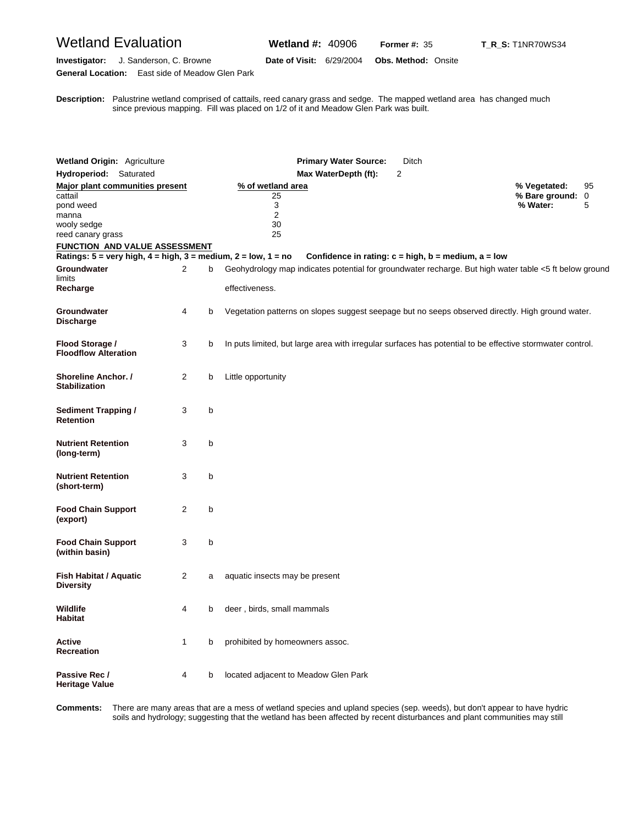**General Location:** East side of Meadow Glen Park

**Investigator:** J. Sanderson, C. Browne **Date of Visit:** 6/29/2004 **Obs. Method:** Onsite

**D** since previous mapping. Fill was placed on 1/2 of it and Meadow Glen Park was built. **escription:** Palustrine wetland comprised of cattails, reed canary grass and sedge. The mapped wetland area has changed much

| <b>Wetland Origin: Agriculture</b>                                |                |   | <b>Primary Water Source:</b><br>Ditch                                                                                    |                              |    |
|-------------------------------------------------------------------|----------------|---|--------------------------------------------------------------------------------------------------------------------------|------------------------------|----|
| Hydroperiod: Saturated                                            |                |   | 2<br>Max WaterDepth (ft):                                                                                                |                              |    |
| <b>Major plant communities present</b>                            |                |   | % of wetland area                                                                                                        | % Vegetated:                 | 95 |
| cattail<br>pond weed<br>manna<br>wooly sedge<br>reed canary grass |                |   | 25<br>3<br>$\overline{2}$<br>30<br>25                                                                                    | % Bare ground: 0<br>% Water: | 5  |
| <b>FUNCTION AND VALUE ASSESSMENT</b>                              |                |   |                                                                                                                          |                              |    |
| Ratings: 5 = very high, 4 = high, 3 = medium, 2 = low, 1 = no     |                |   | Confidence in rating: $c = high$ , $b = medium$ , $a = low$                                                              |                              |    |
| Groundwater<br>limits<br>Recharge                                 | 2              | b | Geohydrology map indicates potential for groundwater recharge. But high water table <5 ft below ground<br>effectiveness. |                              |    |
| Groundwater<br><b>Discharge</b>                                   | 4              | b | Vegetation patterns on slopes suggest seepage but no seeps observed directly. High ground water.                         |                              |    |
| Flood Storage /<br><b>Floodflow Alteration</b>                    | 3              | b | In puts limited, but large area with irregular surfaces has potential to be effective stormwater control.                |                              |    |
| <b>Shoreline Anchor. /</b><br><b>Stabilization</b>                | 2              | b | Little opportunity                                                                                                       |                              |    |
| Sediment Trapping /<br>Retention                                  | 3              | b |                                                                                                                          |                              |    |
| <b>Nutrient Retention</b><br>(long-term)                          | 3              | b |                                                                                                                          |                              |    |
| <b>Nutrient Retention</b><br>(short-term)                         | 3              | b |                                                                                                                          |                              |    |
| <b>Food Chain Support</b><br>(export)                             | $\overline{2}$ | b |                                                                                                                          |                              |    |
| <b>Food Chain Support</b><br>(within basin)                       | 3              | b |                                                                                                                          |                              |    |
| Fish Habitat / Aquatic<br>Diversity                               | 2              | a | aquatic insects may be present                                                                                           |                              |    |
| Wildlife<br>Habitat                                               | 4              | b | deer, birds, small mammals                                                                                               |                              |    |
| Active<br>Recreation                                              | $\mathbf{1}$   | b | prohibited by homeowners assoc.                                                                                          |                              |    |
| Passive Rec /<br>Heritage Value                                   | 4              | b | located adjacent to Meadow Glen Park                                                                                     |                              |    |

Comments: soils and hydrology; suggesting that the wetland has been affected by recent disturbances and plant communities may still There are many areas that are a mess of wetland species and upland species (sep. weeds), but don't appear to have hydric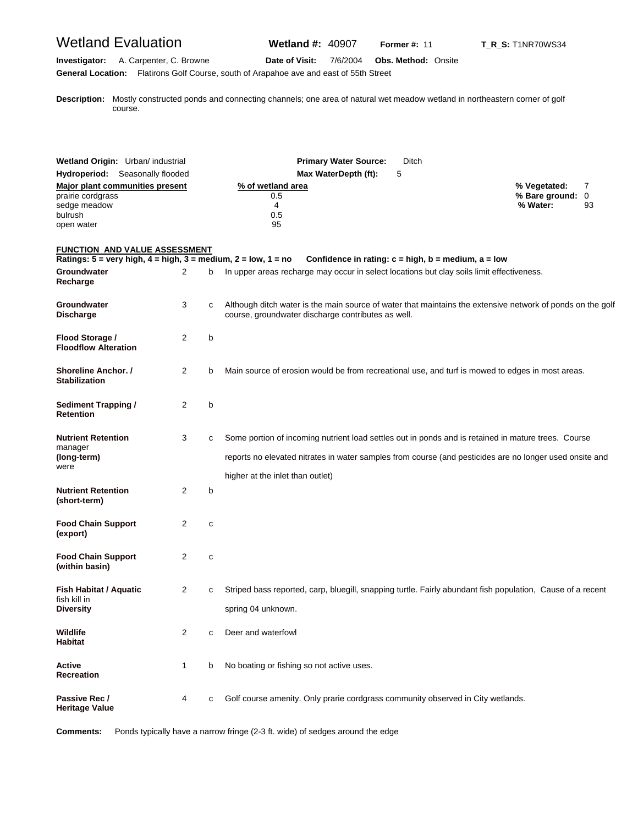# Wetland Evaluation **Wetland #:** 40907 **Former #: 11** T\_R\_S: T1NR70WS34

#### **Investigator:** A. Carpenter, C. Browne **Date of Visit:** 7/6/2004 **Obs. Method:** Onsite **General Location:** Flatirons Golf Course, south of Arapahoe ave and east of 55th Street

**D escription:** Mostly constructed ponds and connecting channels; one area of natural wet meadow wetland in northeastern corner of golf course.

| Wetland Origin: Urban/ industrial<br>Hydroperiod: Seasonally flooded                                 |                |   | <b>Primary Water Source:</b><br>Max WaterDepth (ft):<br>5                                                                                                                                       | Ditch                                                                                                                                                                                                          |
|------------------------------------------------------------------------------------------------------|----------------|---|-------------------------------------------------------------------------------------------------------------------------------------------------------------------------------------------------|----------------------------------------------------------------------------------------------------------------------------------------------------------------------------------------------------------------|
| <b>Major plant communities present</b><br>prairie cordgrass<br>sedge meadow<br>bulrush<br>open water |                |   | % of wetland area<br>0.5<br>4<br>0.5<br>95                                                                                                                                                      | % Vegetated:<br>7<br>% Bare ground:<br>0<br>% Water:<br>93                                                                                                                                                     |
| FUNCTION AND VALUE ASSESSMENT                                                                        |                |   |                                                                                                                                                                                                 |                                                                                                                                                                                                                |
| Groundwater<br>Recharge                                                                              | 2              | b | Ratings: $5 = \text{very high}, 4 = \text{high}, 3 = \text{medium}, 2 = \text{low}, 1 = \text{no}$<br>In upper areas recharge may occur in select locations but clay soils limit effectiveness. | Confidence in rating: $c = high$ , $b = medium$ , $a = low$                                                                                                                                                    |
| <b>Groundwater</b><br><b>Discharge</b>                                                               | 3              | c | course, groundwater discharge contributes as well.                                                                                                                                              | Although ditch water is the main source of water that maintains the extensive network of ponds on the golf                                                                                                     |
| Flood Storage /<br><b>Floodflow Alteration</b>                                                       | 2              | b |                                                                                                                                                                                                 |                                                                                                                                                                                                                |
| Shoreline Anchor. /<br><b>Stabilization</b>                                                          | $\overline{2}$ | b |                                                                                                                                                                                                 | Main source of erosion would be from recreational use, and turf is mowed to edges in most areas.                                                                                                               |
| <b>Sediment Trapping /</b><br><b>Retention</b>                                                       | $\overline{2}$ | b |                                                                                                                                                                                                 |                                                                                                                                                                                                                |
| <b>Nutrient Retention</b><br>manager<br>(long-term)<br>were                                          | 3              | c | higher at the inlet than outlet)                                                                                                                                                                | Some portion of incoming nutrient load settles out in ponds and is retained in mature trees. Course<br>reports no elevated nitrates in water samples from course (and pesticides are no longer used onsite and |
| <b>Nutrient Retention</b><br>(short-term)                                                            | 2              | b |                                                                                                                                                                                                 |                                                                                                                                                                                                                |
| <b>Food Chain Support</b><br>(export)                                                                | 2              | c |                                                                                                                                                                                                 |                                                                                                                                                                                                                |
| <b>Food Chain Support</b><br>(within basin)                                                          | $\overline{2}$ | с |                                                                                                                                                                                                 |                                                                                                                                                                                                                |
| <b>Fish Habitat / Aquatic</b><br>fish kill in<br><b>Diversity</b>                                    | 2              | с | spring 04 unknown.                                                                                                                                                                              | Striped bass reported, carp, bluegill, snapping turtle. Fairly abundant fish population, Cause of a recent                                                                                                     |
| Wildlife<br>Habitat                                                                                  | 2              | с | Deer and waterfowl                                                                                                                                                                              |                                                                                                                                                                                                                |
| Active<br>Recreation                                                                                 | 1              | b | No boating or fishing so not active uses.                                                                                                                                                       |                                                                                                                                                                                                                |
| Passive Rec /<br><b>Heritage Value</b>                                                               | 4              | c | Golf course amenity. Only prarie cordgrass community observed in City wetlands.                                                                                                                 |                                                                                                                                                                                                                |

**Comments:** Ponds typically have a narrow fringe (2-3 ft. wide) of sedges around the edge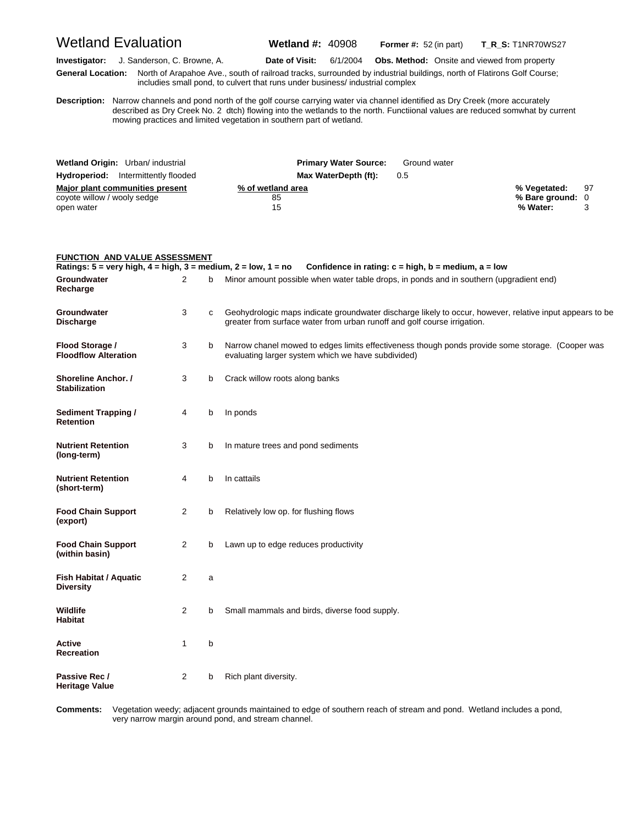Wetland Evaluation **Wetland #:** 40908 **Former #:** <sup>52</sup> (in part) **T\_R\_S:** T1NR70WS27

**Investigator:** J. Sanderson, C. Browne, A. **Date of Visit:** 6/1/2004 **Obs. Method:** Onsite and viewed from property **G eneral Location:** North of Arapahoe Ave., south of railroad tracks, surrounded by industrial buildings, north of Flatirons Golf Course; includies small pond, to culvert that runs under business/ industrial complex

**D escription:** Narrow channels and pond north of the golf course carrying water via channel identified as Dry Creek (more accurately described as Dry Creek No. 2 dtch) flowing into the wetlands to the north. Functiional values are reduced somwhat by current mowing practices and limited vegetation in southern part of wetland.

| Wetland Origin: Urban/ industrial                                            | <b>Primary Water Source:</b>  | Ground water |                                                 |  |
|------------------------------------------------------------------------------|-------------------------------|--------------|-------------------------------------------------|--|
| <b>Hydroperiod:</b> Intermittently flooded                                   | Max WaterDepth (ft):          | 0.5          |                                                 |  |
| Major plant communities present<br>coyote willow / wooly sedge<br>open water | % of wetland area<br>85<br>15 |              | % Vegetated: 97<br>% Bare ground: 0<br>% Water: |  |

| <b>FUNCTION AND VALUE ASSESSMENT</b>                                                               |                |   |                                                                                                                                                                                      |
|----------------------------------------------------------------------------------------------------|----------------|---|--------------------------------------------------------------------------------------------------------------------------------------------------------------------------------------|
| Ratings: $5 = \text{very high}, 4 = \text{high}, 3 = \text{medium}, 2 = \text{low}, 1 = \text{no}$ |                |   | Confidence in rating: $c = high$ , $b = medium$ , $a = low$                                                                                                                          |
| Groundwater<br>Recharge                                                                            | 2              | b | Minor amount possible when water table drops, in ponds and in southern (upgradient end)                                                                                              |
| Groundwater<br><b>Discharge</b>                                                                    | 3              | C | Geohydrologic maps indicate groundwater discharge likely to occur, however, relative input appears to be<br>greater from surface water from urban runoff and golf course irrigation. |
| Flood Storage /<br><b>Floodflow Alteration</b>                                                     | 3              | b | Narrow chanel mowed to edges limits effectiveness though ponds provide some storage. (Cooper was<br>evaluating larger system which we have subdivided)                               |
| Shoreline Anchor. /<br><b>Stabilization</b>                                                        | 3              | b | Crack willow roots along banks                                                                                                                                                       |
| <b>Sediment Trapping /</b><br><b>Retention</b>                                                     | 4              | b | In ponds                                                                                                                                                                             |
| <b>Nutrient Retention</b><br>(long-term)                                                           | 3              | b | In mature trees and pond sediments                                                                                                                                                   |
| <b>Nutrient Retention</b><br>(short-term)                                                          | 4              | b | In cattails                                                                                                                                                                          |
| <b>Food Chain Support</b><br>(export)                                                              | 2              | b | Relatively low op. for flushing flows                                                                                                                                                |
| <b>Food Chain Support</b><br>(within basin)                                                        | $\overline{2}$ | b | Lawn up to edge reduces productivity                                                                                                                                                 |
| <b>Fish Habitat / Aquatic</b><br><b>Diversity</b>                                                  | $\overline{2}$ | a |                                                                                                                                                                                      |
| <b>Wildlife</b><br><b>Habitat</b>                                                                  | 2              | b | Small mammals and birds, diverse food supply.                                                                                                                                        |
| <b>Active</b><br><b>Recreation</b>                                                                 | 1              | b |                                                                                                                                                                                      |
| Passive Rec /<br><b>Heritage Value</b>                                                             | $\overline{2}$ | b | Rich plant diversity.                                                                                                                                                                |

Comments: very narrow margin around pond, and stream channel. **omments:** Vegetation weedy; adjacent grounds maintained to edge of southern reach of stream and pond. Wetland includes a pond,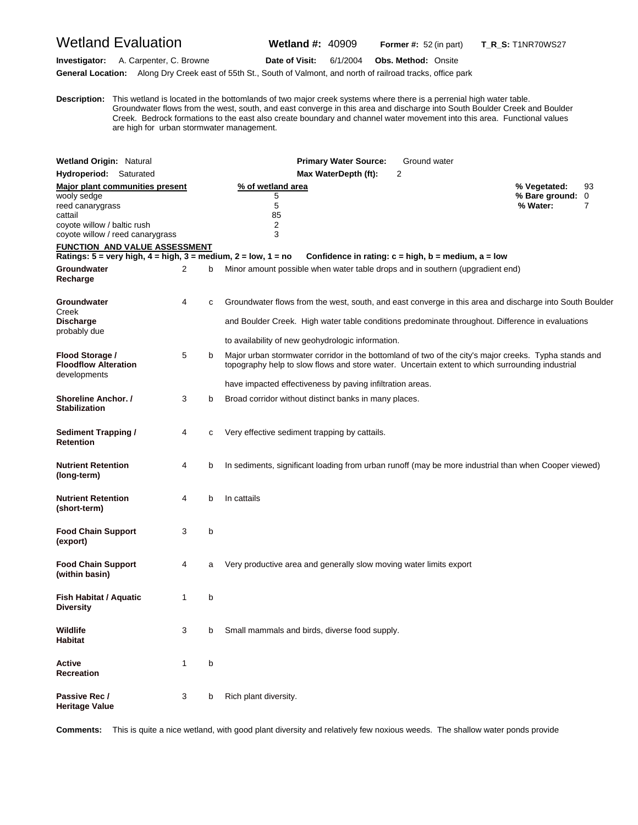# Wetland Evaluation **Wetland #:** 40909 **Former #:** <sup>52</sup> (in part) **T\_R\_S:** T1NR70WS27

**Investigator:** A. Carpenter, C. Browne **Date of Visit:** 6/1/2004 **Obs. Method:** Onsite

**General Location:** Along Dry Creek east of 55th St., South of Valmont, and north of railroad tracks, office park

**D escription:** This wetland is located in the bottomlands of two major creek systems where there is a perrenial high water table. Groundwater flows from the west, south, and east converge in this area and discharge into South Boulder Creek and Boulder Creek. Bedrock formations to the east also create boundary and channel water movement into this area. Functional values are high for urban stormwater management.

| <b>Wetland Origin: Natural</b>                                                                                                                   |              |   | <b>Primary Water Source:</b><br>Ground water                                                                                                                                                                                                                          |                                            |              |
|--------------------------------------------------------------------------------------------------------------------------------------------------|--------------|---|-----------------------------------------------------------------------------------------------------------------------------------------------------------------------------------------------------------------------------------------------------------------------|--------------------------------------------|--------------|
| Hydroperiod: Saturated                                                                                                                           |              |   | 2<br>Max WaterDepth (ft):                                                                                                                                                                                                                                             |                                            |              |
| Major plant communities present<br>wooly sedge<br>reed canarygrass<br>cattail<br>coyote willow / baltic rush<br>coyote willow / reed canarygrass |              |   | % of wetland area<br>5<br>5<br>85<br>$\overline{\mathbf{c}}$<br>3                                                                                                                                                                                                     | % Vegetated:<br>% Bare ground:<br>% Water: | 93<br>0<br>7 |
| FUNCTION AND VALUE ASSESSMENT<br>Ratings: $5 = \text{very high}, 4 = \text{high}, 3 = \text{medium}, 2 = \text{low}, 1 = \text{no}$              |              |   | Confidence in rating: $c = high$ , $b = medium$ , $a = low$                                                                                                                                                                                                           |                                            |              |
| Groundwater<br>Recharge                                                                                                                          | 2            | b | Minor amount possible when water table drops and in southern (upgradient end)                                                                                                                                                                                         |                                            |              |
| Groundwater<br>Creek<br><b>Discharge</b><br>probably due                                                                                         | 4            | с | Groundwater flows from the west, south, and east converge in this area and discharge into South Boulder<br>and Boulder Creek. High water table conditions predominate throughout. Difference in evaluations<br>to availability of new geohydrologic information.      |                                            |              |
| Flood Storage /<br><b>Floodflow Alteration</b><br>developments                                                                                   | 5            | b | Major urban stormwater corridor in the bottomland of two of the city's major creeks. Typha stands and<br>topography help to slow flows and store water. Uncertain extent to which surrounding industrial<br>have impacted effectiveness by paving infiltration areas. |                                            |              |
| Shoreline Anchor. /<br><b>Stabilization</b>                                                                                                      | 3            | b | Broad corridor without distinct banks in many places.                                                                                                                                                                                                                 |                                            |              |
| <b>Sediment Trapping /</b><br><b>Retention</b>                                                                                                   | 4            | c | Very effective sediment trapping by cattails.                                                                                                                                                                                                                         |                                            |              |
| <b>Nutrient Retention</b><br>(long-term)                                                                                                         | 4            | b | In sediments, significant loading from urban runoff (may be more industrial than when Cooper viewed)                                                                                                                                                                  |                                            |              |
| <b>Nutrient Retention</b><br>(short-term)                                                                                                        | 4            | b | In cattails                                                                                                                                                                                                                                                           |                                            |              |
| <b>Food Chain Support</b><br>(export)                                                                                                            | 3            | b |                                                                                                                                                                                                                                                                       |                                            |              |
| <b>Food Chain Support</b><br>(within basin)                                                                                                      | 4            | a | Very productive area and generally slow moving water limits export                                                                                                                                                                                                    |                                            |              |
| <b>Fish Habitat / Aquatic</b><br><b>Diversity</b>                                                                                                | 1            | b |                                                                                                                                                                                                                                                                       |                                            |              |
| Wildlife<br>Habitat                                                                                                                              | 3            | b | Small mammals and birds, diverse food supply.                                                                                                                                                                                                                         |                                            |              |
| <b>Active</b><br>Recreation                                                                                                                      | $\mathbf{1}$ | b |                                                                                                                                                                                                                                                                       |                                            |              |
| Passive Rec /<br><b>Heritage Value</b>                                                                                                           | 3            | b | Rich plant diversity.                                                                                                                                                                                                                                                 |                                            |              |

**Comments:** This is quite a nice wetland, with good plant diversity and relatively few noxious weeds. The shallow water ponds provide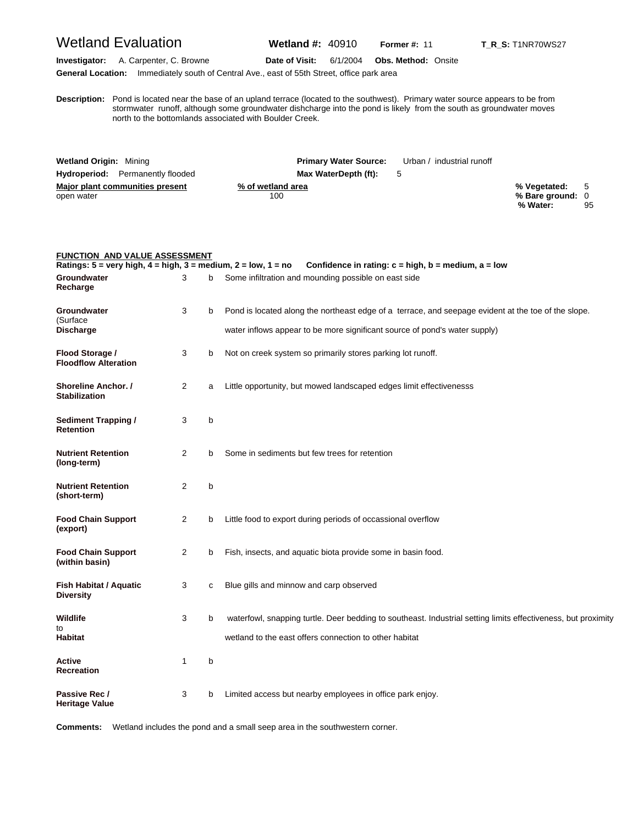### Wetland Evaluation **Wetland #:** 40910 **Former #:** <sup>11</sup> **T\_R\_S:** T1NR70WS27

**Investigator:** A. Carpenter, C. Browne **Date of Visit:** 6/1/2004 **Obs. Method:** Onsite **General Location:** Immediately south of Central Ave., east of 55th Street, office park area

**D escription:** Pond is located near the base of an upland terrace (located to the southwest). Primary water source appears to be from stormwater runoff, although some groundwater dishcharge into the pond is likely from the south as groundwater moves north to the bottomlands associated with Boulder Creek.

| <b>Wetland Origin: Mining</b>           | <b>Primary Water Source:</b> | Urban / industrial runoff |                  |    |
|-----------------------------------------|------------------------------|---------------------------|------------------|----|
| <b>Hydroperiod:</b> Permanently flooded | Max WaterDepth (ft):         | $\mathbf{b}$              |                  |    |
| Major plant communities present         | % of wetland area            |                           | % Vegetated: 5   |    |
| open water                              | 100                          |                           | % Bare ground: 0 |    |
|                                         |                              |                           | % Water:         | 95 |

### **FUNCTION AND VALUE ASSESSMENT Ratings: 5 = very high, 4 = high, 3 = medium, 2 = low, 1 = no Confidence in rating: c = high, b = medium, a = low Groundwater** 3 b Some infiltration and mounding possible on east side **Recharge Groundwater** 3 b Pond is located along the northeast edge of a terrace, and seepage evident at the toe of the slope. (Surface **Discharge** water inflows appear to be more significant source of pond's water supply) **Flood Storage / 3 b** Not on creek system so primarily stores parking lot runoff. **Floodflow Alteration Shoreline Anchor. /** 2 a Little opportunity, but mowed landscaped edges limit effectivenesss **Stabilization Sediment Trapping / 3 b Retention Nutrient Retention** 2 b Some in sediments but few trees for retention **(long-term) Nutrient Retention** 2 b **(short-term) Food Chain Support** 2 b Little food to export during periods of occassional overflow **(export) Food Chain Support** 2 b Fish, insects, and aquatic biota provide some in basin food. **(within basin) Fish Habitat / Aquatic** 3 c Blue gills and minnow and carp observed **Diversity Wildlife** 3 b waterfowl, snapping turtle. Deer bedding to southeast. Industrial setting limits effectiveness, but proximity to **Habitat** wetland to the east offers connection to other habitat **Active** 1 b **Recreation Passive Rec / 3 b** Limited access but nearby employees in office park enjoy. **Heritage Value**

**Comments:** Wetland includes the pond and a small seep area in the southwestern corner.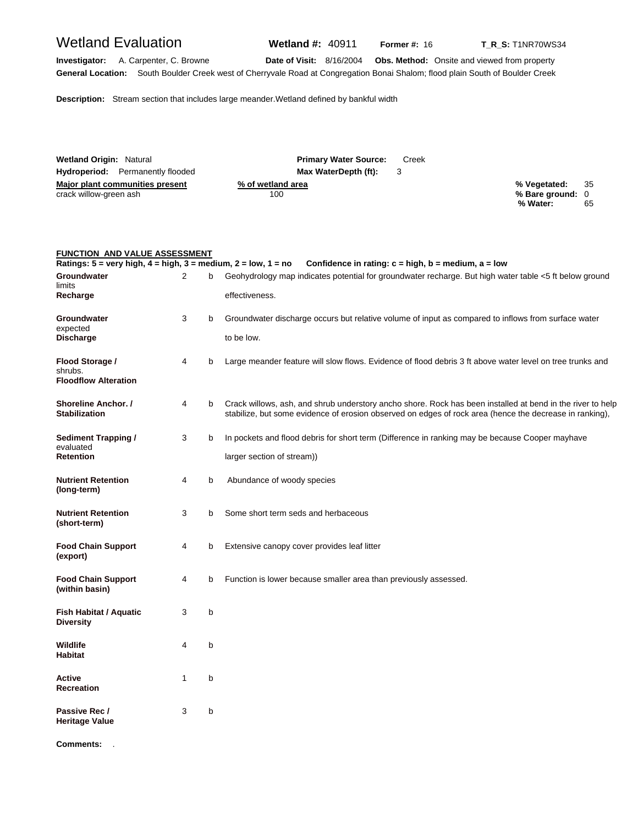# Wetland Evaluation **Wetland #:** 40911 **Former #: 16 T\_R\_S:** T1NR70WS34

**Investigator:** A. Carpenter, C. Browne **Date of Visit:** 8/16/2004 **Obs. Method:** Onsite and viewed from property **General Location:** South Boulder Creek west of Cherryvale Road at Congregation Bonai Shalom; flood plain South of Boulder Creek

**Description:** Stream section that includes large meander.Wetland defined by bankful width

| <b>Wetland Origin: Natural</b>          | <b>Primary Water Source:</b><br>Creek |                      |
|-----------------------------------------|---------------------------------------|----------------------|
| <b>Hydroperiod:</b> Permanently flooded | Max WaterDepth (ft):                  |                      |
| Major plant communities present         | % of wetland area                     | - 35<br>% Vegetated: |
| crack willow-green ash                  | 100                                   | % Bare ground: 0     |
|                                         |                                       | % Water:<br>65       |

#### **FUNCTION AND VALUE ASSESSMENT**

| Ratings: $5 = \text{very high}, 4 = \text{high}, 3 = \text{medium}, 2 = \text{low}, 1 = \text{no}$ |   |   | Confidence in rating: $c = high$ , $b = medium$ , $a = low$                                                                                                                                                           |
|----------------------------------------------------------------------------------------------------|---|---|-----------------------------------------------------------------------------------------------------------------------------------------------------------------------------------------------------------------------|
| Groundwater<br>limits                                                                              | 2 | b | Geohydrology map indicates potential for groundwater recharge. But high water table <5 ft below ground                                                                                                                |
| Recharge                                                                                           |   |   | effectiveness.                                                                                                                                                                                                        |
| Groundwater<br>expected                                                                            | 3 | b | Groundwater discharge occurs but relative volume of input as compared to inflows from surface water                                                                                                                   |
| <b>Discharge</b>                                                                                   |   |   | to be low.                                                                                                                                                                                                            |
| Flood Storage /<br>shrubs.<br><b>Floodflow Alteration</b>                                          | 4 | b | Large meander feature will slow flows. Evidence of flood debris 3 ft above water level on tree trunks and                                                                                                             |
| Shoreline Anchor. /<br><b>Stabilization</b>                                                        | 4 | b | Crack willows, ash, and shrub understory ancho shore. Rock has been installed at bend in the river to help<br>stabilize, but some evidence of erosion observed on edges of rock area (hence the decrease in ranking), |
| Sediment Trapping /<br>evaluated                                                                   | 3 | b | In pockets and flood debris for short term (Difference in ranking may be because Cooper mayhave                                                                                                                       |
| <b>Retention</b>                                                                                   |   |   | larger section of stream))                                                                                                                                                                                            |
| <b>Nutrient Retention</b><br>(long-term)                                                           | 4 | b | Abundance of woody species                                                                                                                                                                                            |
| <b>Nutrient Retention</b><br>(short-term)                                                          | 3 | b | Some short term seds and herbaceous                                                                                                                                                                                   |
| <b>Food Chain Support</b><br>(export)                                                              | 4 | b | Extensive canopy cover provides leaf litter                                                                                                                                                                           |
| <b>Food Chain Support</b><br>(within basin)                                                        | 4 | b | Function is lower because smaller area than previously assessed.                                                                                                                                                      |
| Fish Habitat / Aquatic<br><b>Diversity</b>                                                         | 3 | b |                                                                                                                                                                                                                       |
| Wildlife<br><b>Habitat</b>                                                                         | 4 | b |                                                                                                                                                                                                                       |
| Active<br><b>Recreation</b>                                                                        | 1 | b |                                                                                                                                                                                                                       |
| Passive Rec /<br>Heritage Value                                                                    | 3 | b |                                                                                                                                                                                                                       |
| <b>Comments:</b>                                                                                   |   |   |                                                                                                                                                                                                                       |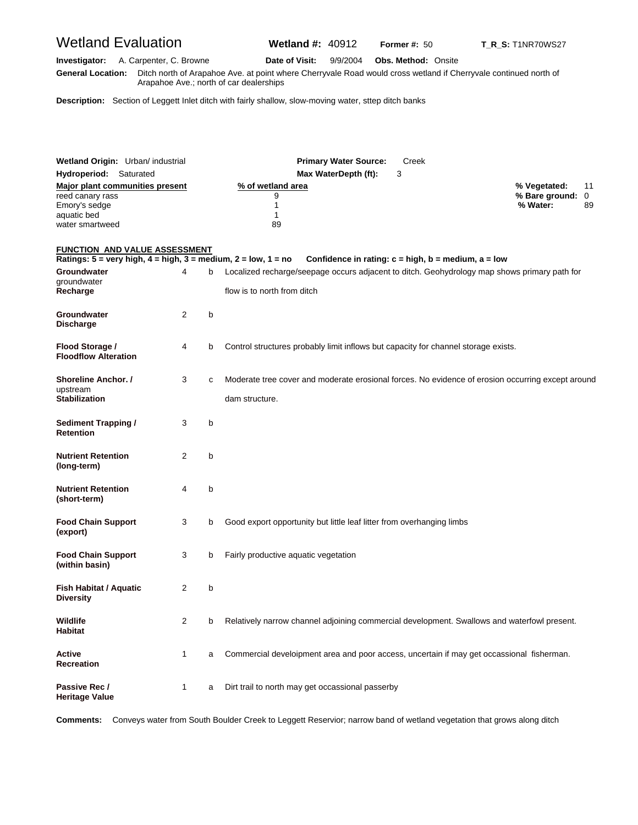# Wetland Evaluation **Wetland #:** 40912 **Former #:** <sup>50</sup> **T\_R\_S:** T1NR70WS27

**Investigator:** A. Carpenter, C. Browne **Date of Visit:** 9/9/2004 **Obs. Method:** Onsite **G eneral Location:** Ditch north of Arapahoe Ave. at point where Cherryvale Road would cross wetland if Cherryvale continued north of Arapahoe Ave.; north of car dealerships

**Description:** Section of Leggett Inlet ditch with fairly shallow, slow-moving water, sttep ditch banks

| Wetland Origin: Urban/ industrial<br>Hydroperiod: Saturated                                                                                |   |   | <b>Primary Water Source:</b><br>Creek<br>Max WaterDepth (ft):<br>3                                                          |                                                                       |
|--------------------------------------------------------------------------------------------------------------------------------------------|---|---|-----------------------------------------------------------------------------------------------------------------------------|-----------------------------------------------------------------------|
| Major plant communities present<br>reed canary rass<br>Emory's sedge<br>aquatic bed<br>water smartweed                                     |   |   | % of wetland area<br>9<br>1<br>1<br>89                                                                                      | % Vegetated:<br>11<br>$\mathbf 0$<br>% Bare ground:<br>% Water:<br>89 |
| <b>FUNCTION AND VALUE ASSESSMENT</b><br>Ratings: $5 = \text{very high}, 4 = \text{high}, 3 = \text{medium}, 2 = \text{low}, 1 = \text{no}$ |   |   | Confidence in rating: $c = high$ , $b = medium$ , $a = low$                                                                 |                                                                       |
| Groundwater<br>groundwater<br>Recharge                                                                                                     | 4 | b | Localized recharge/seepage occurs adjacent to ditch. Geohydrology map shows primary path for<br>flow is to north from ditch |                                                                       |
| Groundwater<br>Discharge                                                                                                                   | 2 | b |                                                                                                                             |                                                                       |
| Flood Storage /<br><b>Floodflow Alteration</b>                                                                                             | 4 | b | Control structures probably limit inflows but capacity for channel storage exists.                                          |                                                                       |
| <b>Shoreline Anchor. /</b><br>upstream<br><b>Stabilization</b>                                                                             | 3 | C | Moderate tree cover and moderate erosional forces. No evidence of erosion occurring except around<br>dam structure.         |                                                                       |
| <b>Sediment Trapping /</b><br>Retention                                                                                                    | 3 | b |                                                                                                                             |                                                                       |
| <b>Nutrient Retention</b><br>(long-term)                                                                                                   | 2 | b |                                                                                                                             |                                                                       |
| <b>Nutrient Retention</b><br>(short-term)                                                                                                  | 4 | b |                                                                                                                             |                                                                       |
| <b>Food Chain Support</b><br>(export)                                                                                                      | 3 | b | Good export opportunity but little leaf litter from overhanging limbs                                                       |                                                                       |
| <b>Food Chain Support</b><br>(within basin)                                                                                                | 3 | b | Fairly productive aquatic vegetation                                                                                        |                                                                       |
| Fish Habitat / Aquatic<br>Diversity                                                                                                        | 2 | b |                                                                                                                             |                                                                       |
| Wildlife<br>Habitat                                                                                                                        | 2 | b | Relatively narrow channel adjoining commercial development. Swallows and waterfowl present.                                 |                                                                       |
| Active<br><b>Recreation</b>                                                                                                                | 1 | a | Commercial develoipment area and poor access, uncertain if may get occassional fisherman.                                   |                                                                       |
| Passive Rec /<br><b>Heritage Value</b>                                                                                                     | 1 | a | Dirt trail to north may get occassional passerby                                                                            |                                                                       |

**Comments:** Conveys water from South Boulder Creek to Leggett Reservior; narrow band of wetland vegetation that grows along ditch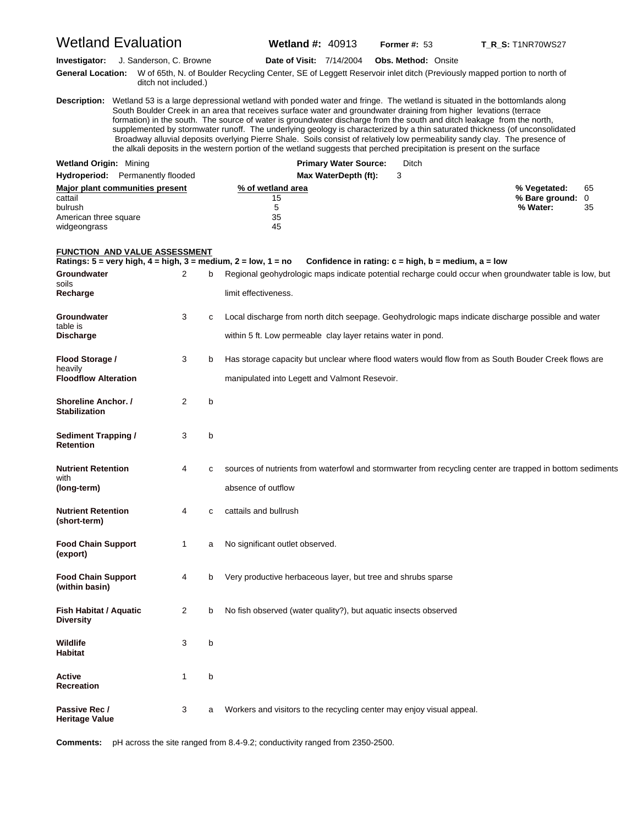| <b>Wetland Evaluation</b>                                                                             |                         |   | <b>Wetland #: 40913</b>                                                                                                                                                                                                                                                                                                                                                 |                              | Former $#: 53$                                              | <b>T_R_S:</b> T1NR70WS27                                                                                                                                                                                                                                                                                                                                                                             |  |
|-------------------------------------------------------------------------------------------------------|-------------------------|---|-------------------------------------------------------------------------------------------------------------------------------------------------------------------------------------------------------------------------------------------------------------------------------------------------------------------------------------------------------------------------|------------------------------|-------------------------------------------------------------|------------------------------------------------------------------------------------------------------------------------------------------------------------------------------------------------------------------------------------------------------------------------------------------------------------------------------------------------------------------------------------------------------|--|
| Investigator:<br><b>General Location:</b>                                                             | J. Sanderson, C. Browne |   | <b>Date of Visit: 7/14/2004</b>                                                                                                                                                                                                                                                                                                                                         |                              | <b>Obs. Method: Onsite</b>                                  | W of 65th, N. of Boulder Recycling Center, SE of Leggett Reservoir inlet ditch (Previously mapped portion to north of                                                                                                                                                                                                                                                                                |  |
|                                                                                                       | ditch not included.)    |   | South Boulder Creek in an area that receives surface water and groundwater draining from higher levations (terrace<br>formation) in the south. The source of water is groundwater discharge from the south and ditch leakage from the north,<br>the alkali deposits in the western portion of the wetland suggests that perched precipitation is present on the surface |                              |                                                             | Description: Wetland 53 is a large depressional wetland with ponded water and fringe. The wetland is situated in the bottomlands along<br>supplemented by stormwater runoff. The underlying geology is characterized by a thin saturated thickness (of unconsolidated<br>Broadway alluvial deposits overlying Pierre Shale. Soils consist of relatively low permeability sandy clay. The presence of |  |
| <b>Wetland Origin: Mining</b>                                                                         |                         |   |                                                                                                                                                                                                                                                                                                                                                                         | <b>Primary Water Source:</b> | Ditch                                                       |                                                                                                                                                                                                                                                                                                                                                                                                      |  |
| <b>Hydroperiod:</b> Permanently flooded                                                               |                         |   |                                                                                                                                                                                                                                                                                                                                                                         | Max WaterDepth (ft):         | 3                                                           |                                                                                                                                                                                                                                                                                                                                                                                                      |  |
| <b>Major plant communities present</b><br>cattail<br>bulrush<br>American three square<br>widgeongrass |                         |   | % of wetland area<br>15<br>5<br>35<br>45                                                                                                                                                                                                                                                                                                                                |                              |                                                             | % Vegetated:<br>65<br>% Bare ground: 0<br>% Water:<br>35                                                                                                                                                                                                                                                                                                                                             |  |
| <b>FUNCTION AND VALUE ASSESSMENT</b>                                                                  |                         |   |                                                                                                                                                                                                                                                                                                                                                                         |                              |                                                             |                                                                                                                                                                                                                                                                                                                                                                                                      |  |
|                                                                                                       |                         |   | Ratings: $5 = \text{very high}, 4 = \text{high}, 3 = \text{medium}, 2 = \text{low}, 1 = \text{no}$                                                                                                                                                                                                                                                                      |                              | Confidence in rating: $c = high$ , $b = medium$ , $a = low$ |                                                                                                                                                                                                                                                                                                                                                                                                      |  |
| Groundwater<br>soils                                                                                  | 2                       | b |                                                                                                                                                                                                                                                                                                                                                                         |                              |                                                             | Regional geohydrologic maps indicate potential recharge could occur when groundwater table is low, but                                                                                                                                                                                                                                                                                               |  |
| Recharge                                                                                              |                         |   | limit effectiveness.                                                                                                                                                                                                                                                                                                                                                    |                              |                                                             |                                                                                                                                                                                                                                                                                                                                                                                                      |  |
| Groundwater<br>table is                                                                               | 3                       | c |                                                                                                                                                                                                                                                                                                                                                                         |                              |                                                             | Local discharge from north ditch seepage. Geohydrologic maps indicate discharge possible and water                                                                                                                                                                                                                                                                                                   |  |
| Discharge                                                                                             |                         |   | within 5 ft. Low permeable clay layer retains water in pond.                                                                                                                                                                                                                                                                                                            |                              |                                                             |                                                                                                                                                                                                                                                                                                                                                                                                      |  |
| Flood Storage /<br>heavily                                                                            | 3                       | b |                                                                                                                                                                                                                                                                                                                                                                         |                              |                                                             | Has storage capacity but unclear where flood waters would flow from as South Bouder Creek flows are                                                                                                                                                                                                                                                                                                  |  |
| <b>Floodflow Alteration</b>                                                                           |                         |   | manipulated into Legett and Valmont Resevoir.                                                                                                                                                                                                                                                                                                                           |                              |                                                             |                                                                                                                                                                                                                                                                                                                                                                                                      |  |
| <b>Shoreline Anchor. /</b><br><b>Stabilization</b>                                                    | 2                       | b |                                                                                                                                                                                                                                                                                                                                                                         |                              |                                                             |                                                                                                                                                                                                                                                                                                                                                                                                      |  |
| <b>Sediment Trapping /</b><br>Retention                                                               | 3                       | b |                                                                                                                                                                                                                                                                                                                                                                         |                              |                                                             |                                                                                                                                                                                                                                                                                                                                                                                                      |  |
| Nutrient Retention                                                                                    | 4                       | c |                                                                                                                                                                                                                                                                                                                                                                         |                              |                                                             | sources of nutrients from waterfowl and stormwarter from recycling center are trapped in bottom sediments                                                                                                                                                                                                                                                                                            |  |
| with<br>(long-term)                                                                                   |                         |   | absence of outflow                                                                                                                                                                                                                                                                                                                                                      |                              |                                                             |                                                                                                                                                                                                                                                                                                                                                                                                      |  |
| <b>Nutrient Retention</b><br>(short-term)                                                             | 4                       | C | cattails and bullrush                                                                                                                                                                                                                                                                                                                                                   |                              |                                                             |                                                                                                                                                                                                                                                                                                                                                                                                      |  |
| <b>Food Chain Support</b><br>(export)                                                                 | 1                       | a | No significant outlet observed.                                                                                                                                                                                                                                                                                                                                         |                              |                                                             |                                                                                                                                                                                                                                                                                                                                                                                                      |  |
| <b>Food Chain Support</b><br>(within basin)                                                           | 4                       | b | Very productive herbaceous layer, but tree and shrubs sparse                                                                                                                                                                                                                                                                                                            |                              |                                                             |                                                                                                                                                                                                                                                                                                                                                                                                      |  |
| Fish Habitat / Aquatic<br>Diversity                                                                   | 2                       | b | No fish observed (water quality?), but aquatic insects observed                                                                                                                                                                                                                                                                                                         |                              |                                                             |                                                                                                                                                                                                                                                                                                                                                                                                      |  |
| Wildlife<br>Habitat                                                                                   | 3                       | b |                                                                                                                                                                                                                                                                                                                                                                         |                              |                                                             |                                                                                                                                                                                                                                                                                                                                                                                                      |  |
| Active<br>Recreation                                                                                  | 1                       | b |                                                                                                                                                                                                                                                                                                                                                                         |                              |                                                             |                                                                                                                                                                                                                                                                                                                                                                                                      |  |
| Passive Rec /<br>Heritage Value                                                                       | 3                       | a | Workers and visitors to the recycling center may enjoy visual appeal.                                                                                                                                                                                                                                                                                                   |                              |                                                             |                                                                                                                                                                                                                                                                                                                                                                                                      |  |

**Comments:** pH across the site ranged from 8.4-9.2; conductivity ranged from 2350-2500.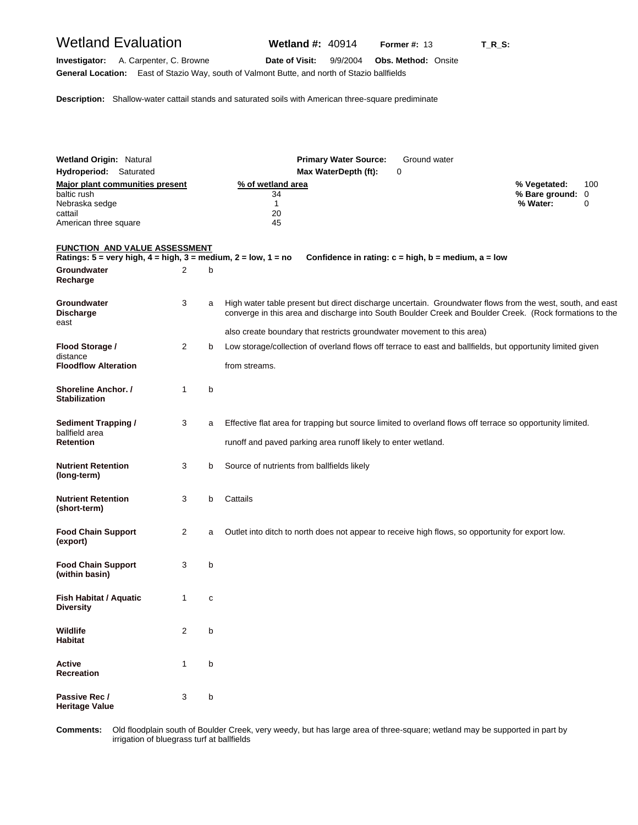| <b>Wetland Evaluation</b>                                                                                                                |                |   | <b>Wetland #: 40914</b>                                                                                                                                                                                              |                              | <b>Former #: 13</b>                                         | $T_R$ _S: |                                              |          |
|------------------------------------------------------------------------------------------------------------------------------------------|----------------|---|----------------------------------------------------------------------------------------------------------------------------------------------------------------------------------------------------------------------|------------------------------|-------------------------------------------------------------|-----------|----------------------------------------------|----------|
| A. Carpenter, C. Browne<br>Investigator:<br>General Location: East of Stazio Way, south of Valmont Butte, and north of Stazio ballfields |                |   | Date of Visit:                                                                                                                                                                                                       | 9/9/2004                     | <b>Obs. Method: Onsite</b>                                  |           |                                              |          |
| <b>Description:</b> Shallow-water cattail stands and saturated soils with American three-square prediminate                              |                |   |                                                                                                                                                                                                                      |                              |                                                             |           |                                              |          |
| <b>Wetland Origin: Natural</b>                                                                                                           |                |   |                                                                                                                                                                                                                      | <b>Primary Water Source:</b> | Ground water                                                |           |                                              |          |
| Hydroperiod: Saturated                                                                                                                   |                |   |                                                                                                                                                                                                                      | Max WaterDepth (ft):         | 0                                                           |           |                                              |          |
| <b>Major plant communities present</b><br>baltic rush<br>Nebraska sedge                                                                  |                |   | % of wetland area<br>34<br>$\mathbf{1}$                                                                                                                                                                              |                              |                                                             |           | % Vegetated:<br>% Bare ground: 0<br>% Water: | 100<br>0 |
| cattail<br>American three square                                                                                                         |                |   | 20<br>45                                                                                                                                                                                                             |                              |                                                             |           |                                              |          |
| <b>FUNCTION AND VALUE ASSESSMENT</b>                                                                                                     |                |   |                                                                                                                                                                                                                      |                              |                                                             |           |                                              |          |
| Ratings: $5 = \text{very high}, 4 = \text{high}, 3 = \text{medium}, 2 = \text{low}, 1 = \text{no}$                                       |                |   |                                                                                                                                                                                                                      |                              | Confidence in rating: $c = high$ , $b = medium$ , $a = low$ |           |                                              |          |
| Groundwater<br>Recharge                                                                                                                  | 2              | b |                                                                                                                                                                                                                      |                              |                                                             |           |                                              |          |
| Groundwater<br><b>Discharge</b><br>east                                                                                                  | 3              | a | High water table present but direct discharge uncertain. Groundwater flows from the west, south, and east<br>converge in this area and discharge into South Boulder Creek and Boulder Creek. (Rock formations to the |                              |                                                             |           |                                              |          |
|                                                                                                                                          | $\overline{2}$ |   | also create boundary that restricts groundwater movement to this area)                                                                                                                                               |                              |                                                             |           |                                              |          |
| Flood Storage /<br>distance                                                                                                              |                | b | Low storage/collection of overland flows off terrace to east and ballfields, but opportunity limited given                                                                                                           |                              |                                                             |           |                                              |          |
| <b>Floodflow Alteration</b>                                                                                                              |                |   | from streams.                                                                                                                                                                                                        |                              |                                                             |           |                                              |          |
| <b>Shoreline Anchor. /</b><br><b>Stabilization</b>                                                                                       | 1              | b |                                                                                                                                                                                                                      |                              |                                                             |           |                                              |          |
| <b>Sediment Trapping /</b><br>ballfield area                                                                                             | 3              | a | Effective flat area for trapping but source limited to overland flows off terrace so opportunity limited.                                                                                                            |                              |                                                             |           |                                              |          |
| <b>Retention</b>                                                                                                                         |                |   | runoff and paved parking area runoff likely to enter wetland.                                                                                                                                                        |                              |                                                             |           |                                              |          |
| <b>Nutrient Retention</b><br>(long-term)                                                                                                 | 3              | b | Source of nutrients from ballfields likely                                                                                                                                                                           |                              |                                                             |           |                                              |          |
| <b>Nutrient Retention</b><br>(short-term)                                                                                                | 3              | b | Cattails                                                                                                                                                                                                             |                              |                                                             |           |                                              |          |
| <b>Food Chain Support</b><br>(export)                                                                                                    | 2              | a | Outlet into ditch to north does not appear to receive high flows, so opportunity for export low.                                                                                                                     |                              |                                                             |           |                                              |          |
| <b>Food Chain Support</b><br>(within basin)                                                                                              | 3              | b |                                                                                                                                                                                                                      |                              |                                                             |           |                                              |          |
| <b>Fish Habitat / Aquatic</b><br>Diversity                                                                                               | 1              | с |                                                                                                                                                                                                                      |                              |                                                             |           |                                              |          |
| Wildlife<br>Habitat                                                                                                                      | 2              | b |                                                                                                                                                                                                                      |                              |                                                             |           |                                              |          |
| Active<br><b>Recreation</b>                                                                                                              | 1              | b |                                                                                                                                                                                                                      |                              |                                                             |           |                                              |          |
| Passive Rec /<br><b>Heritage Value</b>                                                                                                   | 3              | b |                                                                                                                                                                                                                      |                              |                                                             |           |                                              |          |

**C** irrigation of bluegrass turf at ballfields **omments:** Old floodplain south of Boulder Creek, very weedy, but has large area of three-square; wetland may be supported in part by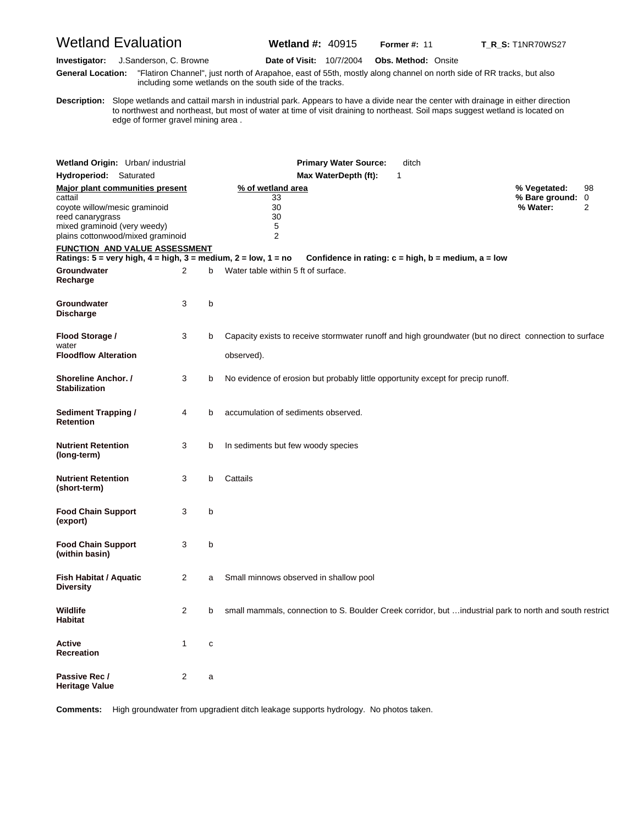# Wetland Evaluation **Wetland #:** 40915 **Former #:** <sup>11</sup> **T\_R\_S:** T1NR70WS27

**Investigator:** J.Sanderson, C. Browne **Date of Visit:** 10/7/2004 **Obs. Method:** Onsite

**G eneral Location:** "Flatiron Channel", just north of Arapahoe, east of 55th, mostly along channel on north side of RR tracks, but also including some wetlands on the south side of the tracks.

**D escription:** Slope wetlands and cattail marsh in industrial park. Appears to have a divide near the center with drainage in either direction to northwest and northeast, but most of water at time of visit draining to northeast. Soil maps suggest wetland is located on edge of former gravel mining area .

| Wetland Origin: Urban/ industrial                                                                                                 |                |   | <b>Primary Water Source:</b><br>ditch                                                                    |                              |    |
|-----------------------------------------------------------------------------------------------------------------------------------|----------------|---|----------------------------------------------------------------------------------------------------------|------------------------------|----|
| Hydroperiod: Saturated                                                                                                            |                |   | Max WaterDepth (ft):<br>1                                                                                |                              |    |
| Major plant communities present                                                                                                   |                |   | % of wetland area                                                                                        | % Vegetated:                 | 98 |
| cattail<br>coyote willow/mesic graminoid<br>reed canarygrass<br>mixed graminoid (very weedy)<br>plains cottonwood/mixed graminoid |                |   | 33<br>30<br>30<br>5<br>$\overline{2}$                                                                    | % Bare ground: 0<br>% Water: | 2  |
| <b>FUNCTION AND VALUE ASSESSMENT</b>                                                                                              |                |   |                                                                                                          |                              |    |
| Ratings: $5 = \text{very high}, 4 = \text{high}, 3 = \text{medium}, 2 = \text{low}, 1 = \text{no}$                                |                |   | Confidence in rating: $c = high$ , $b = medium$ , $a = low$                                              |                              |    |
| <b>Groundwater</b><br>Recharge                                                                                                    | $\overline{2}$ | b | Water table within 5 ft of surface.                                                                      |                              |    |
| Groundwater<br><b>Discharge</b>                                                                                                   | 3              | b |                                                                                                          |                              |    |
| Flood Storage /<br>water                                                                                                          | 3              | b | Capacity exists to receive stormwater runoff and high groundwater (but no direct connection to surface   |                              |    |
| <b>Floodflow Alteration</b>                                                                                                       |                |   | observed).                                                                                               |                              |    |
| <b>Shoreline Anchor.</b> /<br><b>Stabilization</b>                                                                                | 3              | b | No evidence of erosion but probably little opportunity except for precip runoff.                         |                              |    |
| <b>Sediment Trapping /</b><br><b>Retention</b>                                                                                    | 4              | b | accumulation of sediments observed.                                                                      |                              |    |
| <b>Nutrient Retention</b><br>(long-term)                                                                                          | 3              | b | In sediments but few woody species                                                                       |                              |    |
| <b>Nutrient Retention</b><br>(short-term)                                                                                         | 3              | b | Cattails                                                                                                 |                              |    |
| <b>Food Chain Support</b><br>(export)                                                                                             | 3              | b |                                                                                                          |                              |    |
| <b>Food Chain Support</b><br>(within basin)                                                                                       | 3              | b |                                                                                                          |                              |    |
| Fish Habitat / Aquatic<br><b>Diversity</b>                                                                                        | 2              | a | Small minnows observed in shallow pool                                                                   |                              |    |
| <b>Wildlife</b><br><b>Habitat</b>                                                                                                 | $\overline{2}$ | b | small mammals, connection to S. Boulder Creek corridor, but  industrial park to north and south restrict |                              |    |
| <b>Active</b><br><b>Recreation</b>                                                                                                | $\mathbf{1}$   | C |                                                                                                          |                              |    |
| Passive Rec /<br><b>Heritage Value</b>                                                                                            | $\overline{2}$ | a |                                                                                                          |                              |    |

**Comments:** High groundwater from upgradient ditch leakage supports hydrology. No photos taken.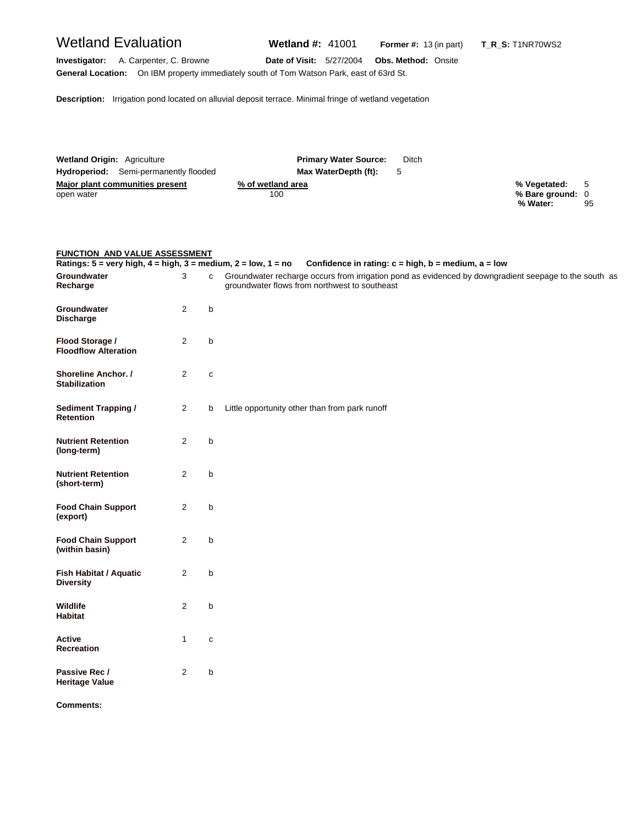| Wetland Evaluation                                                                                                                   | Wetland $\#$ : 41001            | <b>Former #:</b> $13$ (in part) | T R S: T1NR70WS2                                        |
|--------------------------------------------------------------------------------------------------------------------------------------|---------------------------------|---------------------------------|---------------------------------------------------------|
| Investigator:<br>A. Carpenter, C. Browne<br>General Location: On IBM property immediately south of Tom Watson Park, east of 63rd St. | <b>Date of Visit: 5/27/2004</b> | <b>Obs. Method: Onsite</b>      |                                                         |
| <b>Description:</b> Irrigation pond located on alluvial deposit terrace. Minimal fringe of wetland vegetation                        |                                 |                                 |                                                         |
|                                                                                                                                      |                                 |                                 |                                                         |
|                                                                                                                                      |                                 |                                 |                                                         |
| <b>Wetland Origin: Agriculture</b>                                                                                                   | <b>Primary Water Source:</b>    | Ditch                           |                                                         |
| Hydroperiod: Semi-permanently flooded                                                                                                | Max WaterDepth (ft):            | 5                               |                                                         |
| <b>Major plant communities present</b><br>open water                                                                                 | % of wetland area<br>100        |                                 | 5<br>% Vegetated:<br>% Bare ground: 0<br>% Water:<br>95 |

| <b>FUNCTION AND VALUE ASSESSMENT</b> |  |
|--------------------------------------|--|
|                                      |  |

|                                                    |                |              | Ratings: 5 = very high, 4 = high, 3 = medium, 2 = low, 1 = no Confidence in rating: c = high, b = medium, a = low                                      |
|----------------------------------------------------|----------------|--------------|--------------------------------------------------------------------------------------------------------------------------------------------------------|
| Groundwater<br>Recharge                            | 3              | $\mathbf{C}$ | Groundwater recharge occurs from irrigation pond as evidenced by downgradient seepage to the south as<br>groundwater flows from northwest to southeast |
| Groundwater<br><b>Discharge</b>                    | 2              | b            |                                                                                                                                                        |
| Flood Storage /<br><b>Floodflow Alteration</b>     | 2              | b            |                                                                                                                                                        |
| <b>Shoreline Anchor.</b> /<br><b>Stabilization</b> | $\overline{2}$ | $\mathbf{C}$ |                                                                                                                                                        |
| <b>Sediment Trapping /</b><br><b>Retention</b>     | $\overline{2}$ | b            | Little opportunity other than from park runoff                                                                                                         |
| <b>Nutrient Retention</b><br>(long-term)           | 2              | b            |                                                                                                                                                        |
| <b>Nutrient Retention</b><br>(short-term)          | 2              | b            |                                                                                                                                                        |
| <b>Food Chain Support</b><br>(export)              | 2              | b            |                                                                                                                                                        |
| <b>Food Chain Support</b><br>(within basin)        | 2              | b            |                                                                                                                                                        |
| Fish Habitat / Aquatic<br><b>Diversity</b>         | 2              | b            |                                                                                                                                                        |
| Wildlife<br>Habitat                                | 2              | b            |                                                                                                                                                        |
| Active<br><b>Recreation</b>                        | 1              | $\mathbf{C}$ |                                                                                                                                                        |
| Passive Rec /<br><b>Heritage Value</b>             | 2              | b            |                                                                                                                                                        |

**Comments:**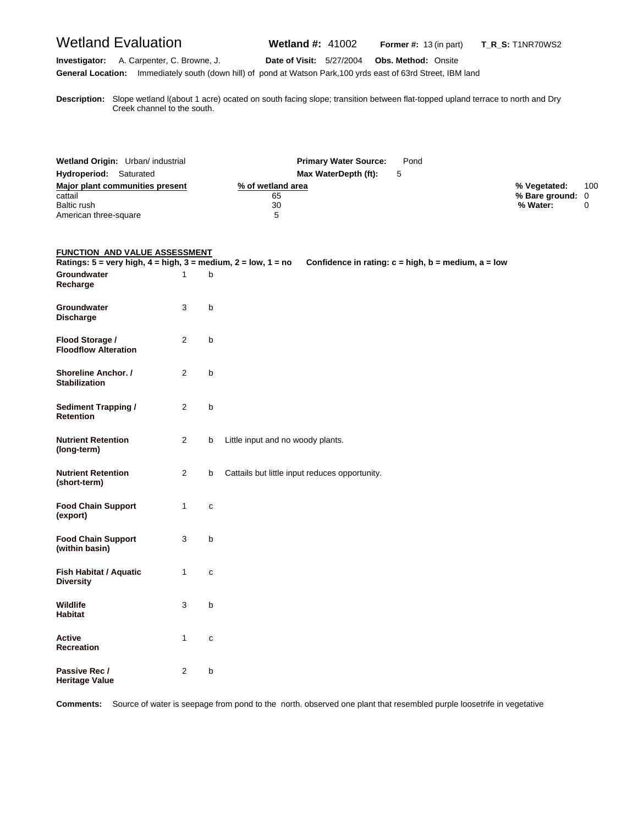# Wetland Evaluation **Wetland #:** 41002 **Former #:** <sup>13</sup> (in part) **T\_R\_S:** T1NR70WS2

#### **Investigator:** A. Carpenter, C. Browne, J. **Date of Visit:** 5/27/2004 **Obs. Method:** Onsite **General Location:** Immediately south (down hill) of pond at Watson Park,100 yrds east of 63rd Street, IBM land

**D escription:** Slope wetland l(about 1 acre) ocated on south facing slope; transition between flat-topped upland terrace to north and Dry Creek channel to the south.

| Wetland Origin: Urban/ industrial | <b>Primary Water Source:</b> | Pond |                  |     |
|-----------------------------------|------------------------------|------|------------------|-----|
| Hydroperiod: Saturated            | Max WaterDepth (ft):         |      |                  |     |
| Major plant communities present   | % of wetland area            |      | % Vegetated:     | 100 |
| cattail                           | 65                           |      | % Bare ground: 0 |     |
| Baltic rush                       | 30                           |      | % Water:         |     |
| American three-square             | 5                            |      |                  |     |

#### **FUNCTION AND VALUE ASSESSMENT**

| Ratings: $5 = \text{very high}, 4 = \text{high}, 3 = \text{medium}, 2 = \text{low}, 1 = \text{no}$ |                |              | Confidence in rating: $c = high$ , $b = medium$ , $a = low$ |
|----------------------------------------------------------------------------------------------------|----------------|--------------|-------------------------------------------------------------|
| Groundwater<br>Recharge                                                                            | 1              | b            |                                                             |
| Groundwater<br><b>Discharge</b>                                                                    | 3              | b            |                                                             |
| Flood Storage /<br><b>Floodflow Alteration</b>                                                     | 2              | b            |                                                             |
| Shoreline Anchor. /<br><b>Stabilization</b>                                                        | 2              | b            |                                                             |
| <b>Sediment Trapping /</b><br><b>Retention</b>                                                     | $\overline{2}$ | b            |                                                             |
| <b>Nutrient Retention</b><br>(long-term)                                                           | $\overline{2}$ | b            | Little input and no woody plants.                           |
| <b>Nutrient Retention</b><br>(short-term)                                                          | $\overline{2}$ | b            | Cattails but little input reduces opportunity.              |
| <b>Food Chain Support</b><br>(export)                                                              | $\mathbf{1}$   | $\mathbf{C}$ |                                                             |
| <b>Food Chain Support</b><br>(within basin)                                                        | 3              | b            |                                                             |
| Fish Habitat / Aquatic<br><b>Diversity</b>                                                         | 1              | C            |                                                             |
| Wildlife<br><b>Habitat</b>                                                                         | 3              | b            |                                                             |
| Active<br><b>Recreation</b>                                                                        | 1              | C            |                                                             |
| Passive Rec /<br><b>Heritage Value</b>                                                             | $\overline{2}$ | b            |                                                             |

**Comments:** Source of water is seepage from pond to the north. observed one plant that resembled purple loosetrife in vegetative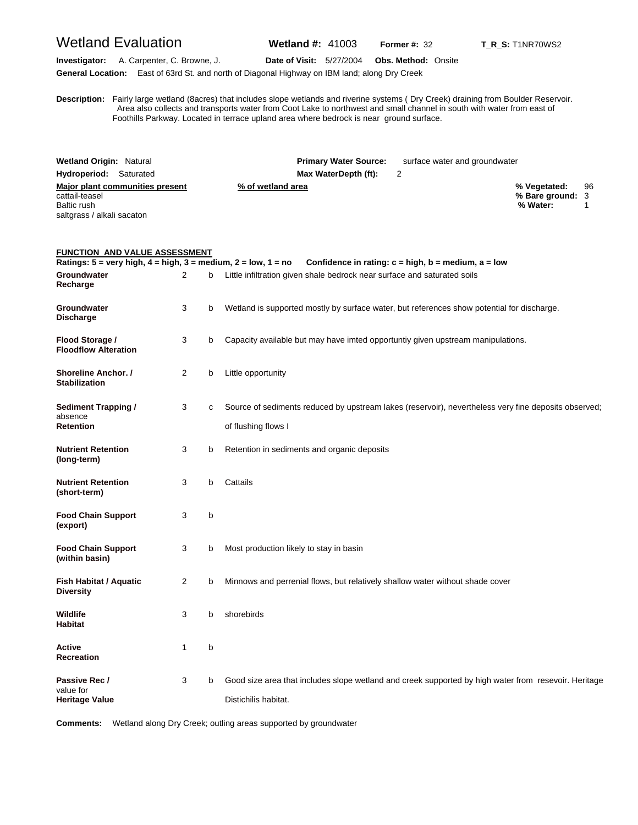## Wetland Evaluation **Wetland #:** 41003 **Former #:** <sup>32</sup> **T\_R\_S:** T1NR70WS2

**Investigator:** A. Carpenter, C. Browne, J. **Date of Visit:** 5/27/2004 **Obs. Method:** Onsite **General Location:** East of 63rd St. and north of Diagonal Highway on IBM land; along Dry Creek

**D escription:** Fairly large wetland (8acres) that includes slope wetlands and riverine systems ( Dry Creek) draining from Boulder Reservoir. Area also collects and transports water from Coot Lake to northwest and small channel in south with water from east of Foothills Parkway. Located in terrace upland area where bedrock is near ground surface.

| <b>Wetland Origin: Natural</b>                       | <b>Primary Water Source:</b> | surface water and groundwater |                  |    |
|------------------------------------------------------|------------------------------|-------------------------------|------------------|----|
| Hydroperiod:<br>Saturated                            | Max WaterDepth (ft):         | 2                             |                  |    |
| Major plant communities present<br>% of wetland area |                              |                               | % Vegetated:     | 96 |
| cattail-teasel                                       |                              |                               | % Bare ground: 3 |    |
| Baltic rush                                          |                              |                               | % Water:         |    |
| saltgrass / alkali sacaton                           |                              |                               |                  |    |

#### **FUNCTION AND VALUE ASSESSMENT**

| Ratings: $5 = \text{very high}, 4 = \text{high}, 3 = \text{medium}, 2 = \text{low}, 1 = \text{no}$ |                |   | Confidence in rating: $c = high$ , $b = medium$ , $a = low$                                                                  |
|----------------------------------------------------------------------------------------------------|----------------|---|------------------------------------------------------------------------------------------------------------------------------|
| Groundwater<br>Recharge                                                                            | 2              | b | Little infiltration given shale bedrock near surface and saturated soils                                                     |
| Groundwater<br><b>Discharge</b>                                                                    | 3              | b | Wetland is supported mostly by surface water, but references show potential for discharge.                                   |
| Flood Storage /<br><b>Floodflow Alteration</b>                                                     | 3              | b | Capacity available but may have imted opportuntiy given upstream manipulations.                                              |
| Shoreline Anchor. /<br><b>Stabilization</b>                                                        | $\overline{2}$ | b | Little opportunity                                                                                                           |
| <b>Sediment Trapping /</b><br>absence<br><b>Retention</b>                                          | 3              | с | Source of sediments reduced by upstream lakes (reservoir), nevertheless very fine deposits observed;<br>of flushing flows I  |
| <b>Nutrient Retention</b><br>(long-term)                                                           | 3              | b | Retention in sediments and organic deposits                                                                                  |
| <b>Nutrient Retention</b><br>(short-term)                                                          | 3              | b | Cattails                                                                                                                     |
| <b>Food Chain Support</b><br>(export)                                                              | 3              | b |                                                                                                                              |
| <b>Food Chain Support</b><br>(within basin)                                                        | 3              | b | Most production likely to stay in basin                                                                                      |
| <b>Fish Habitat / Aquatic</b><br><b>Diversity</b>                                                  | $\overline{2}$ | b | Minnows and perrenial flows, but relatively shallow water without shade cover                                                |
| <b>Wildlife</b><br><b>Habitat</b>                                                                  | 3              | b | shorebirds                                                                                                                   |
| Active<br>Recreation                                                                               | $\mathbf{1}$   | b |                                                                                                                              |
| Passive Rec /<br>value for<br><b>Heritage Value</b>                                                | 3              | b | Good size area that includes slope wetland and creek supported by high water from resevoir. Heritage<br>Distichilis habitat. |

**Comments:** Wetland along Dry Creek; outling areas supported by groundwater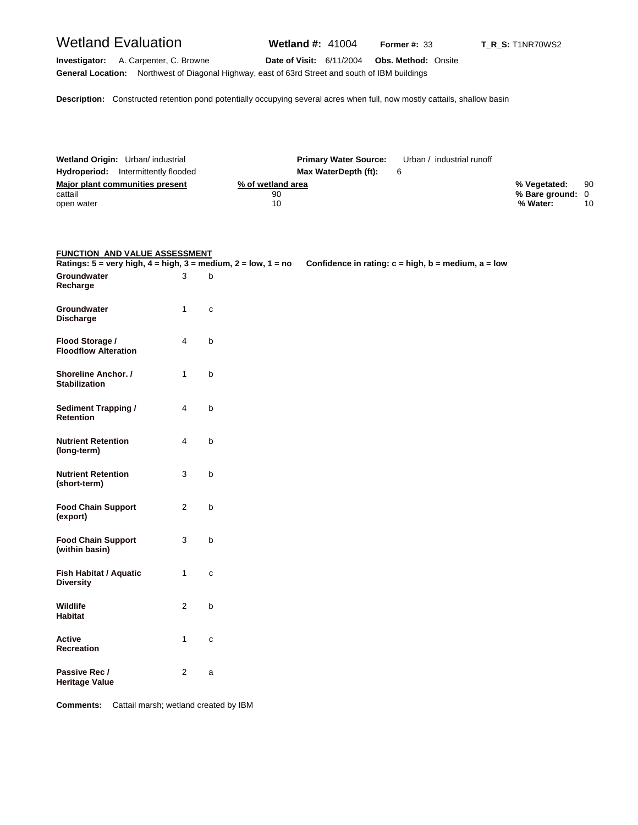## Wetland Evaluation **Wetland #:** 41004 **Former #:** <sup>33</sup> **T\_R\_S:** T1NR70WS2

**Investigator:** A. Carpenter, C. Browne **Date of Visit:** 6/11/2004 **Obs. Method:** Onsite **General Location:** Northwest of Diagonal Highway, east of 63rd Street and south of IBM buildings

**Description:** Constructed retention pond potentially occupying several acres when full, now mostly cattails, shallow basin

| Wetland Origin: Urban/ industrial          | <b>Primary Water Source:</b> | Urban / industrial runoff |                  |    |
|--------------------------------------------|------------------------------|---------------------------|------------------|----|
| <b>Hydroperiod:</b> Intermittently flooded | Max WaterDepth (ft):         | 6                         |                  |    |
| Major plant communities present            | % of wetland area            |                           | % Vegetated:     | 90 |
| cattail                                    | 90                           |                           | % Bare ground: 0 |    |
| open water                                 | 10                           |                           | % Water:         | 10 |
|                                            |                              |                           |                  |    |

#### **FUNCTION AND VALUE ASSESSMENT**

| Ratings: $5 = \text{very high}, 4 = \text{high}, 3 = \text{medium}, 2 = \text{low}, 1 = \text{no}$ |                |              | Confidence in rating: $c = high$ , $b = medium$ , $a = low$ |
|----------------------------------------------------------------------------------------------------|----------------|--------------|-------------------------------------------------------------|
| Groundwater<br>Recharge                                                                            | 3              | $\mathbf b$  |                                                             |
| Groundwater<br><b>Discharge</b>                                                                    | $\mathbf{1}$   | $\mathbf{C}$ |                                                             |
| Flood Storage /<br><b>Floodflow Alteration</b>                                                     | $\overline{4}$ | $\sf b$      |                                                             |
| <b>Shoreline Anchor.</b> /<br><b>Stabilization</b>                                                 | $\mathbf{1}$   | $\mathsf b$  |                                                             |
| <b>Sediment Trapping /</b><br><b>Retention</b>                                                     | 4              | $\mathsf b$  |                                                             |
| <b>Nutrient Retention</b><br>(long-term)                                                           | $\overline{4}$ | $\sf b$      |                                                             |
| <b>Nutrient Retention</b><br>(short-term)                                                          | 3              | $\mathsf b$  |                                                             |
| <b>Food Chain Support</b><br>(export)                                                              | $\overline{2}$ | $\sf b$      |                                                             |
| <b>Food Chain Support</b><br>(within basin)                                                        | 3              | $\sf b$      |                                                             |
| <b>Fish Habitat / Aquatic</b><br><b>Diversity</b>                                                  | $\mathbf{1}$   | $\mathbf{C}$ |                                                             |
| Wildlife<br>Habitat                                                                                | $\overline{2}$ | $\sf b$      |                                                             |
| <b>Active</b><br>Recreation                                                                        | $\mathbf{1}$   | $\mathbf{C}$ |                                                             |
| Passive Rec /<br><b>Heritage Value</b>                                                             | $\overline{2}$ | a            |                                                             |

**Comments:** Cattail marsh; wetland created by IBM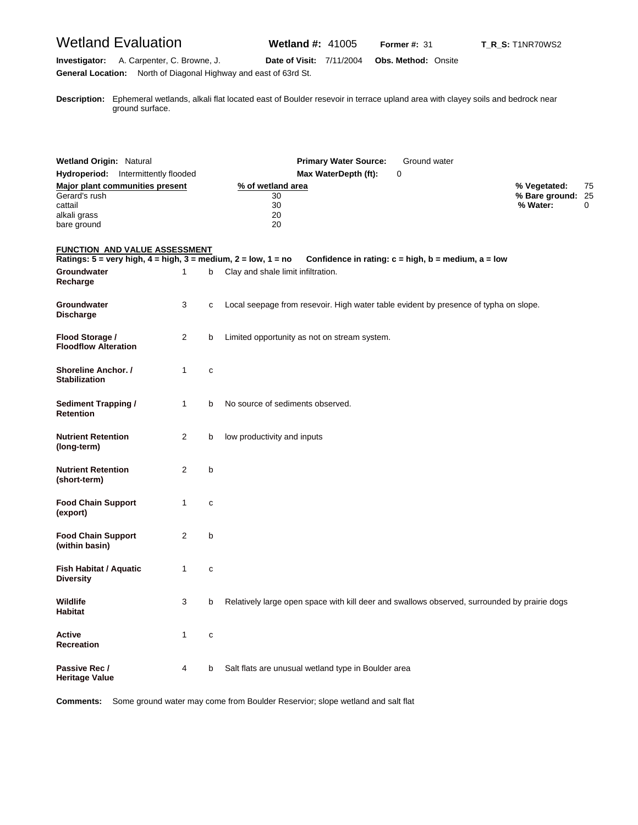# Wetland Evaluation **Wetland #:** 41005 **Former #:** <sup>31</sup> **T\_R\_S:** T1NR70WS2

**Investigator:** A. Carpenter, C. Browne, J. **Date of Visit:** 7/11/2004 **Obs. Method:** Onsite **General Location:** North of Diagonal Highway and east of 63rd St.

**D escription:** Ephemeral wetlands, alkali flat located east of Boulder resevoir in terrace upland area with clayey soils and bedrock near ground surface.

| <b>Wetland Origin: Natural</b><br>Hydroperiod: Intermittently flooded<br>Major plant communities present |              |   | <b>Primary Water Source:</b><br>Ground water<br>Max WaterDepth (ft):<br>0<br>% of wetland area    | % Vegetated:                  | 75 |
|----------------------------------------------------------------------------------------------------------|--------------|---|---------------------------------------------------------------------------------------------------|-------------------------------|----|
| Gerard's rush<br>cattail<br>alkali grass<br>bare ground                                                  |              |   | 30<br>30<br>20<br>20                                                                              | % Bare ground: 25<br>% Water: | 0  |
| <u>FUNCTION AND VALUE ASSESSMENT</u>                                                                     |              |   |                                                                                                   |                               |    |
| Ratings: 5 = very high, 4 = high, 3 = medium, 2 = low, 1 = no<br>Groundwater<br>Recharge                 | 1            | b | Confidence in rating: $c = high$ , $b = medium$ , $a = low$<br>Clay and shale limit infiltration. |                               |    |
| Groundwater<br><b>Discharge</b>                                                                          | 3            | c | Local seepage from resevoir. High water table evident by presence of typha on slope.              |                               |    |
| Flood Storage /<br><b>Floodflow Alteration</b>                                                           | 2            | b | Limited opportunity as not on stream system.                                                      |                               |    |
| <b>Shoreline Anchor. /</b><br><b>Stabilization</b>                                                       | 1            | C |                                                                                                   |                               |    |
| <b>Sediment Trapping /</b><br><b>Retention</b>                                                           | $\mathbf{1}$ | b | No source of sediments observed.                                                                  |                               |    |
| <b>Nutrient Retention</b><br>(long-term)                                                                 | 2            | b | low productivity and inputs                                                                       |                               |    |
| <b>Nutrient Retention</b><br>(short-term)                                                                | 2            | b |                                                                                                   |                               |    |
| <b>Food Chain Support</b><br>(export)                                                                    | $\mathbf{1}$ | c |                                                                                                   |                               |    |
| <b>Food Chain Support</b><br>(within basin)                                                              | 2            | b |                                                                                                   |                               |    |
| Fish Habitat / Aquatic<br><b>Diversity</b>                                                               | 1            | С |                                                                                                   |                               |    |
| Wildlife<br><b>Habitat</b>                                                                               | 3            | b | Relatively large open space with kill deer and swallows observed, surrounded by prairie dogs      |                               |    |
| Active<br>Recreation                                                                                     | 1            | C |                                                                                                   |                               |    |
| Passive Rec /<br><b>Heritage Value</b>                                                                   | 4            | b | Salt flats are unusual wetland type in Boulder area                                               |                               |    |

**Comments:** Some ground water may come from Boulder Reservior; slope wetland and salt flat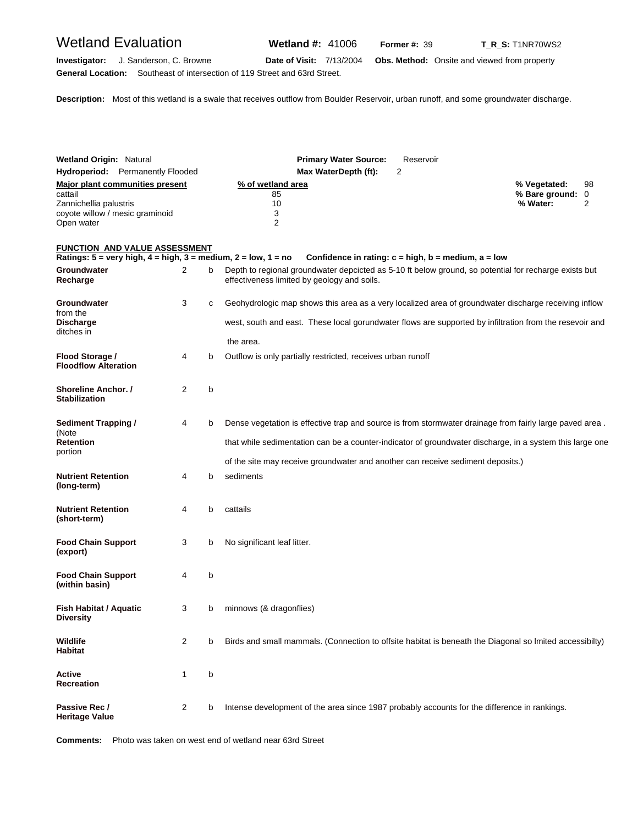# Wetland Evaluation **Wetland #:** 41006 **Former #:** 39 **T\_R\_S:** T1NR70WS2

**Investigator:** J. Sanderson, C. Browne **Date of Visit:** 7/13/2004 **Obs. Method:** Onsite and viewed from property **General Location:** Southeast of intersection of 119 Street and 63rd Street.

**Description:** Most of this wetland is a swale that receives outflow from Boulder Reservoir, urban runoff, and some groundwater discharge.

| <b>Wetland Origin: Natural</b>                                                     |                                                                                                         |   | <b>Primary Water Source:</b><br>Reservoir                                                                                                                            |                                              |         |  |  |
|------------------------------------------------------------------------------------|---------------------------------------------------------------------------------------------------------|---|----------------------------------------------------------------------------------------------------------------------------------------------------------------------|----------------------------------------------|---------|--|--|
|                                                                                    | <b>Hydroperiod:</b> Permanently Flooded                                                                 |   | 2<br>Max WaterDepth (ft):                                                                                                                                            |                                              |         |  |  |
| cattail<br>Zannichellia palustris<br>coyote willow / mesic graminoid<br>Open water | Major plant communities present                                                                         |   | % of wetland area<br>85<br>10<br>3<br>$\overline{2}$                                                                                                                 | % Vegetated:<br>% Bare ground: 0<br>% Water: | 98<br>2 |  |  |
|                                                                                    | FUNCTION AND VALUE ASSESSMENT                                                                           |   |                                                                                                                                                                      |                                              |         |  |  |
| Groundwater                                                                        | Ratings: $5 = \text{very high}, 4 = \text{high}, 3 = \text{medium}, 2 = \text{low}, 1 = \text{no}$<br>2 | b | Confidence in rating: $c = high$ , $b = medium$ , $a = low$<br>Depth to regional groundwater depcicted as 5-10 ft below ground, so potential for recharge exists but |                                              |         |  |  |
| Recharge                                                                           |                                                                                                         |   | effectiveness limited by geology and soils.                                                                                                                          |                                              |         |  |  |
| Groundwater<br>from the                                                            | 3                                                                                                       | C | Geohydrologic map shows this area as a very localized area of groundwater discharge receiving inflow                                                                 |                                              |         |  |  |
| <b>Discharge</b><br>ditches in                                                     |                                                                                                         |   | west, south and east. These local gorundwater flows are supported by infiltration from the resevoir and                                                              |                                              |         |  |  |
|                                                                                    |                                                                                                         |   | the area.                                                                                                                                                            |                                              |         |  |  |
| Flood Storage /<br><b>Floodflow Alteration</b>                                     | 4                                                                                                       | b | Outflow is only partially restricted, receives urban runoff                                                                                                          |                                              |         |  |  |
| Shoreline Anchor. /<br><b>Stabilization</b>                                        | 2                                                                                                       | b |                                                                                                                                                                      |                                              |         |  |  |
| <b>Sediment Trapping /</b><br>4<br>(Note<br><b>Retention</b><br>portion            |                                                                                                         | b | Dense vegetation is effective trap and source is from stormwater drainage from fairly large paved area.                                                              |                                              |         |  |  |
|                                                                                    |                                                                                                         |   | that while sedimentation can be a counter-indicator of groundwater discharge, in a system this large one                                                             |                                              |         |  |  |
|                                                                                    |                                                                                                         |   | of the site may receive groundwater and another can receive sediment deposits.)                                                                                      |                                              |         |  |  |
| Nutrient Retention<br>(long-term)                                                  | 4                                                                                                       | b | sediments                                                                                                                                                            |                                              |         |  |  |
| Nutrient Retention<br>(short-term)                                                 | 4                                                                                                       | b | cattails                                                                                                                                                             |                                              |         |  |  |
| <b>Food Chain Support</b><br>(export)                                              | 3                                                                                                       | b | No significant leaf litter.                                                                                                                                          |                                              |         |  |  |
| <b>Food Chain Support</b><br>(within basin)                                        | 4                                                                                                       | b |                                                                                                                                                                      |                                              |         |  |  |
| <b>Fish Habitat / Aquatic</b><br>Diversity                                         | 3                                                                                                       | b | minnows (& dragonflies)                                                                                                                                              |                                              |         |  |  |
| Wildlife<br>Habitat                                                                | 2                                                                                                       | b | Birds and small mammals. (Connection to offsite habitat is beneath the Diagonal so Imited accessibilty)                                                              |                                              |         |  |  |
| Active<br>Recreation                                                               | 1                                                                                                       | b |                                                                                                                                                                      |                                              |         |  |  |
| Passive Rec /<br><b>Heritage Value</b>                                             | 2                                                                                                       | b | Intense development of the area since 1987 probably accounts for the difference in rankings.                                                                         |                                              |         |  |  |

**Comments:** Photo was taken on west end of wetland near 63rd Street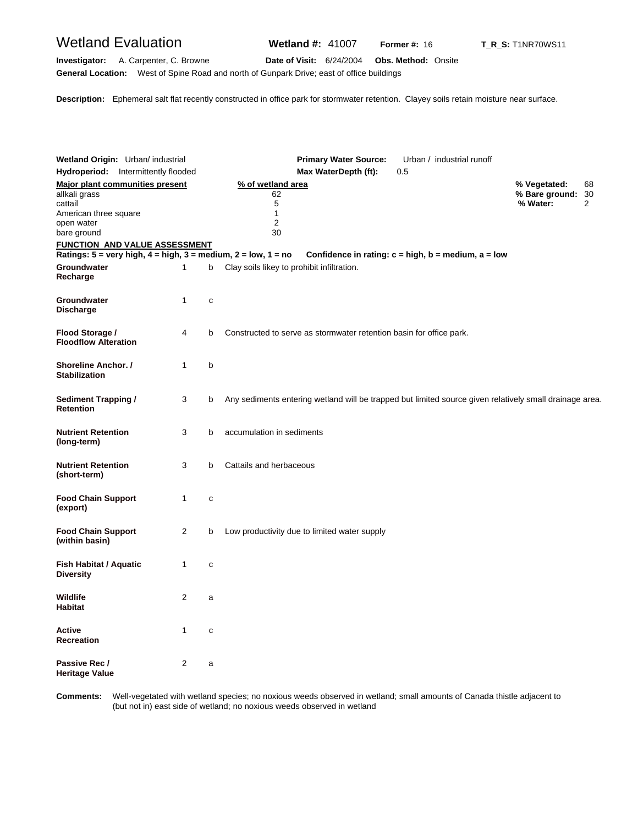### Wetland Evaluation **Wetland #:** 41007 **Former #:** <sup>16</sup> **T\_R\_S:** T1NR70WS11

**Investigator:** A. Carpenter, C. Browne **Date of Visit:** 6/24/2004 **Obs. Method:** Onsite **General Location:** West of Spine Road and north of Gunpark Drive; east of office buildings

**Description:** Ephemeral salt flat recently constructed in office park for stormwater retention. Clayey soils retain moisture near surface.

| Wetland Origin: Urban/ industrial                                       |              |              | <b>Primary Water Source:</b><br>Urban / industrial runoff                                               |                                            |                            |
|-------------------------------------------------------------------------|--------------|--------------|---------------------------------------------------------------------------------------------------------|--------------------------------------------|----------------------------|
| Hydroperiod: Intermittently flooded                                     |              |              | Max WaterDepth (ft):<br>0.5                                                                             |                                            |                            |
| <b>Major plant communities present</b><br>allkali grass<br>cattail      |              |              | % of wetland area<br>62<br>5                                                                            | % Vegetated:<br>% Bare ground:<br>% Water: | 68<br>30<br>$\overline{2}$ |
| American three square<br>open water<br>bare ground                      |              |              | $\mathbf{1}$<br>$\overline{2}$<br>30                                                                    |                                            |                            |
| <b>FUNCTION AND VALUE ASSESSMENT</b>                                    |              |              |                                                                                                         |                                            |                            |
| Ratings: $5 =$ very high, $4 =$ high, $3 =$ medium, $2 =$ low, $1 =$ no |              |              | Confidence in rating: $c = high$ , $b = medium$ , $a = low$                                             |                                            |                            |
| Groundwater<br>Recharge                                                 | 1            | b            | Clay soils likey to prohibit infiltration.                                                              |                                            |                            |
| Groundwater<br><b>Discharge</b>                                         | 1            | C            |                                                                                                         |                                            |                            |
| Flood Storage /<br><b>Floodflow Alteration</b>                          | 4            | b            | Constructed to serve as stormwater retention basin for office park.                                     |                                            |                            |
| Shoreline Anchor. /<br><b>Stabilization</b>                             | $\mathbf{1}$ | b            |                                                                                                         |                                            |                            |
| <b>Sediment Trapping /</b><br>Retention                                 | 3            | b            | Any sediments entering wetland will be trapped but limited source given relatively small drainage area. |                                            |                            |
| <b>Nutrient Retention</b><br>(long-term)                                | 3            | b            | accumulation in sediments                                                                               |                                            |                            |
| <b>Nutrient Retention</b><br>(short-term)                               | 3            | b            | Cattails and herbaceous                                                                                 |                                            |                            |
| <b>Food Chain Support</b><br>(export)                                   | 1            | C            |                                                                                                         |                                            |                            |
| <b>Food Chain Support</b><br>(within basin)                             | 2            | b            | Low productivity due to limited water supply                                                            |                                            |                            |
| Fish Habitat / Aquatic<br><b>Diversity</b>                              | 1            | $\mathbf{C}$ |                                                                                                         |                                            |                            |
| Wildlife<br><b>Habitat</b>                                              | 2            | a            |                                                                                                         |                                            |                            |
| Active<br>Recreation                                                    | 1            | C            |                                                                                                         |                                            |                            |
| Passive Rec /<br>Heritage Value                                         | 2            | a            |                                                                                                         |                                            |                            |

Comments: (but not in) east side of wetland; no noxious weeds observed in wetland **omments:** Well-vegetated with wetland species; no noxious weeds observed in wetland; small amounts of Canada thistle adjacent to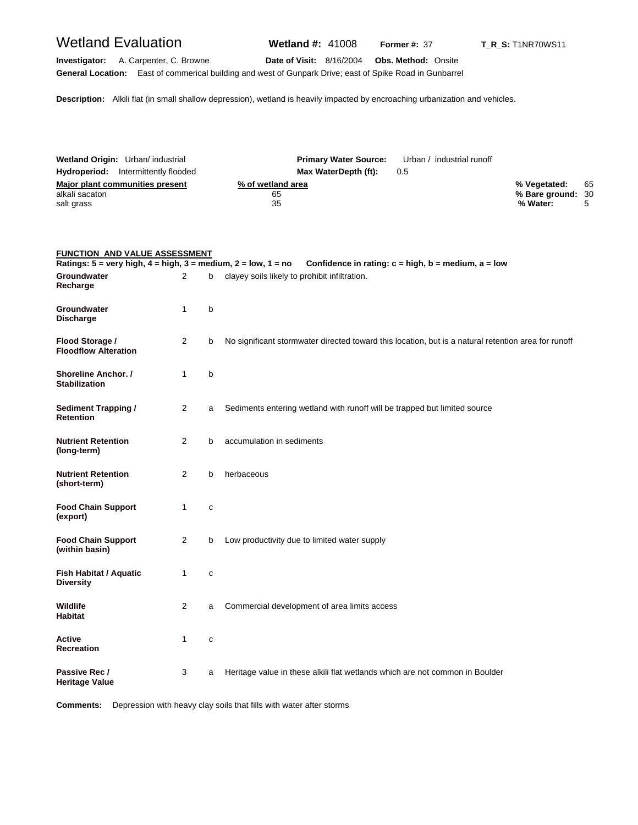## Wetland Evaluation **Wetland #:** 41008 **Former #:** <sup>37</sup> **T\_R\_S:** T1NR70WS11

**Investigator:** A. Carpenter, C. Browne **Date of Visit:** 8/16/2004 **Obs. Method:** Onsite **General Location:** East of commerical building and west of Gunpark Drive; east of Spike Road in Gunbarrel

**Description:** Alkili flat (in small shallow depression), wetland is heavily impacted by encroaching urbanization and vehicles.

| Wetland Origin: Urban/ industrial          |                      | <b>Primary Water Source:</b> Urban / industrial runoff |                   |    |
|--------------------------------------------|----------------------|--------------------------------------------------------|-------------------|----|
| <b>Hydroperiod:</b> Intermittently flooded | Max WaterDepth (ft): | 0.5                                                    |                   |    |
| Major plant communities present            | % of wetland area    |                                                        | % Vegetated:      | 65 |
| alkali sacaton                             | 65                   |                                                        | % Bare ground: 30 |    |
| salt grass                                 | 35                   |                                                        | % Water:          |    |

### **FUNCTION AND VALUE ASSESSMENT**

|                                                   |   |   | Ratings: $5 =$ very high, $4 =$ high, $3 =$ medium, $2 =$ low, $1 =$ no Confidence in rating: $c =$ high, $b =$ medium, $a =$ low |
|---------------------------------------------------|---|---|-----------------------------------------------------------------------------------------------------------------------------------|
| Groundwater<br>Recharge                           | 2 | þ | clayey soils likely to prohibit infiltration.                                                                                     |
| Groundwater<br><b>Discharge</b>                   | 1 | b |                                                                                                                                   |
| Flood Storage /<br><b>Floodflow Alteration</b>    | 2 | b | No significant stormwater directed toward this location, but is a natural retention area for runoff                               |
| Shoreline Anchor. /<br><b>Stabilization</b>       | 1 | b |                                                                                                                                   |
| <b>Sediment Trapping /</b><br><b>Retention</b>    | 2 | a | Sediments entering wetland with runoff will be trapped but limited source                                                         |
| <b>Nutrient Retention</b><br>(long-term)          | 2 | b | accumulation in sediments                                                                                                         |
| <b>Nutrient Retention</b><br>(short-term)         | 2 | b | herbaceous                                                                                                                        |
| <b>Food Chain Support</b><br>(export)             | 1 | C |                                                                                                                                   |
| <b>Food Chain Support</b><br>(within basin)       | 2 | b | Low productivity due to limited water supply                                                                                      |
| <b>Fish Habitat / Aquatic</b><br><b>Diversity</b> | 1 | C |                                                                                                                                   |
| <b>Wildlife</b><br><b>Habitat</b>                 | 2 | a | Commercial development of area limits access                                                                                      |
| Active<br><b>Recreation</b>                       | 1 | c |                                                                                                                                   |
| Passive Rec /<br><b>Heritage Value</b>            | 3 | a | Heritage value in these alkili flat wetlands which are not common in Boulder                                                      |

**Comments:** Depression with heavy clay soils that fills with water after storms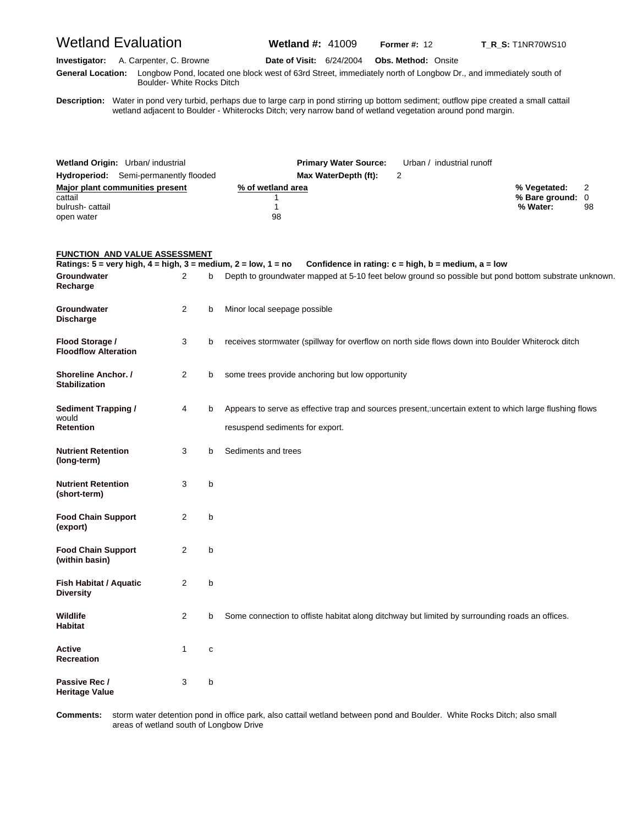# Wetland Evaluation **Wetland #:** 41009 **Former #: 12 T\_R\_S:** T1NR70WS10 **Investigator:** A. Carpenter, C. Browne **Date of Visit:** 6/24/2004 **Obs. Method:** Onsite **G eneral Location:** Longbow Pond, located one block west of 63rd Street, immediately north of Longbow Dr., and immediately south of Boulder- White Rocks Ditch

**D escription:** Water in pond very turbid, perhaps due to large carp in pond stirring up bottom sediment; outflow pipe created a small cattail wetland adjacent to Boulder - Whiterocks Ditch; very narrow band of wetland vegetation around pond margin.

| Wetland Origin: Urban/ industrial            | <b>Primary Water Source:</b> | Urban / industrial runoff |                  |    |
|----------------------------------------------|------------------------------|---------------------------|------------------|----|
| <b>Hydroperiod:</b> Semi-permanently flooded | Max WaterDepth (ft):         |                           |                  |    |
| Major plant communities present              | % of wetland area            |                           | % Vegetated:     |    |
| cattail                                      |                              |                           | % Bare ground: 0 |    |
| bulrush-cattail                              |                              |                           | % Water:         | 98 |
| open water                                   | 98                           |                           |                  |    |

#### **FUNCTION AND VALUE ASSESSMENT**

|                                                  |                |   | Ratings: $5 =$ very high, $4 =$ high, $3 =$ medium, $2 =$ low, $1 =$ no Confidence in rating: $c =$ high, $b =$ medium, $a =$ low         |
|--------------------------------------------------|----------------|---|-------------------------------------------------------------------------------------------------------------------------------------------|
| Groundwater<br>Recharge                          | 2              | b | Depth to groundwater mapped at 5-10 feet below ground so possible but pond bottom substrate unknown.                                      |
| Groundwater<br><b>Discharge</b>                  | $\overline{2}$ | b | Minor local seepage possible                                                                                                              |
| Flood Storage /<br><b>Floodflow Alteration</b>   | 3              | b | receives stormwater (spillway for overflow on north side flows down into Boulder Whiterock ditch                                          |
| Shoreline Anchor. /<br><b>Stabilization</b>      | $\overline{2}$ | b | some trees provide anchoring but low opportunity                                                                                          |
| <b>Sediment Trapping /</b><br>would<br>Retention | 4              | b | Appears to serve as effective trap and sources present, uncertain extent to which large flushing flows<br>resuspend sediments for export. |
| <b>Nutrient Retention</b><br>(long-term)         | 3              | b | Sediments and trees                                                                                                                       |
| <b>Nutrient Retention</b><br>(short-term)        | 3              | b |                                                                                                                                           |
| <b>Food Chain Support</b><br>(export)            | 2              | b |                                                                                                                                           |
| <b>Food Chain Support</b><br>(within basin)      | 2              | b |                                                                                                                                           |
| Fish Habitat / Aquatic<br><b>Diversity</b>       | 2              | b |                                                                                                                                           |
| Wildlife<br><b>Habitat</b>                       | $\overline{2}$ | b | Some connection to offiste habitat along ditchway but limited by surrounding roads an offices.                                            |
| <b>Active</b><br><b>Recreation</b>               | 1              | C |                                                                                                                                           |
| Passive Rec /<br><b>Heritage Value</b>           | 3              | b |                                                                                                                                           |

Comments: areas of wetland south of Longbow Drive **omments:** storm water detention pond in office park, also cattail wetland between pond and Boulder. White Rocks Ditch; also small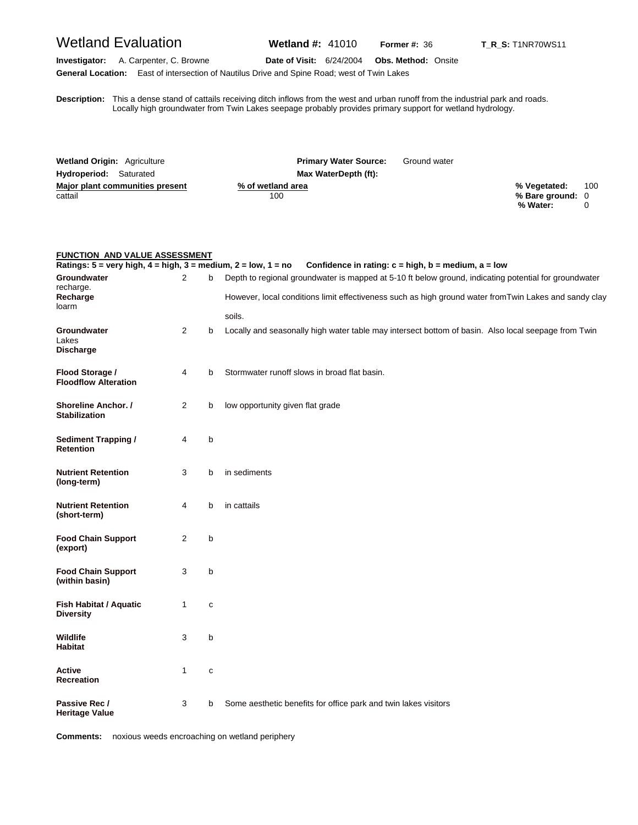# Wetland Evaluation **Wetland #:** 41010 **Former #: 36** T\_R\_S: T1NR70WS11

**Investigator:** A. Carpenter, C. Browne **Date of Visit:** 6/24/2004 **Obs. Method:** Onsite **General Location:** East of intersection of Nautilus Drive and Spine Road; west of Twin Lakes

**D** Locally high groundwater from Twin Lakes seepage probably provides primary support for wetland hydrology. **escription:** This a dense stand of cattails receiving ditch inflows from the west and urban runoff from the industrial park and roads.

| <b>Wetland Origin: Agriculture</b> | <b>Primary Water Source:</b> | Ground water |                  |     |
|------------------------------------|------------------------------|--------------|------------------|-----|
| <b>Hydroperiod:</b> Saturated      | Max WaterDepth (ft):         |              |                  |     |
| Major plant communities present    | % of wetland area            |              | % Vegetated:     | 100 |
| cattail                            | 100                          |              | % Bare ground: 0 |     |
|                                    |                              |              | % Water:         |     |

| <b>FUNCTION AND VALUE ASSESSMENT</b>                                                               |              |             |                                                                                                       |  |  |
|----------------------------------------------------------------------------------------------------|--------------|-------------|-------------------------------------------------------------------------------------------------------|--|--|
| Ratings: $5 = \text{very high}, 4 = \text{high}, 3 = \text{medium}, 2 = \text{low}, 1 = \text{no}$ |              |             | Confidence in rating: $c = high$ , $b = medium$ , $a = low$                                           |  |  |
| Groundwater<br>recharge.                                                                           | 2            | b           | Depth to regional groundwater is mapped at 5-10 ft below ground, indicating potential for groundwater |  |  |
| Recharge<br>loarm                                                                                  |              |             | However, local conditions limit effectiveness such as high ground water fromTwin Lakes and sandy clay |  |  |
|                                                                                                    |              |             | soils.                                                                                                |  |  |
| <b>Groundwater</b><br>Lakes<br><b>Discharge</b>                                                    | 2            | b           | Locally and seasonally high water table may intersect bottom of basin. Also local seepage from Twin   |  |  |
| Flood Storage /<br><b>Floodflow Alteration</b>                                                     | 4            | b           | Stormwater runoff slows in broad flat basin.                                                          |  |  |
| <b>Shoreline Anchor.</b> /<br><b>Stabilization</b>                                                 | 2            | b           | low opportunity given flat grade                                                                      |  |  |
| <b>Sediment Trapping /</b><br><b>Retention</b>                                                     | 4            | b           |                                                                                                       |  |  |
| <b>Nutrient Retention</b><br>(long-term)                                                           | 3            | b           | in sediments                                                                                          |  |  |
| <b>Nutrient Retention</b><br>(short-term)                                                          | 4            | b           | in cattails                                                                                           |  |  |
| <b>Food Chain Support</b><br>(export)                                                              | 2            | b           |                                                                                                       |  |  |
| <b>Food Chain Support</b><br>(within basin)                                                        | 3            | b           |                                                                                                       |  |  |
| <b>Fish Habitat / Aquatic</b><br><b>Diversity</b>                                                  | $\mathbf{1}$ | C           |                                                                                                       |  |  |
| Wildlife<br><b>Habitat</b>                                                                         | 3            | b           |                                                                                                       |  |  |
| <b>Active</b><br><b>Recreation</b>                                                                 | 1            | $\mathbf c$ |                                                                                                       |  |  |
| Passive Rec /<br><b>Heritage Value</b>                                                             | 3            | b           | Some aesthetic benefits for office park and twin lakes visitors                                       |  |  |

**Comments:** noxious weeds encroaching on wetland periphery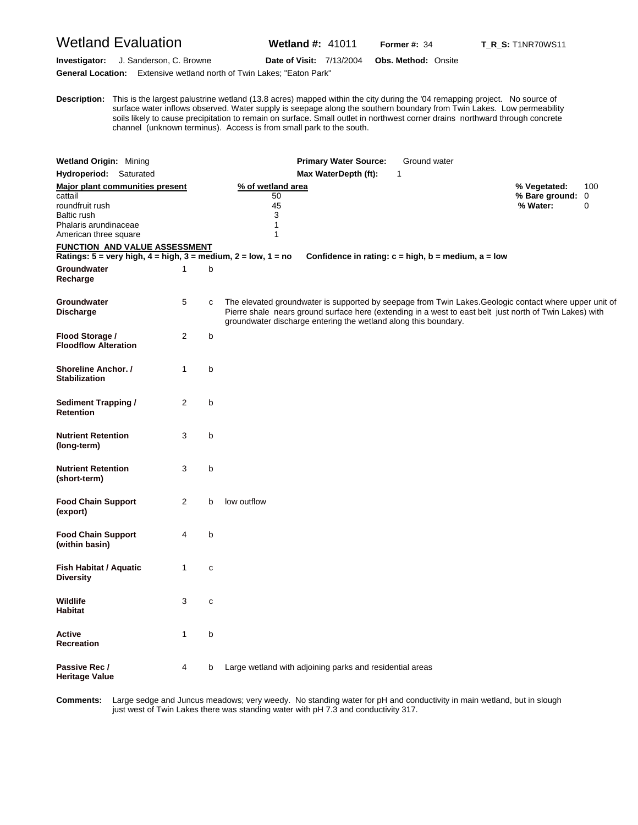## Wetland Evaluation **Wetland #:** 41011 **Former #:** <sup>34</sup> **T\_R\_S:** T1NR70WS11

**Investigator:** J. Sanderson, C. Browne **Date of Visit:** 7/13/2004 **Obs. Method:** Onsite

**General Location:** Extensive wetland north of Twin Lakes; "Eaton Park"

**D** surface water inflows observed. Water supply is seepage along the southern boundary from Twin Lakes. Low permeability **escription:** This is the largest palustrine wetland (13.8 acres) mapped within the city during the '04 remapping project. No source of soils likely to cause precipitation to remain on surface. Small outlet in northwest corner drains northward through concrete channel (unknown terminus). Access is from small park to the south.

| <b>Wetland Origin: Mining</b>                                                                                                  |                |              | <b>Primary Water Source:</b><br>Ground water                                                                                                                                                                                                                                         |                                              |          |
|--------------------------------------------------------------------------------------------------------------------------------|----------------|--------------|--------------------------------------------------------------------------------------------------------------------------------------------------------------------------------------------------------------------------------------------------------------------------------------|----------------------------------------------|----------|
| Hydroperiod: Saturated                                                                                                         |                |              | Max WaterDepth (ft):<br>1                                                                                                                                                                                                                                                            |                                              |          |
| Major plant communities present<br>cattail<br>roundfruit rush<br>Baltic rush<br>Phalaris arundinaceae<br>American three square |                |              | % of wetland area<br>50<br>45<br>3<br>1<br>1                                                                                                                                                                                                                                         | % Vegetated:<br>% Bare ground: 0<br>% Water: | 100<br>0 |
| FUNCTION AND VALUE ASSESSMENT                                                                                                  |                |              |                                                                                                                                                                                                                                                                                      |                                              |          |
| Ratings: $5 = \text{very high}, 4 = \text{high}, 3 = \text{medium}, 2 = \text{low}, 1 = \text{no}$                             |                |              | Confidence in rating: $c = high$ , $b = medium$ , $a = low$                                                                                                                                                                                                                          |                                              |          |
| Groundwater<br>Recharge                                                                                                        | $\mathbf{1}$   | b            |                                                                                                                                                                                                                                                                                      |                                              |          |
| Groundwater<br><b>Discharge</b>                                                                                                | 5              | C            | The elevated groundwater is supported by seepage from Twin Lakes. Geologic contact where upper unit of<br>Pierre shale nears ground surface here (extending in a west to east belt just north of Twin Lakes) with<br>groundwater discharge entering the wetland along this boundary. |                                              |          |
| Flood Storage /<br><b>Floodflow Alteration</b>                                                                                 | $\overline{2}$ | b            |                                                                                                                                                                                                                                                                                      |                                              |          |
| Shoreline Anchor. /<br><b>Stabilization</b>                                                                                    | 1              | b            |                                                                                                                                                                                                                                                                                      |                                              |          |
| Sediment Trapping /<br><b>Retention</b>                                                                                        | 2              | b            |                                                                                                                                                                                                                                                                                      |                                              |          |
| <b>Nutrient Retention</b><br>(long-term)                                                                                       | 3              | b            |                                                                                                                                                                                                                                                                                      |                                              |          |
| <b>Nutrient Retention</b><br>(short-term)                                                                                      | 3              | b            |                                                                                                                                                                                                                                                                                      |                                              |          |
| <b>Food Chain Support</b><br>(export)                                                                                          | $\overline{2}$ | b            | low outflow                                                                                                                                                                                                                                                                          |                                              |          |
| <b>Food Chain Support</b><br>(within basin)                                                                                    | 4              | b            |                                                                                                                                                                                                                                                                                      |                                              |          |
| <b>Fish Habitat / Aquatic</b><br><b>Diversity</b>                                                                              | 1              | C            |                                                                                                                                                                                                                                                                                      |                                              |          |
| <b>Wildlife</b><br><b>Habitat</b>                                                                                              | 3              | $\mathbf{C}$ |                                                                                                                                                                                                                                                                                      |                                              |          |
| Active<br>Recreation                                                                                                           | 1              | b            |                                                                                                                                                                                                                                                                                      |                                              |          |
| Passive Rec /<br><b>Heritage Value</b>                                                                                         | 4              | b            | Large wetland with adjoining parks and residential areas                                                                                                                                                                                                                             |                                              |          |

**C omments:** Large sedge and Juncus meadows; very weedy. No standing water for pH and conductivity in main wetland, but in slough just west of Twin Lakes there was standing water with pH 7.3 and conductivity 317.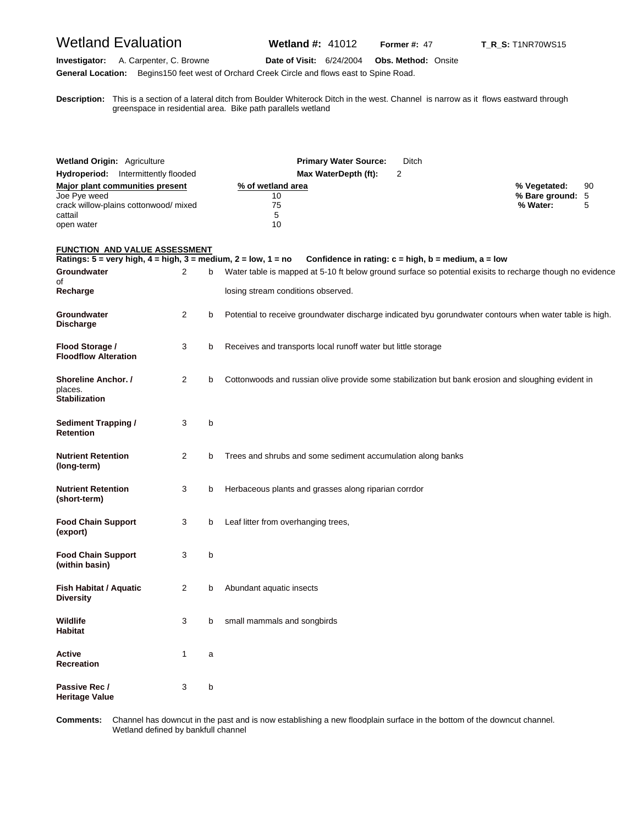## Wetland Evaluation **Wetland #:** 41012 **Former #:** <sup>47</sup> **T\_R\_S:** T1NR70WS15

#### **Investigator:** A. Carpenter, C. Browne **Date of Visit:** 6/24/2004 **Obs. Method:** Onsite **General Location:** Begins150 feet west of Orchard Creek Circle and flows east to Spine Road.

**D escription:** This is a section of a lateral ditch from Boulder Whiterock Ditch in the west. Channel is narrow as it flows eastward through greenspace in residential area. Bike path parallels wetland

| <b>Wetland Origin: Agriculture</b>                                                                                                         |                |   | <b>Primary Water Source:</b><br>Ditch                                                                                                           |                                                         |
|--------------------------------------------------------------------------------------------------------------------------------------------|----------------|---|-------------------------------------------------------------------------------------------------------------------------------------------------|---------------------------------------------------------|
| Hydroperiod: Intermittently flooded                                                                                                        |                |   | Max WaterDepth (ft):<br>2                                                                                                                       |                                                         |
| <b>Major plant communities present</b><br>Joe Pye weed<br>crack willow-plains cottonwood/ mixed<br>cattail<br>open water                   |                |   | % of wetland area<br>10<br>75<br>5<br>10                                                                                                        | % Vegetated:<br>90<br>% Bare ground: 5<br>% Water:<br>5 |
| <b>FUNCTION AND VALUE ASSESSMENT</b><br>Ratings: $5 = \text{very high}, 4 = \text{high}, 3 = \text{medium}, 2 = \text{low}, 1 = \text{no}$ |                |   | Confidence in rating: $c = high$ , $b = medium$ , $a = low$                                                                                     |                                                         |
| Groundwater<br>of<br>Recharge                                                                                                              | 2              | b | Water table is mapped at 5-10 ft below ground surface so potential exisits to recharge though no evidence<br>losing stream conditions observed. |                                                         |
| Groundwater<br><b>Discharge</b>                                                                                                            | 2              | b | Potential to receive groundwater discharge indicated byu gorundwater contours when water table is high.                                         |                                                         |
| Flood Storage /<br><b>Floodflow Alteration</b>                                                                                             | 3              | b | Receives and transports local runoff water but little storage                                                                                   |                                                         |
| <b>Shoreline Anchor. /</b><br>places.<br><b>Stabilization</b>                                                                              | 2              | b | Cottonwoods and russian olive provide some stabilization but bank erosion and sloughing evident in                                              |                                                         |
| <b>Sediment Trapping /</b><br>Retention                                                                                                    | 3              | b |                                                                                                                                                 |                                                         |
| <b>Nutrient Retention</b><br>(long-term)                                                                                                   | $\overline{2}$ | b | Trees and shrubs and some sediment accumulation along banks                                                                                     |                                                         |
| <b>Nutrient Retention</b><br>(short-term)                                                                                                  | 3              | b | Herbaceous plants and grasses along riparian corrdor                                                                                            |                                                         |
| <b>Food Chain Support</b><br>(export)                                                                                                      | 3              | b | Leaf litter from overhanging trees,                                                                                                             |                                                         |
| <b>Food Chain Support</b><br>(within basin)                                                                                                | 3              | b |                                                                                                                                                 |                                                         |
| <b>Fish Habitat / Aquatic</b><br>Diversity                                                                                                 | 2              | b | Abundant aquatic insects                                                                                                                        |                                                         |
| Wildlife<br>Habitat                                                                                                                        | З              | b | small mammals and songbirds                                                                                                                     |                                                         |
| Active<br>Recreation                                                                                                                       | 1              | a |                                                                                                                                                 |                                                         |
| Passive Rec /<br><b>Heritage Value</b>                                                                                                     | 3              | b |                                                                                                                                                 |                                                         |

Comments: Wetland defined by bankfull channel **omments:** Channel has downcut in the past and is now establishing a new floodplain surface in the bottom of the downcut channel.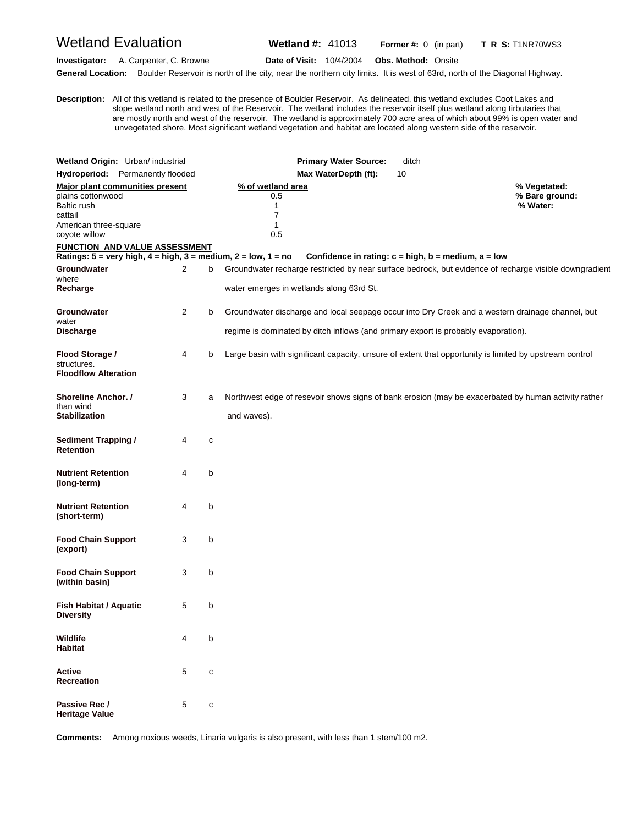Wetland Evaluation **Wetland #:** 41013 **Former #:** <sup>0</sup> (in part) **T\_R\_S:** T1NR70WS3

**Investigator:** A. Carpenter, C. Browne **Date of Visit:** 10/4/2004 **Obs. Method:** Onsite General Location: Boulder Reservoir is north of the city, near the northern city limits. It is west of 63rd, north of the Diagonal Highway.

**D escription:** All of this wetland is related to the presence of Boulder Reservoir. As delineated, this wetland excludes Coot Lakes and slope wetland north and west of the Reservoir. The wetland includes the reservoir itself plus wetland along tirbutaries that are mostly north and west of the reservoir. The wetland is approximately 700 acre area of which about 99% is open water and unvegetated shore. Most significant wetland vegetation and habitat are located along western side of the reservoir.

|                                                                                       | Wetland Origin: Urban/ industrial                                                                  |   | <b>Primary Water Source:</b>                                                                            | ditch                                                       |                |  |  |
|---------------------------------------------------------------------------------------|----------------------------------------------------------------------------------------------------|---|---------------------------------------------------------------------------------------------------------|-------------------------------------------------------------|----------------|--|--|
| Hydroperiod: Permanently flooded                                                      |                                                                                                    |   | Max WaterDepth (ft):                                                                                    | 10                                                          |                |  |  |
|                                                                                       | Major plant communities present                                                                    |   | % of wetland area                                                                                       | % Vegetated:                                                |                |  |  |
| plains cottonwood<br>Baltic rush<br>cattail<br>American three-square<br>coyote willow |                                                                                                    |   | 0.5<br>1<br>7<br>1<br>0.5                                                                               | % Water:                                                    | % Bare ground: |  |  |
|                                                                                       | FUNCTION AND VALUE ASSESSMENT                                                                      |   |                                                                                                         |                                                             |                |  |  |
|                                                                                       | Ratings: $5 = \text{very high}, 4 = \text{high}, 3 = \text{medium}, 2 = \text{low}, 1 = \text{no}$ |   |                                                                                                         | Confidence in rating: $c = high$ , $b = medium$ , $a = low$ |                |  |  |
| Groundwater<br>where                                                                  | $\overline{2}$                                                                                     | b | Groundwater recharge restricted by near surface bedrock, but evidence of recharge visible downgradient  |                                                             |                |  |  |
| Recharge                                                                              |                                                                                                    |   | water emerges in wetlands along 63rd St.                                                                |                                                             |                |  |  |
| Groundwater<br>water                                                                  | $\overline{2}$                                                                                     | b | Groundwater discharge and local seepage occur into Dry Creek and a western drainage channel, but        |                                                             |                |  |  |
| <b>Discharge</b>                                                                      |                                                                                                    |   | regime is dominated by ditch inflows (and primary export is probably evaporation).                      |                                                             |                |  |  |
| Flood Storage /<br>structures.<br><b>Floodflow Alteration</b>                         | 4                                                                                                  | b | Large basin with significant capacity, unsure of extent that opportunity is limited by upstream control |                                                             |                |  |  |
| <b>Shoreline Anchor. /</b><br>than wind                                               | 3                                                                                                  | a | Northwest edge of resevoir shows signs of bank erosion (may be exacerbated by human activity rather     |                                                             |                |  |  |
| <b>Stabilization</b>                                                                  |                                                                                                    |   | and waves).                                                                                             |                                                             |                |  |  |
| <b>Sediment Trapping /</b><br><b>Retention</b>                                        | 4                                                                                                  | c |                                                                                                         |                                                             |                |  |  |
| <b>Nutrient Retention</b><br>(long-term)                                              | 4                                                                                                  | b |                                                                                                         |                                                             |                |  |  |
| <b>Nutrient Retention</b><br>(short-term)                                             | 4                                                                                                  | b |                                                                                                         |                                                             |                |  |  |
| <b>Food Chain Support</b><br>(export)                                                 | 3                                                                                                  | b |                                                                                                         |                                                             |                |  |  |
| <b>Food Chain Support</b><br>(within basin)                                           | 3                                                                                                  | b |                                                                                                         |                                                             |                |  |  |
| <b>Fish Habitat / Aquatic</b><br>Diversity                                            | 5                                                                                                  | b |                                                                                                         |                                                             |                |  |  |
| Wildlife<br><b>Habitat</b>                                                            | 4                                                                                                  | b |                                                                                                         |                                                             |                |  |  |
| Active<br>Recreation                                                                  | 5                                                                                                  | C |                                                                                                         |                                                             |                |  |  |
| Passive Rec /<br><b>Heritage Value</b>                                                | 5                                                                                                  | C |                                                                                                         |                                                             |                |  |  |

**Comments:** Among noxious weeds, Linaria vulgaris is also present, with less than 1 stem/100 m2.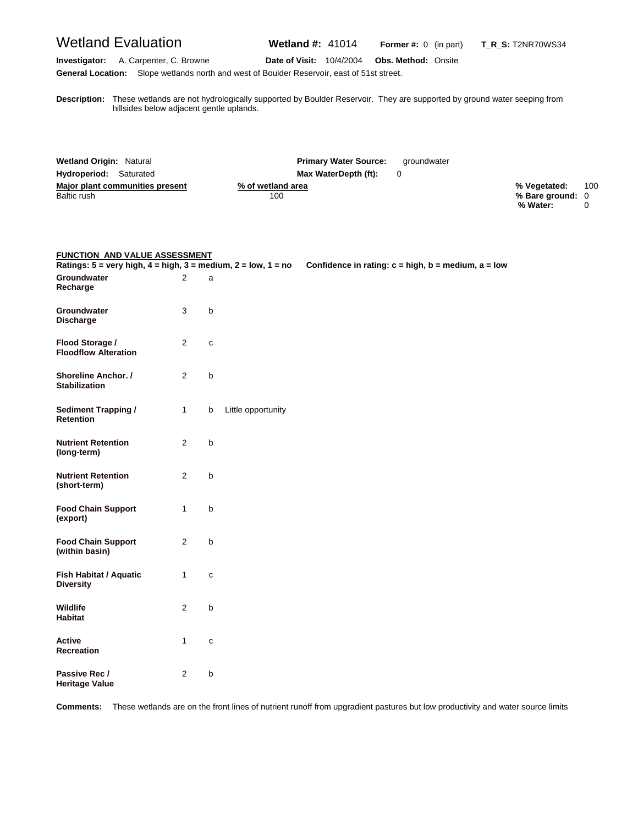Wetland Evaluation **Wetland #:** 41014 **Former #:** <sup>0</sup> (in part) **T\_R\_S:** T2NR70WS34

**Investigator:** A. Carpenter, C. Browne **Date of Visit:** 10/4/2004 **Obs. Method:** Onsite **General Location:** Slope wetlands north and west of Boulder Reservoir, east of 51st street.

**D** hillsides below adjacent gentle uplands. **escription:** These wetlands are not hydrologically supported by Boulder Reservoir. They are supported by ground water seeping from

| <b>Wetland Origin: Natural</b>  | <b>Primary Water Source:</b><br>aroundwater |                  |     |
|---------------------------------|---------------------------------------------|------------------|-----|
| Hydroperiod: Saturated          | Max WaterDepth (ft):                        |                  |     |
| Major plant communities present | % of wetland area                           | % Vegetated:     | 100 |
| Baltic rush                     | 100                                         | % Bare ground: 0 |     |
|                                 |                                             | % Water:         |     |

#### **FUNCTION AND VALUE ASSESSMENT**

| Ratings: $5 = \text{very high}, 4 = \text{high}, 3 = \text{medium}, 2 = \text{low}, 1 = \text{no}$ |                |              |                    | Confidence in rating: $c = high$ , $b = medium$ , $a = low$ |
|----------------------------------------------------------------------------------------------------|----------------|--------------|--------------------|-------------------------------------------------------------|
| Groundwater<br>Recharge                                                                            | $\overline{2}$ | a            |                    |                                                             |
| Groundwater<br><b>Discharge</b>                                                                    | 3              | $\sf b$      |                    |                                                             |
| Flood Storage /<br><b>Floodflow Alteration</b>                                                     | 2              | C            |                    |                                                             |
| Shoreline Anchor. /<br><b>Stabilization</b>                                                        | 2              | b            |                    |                                                             |
| <b>Sediment Trapping /</b><br><b>Retention</b>                                                     | $\mathbf{1}$   | b            | Little opportunity |                                                             |
| <b>Nutrient Retention</b><br>(long-term)                                                           | $\overline{2}$ | $\mathsf b$  |                    |                                                             |
| <b>Nutrient Retention</b><br>(short-term)                                                          | $\overline{2}$ | $\mathsf b$  |                    |                                                             |
| <b>Food Chain Support</b><br>(export)                                                              | 1              | $\sf b$      |                    |                                                             |
| <b>Food Chain Support</b><br>(within basin)                                                        | 2              | $\mathsf b$  |                    |                                                             |
| Fish Habitat / Aquatic<br><b>Diversity</b>                                                         | $\mathbf{1}$   | $\mathbf{C}$ |                    |                                                             |
| <b>Wildlife</b><br><b>Habitat</b>                                                                  | 2              | b            |                    |                                                             |
| Active<br><b>Recreation</b>                                                                        | $\mathbf{1}$   | $\mathbf{C}$ |                    |                                                             |
| Passive Rec /<br><b>Heritage Value</b>                                                             | 2              | b            |                    |                                                             |

**Comments:** These wetlands are on the front lines of nutrient runoff from upgradient pastures but low productivity and water source limits